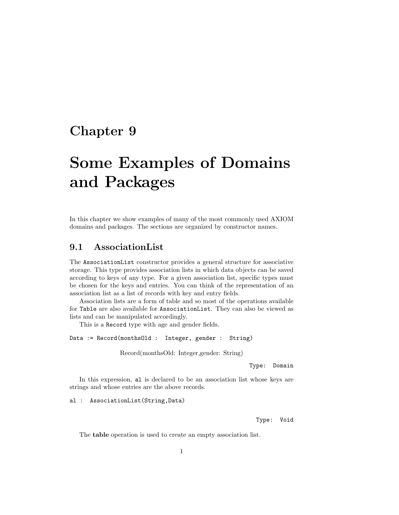## Chapter 9

# Some Examples of Domains and Packages

In this chapter we show examples of many of the most commonly used AXIOM domains and packages. The sections are organized by constructor names.

## 9.1 AssociationList

The AssociationList constructor provides a general structure for associative storage. This type provides association lists in which data objects can be saved according to keys of any type. For a given association list, specific types must be chosen for the keys and entries. You can think of the representation of an association list as a list of records with key and entry fields.

Association lists are a form of table and so most of the operations available for Table are also available for AssociationList. They can also be viewed as lists and can be manipulated accordingly.

This is a Record type with age and gender fields.

Data := Record(monthsOld : Integer, gender : String)

Record(monthsOld: Integer,gender: String)

Type: Domain

In this expression, al is declared to be an association list whose keys are strings and whose entries are the above records.

al : AssociationList(String,Data)

Type: Void

The table operation is used to create an empty association list.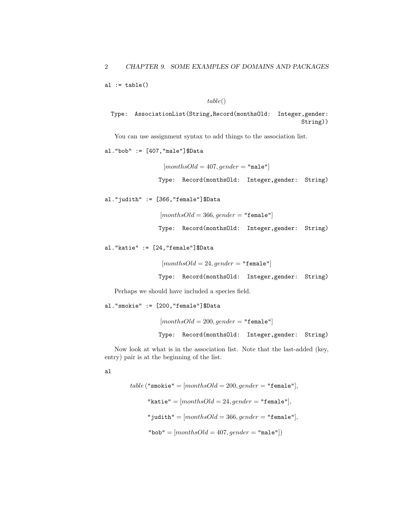al  $:=$  table()

 $table()$ 

Type: AssociationList(String,Record(monthsOld: Integer,gender: String))

You can use assignment syntax to add things to the association list.

al."bob" := [407,"male"]\$Data

 $[months Old = 407, gender = "male"]$ 

Type: Record(monthsOld: Integer,gender: String)

al."judith" := [366,"female"]\$Data

 $[monthsOld = 366, gender = "female"]$ Type: Record(monthsOld: Integer,gender: String)

al."katie" := [24,"female"]\$Data

```
[monthsOld = 24, gender = "female"]Type: Record(monthsOld: Integer,gender: String)
```
Perhaps we should have included a species field.

al."smokie" := [200,"female"]\$Data

 $[months Old = 200, gender = "female"]$ Type: Record(monthsOld: Integer,gender: String)

Now look at what is in the association list. Note that the last-added (key, entry) pair is at the beginning of the list.

al

table ("smokie" =  $[monthsOld = 200, gender = "female",$ "katie" =  $[months Old = 24, gender = "female".]$ "judith" =  $[monthsOld = 366, gender = "female",$ "bob" =  $[monthsOld = 407, gender = "male"]$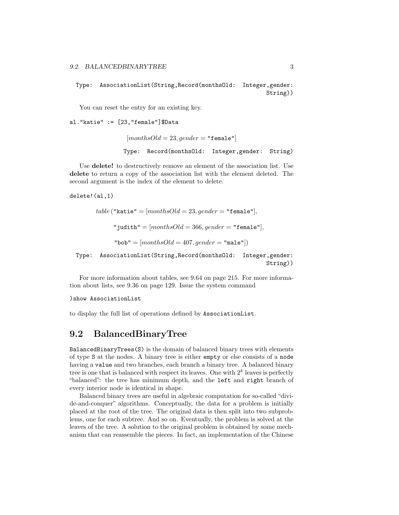Type: AssociationList(String,Record(monthsOld: Integer,gender: String))

You can reset the entry for an existing key.

al."katie" := [23,"female"]\$Data

 $[monthsOld = 23, gender = "female"$ Type: Record(monthsOld: Integer,gender: String)

Use **delete!** to destructively remove an element of the association list. Use delete to return a copy of the association list with the element deleted. The second argument is the index of the element to delete.

delete!(al,1)

```
table ("katie" = [monthsOld = 23, gender = "female","judith" = [months Old = 366, gender = "female","bob" = [monthsOld = 407, gender = "male"]
```
Type: AssociationList(String,Record(monthsOld: Integer,gender: String))

For more information about tables, see 9.64 on page 215. For more information about lists, see 9.36 on page 129. Issue the system command

)show AssociationList

to display the full list of operations defined by AssociationList.

## 9.2 BalancedBinaryTree

BalancedBinaryTrees(S) is the domain of balanced binary trees with elements of type S at the nodes. A binary tree is either empty or else consists of a node having a value and two branches, each branch a binary tree. A balanced binary tree is one that is balanced with respect its leaves. One with  $2<sup>k</sup>$  leaves is perfectly "balanced": the tree has minimum depth, and the left and right branch of every interior node is identical in shape.

Balanced binary trees are useful in algebraic computation for so-called "divide-and-conquer" algorithms. Conceptually, the data for a problem is initially placed at the root of the tree. The original data is then split into two subproblems, one for each subtree. And so on. Eventually, the problem is solved at the leaves of the tree. A solution to the original problem is obtained by some mechanism that can reassemble the pieces. In fact, an implementation of the Chinese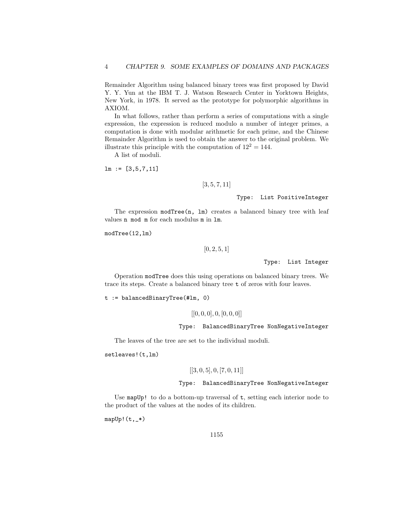Remainder Algorithm using balanced binary trees was first proposed by David Y. Y. Yun at the IBM T. J. Watson Research Center in Yorktown Heights, New York, in 1978. It served as the prototype for polymorphic algorithms in AXIOM.

In what follows, rather than perform a series of computations with a single expression, the expression is reduced modulo a number of integer primes, a computation is done with modular arithmetic for each prime, and the Chinese Remainder Algorithm is used to obtain the answer to the original problem. We illustrate this principle with the computation of  $12^2 = 144$ .

A list of moduli.

 $lm := [3, 5, 7, 11]$ 

 $[3, 5, 7, 11]$ 

Type: List PositiveInteger

The expression modTree(n, lm) creates a balanced binary tree with leaf values n mod m for each modulus m in lm.

modTree(12,lm)

 $[0, 2, 5, 1]$ 

Type: List Integer

Operation modTree does this using operations on balanced binary trees. We trace its steps. Create a balanced binary tree t of zeros with four leaves.

t := balancedBinaryTree(#lm, 0)

 $[[0, 0, 0], 0, [0, 0, 0]]$ 

Type: BalancedBinaryTree NonNegativeInteger

The leaves of the tree are set to the individual moduli.

setleaves!(t,lm)

$$
[[3,0,5],0,[7,0,11]]
$$

Type: BalancedBinaryTree NonNegativeInteger

Use mapUp! to do a bottom-up traversal of  $t$ , setting each interior node to the product of the values at the nodes of its children.

 $mapUp!(t,-*)$ 

1155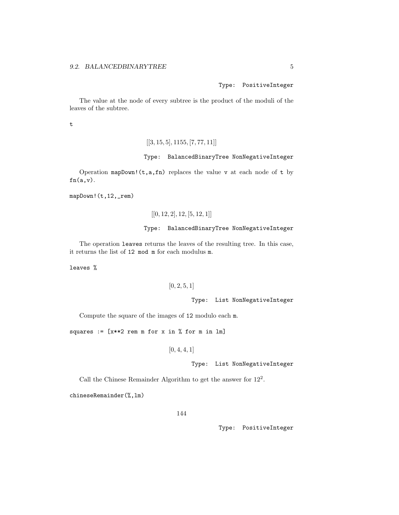Type: PositiveInteger

The value at the node of every subtree is the product of the moduli of the leaves of the subtree.

t

```
[[3, 15, 5], 1155, [7, 77, 11]]
```
#### Type: BalancedBinaryTree NonNegativeInteger

Operation mapDown!  $(t, a, fn)$  replaces the value v at each node of t by  $fn(a,v)$ .

mapDown!(t,12,\_rem)

 $[[0, 12, 2], 12, [5, 12, 1]]$ 

#### Type: BalancedBinaryTree NonNegativeInteger

The operation leaves returns the leaves of the resulting tree. In this case, it returns the list of 12 mod m for each modulus m.

leaves %

#### $[0, 2, 5, 1]$

Type: List NonNegativeInteger

Compute the square of the images of 12 modulo each m.

squares :=  $[x**2$  rem m for x in % for m in lm]

 $[0, 4, 4, 1]$ 

Type: List NonNegativeInteger

Call the Chinese Remainder Algorithm to get the answer for 12<sup>2</sup> .

chineseRemainder(%,lm)

144

Type: PositiveInteger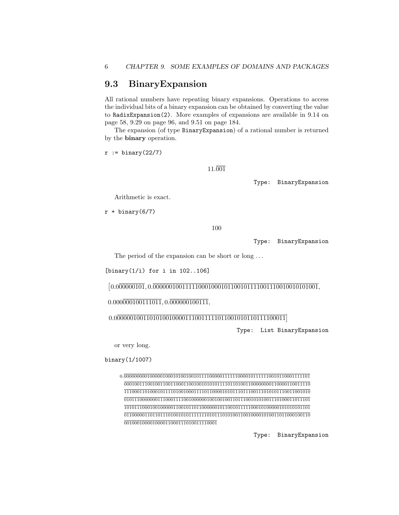## 9.3 BinaryExpansion

All rational numbers have repeating binary expansions. Operations to access the individual bits of a binary expansion can be obtained by converting the value to RadixExpansion(2). More examples of expansions are available in 9.14 on page 58, 9.29 on page 96, and 9.51 on page 184.

The expansion (of type BinaryExpansion) of a rational number is returned by the binary operation.

 $r := binary(22/7)$ 

11.001

Type: BinaryExpansion

Arithmetic is exact.

 $r + binary(6/7)$ 

100

Type: BinaryExpansion

The period of the expansion can be short or long ...

[binary(1/i) for i in 102..106]

- 0.000000101, 0.000000100111110001000101100101111001110010010101001,

 $0.000\overline{000100111011}$ ,  $0.\overline{000000100111}$ ,

0.00000010011010100100001110011111011001010110111100011

Type: List BinaryExpansion

or very long.

binary(1/1007)

0.000000000100000100010100100101111000001111110000101111110010110001111101 000100111001001100110001100100101010111101101001100000000110000110011110 111000110100010111101001000111101100001010111011100111010101110011001010 010111000000011100011110010000001001001001101110010101001110100011011101 101011100010010000011001011011000000101100101111100010100000101010101101 011000001101101110100101011111110101110101001100100001010011011000100110  $\overline{001000100001000011000111010011110001}$ 

Type: BinaryExpansion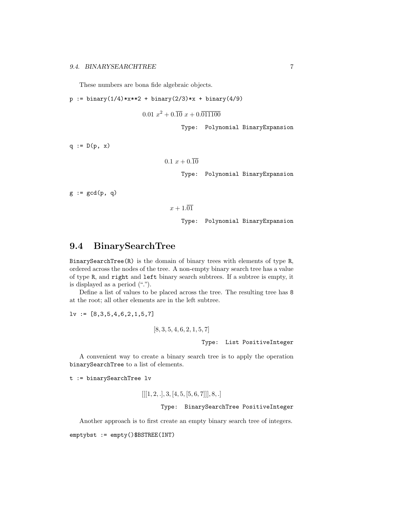These numbers are bona fide algebraic objects.

 $p := binary(1/4) * x * * 2 + binary(2/3) * x + binary(4/9)$ 

 $0.01\ x^2 + 0.\overline{10}\ x + 0.\overline{011100}$ 

Type: Polynomial BinaryExpansion

 $q := D(p, x)$ 

$$
0.1\ x + 0.\overline{10}
$$

Type: Polynomial BinaryExpansion

 $g := \gcd(p, q)$ 

 $x + 1.\overline{01}$ 

Type: Polynomial BinaryExpansion

## 9.4 BinarySearchTree

BinarySearchTree(R) is the domain of binary trees with elements of type R, ordered across the nodes of the tree. A non-empty binary search tree has a value of type R, and right and left binary search subtrees. If a subtree is empty, it is displayed as a period (".").

Define a list of values to be placed across the tree. The resulting tree has 8 at the root; all other elements are in the left subtree.

 $lv := [8,3,5,4,6,2,1,5,7]$ 

$$
[8, 3, 5, 4, 6, 2, 1, 5, 7]
$$
  
\n**Type:** List PositiveInteger

A convenient way to create a binary search tree is to apply the operation binarySearchTree to a list of elements.

t := binarySearchTree lv

$$
\left[ \left[ [1, 2, .], 3, [4, 5, [5, 6, 7]] \right], 8, . \right]
$$

#### Type: BinarySearchTree PositiveInteger

Another approach is to first create an empty binary search tree of integers.

emptybst := empty()\$BSTREE(INT)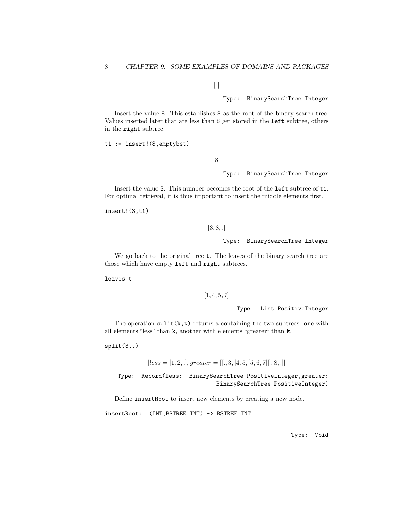$\lceil$ 

Type: BinarySearchTree Integer

Insert the value 8. This establishes 8 as the root of the binary search tree. Values inserted later that are less than 8 get stored in the left subtree, others in the right subtree.

t1 := insert!(8,emptybst)

8

Type: BinarySearchTree Integer

Insert the value 3. This number becomes the root of the left subtree of t1. For optimal retrieval, it is thus important to insert the middle elements first.

insert!(3,t1)

 $[3, 8, .]$ 

Type: BinarySearchTree Integer

We go back to the original tree  $t$ . The leaves of the binary search tree are those which have empty left and right subtrees.

leaves t

 $[1, 4, 5, 7]$ 

Type: List PositiveInteger

The operation  $split(k,t)$  returns a containing the two subtrees: one with all elements "less" than k, another with elements "greater" than k.

split(3,t)

 $[less = [1, 2, .], greater = [[., 3, [4, 5, [5, 6, 7]]], 8, .]]$ 

Type: Record(less: BinarySearchTree PositiveInteger,greater: BinarySearchTree PositiveInteger)

Define insertRoot to insert new elements by creating a new node.

insertRoot: (INT,BSTREE INT) -> BSTREE INT

Type: Void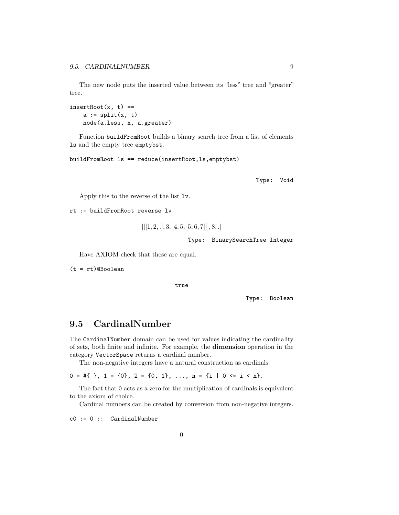The new node puts the inserted value between its "less" tree and "greater" tree.

```
insertRoot(x, t) ==a := split(x, t)node(a.less, x, a.greater)
```
Function buildFromRoot builds a binary search tree from a list of elements ls and the empty tree emptybst.

```
buildFromRoot ls == reduce(insertRoot,ls,emptybst)
```
Type: Void

Apply this to the reverse of the list lv.

rt := buildFromRoot reverse lv

```
[[[1, 2, .], 3, [4, 5, [5, 6, 7]]], 8, .]
```
Type: BinarySearchTree Integer

Have AXIOM check that these are equal.

 $(t = rt)$ @Boolean

true

Type: Boolean

## 9.5 CardinalNumber

The CardinalNumber domain can be used for values indicating the cardinality of sets, both finite and infinite. For example, the dimension operation in the category VectorSpace returns a cardinal number.

The non-negative integers have a natural construction as cardinals

 $0 = #\{ \}$ ,  $1 = \{0\}$ ,  $2 = \{0, 1\}$ , ...,  $n = \{i \mid 0 \le i \le n\}$ .

The fact that 0 acts as a zero for the multiplication of cardinals is equivalent to the axiom of choice.

Cardinal numbers can be created by conversion from non-negative integers.

c0 := 0 :: CardinalNumber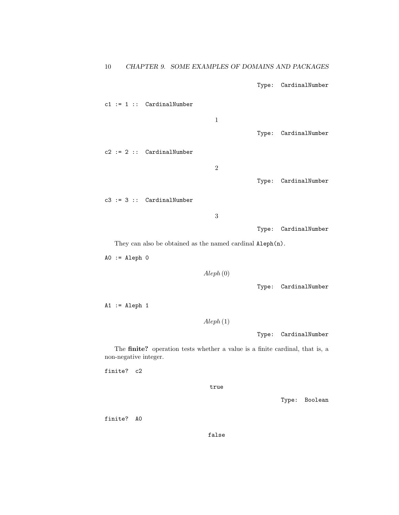Type: CardinalNumber

 $c1 := 1 :: CardinalNumber$ 1 Type: CardinalNumber c2 := 2 :: CardinalNumber 2 Type: CardinalNumber c3 := 3 :: CardinalNumber 3 Type: CardinalNumber

They can also be obtained as the named cardinal Aleph(n).

 $AO := Aleph O$ 

Aleph (0)

Type: CardinalNumber

 $A1 :=$  Aleph 1

Aleph (1)

Type: CardinalNumber

The finite? operation tests whether a value is a finite cardinal, that is, a non-negative integer.

finite? c2

true

Type: Boolean

finite? A0

false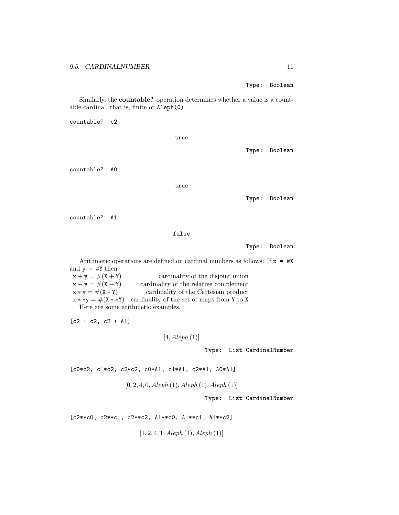Type: Boolean

Similarly, the countable? operation determines whether a value is a countable cardinal, that is, finite or Aleph(0).

countable? c2

|               | true  |               |
|---------------|-------|---------------|
|               |       | Type: Boolean |
| countable? AO |       |               |
|               | true  |               |
|               |       | Type: Boolean |
| countable? A1 |       |               |
|               | false |               |

Type: Boolean

Arithmetic operations are defined on cardinal numbers as follows: If  $x = #X$ and  $y = #Y$  then  $x + y = \#(X + Y)$  cardinality of the disjoint union  $x - y = \#(X - Y)$  cardinality of the relative complement  $x * y = #(X * Y)$  cardinality of the Cartesian product

 $x * *y = #(X * *Y)$  cardinality of the set of maps from Y to X Here are some arithmetic examples.

 $[c2 + c2, c2 + A1]$ 

 $[4, Aleph (1)]$ 

Type: List CardinalNumber

[c0\*c2, c1\*c2, c2\*c2, c0\*A1, c1\*A1, c2\*A1, A0\*A1]

 $[0, 2, 4, 0, Aleph (1), Aleph (1), Aleph (1)]$ 

Type: List CardinalNumber

[c2\*\*c0, c2\*\*c1, c2\*\*c2, A1\*\*c0, A1\*\*c1, A1\*\*c2]

 $[1, 2, 4, 1, Aleph (1), Aleph (1)]$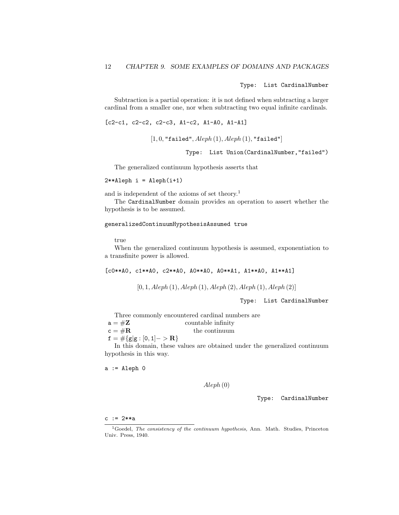Type: List CardinalNumber

Subtraction is a partial operation: it is not defined when subtracting a larger cardinal from a smaller one, nor when subtracting two equal infinite cardinals.

[c2-c1, c2-c2, c2-c3, A1-c2, A1-A0, A1-A1]

```
[1, 0, "failed", Aleph(1), Aleph(1), "failed"
```
Type: List Union(CardinalNumber,"failed")

The generalized continuum hypothesis asserts that

 $2**$ Aleph i = Aleph $(i+1)$ 

and is independent of the axioms of set theory.<sup>1</sup>

The CardinalNumber domain provides an operation to assert whether the hypothesis is to be assumed.

#### generalizedContinuumHypothesisAssumed true

true

When the generalized continuum hypothesis is assumed, exponentiation to a transfinite power is allowed.

[c0\*\*A0, c1\*\*A0, c2\*\*A0, A0\*\*A0, A0\*\*A1, A1\*\*A0, A1\*\*A1]

 $[0, 1, Aleph (1), Aleph (1), Aleph (2), Aleph (1), Aleph (2)]$ 

Type: List CardinalNumber

Three commonly encountered cardinal numbers are

- $a = #Z$  countable infinity
- $c = #R$  the continuum

 $f = \#\{g|g : [0, 1] \rightarrow \mathbf{R}\}\$ 

In this domain, these values are obtained under the generalized continuum hypothesis in this way.

 $a :=$  Aleph  $0$ 

Aleph (0)

Type: CardinalNumber

c := 2\*\*a

<sup>&</sup>lt;sup>1</sup>Goedel, *The consistency of the continuum hypothesis*, Ann. Math. Studies, Princeton Univ. Press, 1940.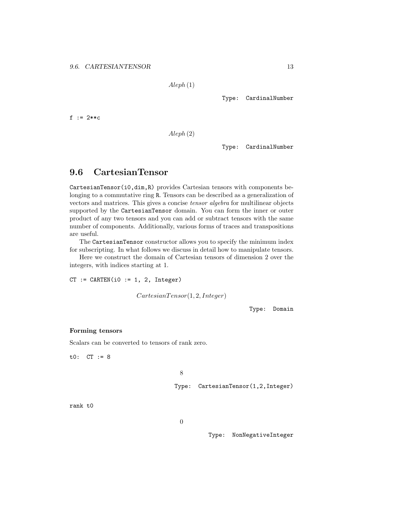Aleph (1)

Type: CardinalNumber

f := 2\*\*c

Aleph (2)

Type: CardinalNumber

## 9.6 CartesianTensor

CartesianTensor(i0,dim,R) provides Cartesian tensors with components belonging to a commutative ring R. Tensors can be described as a generalization of vectors and matrices. This gives a concise tensor algebra for multilinear objects supported by the CartesianTensor domain. You can form the inner or outer product of any two tensors and you can add or subtract tensors with the same number of components. Additionally, various forms of traces and transpositions are useful.

The CartesianTensor constructor allows you to specify the minimum index for subscripting. In what follows we discuss in detail how to manipulate tensors.

Here we construct the domain of Cartesian tensors of dimension 2 over the integers, with indices starting at 1.

 $CT := CARTEN(i0 := 1, 2, Integer)$ 

 $CartesianTensor(1, 2, Integer)$ 

Type: Domain

#### Forming tensors

Scalars can be converted to tensors of rank zero.

t0: CT := 8

8

Type: CartesianTensor(1,2,Integer)

rank t0

0

Type: NonNegativeInteger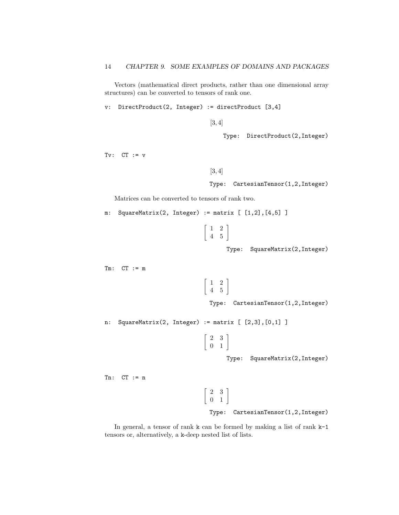Vectors (mathematical direct products, rather than one dimensional array structures) can be converted to tensors of rank one.

v: DirectProduct(2, Integer) := directProduct [3,4]

[3, 4]

Type: DirectProduct(2,Integer)

 $Tv:$   $CT := v$ 

[3, 4]

Type: CartesianTensor(1,2,Integer)

Matrices can be converted to tensors of rank two.

 $m:$  SquareMatrix(2, Integer) :=  $matrix [1,2], [4,5]$ ]

$$
\left[\begin{array}{cc} 1 & 2 \\ 4 & 5 \end{array}\right]
$$

Type: SquareMatrix(2,Integer)

 $Tm:$   $CT := m$ 

```
\begin{bmatrix} 1 & 2 \\ 4 & 5 \end{bmatrix}
```
Type: CartesianTensor(1,2,Integer)

n: SquareMatrix(2, Integer) := matrix [ [2,3],[0,1] ]

 $\left[\begin{array}{cc} 2 & 3 \\ 0 & 1 \end{array}\right]$ 

Type: SquareMatrix(2,Integer)

 $Tn:$   $CT := n$ 

 $\left[\begin{array}{cc} 2 & 3 \\ 0 & 1 \end{array}\right]$ 

Type: CartesianTensor(1,2,Integer)

In general, a tensor of rank k can be formed by making a list of rank k-1 tensors or, alternatively, a k-deep nested list of lists.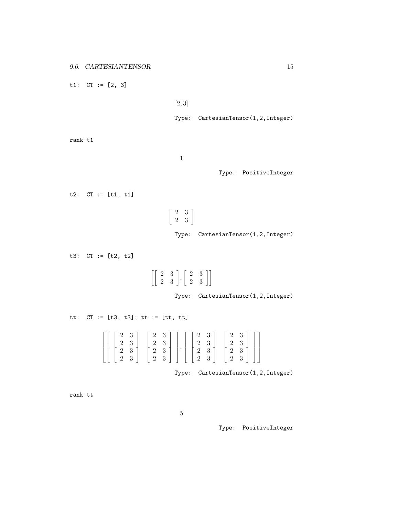t1: CT := [2, 3]

```
[2, 3]
```
Type: CartesianTensor(1,2,Integer)

rank t1

1

Type: PositiveInteger

 $t2:$  CT  $:=$  [t1, t1]

 $\left[\begin{array}{cc} 2 & 3 \\ 2 & 3 \end{array}\right]$ Type: CartesianTensor(1,2,Integer)

t3: CT := [t2, t2]  $\begin{bmatrix} 2 & 3 \\ 2 & 3 \end{bmatrix}, \begin{bmatrix} 2 & 3 \\ 2 & 3 \end{bmatrix}$ Type: CartesianTensor(1,2,Integer) tt: CT := [t3, t3]; tt := [tt, tt]

| $\left[\left[\begin{array}{ccc c} 2 & 3 & 2 & 2 & 3 & 2 & 3 & 2 & 3 & 2 & 3 & 2 & 3 & 2 & 3 & 2 & 3 & 2 & 3 & 2 & 3 & 2 & 3 & 2 & 3 & 2 & 3 & 2 & 3 & 2 & 3 & 2 & 3 \end{array}\right], \left[\begin{array}{ccc c} 2 & 3 & 2 & 3 & 2 & 3 & 2 & 3 & 2 & 3 & 2 & 3 & 2 & 3 & 2 & 3 & 2 & 3 & 2 & 3 & 2 & 3 & 2 & 3 & 2 & 3 & 2 & 3 & 2 & 3 & $ |  |
|----------------------------------------------------------------------------------------------------------------------------------------------------------------------------------------------------------------------------------------------------------------------------------------------------------------------------------------------|--|
|                                                                                                                                                                                                                                                                                                                                              |  |
|                                                                                                                                                                                                                                                                                                                                              |  |

Type: CartesianTensor(1,2,Integer)

rank tt

5

Type: PositiveInteger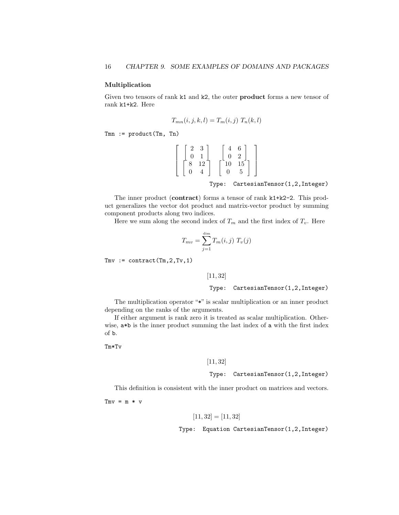#### Multiplication

Given two tensors of rank k1 and k2, the outer product forms a new tensor of rank k1+k2. Here

$$
T_{mn}(i,j,k,l) = T_m(i,j) T_n(k,l)
$$

 $Tmn := product(Tm, Th)$ 

$$
\left[\begin{array}{cc} 2 & 3 \\ 0 & 1 \\ 8 & 12 \\ 0 & 4 \end{array}\right] \quad \left[\begin{array}{cc} 4 & 6 \\ 0 & 2 \\ 10 & 15 \\ 0 & 5 \end{array}\right]
$$

Type: CartesianTensor(1,2,Integer)

The inner product (contract) forms a tensor of rank k1+k2-2. This product generalizes the vector dot product and matrix-vector product by summing component products along two indices.

Here we sum along the second index of  $T_m$  and the first index of  $T_v$ . Here

$$
T_{mv} = \sum_{j=1}^{\dim} T_m(i,j) T_v(j)
$$

 $Tmv :=$  contract  $(Tm, 2, Tv, 1)$ 

[11, 32]

Type: CartesianTensor(1,2,Integer)

The multiplication operator "\*" is scalar multiplication or an inner product depending on the ranks of the arguments.

If either argument is rank zero it is treated as scalar multiplication. Otherwise,  $a * b$  is the inner product summing the last index of a with the first index of b.

Tm\*Tv

#### [11, 32]

Type: CartesianTensor(1,2,Integer)

This definition is consistent with the inner product on matrices and vectors.

 $Tmv = m * v$ 

$$
[11, 32] = [11, 32]
$$

Type: Equation CartesianTensor(1,2,Integer)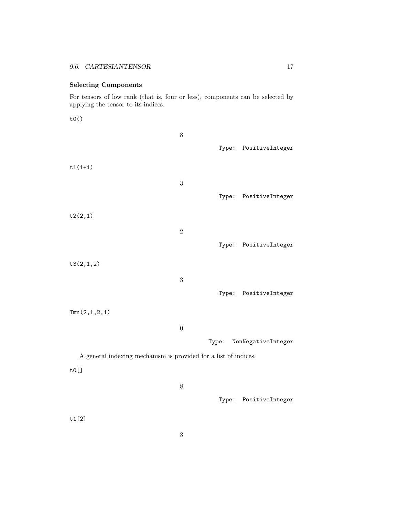## Selecting Components

For tensors of low rank (that is, four or less), components can be selected by applying the tensor to its indices.

t0()

|                                                                 | $8\,$            |       | Type: PositiveInteger |
|-----------------------------------------------------------------|------------------|-------|-----------------------|
| $t1(1+1)$                                                       |                  |       |                       |
|                                                                 | $\sqrt{3}$       |       | Type: PositiveInteger |
| t2(2,1)                                                         |                  |       |                       |
|                                                                 | $\sqrt{2}$       |       |                       |
|                                                                 |                  |       | Type: PositiveInteger |
| t3(2,1,2)                                                       |                  |       |                       |
|                                                                 | $\sqrt{3}$       |       |                       |
|                                                                 |                  |       | Type: PositiveInteger |
| Tmn(2,1,2,1)                                                    |                  |       |                       |
|                                                                 | $\boldsymbol{0}$ |       |                       |
|                                                                 |                  | Type: | NonNegativeInteger    |
| A general indexing mechanism is provided for a list of indices. |                  |       |                       |
| $to$ []                                                         |                  |       |                       |
|                                                                 | $8\,$            |       |                       |
|                                                                 |                  |       | Type: PositiveInteger |
| t1[2]                                                           |                  |       |                       |
|                                                                 |                  |       |                       |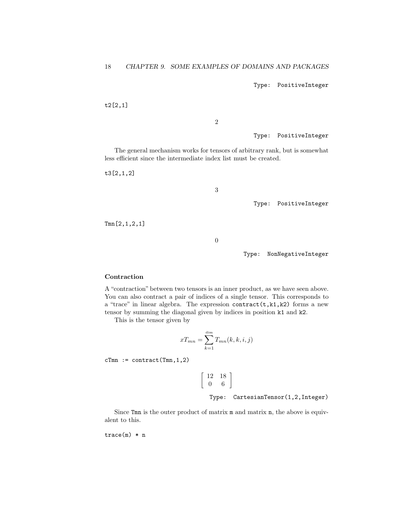Type: PositiveInteger

t2[2,1]

2

Type: PositiveInteger

The general mechanism works for tensors of arbitrary rank, but is somewhat less efficient since the intermediate index list must be created.

t3[2,1,2]

3

Type: PositiveInteger

Tmn[2,1,2,1]

0

Type: NonNegativeInteger

#### **Contraction**

A "contraction" between two tensors is an inner product, as we have seen above. You can also contract a pair of indices of a single tensor. This corresponds to a "trace" in linear algebra. The expression contract(t,k1,k2) forms a new tensor by summing the diagonal given by indices in position k1 and k2.

This is the tensor given by

$$
xT_{mn} = \sum_{k=1}^{\dim} T_{mn}(k, k, i, j)
$$

 $cTmn := contract(Tmn, 1, 2)$ 

 $\left[\begin{array}{cc} 12 & 18 \\ 0 & 6 \end{array}\right]$ 

Type: CartesianTensor(1,2,Integer)

Since Tmn is the outer product of matrix m and matrix n, the above is equivalent to this.

trace(m) \* n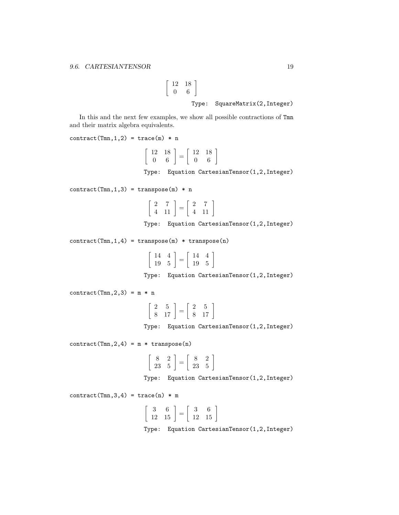$$
\begin{array}{cc}\n 12 & 18 \\
 0 & 6\n \end{array}
$$
\nType: SquareMatrix(2, Integer)

In this and the next few examples, we show all possible contractions of Tmn and their matrix algebra equivalents.

ſ

 $contract(Tmn,1,2) = trace(m) * n$ 

$$
\left[\begin{array}{cc} 12 & 18 \\ 0 & 6 \end{array}\right] = \left[\begin{array}{cc} 12 & 18 \\ 0 & 6 \end{array}\right]
$$

Type: Equation CartesianTensor(1,2,Integer)

 $control(Tmn,1,3) = transpose(m) * n$ 

$$
\left[\begin{array}{cc} 2 & 7 \\ 4 & 11 \end{array}\right] = \left[\begin{array}{cc} 2 & 7 \\ 4 & 11 \end{array}\right]
$$

Type: Equation CartesianTensor(1,2,Integer)

 $contract(Tmn,1,4) = transpose(m) * transpose(n)$ 

| $\left[\begin{array}{cc} 14 & 4 \\ 19 & 5 \end{array}\right] = \left[\begin{array}{cc} 14 & 4 \\ 19 & 5 \end{array}\right]$ |  |  |
|-----------------------------------------------------------------------------------------------------------------------------|--|--|

Type: Equation CartesianTensor(1,2,Integer)

 $contract(Tmn,2,3) = m * n$ 

| L'Z |  | 17 |
|-----|--|----|

Type: Equation CartesianTensor(1,2,Integer)

 $contract(Tmn,2,4) = m * transpose(n)$ 

$$
\left[\begin{array}{cc}8&2\\23&5\end{array}\right]=\left[\begin{array}{cc}8&2\\23&5\end{array}\right]
$$

Type: Equation CartesianTensor(1,2,Integer)

 $contract(Tmn,3,4) = trace(n) * m$ 

$$
\left[\begin{array}{cc}3 & 6 \\12 & 15\end{array}\right] = \left[\begin{array}{cc}3 & 6 \\12 & 15\end{array}\right]
$$

Type: Equation CartesianTensor(1,2,Integer)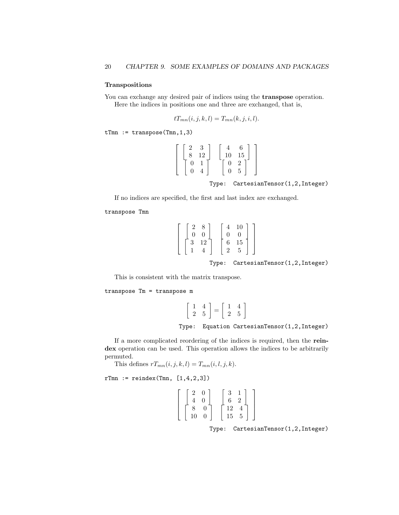#### Transpositions

You can exchange any desired pair of indices using the **transpose** operation. Here the indices in positions one and three are exchanged, that is,

$$
tT_{mn}(i,j,k,l) = T_{mn}(k,j,i,l).
$$

tTmn := transpose(Tmn,1,3)

| $\mathcal{D}$ | 3  |    | հ              |
|---------------|----|----|----------------|
| $\mathbf{R}$  | 12 | 10 | 15             |
| U             |    | 0  | $\overline{2}$ |
| l)            |    | ⋂  | 5              |

Type: CartesianTensor(1,2,Integer)

If no indices are specified, the first and last index are exchanged.

transpose Tmn

|                |          |             | 10       |  |
|----------------|----------|-------------|----------|--|
| $\Omega$       | $\Omega$ |             | $\Omega$ |  |
| 3 <sup>3</sup> | 12       | $6^{\circ}$ | $15\,$   |  |
|                |          |             |          |  |

Type: CartesianTensor(1,2,Integer)

This is consistent with the matrix transpose.

transpose Tm = transpose m

$$
\left[\begin{array}{cc} 1 & 4 \\ 2 & 5 \end{array}\right] = \left[\begin{array}{cc} 1 & 4 \\ 2 & 5 \end{array}\right]
$$

Type: Equation CartesianTensor(1,2,Integer)

If a more complicated reordering of the indices is required, then the reindex operation can be used. This operation allows the indices to be arbitrarily permuted.

This defines  $rT_{mn}(i, j, k, l) = T_{mn}(i, l, j, k).$ 

 $rTmn :=$  reindex(Tmn,  $[1, 4, 2, 3]$ )

$$
\left[\begin{array}{cc} 2 & 0 \\ 4 & 0 \\ 8 & 0 \\ 10 & 0 \end{array}\right] \quad \left[\begin{array}{cc} 3 & 1 \\ 6 & 2 \\ 12 & 4 \\ 15 & 5 \end{array}\right]
$$

Type: CartesianTensor(1,2,Integer)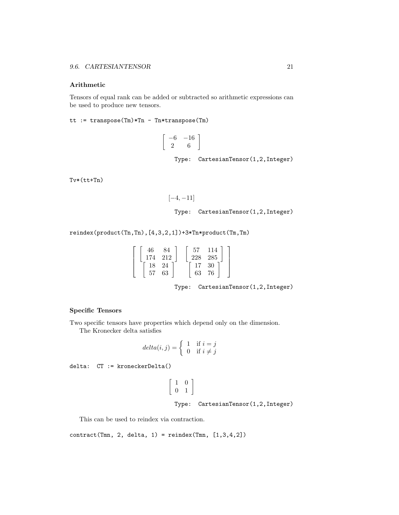#### Arithmetic

Tensors of equal rank can be added or subtracted so arithmetic expressions can be used to produce new tensors.

tt := transpose(Tm)\*Tn - Tn\*transpose(Tm)

$$
\left[\begin{array}{cc} -6 & -16 \\ 2 & 6 \end{array}\right]
$$

Type: CartesianTensor(1,2,Integer)

 $Tv*(tt+Tn)$ 

$$
\begin{aligned} & [-4,-11] \\ & \text{Type:} \quad \text{CartesianTensor}(1,2,\text{Integer}) \end{aligned}
$$

reindex(product(Tn,Tn),[4,3,2,1])+3\*Tn\*product(Tm,Tm)

$$
\left[\begin{array}{cc} \left[\begin{array}{cc} 46 & 84 \\ 174 & 212 \end{array}\right] & \left[\begin{array}{cc} 57 & 114 \\ 228 & 285 \end{array}\right] \\ \left[\begin{array}{cc} 18 & 24 \\ 57 & 63 \end{array}\right] & \left[\begin{array}{cc} 17 & 30 \\ 63 & 76 \end{array}\right] \end{array}\right]
$$

Type: CartesianTensor(1,2,Integer)

#### Specific Tensors

Two specific tensors have properties which depend only on the dimension. The Kronecker delta satisfies

$$
delta(i,j) = \begin{cases} 1 & \text{if } i = j \\ 0 & \text{if } i \neq j \end{cases}
$$

delta: CT := kroneckerDelta()

$$
\begin{bmatrix} 1 & 0 \\ 0 & 1 \end{bmatrix}
$$
  
Type: CartesianTensor(1,2,Integer)

This can be used to reindex via contraction.

 $contract(Tmn, 2, delta, 1) = reindex(Tmn, [1,3,4,2])$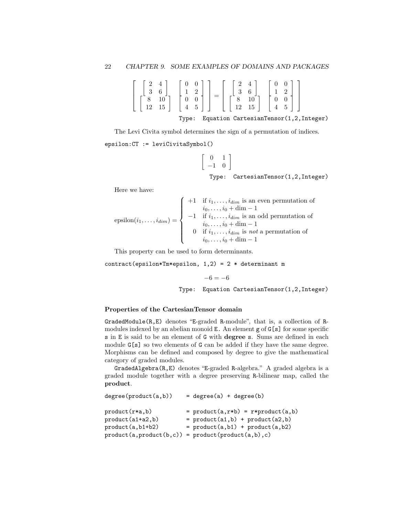| $\begin{bmatrix} 2 & 4 \\ 3 & 6 \\ 8 & 10 \\ 12 & 15 \end{bmatrix} \begin{bmatrix} 0 & 0 \\ 1 & 2 \\ 0 & 0 \\ 4 & 5 \end{bmatrix} = \begin{bmatrix} 2 & 4 \\ 3 & 6 \\ 8 & 10 \\ 12 & 15 \end{bmatrix} \begin{bmatrix} 0 & 0 \\ 1 & 2 \\ 0 & 0 \\ 4 & 5 \end{bmatrix}$ |                                        |
|-----------------------------------------------------------------------------------------------------------------------------------------------------------------------------------------------------------------------------------------------------------------------|----------------------------------------|
| Type:                                                                                                                                                                                                                                                                 | Equation CartesianTensor(1,2, Integer) |

The Levi Civita symbol determines the sign of a permutation of indices. epsilon:CT := leviCivitaSymbol()

$$
\left[\begin{array}{cc} 0 & 1 \\ -1 & 0 \end{array}\right]
$$

Type: CartesianTensor(1,2,Integer)

Here we have:

$$
\text{epsilon}(i_1, \ldots, i_{\dim}) = \left\{\begin{array}{c}\n+1 \quad \text{if } i_1, \ldots, i_{\dim} \text{ is an even permutation of} \\
i_0, \ldots, i_0 + \dim - 1 \\
-1 \quad \text{if } i_1, \ldots, i_{\dim} \text{ is an odd permutation of} \\
i_0, \ldots, i_0 + \dim - 1 \\
0 \quad \text{if } i_1, \ldots, i_{\dim} \text{ is not a permutation of} \\
i_0, \ldots, i_0 + \dim - 1\n\end{array}\right.
$$

This property can be used to form determinants.

contract(epsilon\*Tm\*epsilon,  $1,2$ ) = 2 \* determinant m

 $-6 = -6$ 

Type: Equation CartesianTensor(1,2,Integer)

#### Properties of the CartesianTensor domain

GradedModule(R,E) denotes "E-graded R-module", that is, a collection of Rmodules indexed by an abelian monoid E. An element g of G[s] for some specific s in E is said to be an element of G with degree s. Sums are defined in each module  $G[s]$  so two elements of G can be added if they have the same degree. Morphisms can be defined and composed by degree to give the mathematical category of graded modules.

GradedAlgebra(R,E) denotes "E-graded R-algebra." A graded algebra is a graded module together with a degree preserving R-bilinear map, called the product.

| $=$ product(a,r*b) = r*product(a,b)<br>$product(r*a,b)$<br>$=$ product(a1,b) + product(a2,b)<br>product (a1+a2,b)<br>$=$ product(a,b1) + product(a,b2)<br>$product(a, b1+b2)$<br>$product(a, product(b, c)) = product(preduct(a, b), c)$ | degree(product(a, b)) | $= degree(a) + degree(b)$ |
|------------------------------------------------------------------------------------------------------------------------------------------------------------------------------------------------------------------------------------------|-----------------------|---------------------------|
|                                                                                                                                                                                                                                          |                       |                           |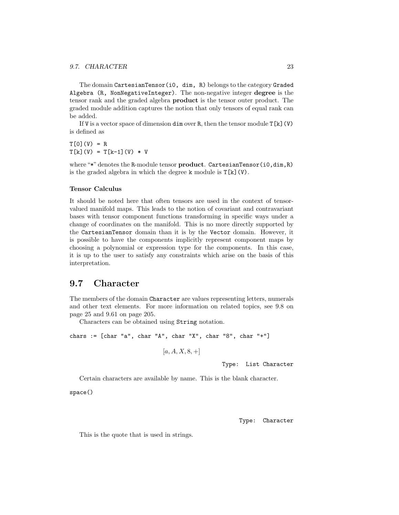The domain CartesianTensor(i0, dim, R) belongs to the category Graded Algebra (R, NonNegativeInteger). The non-negative integer degree is the tensor rank and the graded algebra product is the tensor outer product. The graded module addition captures the notion that only tensors of equal rank can be added.

If V is a vector space of dimension  $\dim$  over R, then the tensor module  $T[k](V)$ is defined as

 $T[0](V) = R$  $T[k](V) = T[k-1](V) * V$ 

where "\*" denotes the R-module tensor product. CartesianTensor(i0,dim,R) is the graded algebra in which the degree  $k$  module is  $T[k](V)$ .

#### Tensor Calculus

It should be noted here that often tensors are used in the context of tensorvalued manifold maps. This leads to the notion of covariant and contravariant bases with tensor component functions transforming in specific ways under a change of coordinates on the manifold. This is no more directly supported by the CartesianTensor domain than it is by the Vector domain. However, it is possible to have the components implicitly represent component maps by choosing a polynomial or expression type for the components. In this case, it is up to the user to satisfy any constraints which arise on the basis of this interpretation.

### 9.7 Character

The members of the domain Character are values representing letters, numerals and other text elements. For more information on related topics, see 9.8 on page 25 and 9.61 on page 205.

Characters can be obtained using String notation.

```
chars := [char "a", char "A", char "X", char "8", char "+"]
```

$$
[a, A, X, 8, +]
$$

Type: List Character

Certain characters are available by name. This is the blank character.

space()

Type: Character

This is the quote that is used in strings.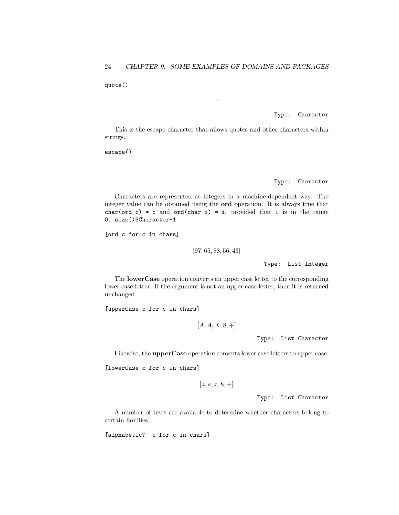quote()

Type: Character

This is the escape character that allows quotes and other characters within strings.

 $\overline{a}$ 

"

escape()

Type: Character

Characters are represented as integers in a machine-dependent way. The integer value can be obtained using the ord operation. It is always true that char(ord c) = c and ord(char i) = i, provided that i is in the range 0..size()\$Character-1.

[ord c for c in chars]

[97, 65, 88, 56, 43]

Type: List Integer

The lowerCase operation converts an upper case letter to the corresponding lower case letter. If the argument is not an upper case letter, then it is returned unchanged.

[upperCase c for c in chars]

 $[A, A, X, 8, +]$ 

Type: List Character

Likewise, the upperCase operation converts lower case letters to upper case.

[lowerCase c for c in chars]

 $[a, a, x, 8, +]$ 

Type: List Character

A number of tests are available to determine whether characters belong to certain families.

[alphabetic? c for c in chars]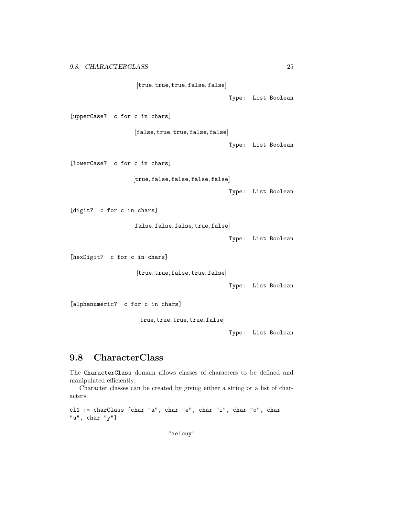[true, true, true, false, false]

Type: List Boolean

[upperCase? c for c in chars]

[false, true, true, false, false]

Type: List Boolean

[lowerCase? c for c in chars]

[true, false, false, false, false]

Type: List Boolean

[digit? c for c in chars]

[false, false, false, true, false]

Type: List Boolean

[hexDigit? c for c in chars]

[true, true, false, true, false]

Type: List Boolean

[alphanumeric? c for c in chars]

[true, true, true, true, false]

Type: List Boolean

## 9.8 CharacterClass

The CharacterClass domain allows classes of characters to be defined and manipulated efficiently.

Character classes can be created by giving either a string or a list of characters.

```
cl1 := charClass [char "a", char "e", char "i", char "o", char
"u", char "y"]
```
"aeiouy"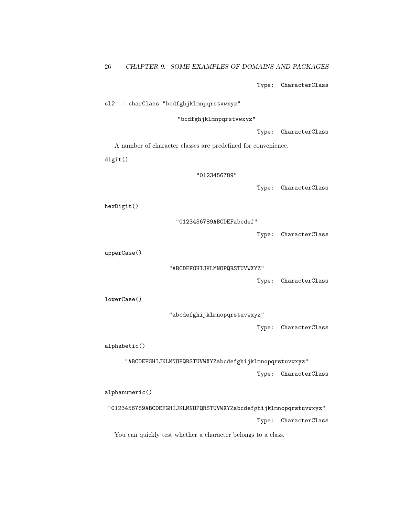Type: CharacterClass

cl2 := charClass "bcdfghjklmnpqrstvwxyz"

"bcdfghjklmnpqrstvwxyz"

Type: CharacterClass

A number of character classes are predefined for convenience.

digit()

"0123456789"

Type: CharacterClass

hexDigit()

"0123456789ABCDEFabcdef"

Type: CharacterClass

upperCase()

"ABCDEFGHIJKLMNOPQRSTUVWXYZ"

Type: CharacterClass

lowerCase()

"abcdefghijklmnopqrstuvwxyz"

Type: CharacterClass

alphabetic()

"ABCDEFGHIJKLMNOPQRSTUVWXYZabcdefghijklmnopqrstuvwxyz" Type: CharacterClass

alphanumeric()

"0123456789ABCDEFGHIJKLMNOPQRSTUVWXYZabcdefghijklmnopqrstuvwxyz" Type: CharacterClass

You can quickly test whether a character belongs to a class.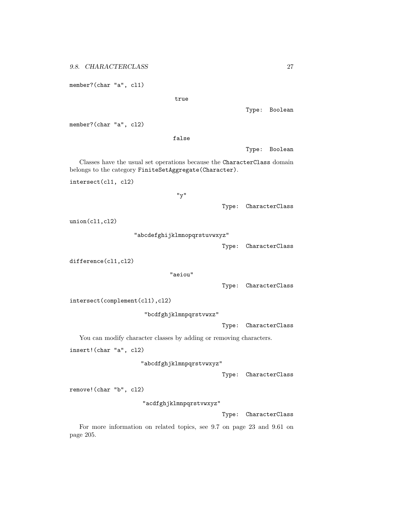member?(char "a", cl1)

true

Type: Boolean

member?(char "a", cl2)

false

Type: Boolean

Classes have the usual set operations because the CharacterClass domain belongs to the category FiniteSetAggregate(Character).

intersect(cl1, cl2)

"y"

Type: CharacterClass

union(cl1,cl2)

"abcdefghijklmnopqrstuvwxyz"

Type: CharacterClass

difference(cl1,cl2)

"aeiou"

Type: CharacterClass

intersect(complement(cl1),cl2)

"bcdfghjklmnpqrstvwxz"

Type: CharacterClass

You can modify character classes by adding or removing characters.

insert!(char "a", cl2)

"abcdfghjklmnpqrstvwxyz"

Type: CharacterClass

remove!(char "b", cl2)

"acdfghjklmnpqrstvwxyz"

Type: CharacterClass

For more information on related topics, see 9.7 on page 23 and 9.61 on page 205.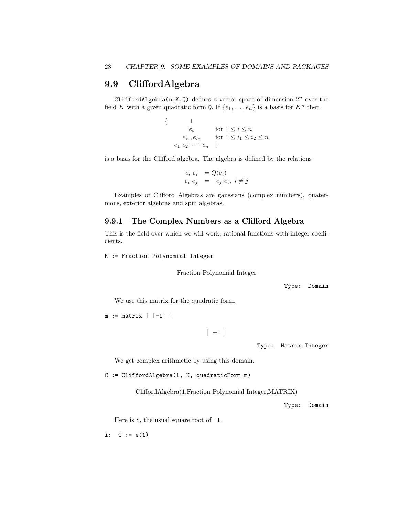## 9.9 CliffordAlgebra

CliffordAlgebra(n,K,Q) defines a vector space of dimension  $2^n$  over the field K with a given quadratic form Q. If  $\{e_1, \ldots, e_n\}$  is a basis for  $K^n$  then

> $\{$  1  $e_i$  for  $1 \leq i \leq n$  $e_{i_1}, e_{i_2}$  for  $1 \le i_1 \le i_2 \le n$  $e_1 \cdot e_2 \cdot \cdots \cdot e_n$ }

is a basis for the Clifford algebra. The algebra is defined by the relations

 $e_i e_i = Q(e_i)$  $e_i e_j = -e_j e_i, i \neq j$ 

Examples of Clifford Algebras are gaussians (complex numbers), quaternions, exterior algebras and spin algebras.

#### 9.9.1 The Complex Numbers as a Clifford Algebra

This is the field over which we will work, rational functions with integer coefficients.

K := Fraction Polynomial Integer

Fraction Polynomial Integer

Type: Domain

We use this matrix for the quadratic form.

```
m := matrix \ [[-1] \ ]
```
 $\begin{bmatrix} -1 \end{bmatrix}$ 

Type: Matrix Integer

We get complex arithmetic by using this domain.

C := CliffordAlgebra(1, K, quadraticForm m)

CliffordAlgebra(1,Fraction Polynomial Integer,MATRIX)

Type: Domain

Here is  $i$ , the usual square root of  $-i$ .

i:  $C := e(1)$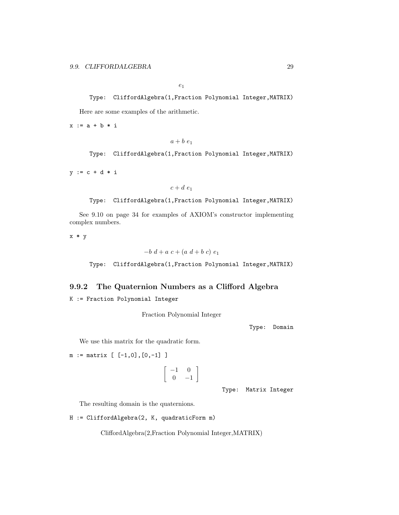$e_1$ 

```
Type: CliffordAlgebra(1,Fraction Polynomial Integer,MATRIX)
Here are some examples of the arithmetic.
```
 $x := a + b * i$ 

 $a + b e_1$ 

Type: CliffordAlgebra(1,Fraction Polynomial Integer,MATRIX)

 $y := c + d * i$ 

 $c + d e_1$ 

Type: CliffordAlgebra(1,Fraction Polynomial Integer,MATRIX)

See 9.10 on page 34 for examples of AXIOM's constructor implementing complex numbers.

x \* y

 $-b \, d + a \, c + (a \, d + b \, c) \, e_1$ 

Type: CliffordAlgebra(1,Fraction Polynomial Integer,MATRIX)

#### 9.9.2 The Quaternion Numbers as a Clifford Algebra

K := Fraction Polynomial Integer

Fraction Polynomial Integer

Type: Domain

We use this matrix for the quadratic form.

 $m := matrix \, [ [-1,0], [0,-1] \, ]$ 

$$
\left[\begin{array}{cc} -1 & 0 \\ 0 & -1 \end{array}\right]
$$

Type: Matrix Integer

The resulting domain is the quaternions.

```
H := CliffordAlgebra(2, K, quadraticForm m)
```
CliffordAlgebra(2,Fraction Polynomial Integer,MATRIX)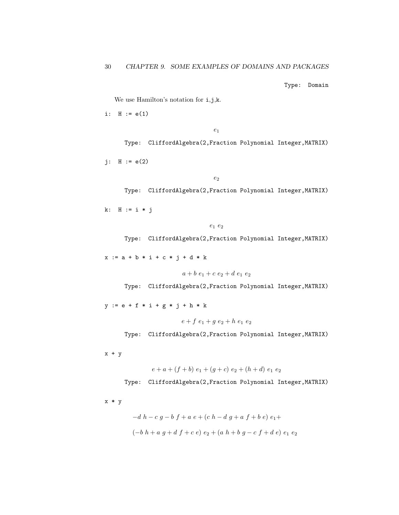Type: Domain

We use Hamilton's notation for i,j,k.

i:  $H := e(1)$ 

 $e_1$ 

Type: CliffordAlgebra(2,Fraction Polynomial Integer,MATRIX)

 $j: H := e(2)$ 

 $e_2$ 

Type: CliffordAlgebra(2,Fraction Polynomial Integer,MATRIX)

k: H := i \* j

 $e_1$   $e_2$ 

Type: CliffordAlgebra(2,Fraction Polynomial Integer,MATRIX)

 $x := a + b * i + c * j + d * k$ 

 $a + b e_1 + c e_2 + d e_1 e_2$ 

Type: CliffordAlgebra(2,Fraction Polynomial Integer,MATRIX)

 $y := e + f * i + g * j + h * k$ 

 $e + f e_1 + g e_2 + h e_1 e_2$ 

Type: CliffordAlgebra(2,Fraction Polynomial Integer,MATRIX)

 $x + y$ 

 $e + a + (f + b) e_1 + (q + c) e_2 + (h + d) e_1 e_2$ 

Type: CliffordAlgebra(2,Fraction Polynomial Integer,MATRIX)

x \* y

$$
-d h - c g - b f + a e + (c h - d g + a f + b e) e_1 +
$$
  

$$
(-b h + a g + d f + c e) e_2 + (a h + b g - c f + d e) e_1 e_2
$$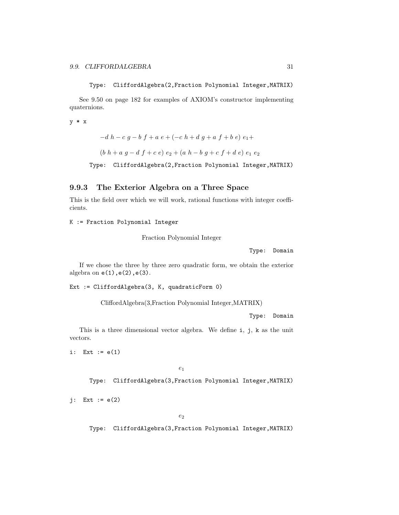Type: CliffordAlgebra(2,Fraction Polynomial Integer,MATRIX)

See 9.50 on page 182 for examples of AXIOM's constructor implementing quaternions.

y \* x

 $-d h - c q - b f + a e + (-c h + d q + a f + b e) e_1 +$  $(b h + a g - d f + c e) e_2 + (a h - b g + c f + d e) e_1 e_2$ 

Type: CliffordAlgebra(2,Fraction Polynomial Integer,MATRIX)

#### 9.9.3 The Exterior Algebra on a Three Space

This is the field over which we will work, rational functions with integer coefficients.

K := Fraction Polynomial Integer

Fraction Polynomial Integer

Type: Domain

If we chose the three by three zero quadratic form, we obtain the exterior algebra on  $e(1)$ ,  $e(2)$ ,  $e(3)$ .

Ext := CliffordAlgebra(3, K, quadraticForm 0)

CliffordAlgebra(3,Fraction Polynomial Integer,MATRIX)

Type: Domain

This is a three dimensional vector algebra. We define i, j, k as the unit vectors.

i: Ext  $:= e(1)$ 

 $\ensuremath{e}_1$ 

Type: CliffordAlgebra(3,Fraction Polynomial Integer,MATRIX)

 $j:$  Ext  $:= e(2)$ 

 $e_2$ 

Type: CliffordAlgebra(3,Fraction Polynomial Integer,MATRIX)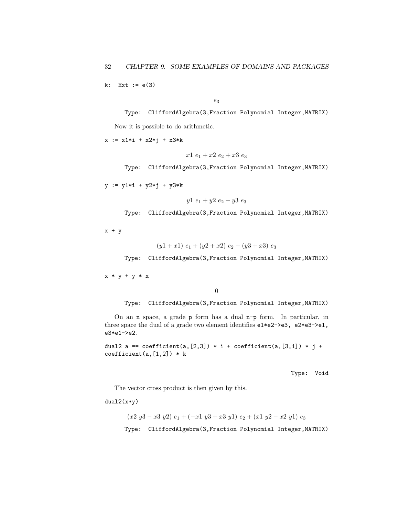$k:$  Ext  $:= e(3)$ 

 $e_3$ 

Type: CliffordAlgebra(3,Fraction Polynomial Integer,MATRIX) Now it is possible to do arithmetic.

 $x := x1 * i + x2 * j + x3 * k$ 

$$
x1\ e_1+x2\ e_2+x3\ e_3
$$

Type: CliffordAlgebra(3,Fraction Polynomial Integer,MATRIX)

y := y1\*i + y2\*j + y3\*k

$$
y1\ e_1 + y2\ e_2 + y3\ e_3
$$

Type: CliffordAlgebra(3,Fraction Polynomial Integer,MATRIX)

 $x + y$ 

$$
(y1+x1) e_1 + (y2+x2) e_2 + (y3+x3) e_3
$$

Type: CliffordAlgebra(3,Fraction Polynomial Integer,MATRIX)

 $x * y + y * x$ 

0

Type: CliffordAlgebra(3,Fraction Polynomial Integer,MATRIX)

On an n space, a grade p form has a dual n-p form. In particular, in three space the dual of a grade two element identifies e1\*e2->e3, e2\*e3->e1, e3\*e1->e2.

```
dual2 a == coefficient(a, [2,3]) * i + coefficient(a, [3,1]) * j +
coefficient(a, [1,2]) * k
```
Type: Void

The vector cross product is then given by this.

 $dual2(x*y)$ 

 $(x2 y3 - x3 y2) e<sub>1</sub> + (-x1 y3 + x3 y1) e<sub>2</sub> + (x1 y2 - x2 y1) e<sub>3</sub>$ 

Type: CliffordAlgebra(3,Fraction Polynomial Integer,MATRIX)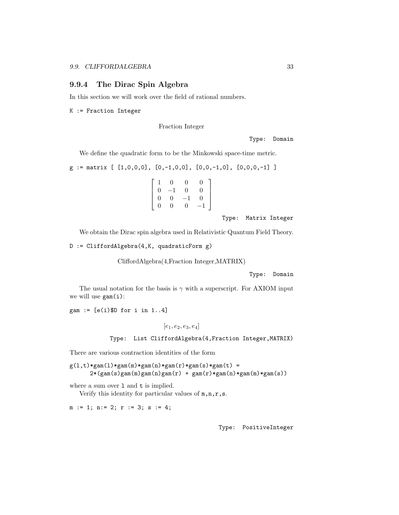#### 9.9.4 The Dirac Spin Algebra

In this section we will work over the field of rational numbers.

K := Fraction Integer

Fraction Integer

Type: Domain

We define the quadratic form to be the Minkowski space-time metric.

$$
g := \text{matrix} [1,0,0,0], [0,-1,0,0], [0,0,-1,0], [0,0,0,-1]
$$

$$
\left[\begin{array}{cccc}1&0&0&0\\0&-1&0&0\\0&0&-1&0\\0&0&0&-1\end{array}\right]
$$

Type: Matrix Integer

We obtain the Dirac spin algebra used in Relativistic Quantum Field Theory.

D := CliffordAlgebra(4,K, quadraticForm g)

CliffordAlgebra(4,Fraction Integer,MATRIX)

```
Type: Domain
```
The usual notation for the basis is  $\gamma$  with a superscript. For AXIOM input we will use gam(i):

gam :=  $[e(i)$ \$D for i in 1..4]

 $[e_1, e_2, e_3, e_4]$ 

Type: List CliffordAlgebra(4,Fraction Integer,MATRIX)

There are various contraction identities of the form

 $g(1,t)*gam(1)*gam(m)*gam(n)*gam(r)*gam(s)*gam(t) =$  $2*(\text{gam}(s)\text{gam}(m)\text{gam}(n)\text{gam}(r) + \text{gam}(r)*\text{gam}(n)*\text{gam}(m)*\text{gam}(s))$ 

where a sum over 1 and t is implied. Verify this identity for particular values of  $m, n, r, s$ .

m := 1; n:= 2; r := 3; s := 4;

Type: PositiveInteger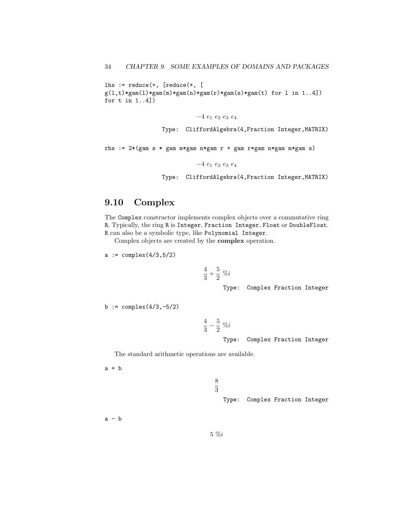```
lhs := reduce(+, [reduce(+, [g(1,t)*gam(1)*gam(m)*gam(n)*gam(r)*gam(s)*gam(t) for 1 in 1..4])for t in 1..4])
```
 $-4e_1e_2e_3e_4$ 

Type: CliffordAlgebra(4,Fraction Integer,MATRIX)

rhs := 2\*(gam s \* gam m\*gam n\*gam r + gam r\*gam n\*gam m\*gam s)

−4 e<sup>1</sup> e<sup>2</sup> e<sup>3</sup> e<sup>4</sup>

Type: CliffordAlgebra(4,Fraction Integer,MATRIX)

## 9.10 Complex

The Complex constructor implements complex objects over a commutative ring R. Typically, the ring R is Integer, Fraction Integer, Float or DoubleFloat. R can also be a symbolic type, like Polynomial Integer.

Complex objects are created by the complex operation.

 $a := complex(4/3, 5/2)$ 

$$
\frac{4}{3}+\frac{5}{2}~\%i
$$

Type: Complex Fraction Integer

 $b := \text{complex}(4/3, -5/2)$ 

$$
\frac{4}{3}-\frac{5}{2}\,\,\%i
$$

Type: Complex Fraction Integer

The standard arithmetic operations are available.

 $a + b$ 

Type: Complex Fraction Integer

 $a - b$ 

8 3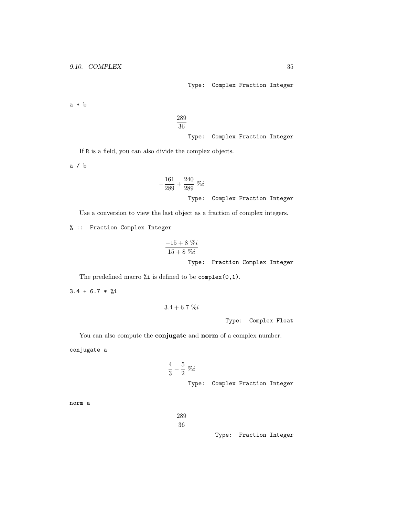Type: Complex Fraction Integer

a \* b

289 36 Type: Complex Fraction Integer

If R is a field, you can also divide the complex objects.

a / b

$$
-\frac{161}{289} + \frac{240}{289} %i
$$
  
Type: Complex Fraction Integer

Use a conversion to view the last object as a fraction of complex integers.

% :: Fraction Complex Integer

$$
\frac{-15 + 8\ \%\ i}{15 + 8\ \%\ i}
$$

Type: Fraction Complex Integer

The predefined macro %i is defined to be complex(0,1).

 $3.4 + 6.7 *$  %i

$$
3.4 + 6.7\%
$$

Type: Complex Float

You can also compute the **conjugate** and **norm** of a complex number.

conjugate a

$$
\frac{4}{3} - \frac{5}{2} \%
$$
  
\n*Type:* Complex Fraction Integer

norm a

289 36

Type: Fraction Integer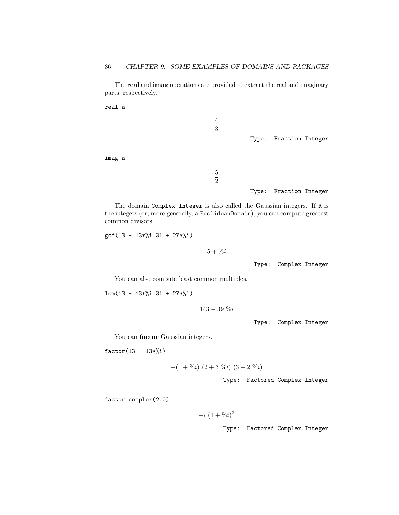The real and imag operations are provided to extract the real and imaginary parts, respectively.

real a 4  $\overline{3}$ Type: Fraction Integer imag a 5 2

The domain Complex Integer is also called the Gaussian integers. If R is the integers (or, more generally, a EuclideanDomain), you can compute greatest common divisors.

gcd(13 - 13\*%i,31 + 27\*%i)

 $5 + \% i$ 

Type: Complex Integer

Type: Fraction Integer

You can also compute least common multiples.

lcm(13 - 13\*%i,31 + 27\*%i)

 $143 - 39\%i$ 

Type: Complex Integer

You can factor Gaussian integers.

 $factor(13 - 13*)$ <sub>1</sub>)

$$
-(1+\%i)(2+3\%i)(3+2\%i)
$$

Type: Factored Complex Integer

factor complex(2,0)

$$
-i(1+\%i)^2
$$

Type: Factored Complex Integer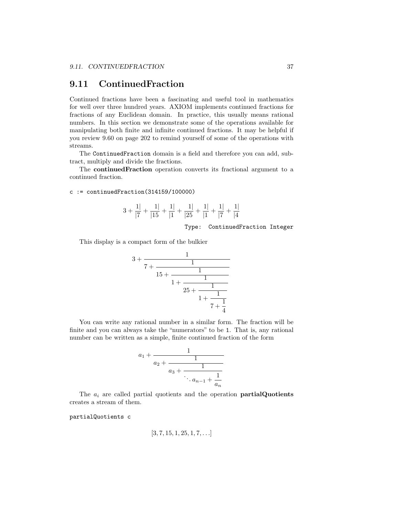## 9.11 ContinuedFraction

Continued fractions have been a fascinating and useful tool in mathematics for well over three hundred years. AXIOM implements continued fractions for fractions of any Euclidean domain. In practice, this usually means rational numbers. In this section we demonstrate some of the operations available for manipulating both finite and infinite continued fractions. It may be helpful if you review 9.60 on page 202 to remind yourself of some of the operations with streams.

The ContinuedFraction domain is a field and therefore you can add, subtract, multiply and divide the fractions.

The continuedFraction operation converts its fractional argument to a continued fraction.

 $c :=$  continuedFraction(314159/100000)

$$
3 + \frac{1}{|7} + \frac{1}{|15} + \frac{1}{|1} + \frac{1}{|25} + \frac{1}{|1} + \frac{1}{|7} + \frac{1}{|4}
$$

Type: ContinuedFraction Integer

This display is a compact form of the bulkier

$$
3 + \cfrac{1}{7 + \cfrac{1}{15 + \cfrac{1}{1 + \cfrac{1}{25 + \cfrac{1}{1 + \cfrac{1}{7 + \cfrac{1}{4}}}}}}}
$$

You can write any rational number in a similar form. The fraction will be finite and you can always take the "numerators" to be 1. That is, any rational number can be written as a simple, finite continued fraction of the form

$$
a_1 + \cfrac{1}{a_2 + \cfrac{1}{a_3 + \cfrac{1}{\ddots a_{n-1} + \cfrac{1}{a_n}}}}
$$

The  $a_i$  are called partial quotients and the operation **partialQuotients** creates a stream of them.

partialQuotients c

$$
[3, 7, 15, 1, 25, 1, 7, \ldots]
$$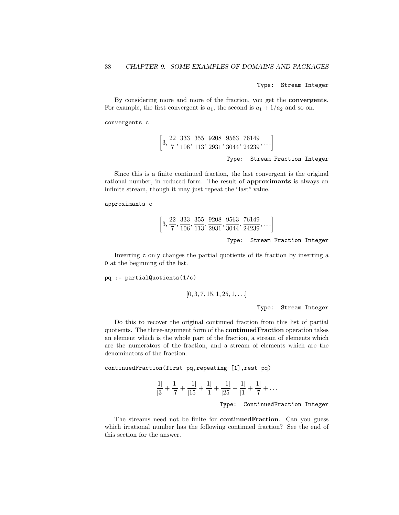Type: Stream Integer

By considering more and more of the fraction, you get the convergents. For example, the first convergent is  $a_1$ , the second is  $a_1 + 1/a_2$  and so on.

convergents c

$$
\left[3, \frac{22}{7}, \frac{333}{106}, \frac{355}{113}, \frac{9208}{2931}, \frac{9563}{3044}, \frac{76149}{24239}, \ldots\right]
$$

Type: Stream Fraction Integer

Since this is a finite continued fraction, the last convergent is the original rational number, in reduced form. The result of approximants is always an infinite stream, though it may just repeat the "last" value.

```
approximants c
```

$$
\left[3, \frac{22}{7}, \frac{333}{106}, \frac{355}{113}, \frac{9208}{2931}, \frac{9563}{3044}, \frac{76149}{24239}, \ldots\right]
$$

Type: Stream Fraction Integer

Inverting c only changes the partial quotients of its fraction by inserting a 0 at the beginning of the list.

pq := partialQuotients(1/c)

$$
[0, 3, 7, 15, 1, 25, 1, \ldots]
$$

Type: Stream Integer

Do this to recover the original continued fraction from this list of partial quotients. The three-argument form of the continuedFraction operation takes an element which is the whole part of the fraction, a stream of elements which are the numerators of the fraction, and a stream of elements which are the denominators of the fraction.

continuedFraction(first pq,repeating [1],rest pq)

$$
\frac{1}{|3} + \frac{1}{|7} + \frac{1}{|15} + \frac{1}{|1} + \frac{1}{|25} + \frac{1}{|1} + \frac{1}{|7} + \dots
$$

Type: ContinuedFraction Integer

The streams need not be finite for **continuedFraction**. Can you guess which irrational number has the following continued fraction? See the end of this section for the answer.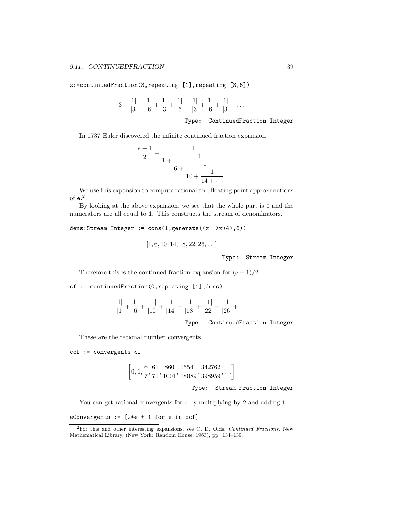z:=continuedFraction(3,repeating [1],repeating [3,6])

$$
3 + \frac{1}{|3} + \frac{1}{|6} + \frac{1}{|3} + \frac{1}{|6} + \frac{1}{|3} + \frac{1}{|6} + \frac{1}{|3} + \dots
$$

Type: ContinuedFraction Integer

In 1737 Euler discovered the infinite continued fraction expansion

$$
\frac{e-1}{2} = \cfrac{1}{1 + \cfrac{1}{6 + \cfrac{1}{10 + \cfrac{1}{14 + \cdots}}}}
$$

We use this expansion to compute rational and floating point approximations of  $e^2$ 

By looking at the above expansion, we see that the whole part is 0 and the numerators are all equal to 1. This constructs the stream of denominators.

dens:Stream Integer := cons(1,generate((x+->x+4),6))

$$
[1, 6, 10, 14, 18, 22, 26, \ldots]
$$

Type: Stream Integer

Therefore this is the continued fraction expansion for  $(e-1)/2$ .

cf := continuedFraction(0,repeating [1],dens)

$$
\frac{1|}{|1} + \frac{1|}{|6} + \frac{1|}{|10} + \frac{1|}{|14} + \frac{1|}{|18} + \frac{1|}{|22} + \frac{1|}{|26} + \dots
$$
  
Type: ContinuedFraction Integer

These are the rational number convergents.

ccf := convergents cf

$$
\left[0, 1, \frac{6}{7}, \frac{61}{71}, \frac{860}{1001}, \frac{15541}{18089}, \frac{342762}{398959}, \ldots\right]
$$

Type: Stream Fraction Integer

You can get rational convergents for e by multiplying by 2 and adding 1.

eConvergents := [2\*e + 1 for e in ccf]

<sup>2</sup>For this and other interesting expansions, see C. D. Olds, Continued Fractions, New Mathematical Library, (New York: Random House, 1963), pp. 134–139.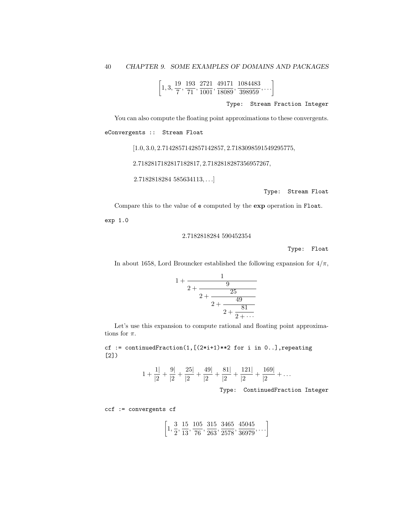$$
\left[1,3,\frac{19}{7},\frac{193}{71},\frac{2721}{1001},\frac{49171}{18089},\frac{1084483}{398959},\ldots\right]
$$

Type: Stream Fraction Integer

You can also compute the floating point approximations to these convergents. eConvergents :: Stream Float

 $[1.0, 3.0, 2.7142857142857142857, 2.7183098591549295775, \\$ 

2.7182817182817182817, 2.7182818287356957267,

2.7182818284 585634113, . . .]

Type: Stream Float

Compare this to the value of e computed by the exp operation in Float.

exp 1.0

2.7182818284 590452354

Type: Float

In about 1658, Lord Brouncker established the following expansion for  $4/\pi$ ,

$$
1 + \cfrac{1}{2 + \cfrac{9}{2 + \cfrac{25}{2 + \cfrac{49}{2 + \cfrac{81}{2 + \cdots}}}}}
$$

Let's use this expansion to compute rational and floating point approximations for  $\pi$ .

cf := continuedFraction(1, $[(2*i+1)*2$  for i in 0..], repeating [2])

$$
1 + \frac{1}{2} + \frac{9}{2} + \frac{25}{2} + \frac{49}{2} + \frac{81}{2} + \frac{121}{2} + \frac{169}{2} + \dots
$$

Type: ContinuedFraction Integer

 $\cdot$  .

ccf := convergents cf

$$
\left[1, \frac{3}{2}, \frac{15}{13}, \frac{105}{76}, \frac{315}{263}, \frac{3465}{2578}, \frac{45045}{36979}, \ldots\right]
$$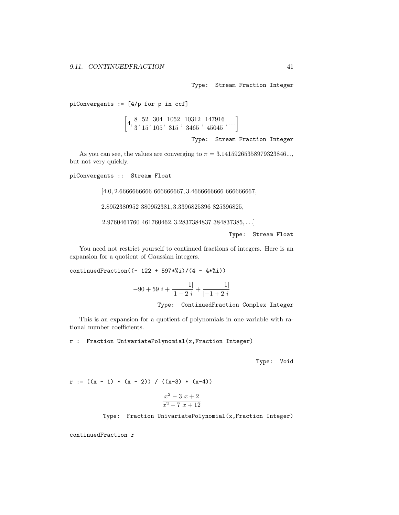Type: Stream Fraction Integer

piConvergents := [4/p for p in ccf]

 $\left[4,\frac{8}{9}\right]$  $\frac{8}{3}, \frac{52}{15}$  $\frac{52}{15}, \frac{304}{105}$  $\frac{304}{105}, \frac{1052}{315}$  $\frac{1052}{315}, \frac{10312}{3465}$  $\frac{10312}{3465},\frac{147916}{45045}$  $\frac{147916}{45045}, \ldots$ 

Type: Stream Fraction Integer

As you can see, the values are converging to  $\pi = 3.14159265358979323846...,$ but not very quickly.

piConvergents :: Stream Float

[4.0, 2.6666666666 666666667, 3.4666666666 666666667,

2.8952380952 380952381, 3.3396825396 825396825,

2.9760461760 461760462, 3.2837384837 384837385, . . .]

Type: Stream Float

You need not restrict yourself to continued fractions of integers. Here is an expansion for a quotient of Gaussian integers.

continuedFraction( $(- 122 + 597*)/(4 - 4*)$ ))

$$
-90 + 59 i + \frac{1}{|1-2i|} + \frac{1}{|-1+2i|}
$$

Type: ContinuedFraction Complex Integer

This is an expansion for a quotient of polynomials in one variable with rational number coefficients.

r : Fraction UnivariatePolynomial(x,Fraction Integer)

Type: Void

$$
r := ((x - 1) * (x - 2)) / ((x-3) * (x-4))
$$

$$
\frac{x^2 - 3x + 2}{x^2 - 7x + 12}
$$

Type: Fraction UnivariatePolynomial(x,Fraction Integer)

continuedFraction r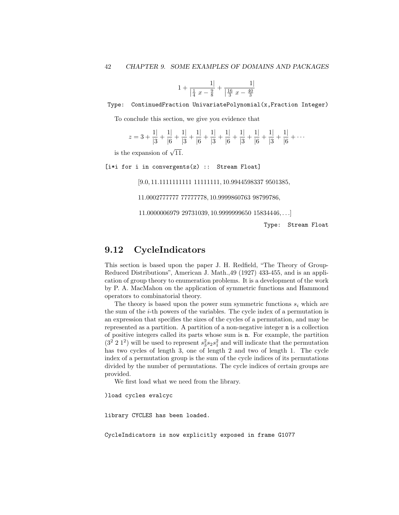$$
1 + \frac{1}{\left|\frac{1}{4}x - \frac{9}{8}\right|} + \frac{1}{\left|\frac{16}{3}x - \frac{40}{3}\right|}
$$

Type: ContinuedFraction UnivariatePolynomial(x,Fraction Integer)

To conclude this section, we give you evidence that

$$
z = 3 + \frac{1}{3} + \frac{1}{6} + \frac{1}{3} + \frac{1}{6} + \frac{1}{3} + \frac{1}{6} + \frac{1}{3} + \frac{1}{6} + \frac{1}{3} + \frac{1}{6} + \frac{1}{3} + \frac{1}{6} + \cdots
$$

is the expansion of  $\sqrt{11}$ .

[i\*i for i in convergents(z) :: Stream Float]

[9.0, 11.1111111111 11111111, 10.9944598337 9501385,

11.0002777777 77777778, 10.9999860763 98799786,

11.0000006979 29731039, 10.9999999650 15834446, . . .]

Type: Stream Float

## 9.12 CycleIndicators

This section is based upon the paper J. H. Redfield, "The Theory of Group-Reduced Distributions", American J. Math.,49 (1927) 433-455, and is an application of group theory to enumeration problems. It is a development of the work by P. A. MacMahon on the application of symmetric functions and Hammond operators to combinatorial theory.

The theory is based upon the power sum symmetric functions  $s_i$  which are the sum of the  $i$ -th powers of the variables. The cycle index of a permutation is an expression that specifies the sizes of the cycles of a permutation, and may be represented as a partition. A partition of a non-negative integer n is a collection of positive integers called its parts whose sum is n. For example, the partition  $(3<sup>2</sup> 2 1<sup>2</sup>)$  will be used to represent  $s_3<sup>2</sup>s_2s_1<sup>2</sup>$  and will indicate that the permutation has two cycles of length 3, one of length 2 and two of length 1. The cycle index of a permutation group is the sum of the cycle indices of its permutations divided by the number of permutations. The cycle indices of certain groups are provided.

We first load what we need from the library.

)load cycles evalcyc

library CYCLES has been loaded.

CycleIndicators is now explicitly exposed in frame G1077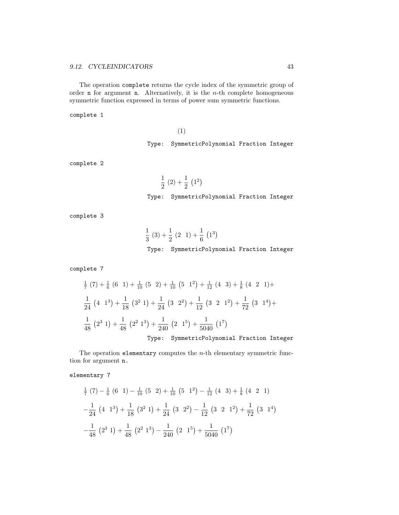The operation complete returns the cycle index of the symmetric group of order **n** for argument **n**. Alternatively, it is the  $n$ -th complete homogeneous symmetric function expressed in terms of power sum symmetric functions.

complete 1

(1)

Type: SymmetricPolynomial Fraction Integer

complete 2

$$
\frac{1}{2} (2) + \frac{1}{2} (1^2)
$$
  
Type: SymmetricPolynomial Fraction Integer

complete 3

$$
\frac{1}{3}(3) + \frac{1}{2}(2 \ 1) + \frac{1}{6}(1^3)
$$

Type: SymmetricPolynomial Fraction Integer

complete 7

$$
\frac{1}{7}(7) + \frac{1}{6}(6 \ 1) + \frac{1}{10}(5 \ 2) + \frac{1}{10}(5 \ 1^2) + \frac{1}{12}(4 \ 3) + \frac{1}{8}(4 \ 2 \ 1) +
$$
\n
$$
\frac{1}{24}(4 \ 1^3) + \frac{1}{18}(3^2 \ 1) + \frac{1}{24}(3 \ 2^2) + \frac{1}{12}(3 \ 2 \ 1^2) + \frac{1}{72}(3 \ 1^4) +
$$
\n
$$
\frac{1}{48}(2^3 \ 1) + \frac{1}{48}(2^2 \ 1^3) + \frac{1}{240}(2 \ 1^5) + \frac{1}{5040}(1^7)
$$
\nTwo: Symatrix Riemannian Fraction.

Type: SymmetricPolynomial Fraction Integer

The operation elementary computes the  $n$ -th elementary symmetric function for argument n.

elementary 7

$$
\frac{1}{7} (7) - \frac{1}{6} (6 \ 1) - \frac{1}{10} (5 \ 2) + \frac{1}{10} (5 \ 1^2) - \frac{1}{12} (4 \ 3) + \frac{1}{8} (4 \ 2 \ 1)
$$
  

$$
-\frac{1}{24} (4 \ 1^3) + \frac{1}{18} (3^2 \ 1) + \frac{1}{24} (3 \ 2^2) - \frac{1}{12} (3 \ 2 \ 1^2) + \frac{1}{72} (3 \ 1^4)
$$
  

$$
-\frac{1}{48} (2^3 \ 1) + \frac{1}{48} (2^2 \ 1^3) - \frac{1}{240} (2 \ 1^5) + \frac{1}{5040} (1^7)
$$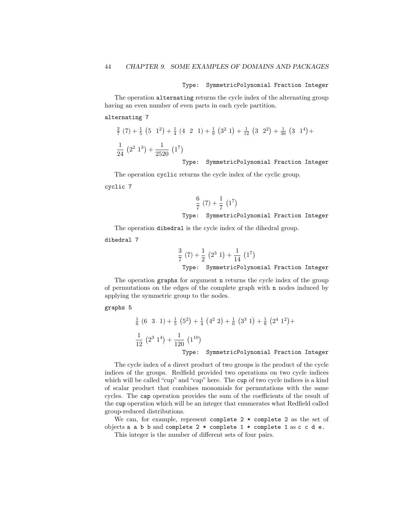#### Type: SymmetricPolynomial Fraction Integer

The operation alternating returns the cycle index of the alternating group having an even number of even parts in each cycle partition.

### alternating 7

$$
\frac{2}{7}(7) + \frac{1}{5}(5 \ 1^2) + \frac{1}{4}(4 \ 2 \ 1) + \frac{1}{9}(3^2 \ 1) + \frac{1}{12}(3 \ 2^2) + \frac{1}{36}(3 \ 1^4) + \frac{1}{24}(2^2 \ 1^3) + \frac{1}{2520}(1^7)
$$

Type: SymmetricPolynomial Fraction Integer

The operation cyclic returns the cycle index of the cyclic group.

cyclic 7

$$
\frac{6}{7} (7) + \frac{1}{7} (1^7)
$$
  
Type: SymmetricPolynomial Fraction Integer

The operation dihedral is the cycle index of the dihedral group.

dihedral 7

$$
\frac{3}{7} (7) + \frac{1}{2} (2^3 1) + \frac{1}{14} (1^7)
$$

Type: SymmetricPolynomial Fraction Integer

The operation graphs for argument n returns the cycle index of the group of permutations on the edges of the complete graph with n nodes induced by applying the symmetric group to the nodes.

### graphs 5

$$
\frac{1}{6} (6 \ 3 \ 1) + \frac{1}{5} (5^2) + \frac{1}{4} (4^2 \ 2) + \frac{1}{6} (3^3 \ 1) + \frac{1}{8} (2^4 \ 1^2) +
$$
\n
$$
\frac{1}{12} (2^3 \ 1^4) + \frac{1}{120} (1^{10})
$$
\nType: SymmetricPolynomial Fraction Integer

The cycle index of a direct product of two groups is the product of the cycle indices of the groups. Redfield provided two operations on two cycle indices which will be called "cup" and "cap" here. The cup of two cycle indices is a kind of scalar product that combines monomials for permutations with the same cycles. The cap operation provides the sum of the coefficients of the result of the cup operation which will be an integer that enumerates what Redfield called group-reduced distributions.

We can, for example, represent complete  $2 *$  complete  $2$  as the set of objects a a b b and complete  $2 *$  complete  $1 *$  complete 1 as c c d e. This integer is the number of different sets of four pairs.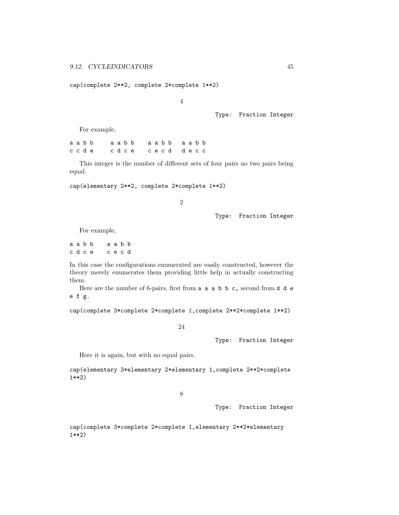cap(complete 2\*\*2, complete 2\*complete 1\*\*2)

4

Type: Fraction Integer

For example,

a a b b a a b b a a a b b a a b b a a b b c c d e c d c e c e c d d e c c

This integer is the number of different sets of four pairs no two pairs being equal.

cap(elementary 2\*\*2, complete 2\*complete 1\*\*2)

2

Type: Fraction Integer

For example,

a a b b a a b b c d c e c e c d

In this case the configurations enumerated are easily constructed, however the theory merely enumerates them providing little help in actually constructing them.

Here are the number of 6-pairs, first from a a a b b c, second from d d e e f g.

cap(complete 3\*complete 2\*complete 1,complete 2\*\*2\*complete 1\*\*2)

24

Type: Fraction Integer

Here it is again, but with no equal pairs.

cap(elementary 3\*elementary 2\*elementary 1,complete 2\*\*2\*complete 1\*\*2)

8

Type: Fraction Integer

cap(complete 3\*complete 2\*complete 1,elementary 2\*\*2\*elementary 1\*\*2)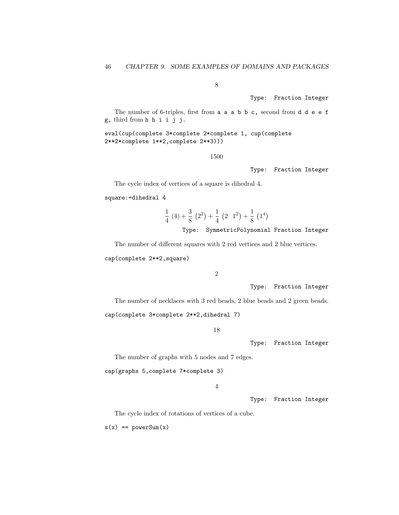8

Type: Fraction Integer

The number of 6-triples, first from a a a b b c, second from d d e e f g, third from h h i i j j.

eval(cup(complete 3\*complete 2\*complete 1, cup(complete 2\*\*2\*complete 1\*\*2,complete 2\*\*3)))

1500

Type: Fraction Integer

The cycle index of vertices of a square is dihedral 4.

square:=dihedral 4

$$
\frac{1}{4}(4) + \frac{3}{8}(2^2) + \frac{1}{4}(2 \ 1^2) + \frac{1}{8}(1^4)
$$

Type: SymmetricPolynomial Fraction Integer

The number of different squares with 2 red vertices and 2 blue vertices. cap(complete 2\*\*2,square)

2

Type: Fraction Integer

The number of necklaces with 3 red beads, 2 blue beads and 2 green beads.

cap(complete 3\*complete 2\*\*2,dihedral 7)

18

Type: Fraction Integer

The number of graphs with 5 nodes and 7 edges.

cap(graphs 5,complete 7\*complete 3)

4

Type: Fraction Integer

The cycle index of rotations of vertices of a cube.

 $s(x) == powerSum(x)$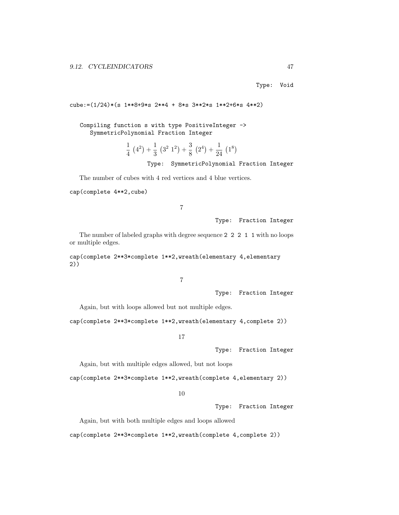Type: Void

```
cube:=(1/24)*(s 1**8+9*s 2**4 + 8*s 3**2*s 1**2+6*s 4**2)
```
Compiling function s with type PositiveInteger -> SymmetricPolynomial Fraction Integer

> 1  $\frac{1}{4}(4^2) + \frac{1}{3}$  $rac{1}{3}(3^2 1^2) + \frac{3}{8}$  $\frac{3}{8}(2^4)+\frac{1}{24}$  $rac{1}{24}$   $(1^8)$

> > Type: SymmetricPolynomial Fraction Integer

The number of cubes with 4 red vertices and 4 blue vertices.

cap(complete 4\*\*2,cube)

7

Type: Fraction Integer

The number of labeled graphs with degree sequence 2 2 2 1 1 with no loops or multiple edges.

cap(complete 2\*\*3\*complete 1\*\*2,wreath(elementary 4,elementary 2))

7

Type: Fraction Integer

Again, but with loops allowed but not multiple edges.

cap(complete 2\*\*3\*complete 1\*\*2,wreath(elementary 4,complete 2))

17

Type: Fraction Integer

Again, but with multiple edges allowed, but not loops

cap(complete 2\*\*3\*complete 1\*\*2,wreath(complete 4,elementary 2))

10

Type: Fraction Integer

Again, but with both multiple edges and loops allowed

cap(complete 2\*\*3\*complete 1\*\*2,wreath(complete 4,complete 2))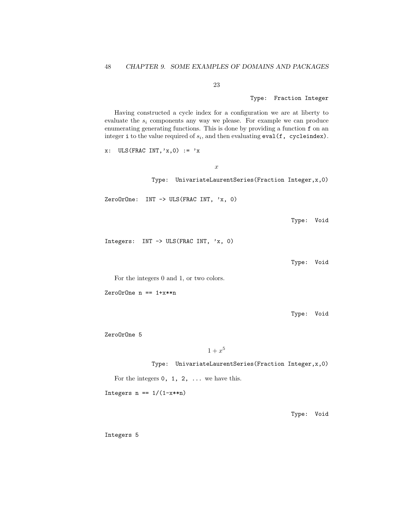23

Type: Fraction Integer

Having constructed a cycle index for a configuration we are at liberty to evaluate the  $s_i$  components any way we please. For example we can produce enumerating generating functions. This is done by providing a function f on an integer i to the value required of  $s_i$ , and then evaluating  $eval(f, cycleindex)$ .

x

 $x: \text{ULS}(\text{FRAC INT}, 'x, 0) := 'x$ 

Type: UnivariateLaurentSeries(Fraction Integer,x,0)

ZeroOrOne: INT -> ULS(FRAC INT, 'x, 0)

Type: Void

Integers: INT -> ULS(FRAC INT, 'x, 0)

Type: Void

For the integers 0 and 1, or two colors.

ZeroOrOne n == 1+x\*\*n

Type: Void

ZeroOrOne 5

 $1 + x^5$ 

Type: UnivariateLaurentSeries(Fraction Integer,x,0)

For the integers  $0, 1, 2, \ldots$  we have this.

Integers  $n == 1/(1-x**n)$ 

Type: Void

Integers 5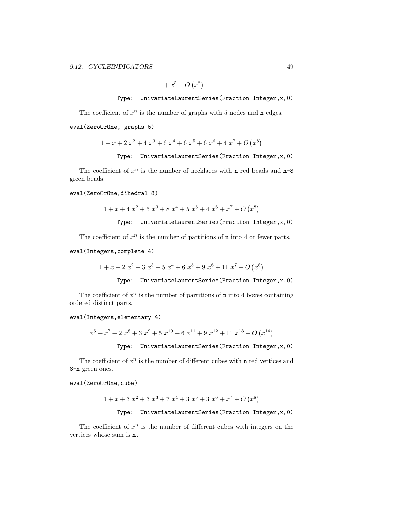$1 + x^5 + O(x^8)$ 

Type: UnivariateLaurentSeries(Fraction Integer,x,0)

The coefficient of  $x^n$  is the number of graphs with 5 nodes and n edges. eval(ZeroOrOne, graphs 5)

$$
1 + x + 2x2 + 4x3 + 6x4 + 6x5 + 6x6 + 4x7 + O(x8)
$$

Type: UnivariateLaurentSeries(Fraction Integer,x,0)

The coefficient of  $x^n$  is the number of necklaces with n red beads and n-8 green beads.

## eval(ZeroOrOne,dihedral 8)

$$
1 + x + 4x2 + 5x3 + 8x4 + 5x5 + 4x6 + x7 + O(x8)
$$

Type: UnivariateLaurentSeries(Fraction Integer,x,0)

The coefficient of  $x^n$  is the number of partitions of **n** into 4 or fewer parts.

#### eval(Integers,complete 4)

$$
1 + x + 2x2 + 3x3 + 5x4 + 6x5 + 9x6 + 11x7 + O(x8)
$$

Type: UnivariateLaurentSeries(Fraction Integer,x,0)

The coefficient of  $x^n$  is the number of partitions of **n** into 4 boxes containing ordered distinct parts.

### eval(Integers,elementary 4)

$$
x^{6} + x^{7} + 2x^{8} + 3x^{9} + 5x^{10} + 6x^{11} + 9x^{12} + 11x^{13} + O(x^{14})
$$
  
Type: UnivariateLaurentSeries (Fraction Integer, x, 0)

The coefficient of  $x^n$  is the number of different cubes with n red vertices and 8-n green ones.

### eval(ZeroOrOne,cube)

$$
1 + x + 3x2 + 3x3 + 7x4 + 3x5 + 3x6 + x7 + O(x8)
$$
  
Type: UnivariateLaurentSeries(Fraction Integer, x, 0)

The coefficient of  $x^n$  is the number of different cubes with integers on the vertices whose sum is n.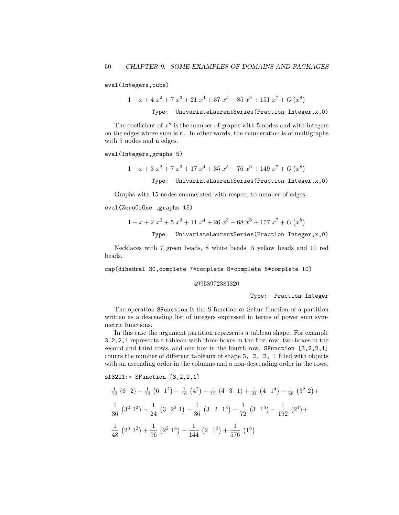eval(Integers,cube)

$$
1 + x + 4x2 + 7x3 + 21x4 + 37x5 + 85x6 + 151x7 + O(x8)
$$

Type: UnivariateLaurentSeries(Fraction Integer,x,0)

The coefficient of  $x^n$  is the number of graphs with 5 nodes and with integers on the edges whose sum is n. In other words, the enumeration is of multigraphs with 5 nodes and n edges.

#### eval(Integers,graphs 5)

$$
1 + x + 3x2 + 7x3 + 17x4 + 35x5 + 76x6 + 149x7 + O(x8)
$$

Type: UnivariateLaurentSeries(Fraction Integer,x,0)

Graphs with 15 nodes enumerated with respect to number of edges.

### eval(ZeroOrOne ,graphs 15)

$$
1 + x + 2x2 + 5x3 + 11x4 + 26x5 + 68x6 + 177x7 + O(x8)
$$

#### Type: UnivariateLaurentSeries(Fraction Integer,x,0)

Necklaces with 7 green beads, 8 white beads, 5 yellow beads and 10 red beads.

cap(dihedral 30,complete 7\*complete 8\*complete 5\*complete 10)

#### 49958972383320

Type: Fraction Integer

The operation SFunction is the S-function or Schur function of a partition written as a descending list of integers expressed in terms of power sum symmetric functions.

In this case the argument partition represents a tableau shape. For example 3,2,2,1 represents a tableau with three boxes in the first row, two boxes in the second and third rows, and one box in the fourth row. SFunction [3,2,2,1] counts the number of different tableaux of shape 3, 2, 2, 1 filled with objects with an ascending order in the columns and a non-descending order in the rows.

sf3221:= SFunction [3,2,2,1]

$$
\frac{1}{12} (6 \ 2) - \frac{1}{12} (6 \ 1^2) - \frac{1}{16} (4^2) + \frac{1}{12} (4 \ 3 \ 1) + \frac{1}{24} (4 \ 1^4) - \frac{1}{36} (3^2 \ 2) +
$$
\n
$$
\frac{1}{36} (3^2 \ 1^2) - \frac{1}{24} (3 \ 2^2 \ 1) - \frac{1}{36} (3 \ 2 \ 1^3) - \frac{1}{72} (3 \ 1^5) - \frac{1}{192} (2^4) +
$$
\n
$$
\frac{1}{48} (2^3 \ 1^2) + \frac{1}{96} (2^2 \ 1^4) - \frac{1}{144} (2 \ 1^6) + \frac{1}{576} (1^8)
$$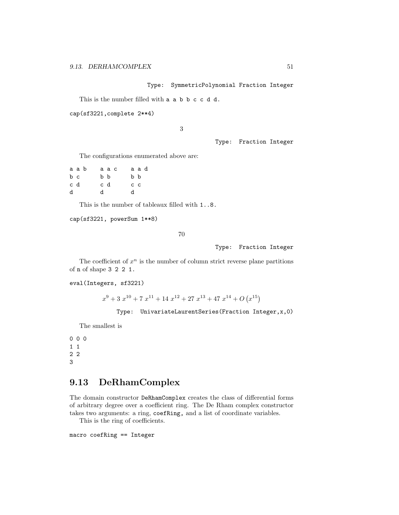Type: SymmetricPolynomial Fraction Integer

This is the number filled with a a b b c c d d.

```
cap(sf3221,complete 2**4)
```
3

Type: Fraction Integer

The configurations enumerated above are:

|     | aab |     | аас |  |                | a a d |  |
|-----|-----|-----|-----|--|----------------|-------|--|
| b c |     | b b |     |  | b b            |       |  |
| c d |     | c d |     |  | c <sub>c</sub> |       |  |
| d   |     | d.  |     |  | d.             |       |  |

This is the number of tableaux filled with 1..8.

cap(sf3221, powerSum 1\*\*8)

70

Type: Fraction Integer

The coefficient of  $x^n$  is the number of column strict reverse plane partitions of n of shape 3 2 2 1.

eval(Integers, sf3221)

 $x^9 + 3x^{10} + 7x^{11} + 14x^{12} + 27x^{13} + 47x^{14} + O(x^{15})$ 

Type: UnivariateLaurentSeries(Fraction Integer,x,0)

The smallest is

# 9.13 DeRhamComplex

The domain constructor DeRhamComplex creates the class of differential forms of arbitrary degree over a coefficient ring. The De Rham complex constructor takes two arguments: a ring, coefRing, and a list of coordinate variables.

This is the ring of coefficients.

macro coefRing == Integer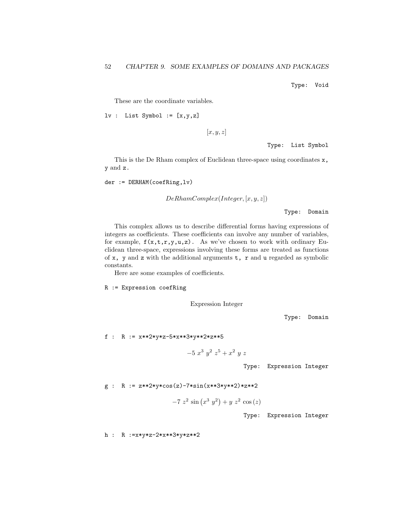Type: Void

These are the coordinate variables.

$$
lv : List Symbol := [x,y,z]
$$

 $[x, y, z]$ 

Type: List Symbol

This is the De Rham complex of Euclidean three-space using coordinates x, y and z.

der := DERHAM(coefRing,lv)

 $DeRhamComplex(Integer, [x, y, z])$ 

Type: Domain

This complex allows us to describe differential forms having expressions of integers as coefficients. These coefficients can involve any number of variables, for example,  $f(x,t,r,y,u,z)$ . As we've chosen to work with ordinary Euclidean three-space, expressions involving these forms are treated as functions of  $x$ ,  $y$  and  $z$  with the additional arguments  $t$ ,  $r$  and  $u$  regarded as symbolic constants.

Here are some examples of coefficients.

R := Expression coefRing

Expression Integer

Type: Domain

f : R := x\*\*2\*y\*z-5\*x\*\*3\*y\*\*2\*z\*\*5

 $-5x^3y^2z^5+x^2yz$ 

Type: Expression Integer

 $g : R := z**2*y*cos(z)-7*sin(x**3*y**2)*z**2$ 

 $-7z^2 \sin(x^3y^2) + yz^2 \cos(z)$ 

Type: Expression Integer

h : R :=x\*y\*z-2\*x\*\*3\*y\*z\*\*2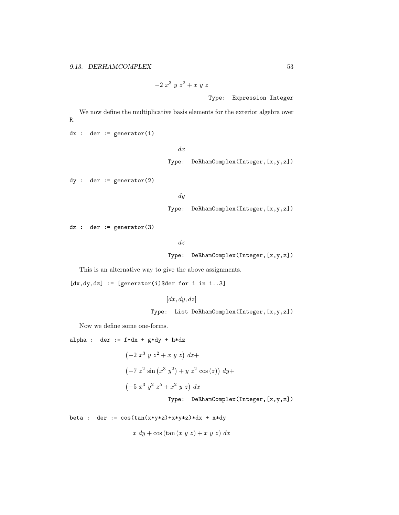```
-2 x^3 y z^2 + x y zType: Expression Integer
```
We now define the multiplicative basis elements for the exterior algebra over R.

dx

```
dx : der := generator(1)
```
Type: DeRhamComplex(Integer,[x,y,z])

dy : der := generator(2)

dy Type: DeRhamComplex(Integer,[x,y,z])

 $dz$  : der := generator(3)

dz

Type: DeRhamComplex(Integer,[x,y,z])

This is an alternative way to give the above assignments.

 $[dx, dy, dz] := [generator(i)$ \$der for i in 1..3]

 $[dx, dy, dz]$ 

Type: List DeRhamComplex(Integer,[x,y,z])

Now we define some one-forms.

alpha : der :=  $f * dx + g * dy + h * dz$  $(-2 x^3 y z^2 + x y z) dz +$  $\left(-7 \right. z^2 \sin \left(x^3 \right. y^2\right) + y \left( z^2 \cos \left(z\right) \right) \, dy +$  $(-5x^3y^2z^5+x^2yz) dx$ 

Type: DeRhamComplex(Integer,[x,y,z])

beta : der :=  $cos(tan(x*y*z)+x*y*z)*dx + x*dy$ 

$$
x dy + \cos(\tan(x y z) + x y z) dx
$$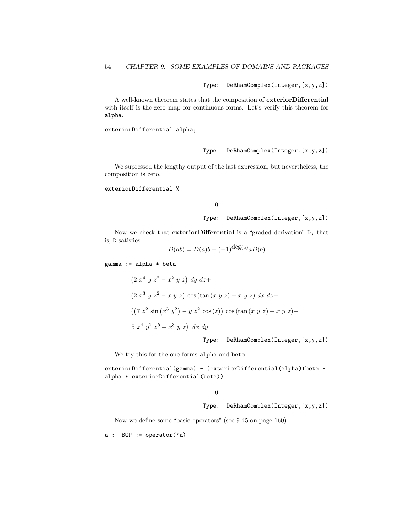Type: DeRhamComplex(Integer,[x,y,z])

A well-known theorem states that the composition of exteriorDifferential with itself is the zero map for continuous forms. Let's verify this theorem for alpha.

exteriorDifferential alpha;

Type: DeRhamComplex(Integer,[x,y,z])

We supressed the lengthy output of the last expression, but nevertheless, the composition is zero.

exteriorDifferential %

### 0

Type: DeRhamComplex(Integer,[x,y,z])

Now we check that exteriorDifferential is a "graded derivation" D, that is, D satisfies:

$$
D(ab) = D(a)b + (-1)^{\deg(a)} aD(b)
$$

gamma := alpha \* beta

$$
(2 x4 y z2 - x2 y z) dy dz +
$$
  
\n
$$
(2 x3 y z2 - x y z) \cos(\tan(x y z) + x y z) dx dz +
$$
  
\n
$$
((7 z2 \sin(x3 y2) - y z2 \cos(z)) \cos(\tan(x y z) + x y z) -
$$
  
\n
$$
5 x4 y2 z5 + x3 y z) dx dy
$$

Type: DeRhamComplex(Integer,[x,y,z])

We try this for the one-forms alpha and beta.

exteriorDifferential(gamma) - (exteriorDifferential(alpha)\*beta alpha \* exteriorDifferential(beta))

### $\Omega$

Type: DeRhamComplex(Integer,[x,y,z])

Now we define some "basic operators" (see 9.45 on page 160).

 $a : B0P := operator('a)$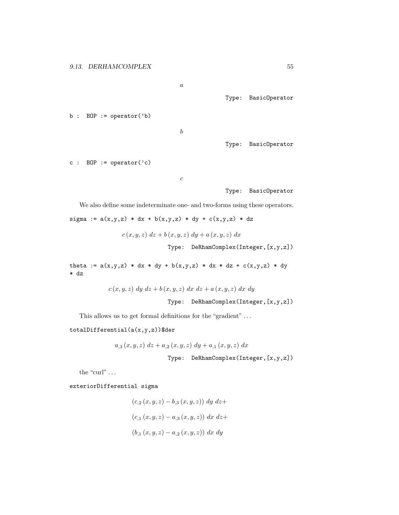a

Type: BasicOperator

```
b : B0P := operator('b)
```
b

Type: BasicOperator

c : BOP := operator $('c)$ 

c

Type: BasicOperator

We also define some indeterminate one- and two-forms using these operators.

sigma :=  $a(x,y,z) * dx + b(x,y,z) * dy + c(x,y,z) * dz$ 

 $c (x, y, z) dz + b (x, y, z) dy + a (x, y, z) dx$ 

Type: DeRhamComplex(Integer,[x,y,z])

theta :=  $a(x,y,z) * dx * dy + b(x,y,z) * dx * dz + c(x,y,z) * dy$ \* dz

$$
c(x, y, z) dy dz + b(x, y, z) dx dz + a(x, y, z) dx dy
$$

Type: DeRhamComplex(Integer,[x,y,z])

This allows us to get formal definitions for the "gradient" ...

### $totalDifferential(a(x,y,z))$ \$der

$$
a_{,3}(x,y,z) dz + a_{,2}(x,y,z) dy + a_{,1}(x,y,z) dx
$$

$$
\mathtt{Type:}\quad \mathtt{DeRhamComplex}(\mathtt{Integer}, \mathtt{[x,y,z]})
$$

the "curl"  $\ldots$ 

exteriorDifferential sigma

$$
(c_2(x, y, z) - b_3(x, y, z)) dy dz +
$$
  

$$
(c_1(x, y, z) - a_3(x, y, z)) dx dz +
$$
  

$$
(b_1(x, y, z) - a_2(x, y, z)) dx dy
$$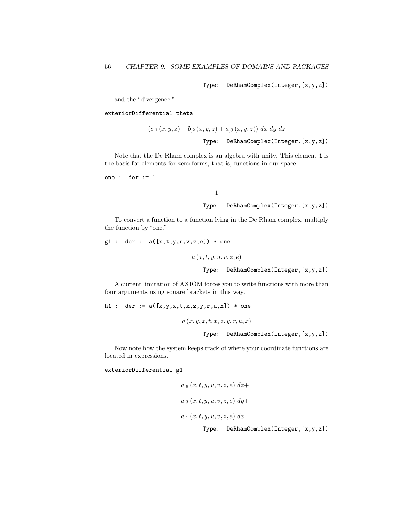Type: DeRhamComplex(Integer,[x,y,z])

and the "divergence."

exteriorDifferential theta

$$
(c_{,1}(x,y,z) - b_{,2}(x,y,z) + a_{,3}(x,y,z)) dx dy dz
$$
  
Type: DeRhamComplex(Integer, [x,y,z])

Note that the De Rham complex is an algebra with unity. This element 1 is the basis for elements for zero-forms, that is, functions in our space.

one : der := 1

# 1 Type: DeRhamComplex(Integer,[x,y,z])

To convert a function to a function lying in the De Rham complex, multiply the function by "one."

 $g1 : der := a([x,t,y,u,v,z,e]) * one$ 

 $a(x, t, y, u, v, z, e)$ Type: DeRhamComplex(Integer,[x,y,z])

A current limitation of AXIOM forces you to write functions with more than four arguments using square brackets in this way.

h1 : der :=  $a([x,y,x,t,x,z,y,r,u,x])$  \* one

 $a(x, y, x, t, x, z, y, r, u, x)$ 

Type: DeRhamComplex(Integer,[x,y,z])

Now note how the system keeps track of where your coordinate functions are located in expressions.

### exteriorDifferential g1

$$
a_{,6}(x, t, y, u, v, z, e) dz+
$$
  
\n
$$
a_{,3}(x, t, y, u, v, z, e) dy+
$$
  
\n
$$
a_{,1}(x, t, y, u, v, z, e) dx
$$
  
\n
$$
T^{\text{true}} = \text{DeBberGamma}(\text{Interger in } x, z)
$$

Type: DeRhamComplex(Integer,[x,y,z])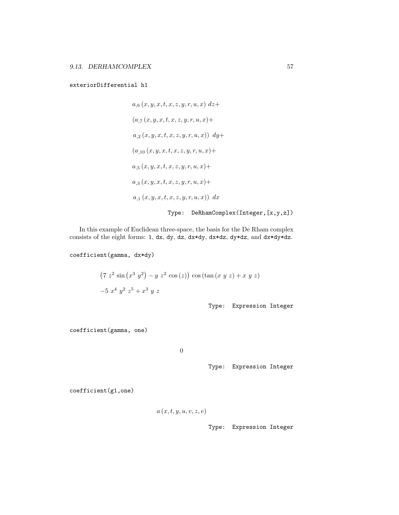exteriorDifferential h1

$$
a_{,6}(x, y, x, t, x, z, y, r, u, x) dz +(a_{,7}(x, y, x, t, x, z, y, r, u, x)+a_{,2}(x, y, x, t, x, z, y, r, u, x)) dy +(a_{,10}(x, y, x, t, x, z, y, r, u, x)+a_{,5}(x, y, x, t, x, z, y, r, u, x)+a_{,3}(x, y, x, t, x, z, y, r, u, x)+a_{,1}(x, y, x, t, x, z, y, r, u, x)) dx
$$

Type: DeRhamComplex(Integer,[x,y,z])

In this example of Euclidean three-space, the basis for the De Rham complex consists of the eight forms: 1, dx, dy, dz, dx\*dy, dx\*dz, dy\*dz, and dx\*dy\*dz.

coefficient(gamma, dx\*dy)

$$
(7 z2 sin (x3 y2) - y z2 cos (z)) cos (tan (x y z) + x y z)
$$
  
-5 x<sup>4</sup> y<sup>2</sup> z<sup>5</sup> + x<sup>3</sup> y z

Type: Expression Integer

coefficient(gamma, one)

0

Type: Expression Integer

coefficient(g1,one)

$$
a(x,t,y,u,v,z,e)
$$

Type: Expression Integer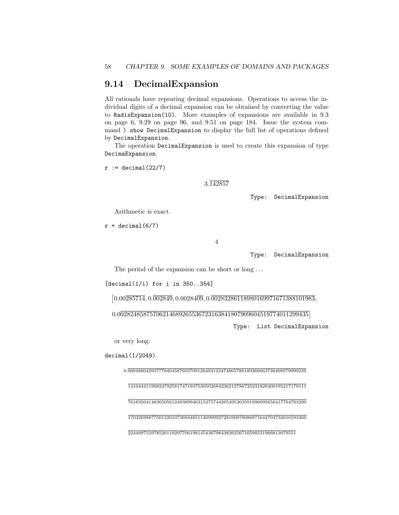## 9.14 DecimalExpansion

All rationals have repeating decimal expansions. Operations to access the individual digits of a decimal expansion can be obtained by converting the value to RadixExpansion(10). More examples of expansions are available in 9.3 on page 6, 9.29 on page 96, and 9.51 on page 184. Issue the system command ) show DecimalExpansion to display the full list of operations defined by DecimalExpansion.

The operation DecimalExpansion is used to create this expansion of type DecimaExpansion.

 $r := \text{decimal}(22/7)$ 

3.142857

Type: DecimalExpansion

Arithmetic is exact.

 $r + decimal(6/7)$ 

4

Type: DecimalExpansion

The period of the expansion can be short or long ...

 $\lceil \text{decimal}(1/i) \rceil$  for i in 350..354]

 $[0.00\overline{285714}, 0.\overline{002849}, 0.00284\overline{09}, 0.\overline{00283286118980169971671388101983},$ 

0.00282485875706214689265536723163841807909604519774011299435

Type: List DecimalExpansion

or very long.

decimal(1/2049)

0.000488042947779404587603709126403123474865788189360663738408979990239

141044411908247925817471937530502684236212786725231820400195217179111

761835041483650561249389946315275744265495363591996095656417764763299

170326988775012201073694485114690092728160078086871644704734016593460

 $\overline{22449975597852611029770619814543679843826256710590531966813079551}$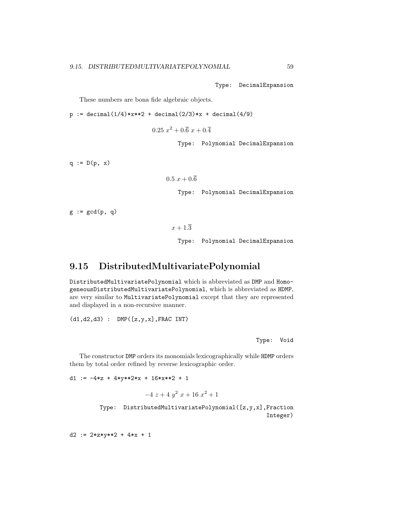Type: DecimalExpansion

These numbers are bona fide algebraic objects.

 $p := decimal(1/4)$ \*x\*\*2 + decimal(2/3)\*x + decimal(4/9)

 $0.25\ x^2 + 0.\overline{6}\ x + 0.\overline{4}$ 

Type: Polynomial DecimalExpansion

 $q := D(p, x)$ 

```
0.5 x + 0.\overline{6}
```
Type: Polynomial DecimalExpansion

 $g := \gcd(p, q)$ 

 $x + 1.\overline{3}$ 

Type: Polynomial DecimalExpansion

## 9.15 DistributedMultivariatePolynomial

DistributedMultivariatePolynomial which is abbreviated as DMP and HomogeneousDistributedMultivariatePolynomial, which is abbreviated as HDMP, are very similar to MultivariatePolynomial except that they are represented and displayed in a non-recursive manner.

(d1,d2,d3) : DMP([z,y,x],FRAC INT)

Type: Void

The constructor DMP orders its monomials lexicographically while HDMP orders them by total order refined by reverse lexicographic order.

d1 :=  $-4*z + 4*y**2*x + 16*x**2 + 1$ 

$$
-4\ z + 4\ y^2\ x + 16\ x^2 + 1
$$

Type: DistributedMultivariatePolynomial([z,y,x],Fraction Integer)

d2 := 2\*z\*y\*\*2 + 4\*x + 1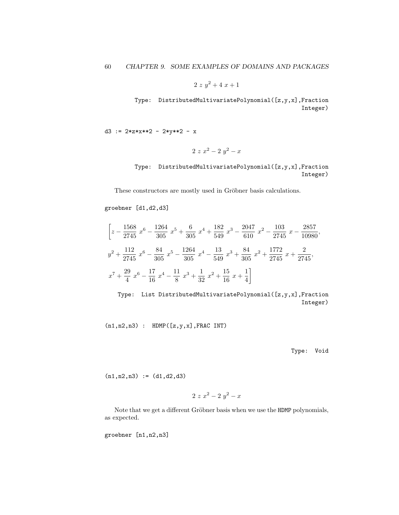$2 z y^2 + 4 x + 1$ 

Type: DistributedMultivariatePolynomial([z,y,x],Fraction Integer)

d3 := 2\*z\*x\*\*2 - 2\*y\*\*2 - x

$$
2 \; z \; x^2 - 2 \; y^2 - x
$$

Type: DistributedMultivariatePolynomial([z,y,x],Fraction Integer)

These constructors are mostly used in Gröbner basis calculations.

groebner [d1,d2,d3]

$$
\left[z - \frac{1568}{2745}x^6 - \frac{1264}{305}x^5 + \frac{6}{305}x^4 + \frac{182}{549}x^3 - \frac{2047}{610}x^2 - \frac{103}{2745}x - \frac{2857}{10980},\right]
$$
  

$$
y^2 + \frac{112}{2745}x^6 - \frac{84}{305}x^5 - \frac{1264}{305}x^4 - \frac{13}{549}x^3 + \frac{84}{305}x^2 + \frac{1772}{2745}x + \frac{2}{2745},
$$
  

$$
x^7 + \frac{29}{4}x^6 - \frac{17}{16}x^4 - \frac{11}{8}x^3 + \frac{1}{32}x^2 + \frac{15}{16}x + \frac{1}{4}\right]
$$

Type: List DistributedMultivariatePolynomial([z,y,x],Fraction Integer)

 $(n1,n2,n3)$  : HDMP $([z,y,x],$ FRAC INT)

Type: Void

 $(n1, n2, n3) := (d1, d2, d3)$ 

$$
2 z x^2 - 2 y^2 - x
$$

Note that we get a different Gröbner basis when we use the HDMP polynomials, as expected.

groebner [n1,n2,n3]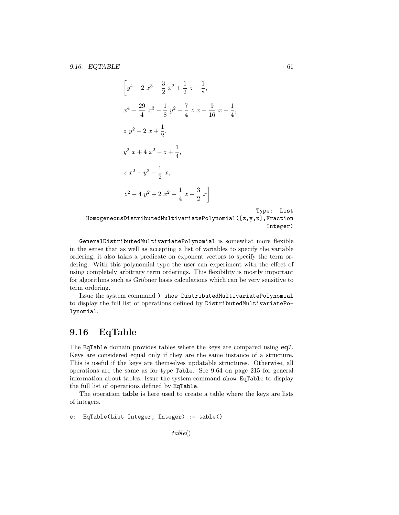$$
\left[ y^{4} + 2x^{3} - \frac{3}{2}x^{2} + \frac{1}{2}z - \frac{1}{8},
$$
  
\n
$$
x^{4} + \frac{29}{4}x^{3} - \frac{1}{8}y^{2} - \frac{7}{4}zx - \frac{9}{16}x - \frac{1}{4},
$$
  
\n
$$
z y^{2} + 2x + \frac{1}{2},
$$
  
\n
$$
y^{2} x + 4x^{2} - z + \frac{1}{4},
$$
  
\n
$$
z x^{2} - y^{2} - \frac{1}{2}x,
$$
  
\n
$$
z^{2} - 4y^{2} + 2x^{2} - \frac{1}{4}z - \frac{3}{2}x \right]
$$

Type: List HomogeneousDistributedMultivariatePolynomial([z,y,x],Fraction Integer)

GeneralDistributedMultivariatePolynomial is somewhat more flexible in the sense that as well as accepting a list of variables to specify the variable ordering, it also takes a predicate on exponent vectors to specify the term ordering. With this polynomial type the user can experiment with the effect of using completely arbitrary term orderings. This flexibility is mostly important for algorithms such as Gröbner basis calculations which can be very sensitive to term ordering.

Issue the system command ) show DistributedMultivariatePolynomial to display the full list of operations defined by DistributedMultivariatePolynomial.

# 9.16 EqTable

The EqTable domain provides tables where the keys are compared using eq?. Keys are considered equal only if they are the same instance of a structure. This is useful if the keys are themselves updatable structures. Otherwise, all operations are the same as for type Table. See 9.64 on page 215 for general information about tables. Issue the system command show EqTable to display the full list of operations defined by EqTable.

The operation table is here used to create a table where the keys are lists of integers.

```
e: EqTable(List Integer, Integer) := table()
```

```
table()
```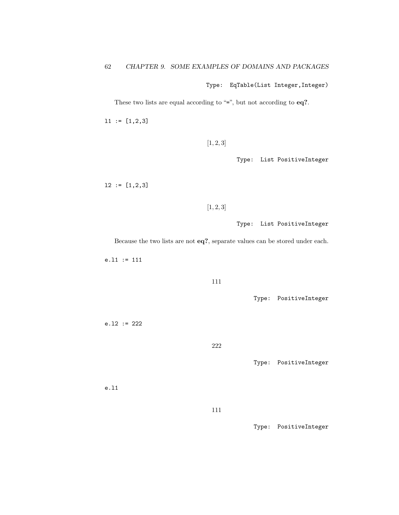Type: EqTable(List Integer,Integer)

These two lists are equal according to "=", but not according to eq?.

l1 := [1,2,3]

 $[1, 2, 3]$ 

Type: List PositiveInteger

l2 := [1,2,3]

### $[1, 2, 3]$

Type: List PositiveInteger

Because the two lists are not eq?, separate values can be stored under each.

e.l1 := 111

#### 111

Type: PositiveInteger

e.l2 := 222

222

Type: PositiveInteger

e.l1

111

Type: PositiveInteger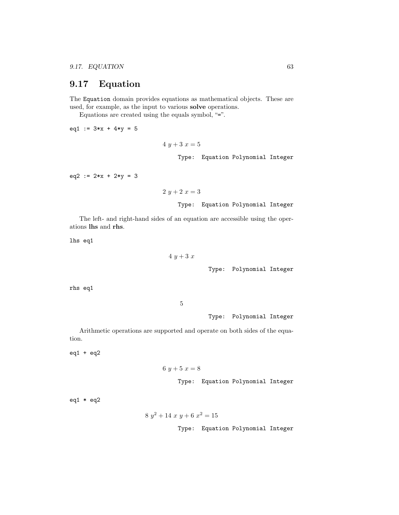# 9.17 Equation

The Equation domain provides equations as mathematical objects. These are used, for example, as the input to various solve operations.

Equations are created using the equals symbol, "=".

eq1 :=  $3*x + 4*y = 5$ 

```
4 y + 3 x = 5Type: Equation Polynomial Integer
```
eq2 :=  $2*x + 2*y = 3$ 

$$
2 y + 2 x = 3
$$

Type: Equation Polynomial Integer

The left- and right-hand sides of an equation are accessible using the operations lhs and rhs.

 $\overline{4}$ 

lhs eq1

$$
y + 3\ x
$$
   
   
 Type: Polynomial Integer

rhs eq1

5

Type: Polynomial Integer

Arithmetic operations are supported and operate on both sides of the equation.

eq1 + eq2

$$
6\ y+5\ x=8
$$

Type: Equation Polynomial Integer

eq $1 * eq2$ 

$$
8 y^2 + 14 x y + 6 x^2 = 15
$$

Type: Equation Polynomial Integer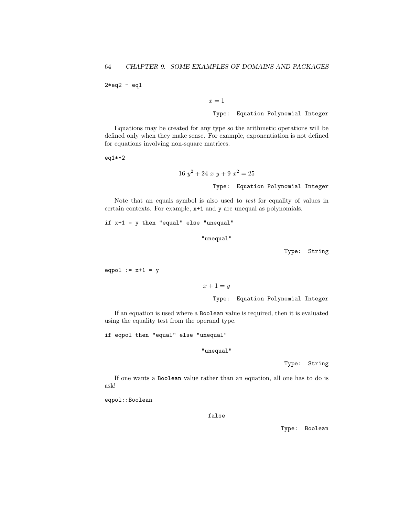$2*eq2 - eq1$ 

 $x = 1$ 

Type: Equation Polynomial Integer

Equations may be created for any type so the arithmetic operations will be defined only when they make sense. For example, exponentiation is not defined for equations involving non-square matrices.

eq1\*\*2

$$
16 y2 + 24 x y + 9 x2 = 25
$$
  
Type: Equation Polynomial Integer

Note that an equals symbol is also used to test for equality of values in certain contexts. For example, x+1 and y are unequal as polynomials.

if x+1 = y then "equal" else "unequal"

"unequal"

Type: String

eqpol  $:= x+1 = y$ 

```
x+1=y
```
Type: Equation Polynomial Integer

If an equation is used where a Boolean value is required, then it is evaluated using the equality test from the operand type.

if eqpol then "equal" else "unequal"

"unequal"

Type: String

If one wants a Boolean value rather than an equation, all one has to do is ask!

eqpol::Boolean

false

Type: Boolean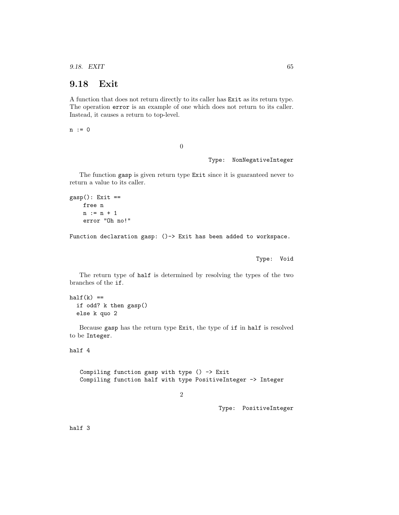9.18. EXIT 65

## 9.18 Exit

A function that does not return directly to its caller has Exit as its return type. The operation error is an example of one which does not return to its caller. Instead, it causes a return to top-level.

n := 0

0

Type: NonNegativeInteger

The function gasp is given return type Exit since it is guaranteed never to return a value to its caller.

```
gasp(): Exit ==free n
 n := n + 1error "Oh no!"
```
Function declaration gasp: ()-> Exit has been added to workspace.

Type: Void

The return type of half is determined by resolving the types of the two branches of the if.

```
half(k) ==if odd? k then gasp()
else k quo 2
```
Because gasp has the return type Exit, the type of if in half is resolved to be Integer.

```
half 4
```
Compiling function gasp with type  $() \rightarrow$  Exit Compiling function half with type PositiveInteger -> Integer

2

Type: PositiveInteger

half 3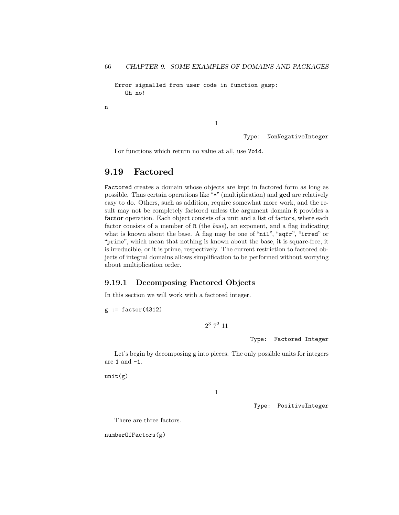Error signalled from user code in function gasp: Oh no!

n

1

Type: NonNegativeInteger

For functions which return no value at all, use Void.

## 9.19 Factored

Factored creates a domain whose objects are kept in factored form as long as possible. Thus certain operations like "\*" (multiplication) and gcd are relatively easy to do. Others, such as addition, require somewhat more work, and the result may not be completely factored unless the argument domain R provides a factor operation. Each object consists of a unit and a list of factors, where each factor consists of a member of R (the base), an exponent, and a flag indicating what is known about the base. A flag may be one of "nil", "sqfr", "irred" or "prime", which mean that nothing is known about the base, it is square-free, it is irreducible, or it is prime, respectively. The current restriction to factored objects of integral domains allows simplification to be performed without worrying about multiplication order.

### 9.19.1 Decomposing Factored Objects

In this section we will work with a factored integer.

 $g := factor(4312)$ 

 $2^3$  7<sup>2</sup> 11

Type: Factored Integer

Let's begin by decomposing g into pieces. The only possible units for integers are  $1$  and  $\texttt{-1}.$ 

 $unit(g)$ 

1

Type: PositiveInteger

There are three factors.

numberOfFactors(g)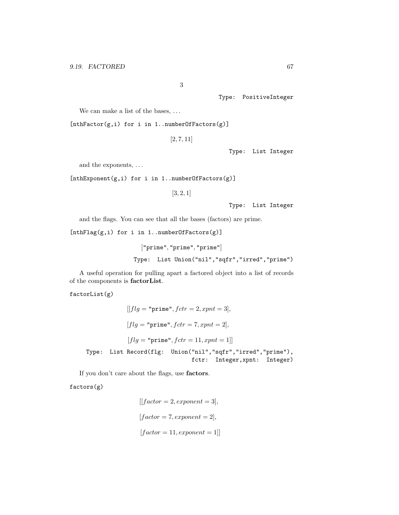3

Type: PositiveInteger

We can make a list of the bases, ...

[nthFactor(g,i) for i in 1..numberOfFactors(g)]

[2, 7, 11]

Type: List Integer

and the exponents, . . .

[nthExponent(g,i) for i in 1..numberOfFactors(g)]

[3, 2, 1]

Type: List Integer

and the flags. You can see that all the bases (factors) are prime.

[nthFlag(g,i) for i in 1..numberOfFactors(g)]

["prime", "prime", "prime"] Type: List Union("nil","sqfr","irred","prime")

A useful operation for pulling apart a factored object into a list of records of the components is factorList.

factorList(g)

```
[[flg = "prime", fctr = 2, xpnt = 3],
          [flg = "prime", fctr = 7, xpnt = 2],[flg = "prime", fctr = 11, xput = 1]Type: List Record(flg: Union("nil","sqfr","irred","prime"),
                               fctr: Integer,xpnt: Integer)
```
If you don't care about the flags, use factors.

factors(g)

 $[|factor = 2, exponent = 3],$  $[factor = 7, exponent = 2],$  $[factor = 11, exponent = 1]$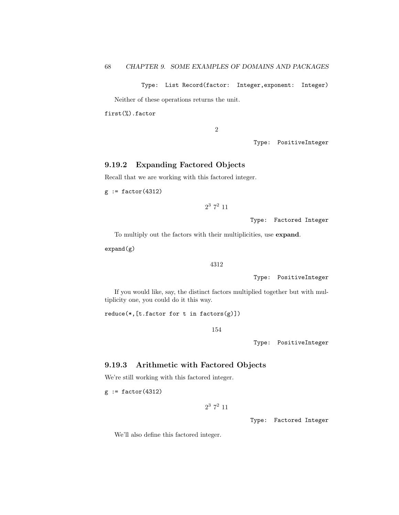Type: List Record(factor: Integer,exponent: Integer)

Neither of these operations returns the unit.

first(%).factor

2

Type: PositiveInteger

### 9.19.2 Expanding Factored Objects

Recall that we are working with this factored integer.

 $g := factor(4312)$ 

 $2^3$  7<sup>2</sup> 11

Type: Factored Integer

To multiply out the factors with their multiplicities, use expand.

 $expand(g)$ 

4312

Type: PositiveInteger

If you would like, say, the distinct factors multiplied together but with multiplicity one, you could do it this way.

reduce(\*,[t.factor for t in factors(g)])

154

Type: PositiveInteger

### 9.19.3 Arithmetic with Factored Objects

We're still working with this factored integer.

 $g := factor(4312)$ 

 $2^3$  7<sup>2</sup> 11

Type: Factored Integer

We'll also define this factored integer.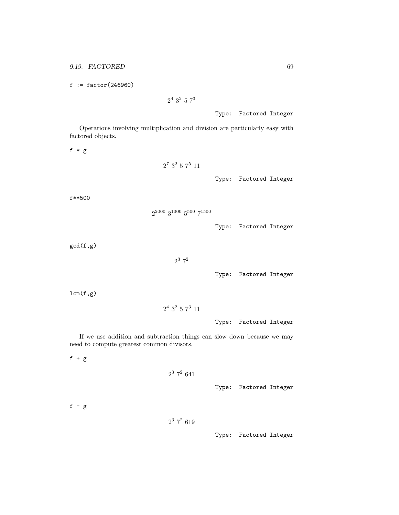$f := factor(246960)$ 

 $2^4$  3<sup>2</sup> 5  $7^3$ 

Type: Factored Integer

Operations involving multiplication and division are particularly easy with factored objects.

f \* g

$$
2^7\ 3^2\ 5\ 7^5\ 11
$$

Type: Factored Integer

f\*\*500

```
2^{2000} 3^{1000} 5^{500} 7^{1500}
```
Type: Factored Integer

gcd(f,g)

### $2^3$   $7^2$

Type: Factored Integer

 $lcm(f,g)$ 

```
2^4 3^2 5 7^3 11
```
Type: Factored Integer

If we use addition and subtraction things can slow down because we may need to compute greatest common divisors.

f + g

## $2^3$  7<sup>2</sup> 641

Type: Factored Integer

 $f - g$ 

```
2^3 7<sup>2</sup> 619
```
Type: Factored Integer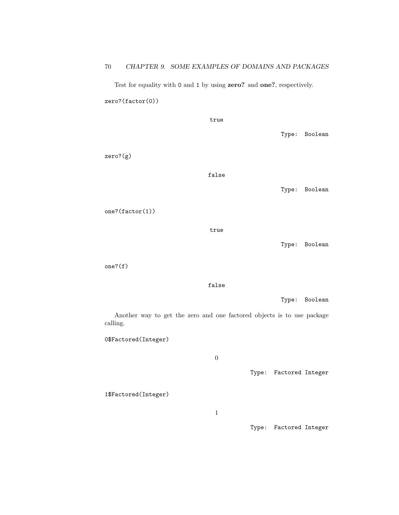Test for equality with 0 and 1 by using zero? and one?, respectively. zero?(factor(0))

|               | true  |  |               |
|---------------|-------|--|---------------|
|               |       |  | Type: Boolean |
| $zero?$ $(g)$ |       |  |               |
|               | false |  |               |
|               |       |  | Type: Boolean |
|               |       |  |               |

one?(factor(1))

true

Type: Boolean

one?(f)

false

Type: Boolean

Another way to get the zero and one factored objects is to use package calling.

0\$Factored(Integer)

0

Type: Factored Integer

1\$Factored(Integer)

1

Type: Factored Integer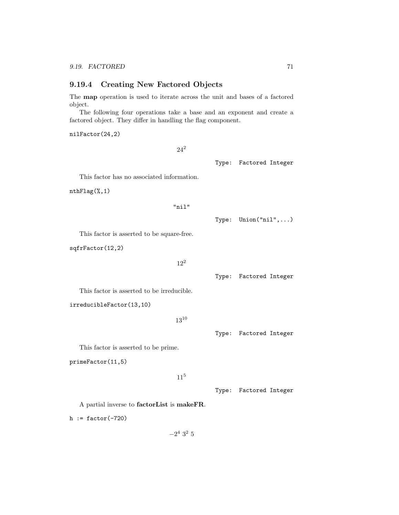### 9.19.4 Creating New Factored Objects

The map operation is used to iterate across the unit and bases of a factored object.

The following four operations take a base and an exponent and create a factored object. They differ in handling the flag component.

#### nilFactor(24,2)

 $24^2$ 

Type: Factored Integer

This factor has no associated information.

nthFlag(%,1)

```
"nil"
```
Type: Union("nil",...)

This factor is asserted to be square-free.

sqfrFactor(12,2)

```
12^{2}
```
Type: Factored Integer

This factor is asserted to be irreducible.

irreducibleFactor(13,10)

```
13^{10}
```
Type: Factored Integer

This factor is asserted to be prime.

primeFactor(11,5)

11<sup>5</sup>

Type: Factored Integer

A partial inverse to factorList is makeFR.

h :=  $factor(-720)$ 

 $-2^4$  3<sup>2</sup> 5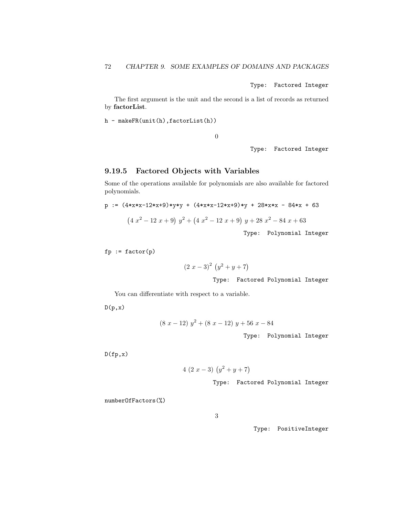Type: Factored Integer

The first argument is the unit and the second is a list of records as returned by factorList.

h - makeFR(unit(h),factorList(h))

0

Type: Factored Integer

### 9.19.5 Factored Objects with Variables

Some of the operations available for polynomials are also available for factored polynomials.

$$
p := (4*x*x-12*x+9)*yy + (4*x*x-12*x+9)*y + 28*x*x - 84*x + 63
$$
  

$$
(4x2 - 12x + 9) y2 + (4x2 - 12x + 9) y + 28x2 - 84x + 63
$$
  
Type: Polynomial Integer

 $fp := factor(p)$ 

$$
(2 x - 3)^2 (y^2 + y + 7)
$$

Type: Factored Polynomial Integer

You can differentiate with respect to a variable.

 $D(p,x)$ 

$$
(8\ x - 12)\ y^2 + (8\ x - 12)\ y + 56\ x - 84
$$

Type: Polynomial Integer

 $D(fp,x)$ 

$$
4(2x-3)(y^2+y+7)
$$

Type: Factored Polynomial Integer

numberOfFactors(%)

Type: PositiveInteger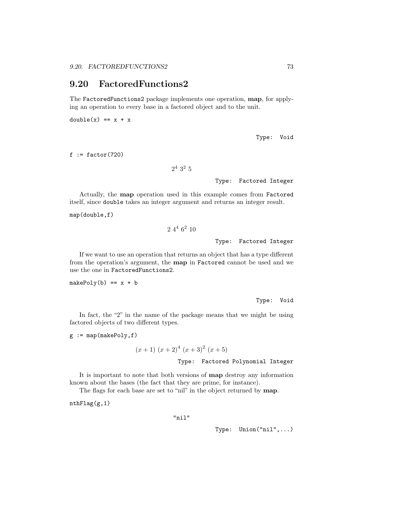# 9.20 FactoredFunctions2

The FactoredFunctions2 package implements one operation, map, for applying an operation to every base in a factored object and to the unit.

 $double(x) == x + x$ 

Type: Void

 $f := factor(720)$ 

 $2^4$  3<sup>2</sup> 5

Type: Factored Integer

Actually, the map operation used in this example comes from Factored itself, since double takes an integer argument and returns an integer result.

map(double,f)

$$
2\ 4^4\ 6^2\ 10
$$

Type: Factored Integer

If we want to use an operation that returns an object that has a type different from the operation's argument, the map in Factored cannot be used and we use the one in FactoredFunctions2.

 $makePoly(b) == x + b$ 

Type: Void

In fact, the "2" in the name of the package means that we might be using factored objects of two different types.

 $g := map(makePoly, f)$ 

$$
(x+1) (x+2)^{4} (x+3)^{2} (x+5)
$$

Type: Factored Polynomial Integer

It is important to note that both versions of map destroy any information known about the bases (the fact that they are prime, for instance).

The flags for each base are set to "nil" in the object returned by **map**.

nthFlag(g,1)

"nil"

Type: Union("nil",...)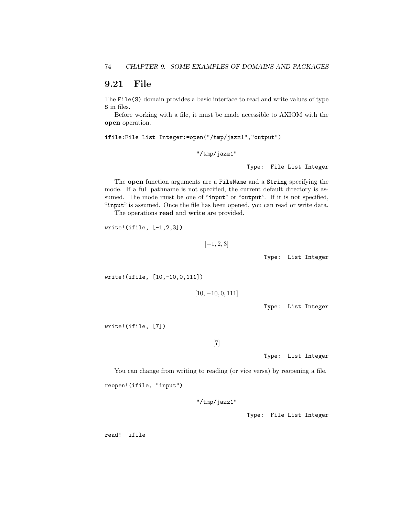## 9.21 File

The File(S) domain provides a basic interface to read and write values of type S in files.

Before working with a file, it must be made accessible to AXIOM with the open operation.

ifile:File List Integer:=open("/tmp/jazz1","output")

"/tmp/jazz1"

Type: File List Integer

The open function arguments are a FileName and a String specifying the mode. If a full pathname is not specified, the current default directory is assumed. The mode must be one of "input" or "output". If it is not specified, "input" is assumed. Once the file has been opened, you can read or write data.

The operations read and write are provided.

write!(ifile, [-1,2,3])

```
[-1, 2, 3]
```
Type: List Integer

write!(ifile, [10,-10,0,111])

 $[10, -10, 0, 111]$ 

Type: List Integer

write!(ifile, [7])

[7]

Type: List Integer

You can change from writing to reading (or vice versa) by reopening a file. reopen!(ifile, "input")

"/tmp/jazz1"

Type: File List Integer

read! ifile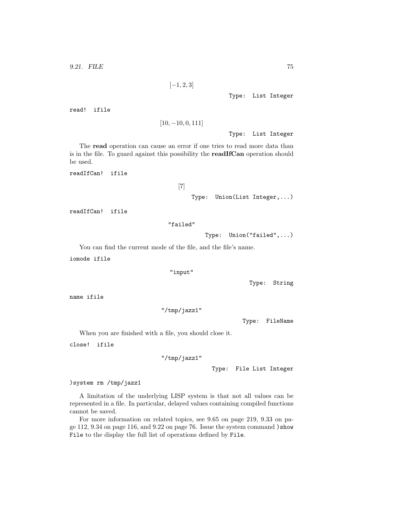```
[-1, 2, 3]
```
Type: List Integer

read! ifile

```
[10, -10, 0, 111]
```
Type: List Integer

The read operation can cause an error if one tries to read more data than is in the file. To guard against this possibility the readIfCan operation should be used.

readIfCan! ifile

```
[7]
```
Type: Union(List Integer,...)

readIfCan! ifile

```
"failed"
```
Type: Union("failed",...)

You can find the current mode of the file, and the file's name.

iomode ifile

```
"input"
```
Type: String

name ifile

```
"/tmp/jazz1"
```
Type: FileName

When you are finished with a file, you should close it.

close! ifile

"/tmp/jazz1"

Type: File List Integer

)system rm /tmp/jazz1

A limitation of the underlying LISP system is that not all values can be represented in a file. In particular, delayed values containing compiled functions cannot be saved.

For more information on related topics, see 9.65 on page 219, 9.33 on page 112, 9.34 on page 116, and 9.22 on page 76. Issue the system command )show File to the display the full list of operations defined by File.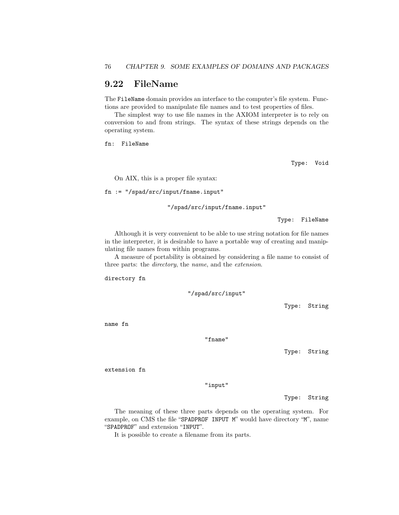# 9.22 FileName

The FileName domain provides an interface to the computer's file system. Functions are provided to manipulate file names and to test properties of files.

The simplest way to use file names in the AXIOM interpreter is to rely on conversion to and from strings. The syntax of these strings depends on the operating system.

fn: FileName

Type: Void

On AIX, this is a proper file syntax:

fn := "/spad/src/input/fname.input"

"/spad/src/input/fname.input"

Type: FileName

Although it is very convenient to be able to use string notation for file names in the interpreter, it is desirable to have a portable way of creating and manipulating file names from within programs.

A measure of portability is obtained by considering a file name to consist of three parts: the directory, the name, and the extension.

directory fn

"/spad/src/input"

Type: String

name fn

"fname"

Type: String

extension fn

"input"

Type: String

The meaning of these three parts depends on the operating system. For example, on CMS the file "SPADPROF INPUT M" would have directory "M", name "SPADPROF" and extension "INPUT".

It is possible to create a filename from its parts.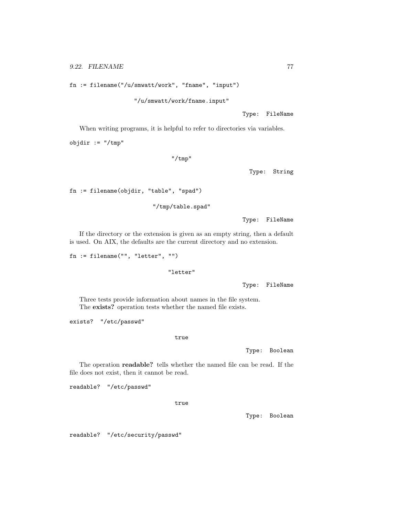fn := filename("/u/smwatt/work", "fname", "input")

"/u/smwatt/work/fname.input"

Type: FileName

When writing programs, it is helpful to refer to directories via variables.

objdir := "/tmp"

"/tmp"

Type: String

fn := filename(objdir, "table", "spad")

"/tmp/table.spad"

Type: FileName

If the directory or the extension is given as an empty string, then a default is used. On AIX, the defaults are the current directory and no extension.

```
fn := filename("", "letter", "")
```
"letter"

Type: FileName

Three tests provide information about names in the file system. The exists? operation tests whether the named file exists.

exists? "/etc/passwd"

true

Type: Boolean

The operation readable? tells whether the named file can be read. If the file does not exist, then it cannot be read.

readable? "/etc/passwd"

true

Type: Boolean

readable? "/etc/security/passwd"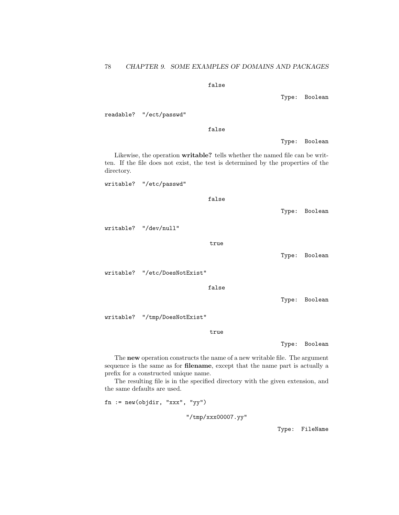### false

Type: Boolean

readable? "/ect/passwd"

false

Type: Boolean

Likewise, the operation writable? tells whether the named file can be written. If the file does not exist, the test is determined by the properties of the directory.

writable? "/etc/passwd"

false

Type: Boolean

writable? "/dev/null"

true

Type: Boolean

writable? "/etc/DoesNotExist"

false

Type: Boolean

writable? "/tmp/DoesNotExist"

true

Type: Boolean

The new operation constructs the name of a new writable file. The argument sequence is the same as for filename, except that the name part is actually a prefix for a constructed unique name.

The resulting file is in the specified directory with the given extension, and the same defaults are used.

fn := new(objdir, "xxx", "yy")

"/tmp/xxx00007.yy"

Type: FileName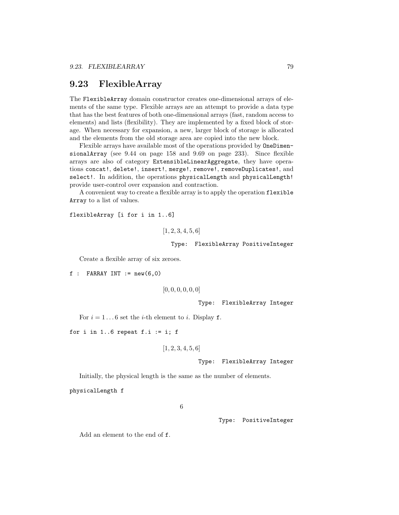## 9.23 FlexibleArray

The FlexibleArray domain constructor creates one-dimensional arrays of elements of the same type. Flexible arrays are an attempt to provide a data type that has the best features of both one-dimensional arrays (fast, random access to elements) and lists (flexibility). They are implemented by a fixed block of storage. When necessary for expansion, a new, larger block of storage is allocated and the elements from the old storage area are copied into the new block.

Flexible arrays have available most of the operations provided by OneDimensionalArray (see 9.44 on page 158 and 9.69 on page 233). Since flexible arrays are also of category ExtensibleLinearAggregate, they have operations concat!, delete!, insert!, merge!, remove!, removeDuplicates!, and select!. In addition, the operations physicalLength and physicalLength! provide user-control over expansion and contraction.

A convenient way to create a flexible array is to apply the operation flexible Array to a list of values.

flexibleArray [i for i in 1..6]

```
[1, 2, 3, 4, 5, 6]
```
Type: FlexibleArray PositiveInteger

Create a flexible array of six zeroes.

 $f : FARRAY INT := new(6,0)$ 

```
[0, 0, 0, 0, 0, 0]
```
Type: FlexibleArray Integer

For  $i = 1 \dots 6$  set the *i*-th element to *i*. Display **f**.

for i in 1..6 repeat  $f.i := i; f$ 

```
[1, 2, 3, 4, 5, 6]
```
#### Type: FlexibleArray Integer

Initially, the physical length is the same as the number of elements.

physicalLength f

6

Type: PositiveInteger

Add an element to the end of f.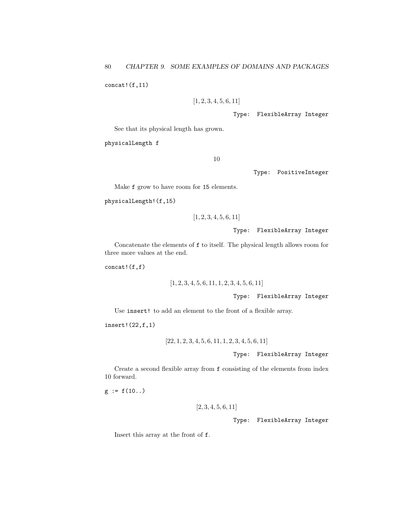$concat!(f,11)$ 

```
[1, 2, 3, 4, 5, 6, 11]
```
Type: FlexibleArray Integer

See that its physical length has grown.

physicalLength f

10

Type: PositiveInteger

Make f grow to have room for 15 elements.

```
physicalLength!(f,15)
```

```
[1, 2, 3, 4, 5, 6, 11]
```
Type: FlexibleArray Integer

Concatenate the elements of f to itself. The physical length allows room for three more values at the end.

concat!(f,f)

$$
[1, 2, 3, 4, 5, 6, 11, 1, 2, 3, 4, 5, 6, 11]
$$

Type: FlexibleArray Integer

Use insert! to add an element to the front of a flexible array.

insert!(22,f,1)

$$
[22, 1, 2, 3, 4, 5, 6, 11, 1, 2, 3, 4, 5, 6, 11]
$$

Type: FlexibleArray Integer

Create a second flexible array from f consisting of the elements from index 10 forward.

 $g := f(10...)$ 

$$
\left[2,3,4,5,6,11\right]
$$

Type: FlexibleArray Integer

Insert this array at the front of f.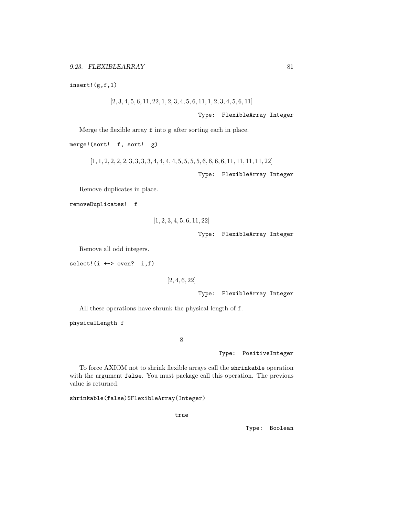insert!(g,f,1)

 $[2, 3, 4, 5, 6, 11, 22, 1, 2, 3, 4, 5, 6, 11, 1, 2, 3, 4, 5, 6, 11]$ 

Type: FlexibleArray Integer

Merge the flexible array f into g after sorting each in place.

merge!(sort! f, sort! g)

 $[1, 1, 2, 2, 2, 2, 3, 3, 3, 3, 4, 4, 4, 4, 5, 5, 5, 5, 6, 6, 6, 6, 11, 11, 11, 11, 22]$ 

Type: FlexibleArray Integer

Remove duplicates in place.

removeDuplicates! f

$$
[1, 2, 3, 4, 5, 6, 11, 22]
$$

Type: FlexibleArray Integer

Remove all odd integers.

 $select!$  $(i +-> even? i,f)$ 

[2, 4, 6, 22]

Type: FlexibleArray Integer

All these operations have shrunk the physical length of f.

physicalLength f

8

Type: PositiveInteger

To force AXIOM not to shrink flexible arrays call the shrinkable operation with the argument false. You must package call this operation. The previous value is returned.

shrinkable(false)\$FlexibleArray(Integer)

true

Type: Boolean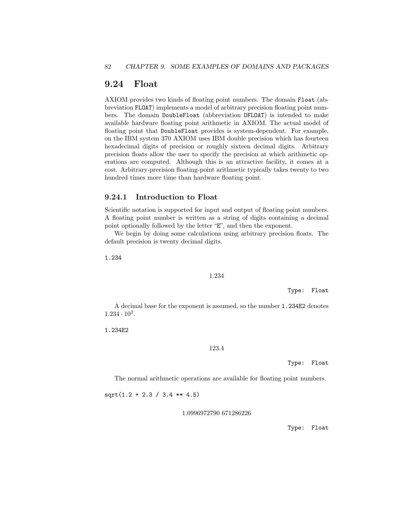# 9.24 Float

AXIOM provides two kinds of floating point numbers. The domain Float (abbreviation FLOAT) implements a model of arbitrary precision floating point numbers. The domain DoubleFloat (abbreviation DFLOAT) is intended to make available hardware floating point arithmetic in AXIOM. The actual model of floating point that DoubleFloat provides is system-dependent. For example, on the IBM system 370 AXIOM uses IBM double precision which has fourteen hexadecimal digits of precision or roughly sixteen decimal digits. Arbitrary precision floats allow the user to specify the precision at which arithmetic operations are computed. Although this is an attractive facility, it comes at a cost. Arbitrary-precision floating-point arithmetic typically takes twenty to two hundred times more time than hardware floating point.

### 9.24.1 Introduction to Float

Scientific notation is supported for input and output of floating point numbers. A floating point number is written as a string of digits containing a decimal point optionally followed by the letter "E", and then the exponent.

We begin by doing some calculations using arbitrary precision floats. The default precision is twenty decimal digits.

1.234

#### 1.234

Type: Float

A decimal base for the exponent is assumed, so the number 1.234E2 denotes  $1.234 \cdot 10^{2}$ .

1.234E2

#### 123.4

Type: Float

The normal arithmetic operations are available for floating point numbers.

 $sqrt(1.2 + 2.3 / 3.4 ** 4.5)$ 

1.0996972790 671286226

Type: Float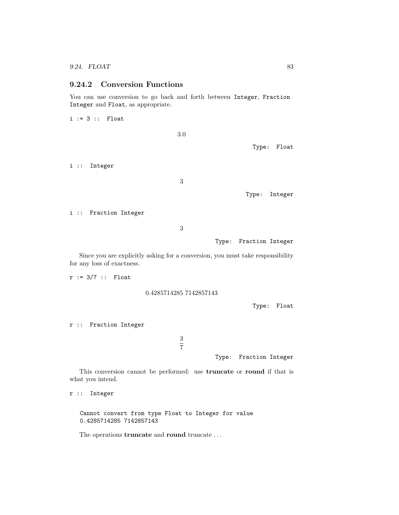### 9.24.2 Conversion Functions

You can use conversion to go back and forth between Integer, Fraction Integer and Float, as appropriate.

 $i := 3 ::$  Float

3.0

Type: Float

i :: Integer

3

Type: Integer

i :: Fraction Integer

3

Type: Fraction Integer

Since you are explicitly asking for a conversion, you must take responsibility for any loss of exactness.

r := 3/7 :: Float

0.4285714285 7142857143

Type: Float

r :: Fraction Integer

Type: Fraction Integer

This conversion cannot be performed: use truncate or round if that is what you intend.

3 7

r :: Integer

Cannot convert from type Float to Integer for value 0.4285714285 7142857143

The operations  ${\bf truncate}$  and  ${\bf round}$   ${\bf truncate}$   $\ldots$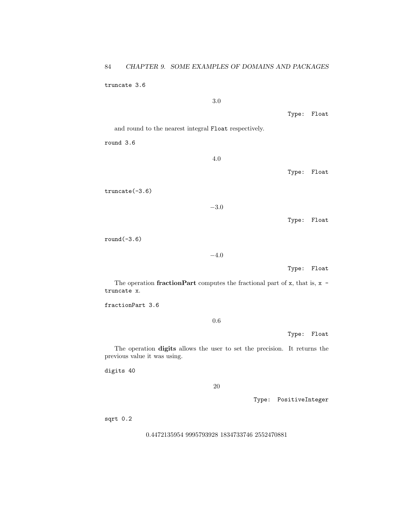truncate 3.6

3.0

Type: Float

and round to the nearest integral Float respectively.

round 3.6

4.0

Type: Float

truncate(-3.6)

−3.0

Type: Float

round(-3.6)

−4.0

Type: Float

The operation **fractionPart** computes the fractional part of  $x$ , that is,  $x$ truncate x.

fractionPart 3.6

0.6

Type: Float

The operation digits allows the user to set the precision. It returns the previous value it was using.

digits 40

20

Type: PositiveInteger

sqrt 0.2

0.4472135954 9995793928 1834733746 2552470881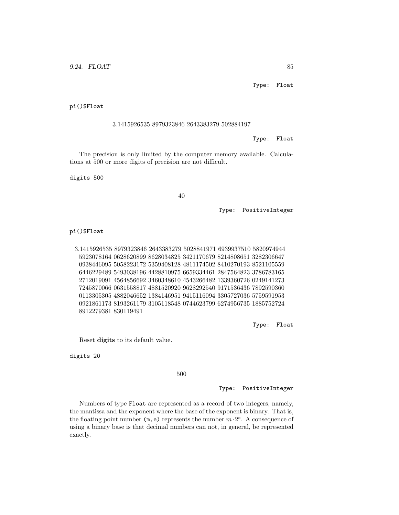pi()\$Float

#### 3.1415926535 8979323846 2643383279 502884197

Type: Float

The precision is only limited by the computer memory available. Calculations at 500 or more digits of precision are not difficult.

digits 500

40

Type: PositiveInteger

pi()\$Float

3.1415926535 8979323846 2643383279 5028841971 6939937510 5820974944 5923078164 0628620899 8628034825 3421170679 8214808651 3282306647 0938446095 5058223172 5359408128 4811174502 8410270193 8521105559 6446229489 5493038196 4428810975 6659334461 2847564823 3786783165 2712019091 4564856692 3460348610 4543266482 1339360726 0249141273 7245870066 0631558817 4881520920 9628292540 9171536436 7892590360 0113305305 4882046652 1384146951 9415116094 3305727036 5759591953 0921861173 8193261179 3105118548 0744623799 6274956735 1885752724 8912279381 830119491

Type: Float

Reset digits to its default value.

digits 20

500

Type: PositiveInteger

Numbers of type Float are represented as a record of two integers, namely, the mantissa and the exponent where the base of the exponent is binary. That is, the floating point number  $(m, e)$  represents the number  $m \cdot 2^e$ . A consequence of using a binary base is that decimal numbers can not, in general, be represented exactly.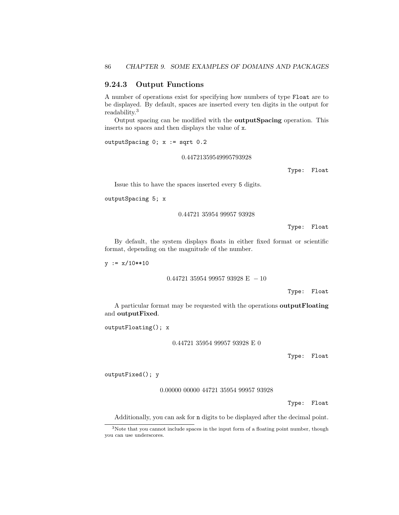### 9.24.3 Output Functions

A number of operations exist for specifying how numbers of type Float are to be displayed. By default, spaces are inserted every ten digits in the output for readability.<sup>3</sup>

Output spacing can be modified with the outputSpacing operation. This inserts no spaces and then displays the value of x.

outputSpacing 0; x := sqrt 0.2

0.44721359549995793928

Type: Float

Issue this to have the spaces inserted every 5 digits.

```
outputSpacing 5; x
```
0.44721 35954 99957 93928

Type: Float

By default, the system displays floats in either fixed format or scientific format, depending on the magnitude of the number.

 $y := x/10**10$ 

0.44721 35954 99957 93928 E  $-10$ 

Type: Float

A particular format may be requested with the operations outputFloating and outputFixed.

outputFloating(); x

0.44721 35954 99957 93928 E 0

Type: Float

outputFixed(); y

0.00000 00000 44721 35954 99957 93928

Type: Float

Additionally, you can ask for n digits to be displayed after the decimal point.

<sup>&</sup>lt;sup>3</sup>Note that you cannot include spaces in the input form of a floating point number, though you can use underscores.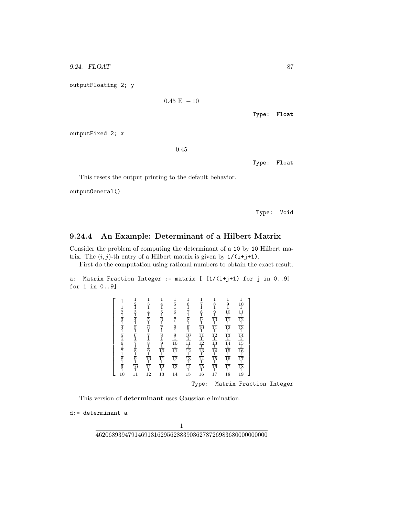9.24. FLOAT 87

outputFloating 2; y

```
0.45 E - 10
```
Type: Float

outputFixed 2; x

.45

Type: Float

This resets the output printing to the default behavior.

outputGeneral()

Type: Void

### 9.24.4 An Example: Determinant of a Hilbert Matrix

Consider the problem of computing the determinant of a 10 by 10 Hilbert matrix. The  $(i, j)$ -th entry of a Hilbert matrix is given by  $1/(i+j+1)$ .

First do the computation using rational numbers to obtain the exact result.

```
a: Matrix Fraction Integer := matrix [ [1/(i+j+1) for j in 0..9]
for i in 0..9]
```
Type: Matrix Fraction Integer

This version of determinant uses Gaussian elimination.

d:= determinant a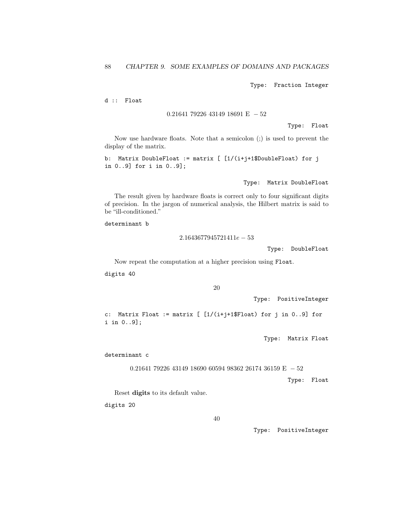Type: Fraction Integer

d :: Float

0.21641 79226 43149 18691 E − 52

Type: Float

Now use hardware floats. Note that a semicolon (;) is used to prevent the display of the matrix.

b: Matrix DoubleFloat := matrix [ [1/(i+j+1\$DoubleFloat) for j in 0..9] for i in 0..9];

Type: Matrix DoubleFloat

The result given by hardware floats is correct only to four significant digits of precision. In the jargon of numerical analysis, the Hilbert matrix is said to be "ill-conditioned."

determinant b

2.1643677945721411e − 53

Type: DoubleFloat

Now repeat the computation at a higher precision using Float.

digits 40

```
20
```
Type: PositiveInteger

c: Matrix Float := matrix [ [1/(i+j+1\$Float) for j in 0..9] for i in 0..9];

Type: Matrix Float

determinant c

0.21641 79226 43149 18690 60594 98362 26174 36159 E − 52

Type: Float

Reset digits to its default value.

digits 20

Type: PositiveInteger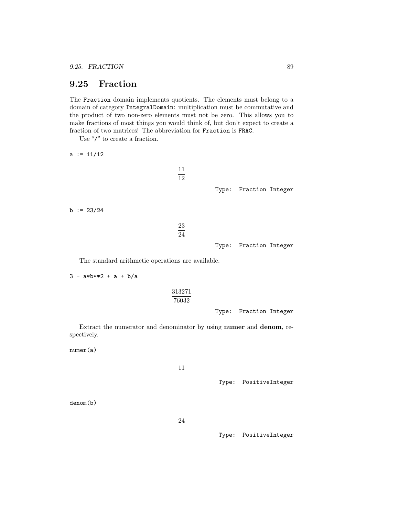## 9.25 Fraction

The Fraction domain implements quotients. The elements must belong to a domain of category IntegralDomain: multiplication must be commutative and the product of two non-zero elements must not be zero. This allows you to make fractions of most things you would think of, but don't expect to create a fraction of two matrices! The abbreviation for Fraction is FRAC.

ر<br>بر بر

Use "/" to create a fraction.

 $a := 11/12$ 

|              | 11<br>12 |                        |  |
|--------------|----------|------------------------|--|
|              |          | Type: Fraction Integer |  |
| b := $23/24$ |          |                        |  |
|              | 23<br>24 |                        |  |
|              |          | Type: Fraction Integer |  |
|              |          |                        |  |

The standard arithmetic operations are available.

 $3 - a * b * * 2 + a + b/a$ 313271 76032 Type: Fraction Integer

Extract the numerator and denominator by using numer and denom, respectively.

numer(a)

11

Type: PositiveInteger

denom(b)

24

Type: PositiveInteger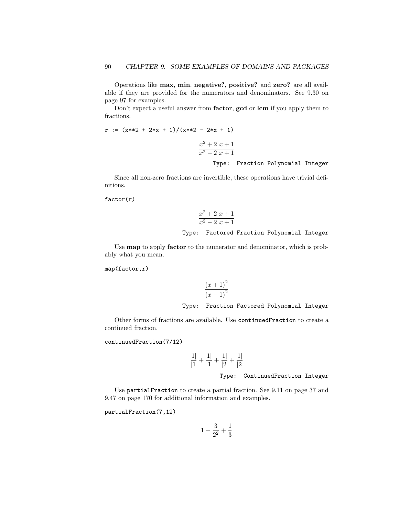Operations like max, min, negative?, positive? and zero? are all available if they are provided for the numerators and denominators. See 9.30 on page 97 for examples.

Don't expect a useful answer from **factor**, **gcd** or **lcm** if you apply them to fractions.

```
r := (x**2 + 2*x + 1)/(x**2 - 2*x + 1)x^2 + 2x + 1x^2 - 2x + 1Type: Fraction Polynomial Integer
```
Since all non-zero fractions are invertible, these operations have trivial definitions.

#### $factor(r)$

$$
\frac{x^2 + 2x + 1}{x^2 - 2x + 1}
$$

### Type: Factored Fraction Polynomial Integer

Use map to apply factor to the numerator and denominator, which is probably what you mean.

map(factor,r)

$$
\frac{(x+1)^2}{(x-1)^2}
$$

#### Type: Fraction Factored Polynomial Integer

Other forms of fractions are available. Use continuedFraction to create a continued fraction.

continuedFraction(7/12)

$$
\frac{1}{|1} + \frac{1}{|1} + \frac{1}{|2} + \frac{1}{|2}
$$

Type: ContinuedFraction Integer

Use partialFraction to create a partial fraction. See 9.11 on page 37 and 9.47 on page 170 for additional information and examples.

partialFraction(7,12)

$$
1 - \frac{3}{2^2} + \frac{1}{3}
$$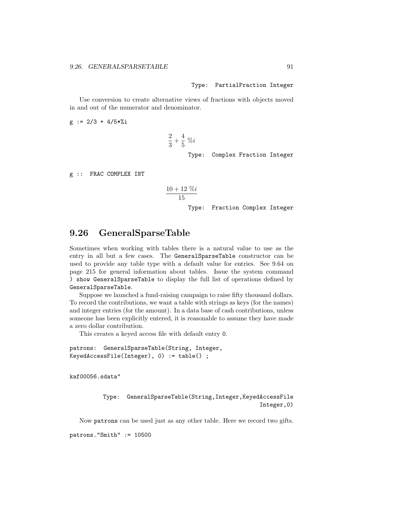Type: PartialFraction Integer

Use conversion to create alternative views of fractions with objects moved in and out of the numerator and denominator.

 $g := 2/3 + 4/5*$ %i

$$
\frac{2}{3} + \frac{4}{5} \; \% i
$$

Type: Complex Fraction Integer

g :: FRAC COMPLEX INT

$$
\frac{10+12~\%i}{15}
$$

Type: Fraction Complex Integer

## 9.26 GeneralSparseTable

Sometimes when working with tables there is a natural value to use as the entry in all but a few cases. The GeneralSparseTable constructor can be used to provide any table type with a default value for entries. See 9.64 on page 215 for general information about tables. Issue the system command ) show GeneralSparseTable to display the full list of operations defined by GeneralSparseTable.

Suppose we launched a fund-raising campaign to raise fifty thousand dollars. To record the contributions, we want a table with strings as keys (for the names) and integer entries (for the amount). In a data base of cash contributions, unless someone has been explicitly entered, it is reasonable to assume they have made a zero dollar contribution.

This creates a keyed access file with default entry 0.

```
patrons: GeneralSparseTable(String, Integer,
KeyedAccessFile(Integer), 0) := table() ;
```
kaf00056.sdata"

Type: GeneralSparseTable(String,Integer,KeyedAccessFile Integer,0)

Now patrons can be used just as any other table. Here we record two gifts.

patrons."Smith" := 10500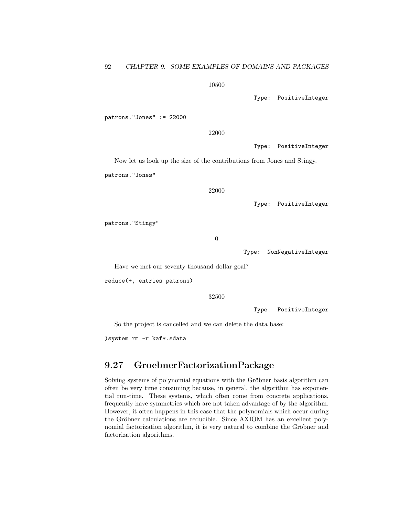10500

Type: PositiveInteger

patrons."Jones" := 22000

22000

Type: PositiveInteger

Now let us look up the size of the contributions from Jones and Stingy.

patrons."Jones"

22000

Type: PositiveInteger

patrons."Stingy"

0

Type: NonNegativeInteger

Have we met our seventy thousand dollar goal?

reduce(+, entries patrons)

32500

Type: PositiveInteger

So the project is cancelled and we can delete the data base:

)system rm -r kaf\*.sdata

# 9.27 GroebnerFactorizationPackage

Solving systems of polynomial equations with the Gröbner basis algorithm can often be very time consuming because, in general, the algorithm has exponential run-time. These systems, which often come from concrete applications, frequently have symmetries which are not taken advantage of by the algorithm. However, it often happens in this case that the polynomials which occur during the Gröbner calculations are reducible. Since AXIOM has an excellent polynomial factorization algorithm, it is very natural to combine the Gröbner and factorization algorithms.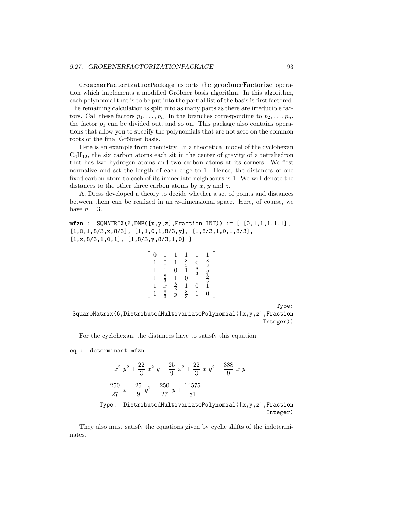GroebnerFactorizationPackage exports the groebnerFactorize operation which implements a modified Gröbner basis algorithm. In this algorithm, each polynomial that is to be put into the partial list of the basis is first factored. The remaining calculation is split into as many parts as there are irreducible factors. Call these factors  $p_1, \ldots, p_n$ . In the branches corresponding to  $p_2, \ldots, p_n$ , the factor  $p_1$  can be divided out, and so on. This package also contains operations that allow you to specify the polynomials that are not zero on the common roots of the final Gröbner basis.

Here is an example from chemistry. In a theoretical model of the cyclohexan  $C_6H_{12}$ , the six carbon atoms each sit in the center of gravity of a tetrahedron that has two hydrogen atoms and two carbon atoms at its corners. We first normalize and set the length of each edge to 1. Hence, the distances of one fixed carbon atom to each of its immediate neighbours is 1. We will denote the distances to the other three carbon atoms by  $x, y$  and  $z$ .

A. Dress developed a theory to decide whether a set of points and distances between them can be realized in an  $n$ -dimensional space. Here, of course, we have  $n = 3$ .

```
mfzn : \text{SQMATRIX}(6, \text{DMP}([x, y, z], \text{Fraction INT})) := [0, 1, 1, 1, 1, 1],[1,0,1,8/3,x,8/3], [1,1,0,1,8/3,y], [1,8/3,1,0,1,8/3],[1, x, 8/3, 1, 0, 1], [1, 8/3, y, 8/3, 1, 0]]
```

|  | 0             |                | $\frac{8}{3}$ $\frac{1}{1}$ | $\boldsymbol{x}$ | $\frac{8}{3}$ |
|--|---------------|----------------|-----------------------------|------------------|---------------|
|  |               | 0              |                             | $\frac{8}{3}$    |               |
|  |               |                | 0                           |                  | $\frac{y}{8}$ |
|  | $\frac{8}{3}$ | $\frac{8}{3}$  |                             | 0                |               |
|  | $\frac{8}{3}$ | $\overline{y}$ | $\frac{8}{3}$               |                  | 0             |

Type:

SquareMatrix(6,DistributedMultivariatePolynomial([x,y,z],Fraction Integer))

For the cyclohexan, the distances have to satisfy this equation.

eq := determinant mfzn

$$
-x^{2} y^{2} + \frac{22}{3} x^{2} y - \frac{25}{9} x^{2} + \frac{22}{3} x y^{2} - \frac{388}{9} x y -
$$
  

$$
\frac{250}{27} x - \frac{25}{9} y^{2} - \frac{250}{27} y + \frac{14575}{81}
$$

Type: DistributedMultivariatePolynomial([x,y,z],Fraction Integer)

They also must satisfy the equations given by cyclic shifts of the indeterminates.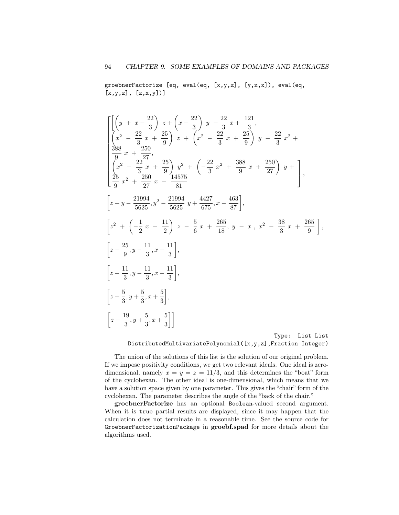groebnerFactorize [eq, eval(eq, [x,y,z], [y,z,x]), eval(eq,  $[x, y, z]$ ,  $[z, x, y]$ ]

$$
\begin{bmatrix}\n\left[\left(y+x-\frac{22}{3}\right)z+\left(x-\frac{22}{3}\right)y-\frac{22}{3}x+\frac{121}{3}, \\
\left(x^2-\frac{22}{3}x+\frac{25}{9}\right)z+\left(x^2-\frac{22}{3}x+\frac{25}{9}\right)y-\frac{22}{3}x^2+\n\end{bmatrix} \\
\frac{388}{36}x+\frac{250}{37}, \\
\left(\frac{x^2}{9} - \frac{22}{3}x+\frac{25}{9}\right)y^2+\left(-\frac{22}{3}x^2+\frac{388}{9}x+\frac{250}{27}\right)y+\n\end{bmatrix}, \\
\begin{bmatrix}\n\frac{25}{9}x^2+\frac{250}{27}x-\frac{14575}{81} \\
\left[z+y-\frac{21994}{5625},y^2-\frac{21994}{5625}y+\frac{4427}{675},x-\frac{463}{87}\right], \\
\left[z^2+\left(-\frac{1}{2}x-\frac{11}{2}\right)z-\frac{5}{6}x+\frac{265}{18},y-x,x^2-\frac{38}{3}x+\frac{265}{9}\right], \\
\left[z-\frac{25}{9},y-\frac{11}{3},x-\frac{11}{3}\right], \\
\left[z-\frac{11}{3},y-\frac{11}{3},x-\frac{11}{3}\right], \\
\left[z+\frac{5}{3},y+\frac{5}{3},x+\frac{5}{3}\right], \\
\left[z-\frac{19}{3},y+\frac{5}{3},x+\frac{5}{3}\right]]
$$
\nType: List List

DistributedMultivariatePolynomial([x,y,z],Fraction Integer)

The union of the solutions of this list is the solution of our original problem. If we impose positivity conditions, we get two relevant ideals. One ideal is zerodimensional, namely  $x = y = z = 11/3$ , and this determines the "boat" form of the cyclohexan. The other ideal is one-dimensional, which means that we have a solution space given by one parameter. This gives the "chair" form of the cyclohexan. The parameter describes the angle of the "back of the chair."

groebnerFactorize has an optional Boolean-valued second argument. When it is true partial results are displayed, since it may happen that the calculation does not terminate in a reasonable time. See the source code for GroebnerFactorizationPackage in groebf.spad for more details about the algorithms used.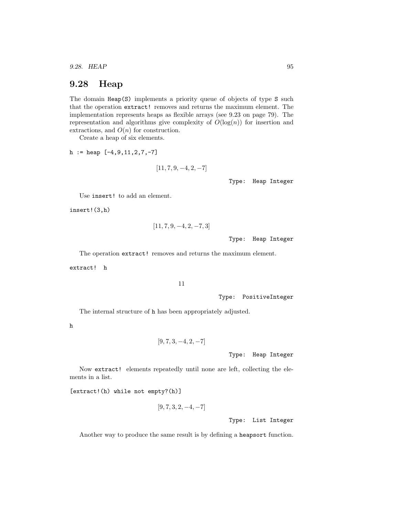9.28. HEAP 95

## 9.28 Heap

The domain Heap(S) implements a priority queue of objects of type S such that the operation extract! removes and returns the maximum element. The implementation represents heaps as flexible arrays (see 9.23 on page 79). The representation and algorithms give complexity of  $O(\log(n))$  for insertion and extractions, and  $O(n)$  for construction.

Create a heap of six elements.

 $h := \text{heap } [-4, 9, 11, 2, 7, -7]$ 

$$
[11, 7, 9, -4, 2, -7]
$$

Type: Heap Integer

Use insert! to add an element.

insert!(3,h)

$$
\begin{aligned}[11,7,9,-4,2,-7,3] \\ \text{Type: }~\text{Heap Integer} \end{aligned}
$$

The operation extract! removes and returns the maximum element.

extract! h

11

Type: PositiveInteger

The internal structure of h has been appropriately adjusted.

h

```
[9, 7, 3, -4, 2, -7]
```
Type: Heap Integer

Now extract! elements repeatedly until none are left, collecting the elements in a list.

[extract!(h) while not empty?(h)]

```
[9, 7, 3, 2, -4, -7]
```
Type: List Integer

Another way to produce the same result is by defining a heapsort function.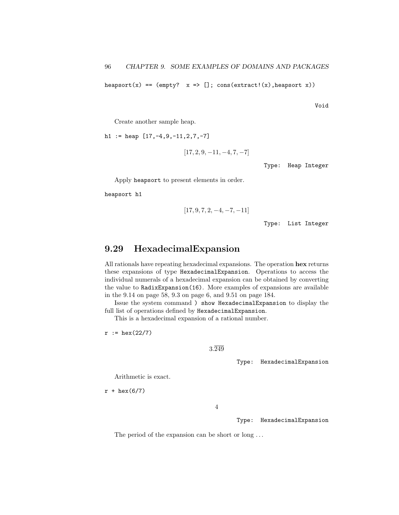heapsort(x) == (empty?  $x \Rightarrow []$ ; cons(extract!(x), heapsort x))

Void

Create another sample heap.

h1 := heap  $[17,-4,9,-11,2,7,-7]$ 

$$
[17, 2, 9, -11, -4, 7, -7]
$$

Type: Heap Integer

Apply heapsort to present elements in order.

heapsort h1

$$
[17, 9, 7, 2, -4, -7, -11]
$$

Type: List Integer

# 9.29 HexadecimalExpansion

All rationals have repeating hexadecimal expansions. The operation hex returns these expansions of type HexadecimalExpansion. Operations to access the individual numerals of a hexadecimal expansion can be obtained by converting the value to RadixExpansion(16). More examples of expansions are available in the 9.14 on page 58, 9.3 on page 6, and 9.51 on page 184.

Issue the system command ) show HexadecimalExpansion to display the full list of operations defined by HexadecimalExpansion.

This is a hexadecimal expansion of a rational number.

 $r := \text{hex}(22/7)$ 

3.249

Type: HexadecimalExpansion

Arithmetic is exact.

 $r + \text{hex}(6/7)$ 

4

Type: HexadecimalExpansion

The period of the expansion can be short or long ...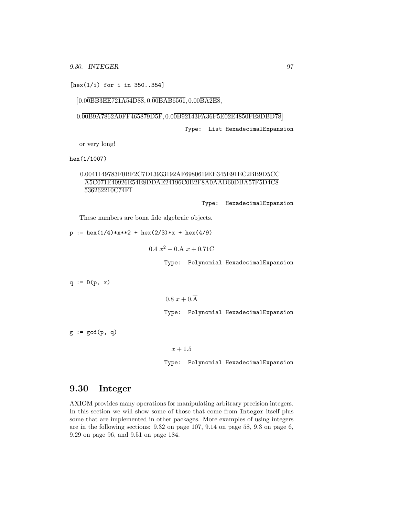[hex(1/i) for i in 350..354]

### [0.00BB3EE721A54D88, 0.00BAB6561, 0.00BA2E8,

0.00B9A7862A0FF465879D5F, 0.00B92143FA36F5E02E4850FE8DBD78

Type: List HexadecimalExpansion

or very long!

hex(1/1007)

## 0.0041149783F0BF2C7D13933192AF6980619EE345E91EC2BB9D5CC A5C071E40926E54E8DDAE24196C0B2F8A0AAD60DBA57F5D4C8 536262210C74F1

Type: HexadecimalExpansion

These numbers are bona fide algebraic objects.

 $p := hex(1/4)*x**2 + hex(2/3)*x + hex(4/9)$ 

 $0.4\ x^2 + 0.\overline{A}\ x + 0.\overline{71C}$ 

Type: Polynomial HexadecimalExpansion

 $q := D(p, x)$ 

 $0.8\ x + 0.\overline{A}$ Type: Polynomial HexadecimalExpansion

 $g := \gcd(p, q)$ 

 $x + 1.\overline{5}$ 

Type: Polynomial HexadecimalExpansion

# 9.30 Integer

AXIOM provides many operations for manipulating arbitrary precision integers. In this section we will show some of those that come from Integer itself plus some that are implemented in other packages. More examples of using integers are in the following sections: 9.32 on page 107, 9.14 on page 58, 9.3 on page 6, 9.29 on page 96, and 9.51 on page 184.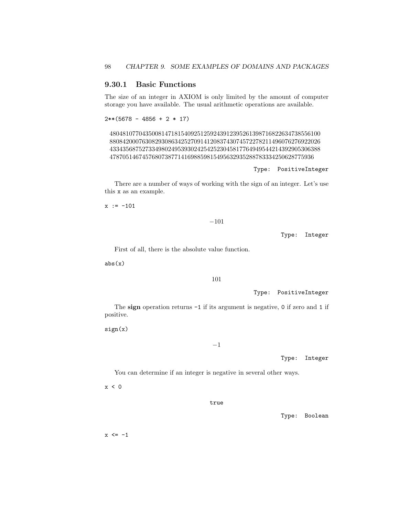## 9.30.1 Basic Functions

The size of an integer in AXIOM is only limited by the amount of computer storage you have available. The usual arithmetic operations are available.

```
2**(5678 - 4856 + 2 * 17)
```
48048107704350081471815409251259243912395261398716822634738556100 88084200076308293086342527091412083743074572278211496076276922026 43343568752733498024953930242542523045817764949544214392905306388 478705146745768073877141698859815495632935288783334250628775936

Type: PositiveInteger

There are a number of ways of working with the sign of an integer. Let's use this x as an example.

 $x := -101$ 

```
−101
```
Type: Integer

First of all, there is the absolute value function.

 $abs(x)$ 

### 101

Type: PositiveInteger

The sign operation returns -1 if its argument is negative, 0 if zero and 1 if positive.

sign(x)

#### −1

Type: Integer

You can determine if an integer is negative in several other ways.

 $x < 0$ 

true

Type: Boolean

 $x \leq -1$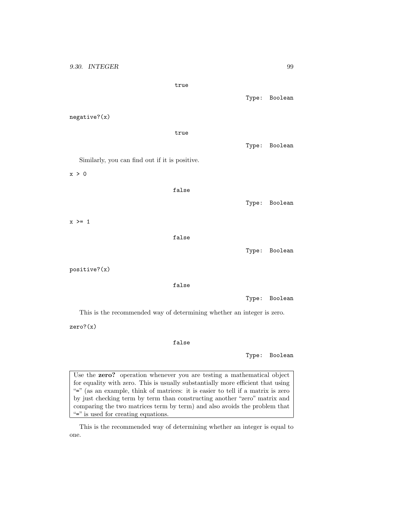9.30. INTEGER 99 true Type: Boolean negative?(x) true Type: Boolean Similarly, you can find out if it is positive. x > 0 false Type: Boolean  $x \geq 1$ false Type: Boolean positive?(x) false Type: Boolean This is the recommended way of determining whether an integer is zero. zero?(x) false Type: Boolean

Use the zero? operation whenever you are testing a mathematical object for equality with zero. This is usually substantially more efficient that using "=" (as an example, think of matrices: it is easier to tell if a matrix is zero by just checking term by term than constructing another "zero" matrix and comparing the two matrices term by term) and also avoids the problem that "=" is used for creating equations.

This is the recommended way of determining whether an integer is equal to one.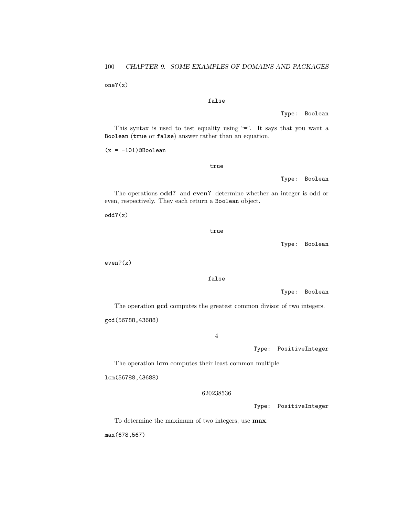one?(x)

#### false

Type: Boolean

This syntax is used to test equality using "=". It says that you want a Boolean (true or false) answer rather than an equation.

 $(x = -101)$ @Boolean

true

Type: Boolean

The operations odd? and even? determine whether an integer is odd or even, respectively. They each return a Boolean object.

odd?(x)

true

Type: Boolean

even?(x)

false

Type: Boolean

The operation gcd computes the greatest common divisor of two integers. gcd(56788,43688)

4

Type: PositiveInteger

The operation lcm computes their least common multiple.

lcm(56788,43688)

#### 620238536

Type: PositiveInteger

To determine the maximum of two integers, use max.

max(678,567)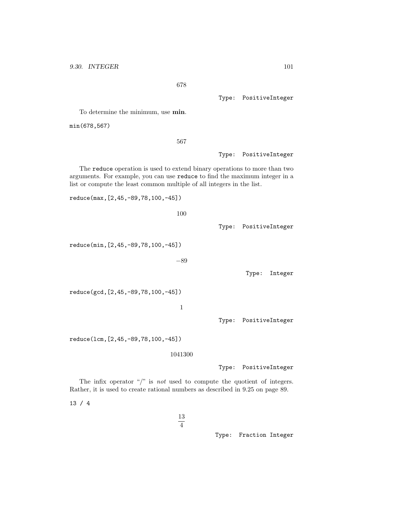678

Type: PositiveInteger

To determine the minimum, use min.

min(678,567)

567

Type: PositiveInteger

The reduce operation is used to extend binary operations to more than two arguments. For example, you can use reduce to find the maximum integer in a list or compute the least common multiple of all integers in the list.

100

reduce(max,[2,45,-89,78,100,-45])

Type: PositiveInteger

reduce(min,[2,45,-89,78,100,-45])

−89

Type: Integer

reduce(gcd,[2,45,-89,78,100,-45])

1

Type: PositiveInteger

reduce(lcm,[2,45,-89,78,100,-45])

1041300

Type: PositiveInteger

The infix operator " $\!/$ " is not used to compute the quotient of integers. Rather, it is used to create rational numbers as described in 9.25 on page 89.

13 / 4

13  $\overline{4}$ 

Type: Fraction Integer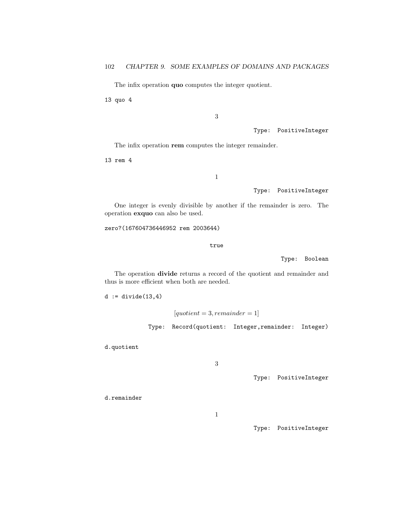The infix operation quo computes the integer quotient.

13 quo 4

3

Type: PositiveInteger

The infix operation rem computes the integer remainder.

13 rem 4

1

Type: PositiveInteger

One integer is evenly divisible by another if the remainder is zero. The operation exquo can also be used.

zero?(167604736446952 rem 2003644)

true

Type: Boolean

The operation divide returns a record of the quotient and remainder and thus is more efficient when both are needed.

 $d := \text{divide}(13, 4)$ 

 $[quotient = 3, remainder = 1]$ Type: Record(quotient: Integer,remainder: Integer)

d.quotient

3

Type: PositiveInteger

d.remainder

1

Type: PositiveInteger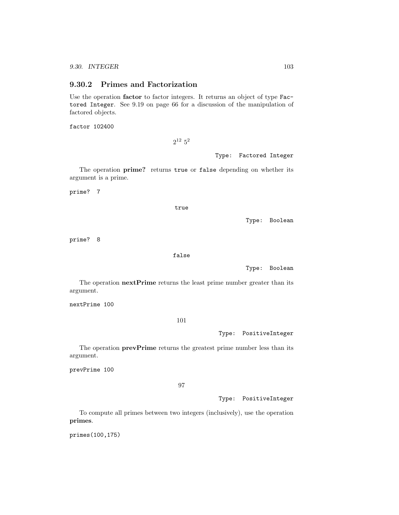### 9.30.2 Primes and Factorization

Use the operation factor to factor integers. It returns an object of type Factored Integer. See 9.19 on page 66 for a discussion of the manipulation of factored objects.

factor 102400

 $2^{12}$   $5^2$ 

Type: Factored Integer

The operation prime? returns true or false depending on whether its argument is a prime.

prime? 7

true

Type: Boolean

prime? 8

false

Type: Boolean

The operation **nextPrime** returns the least prime number greater than its argument.

nextPrime 100

101

Type: PositiveInteger

The operation prevPrime returns the greatest prime number less than its argument.

prevPrime 100

97

Type: PositiveInteger

To compute all primes between two integers (inclusively), use the operation primes.

primes(100,175)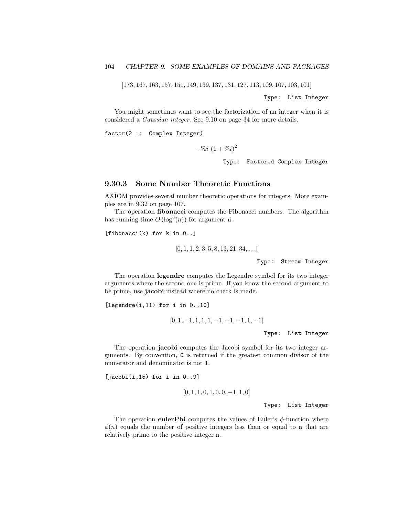[173, 167, 163, 157, 151, 149, 139, 137, 131, 127, 113, 109, 107, 103, 101]

Type: List Integer

You might sometimes want to see the factorization of an integer when it is considered a Gaussian integer. See 9.10 on page 34 for more details.

factor(2 :: Complex Integer)

 $-\%i(1+\%i)^2$ 

Type: Factored Complex Integer

### 9.30.3 Some Number Theoretic Functions

AXIOM provides several number theoretic operations for integers. More examples are in 9.32 on page 107.

The operation fibonacci computes the Fibonacci numbers. The algorithm has running time  $O(\log^3(n))$  for argument **n**.

[fibonacci(k) for k in 0..]

 $[0, 1, 1, 2, 3, 5, 8, 13, 21, 34, \ldots]$ 

Type: Stream Integer

The operation legendre computes the Legendre symbol for its two integer arguments where the second one is prime. If you know the second argument to be prime, use jacobi instead where no check is made.

[legendre(i,11) for i in 0..10]

```
[0, 1, -1, 1, 1, 1, -1, -1, -1, 1, -1]
```
Type: List Integer

The operation jacobi computes the Jacobi symbol for its two integer arguments. By convention, 0 is returned if the greatest common divisor of the numerator and denominator is not 1.

 $[jacobi(i,15) for i in 0..9]$ 

$$
[0, 1, 1, 0, 1, 0, 0, -1, 1, 0]
$$

Type: List Integer

The operation eulerPhi computes the values of Euler's  $\phi$ -function where  $\phi(n)$  equals the number of positive integers less than or equal to n that are relatively prime to the positive integer n.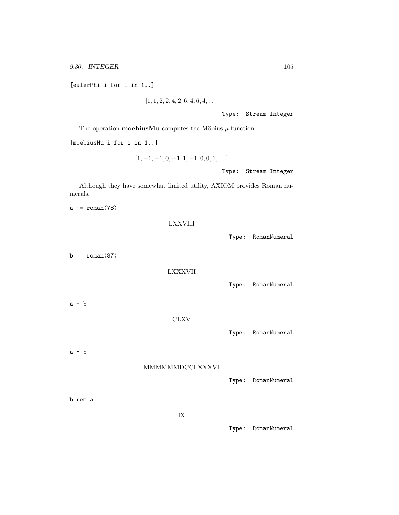9.30. INTEGER 105

[eulerPhi i for i in 1..]

 $[1, 1, 2, 2, 4, 2, 6, 4, 6, 4, \ldots]$ 

Type: Stream Integer

The operation **moebiusMu** computes the Möbius  $\mu$  function.

[moebiusMu i for i in 1..]

$$
[1, -1, -1, 0, -1, 1, -1, 0, 0, 1, \ldots]
$$

Type: Stream Integer

Although they have somewhat limited utility, AXIOM provides Roman numerals.

 $a := \text{roman}(78)$ 

LXXVIII

 $b := \text{roman}(87)$ 

LXXXVII

Type: RomanNumeral

Type: RomanNumeral

a + b

### CLXV

Type: RomanNumeral

a \* b

### MMMMMMDCCLXXXVI

Type: RomanNumeral

b rem a

IX

Type: RomanNumeral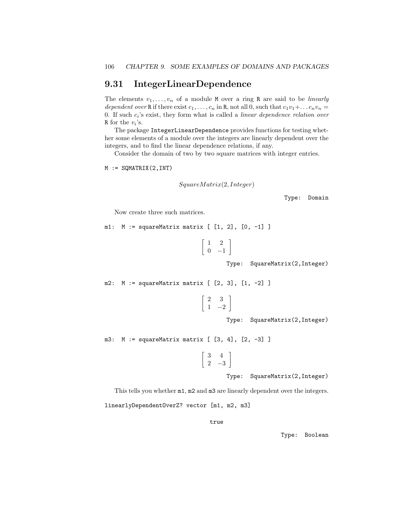## 9.31 IntegerLinearDependence

The elements  $v_1, \ldots, v_n$  of a module M over a ring R are said to be *linearly* dependent over R if there exist  $c_1, \ldots, c_n$  in R, not all 0, such that  $c_1v_1+\ldots c_nv_n =$ 0. If such  $c_i$ 's exist, they form what is called a *linear dependence relation over* R for the  $v_i$ 's.

The package IntegerLinearDependence provides functions for testing whether some elements of a module over the integers are linearly dependent over the integers, and to find the linear dependence relations, if any.

Consider the domain of two by two square matrices with integer entries.

 $M := \text{SQMATRIX}(2, INT)$ 

 $SquareMatrix(2, Integer)$ 

Type: Domain

Now create three such matrices.

m1: M := squareMatrix matrix [ [1, 2], [0, -1] ]

 $\begin{bmatrix} 1 & 2 \end{bmatrix}$  $0 -1$ 1

Type: SquareMatrix(2,Integer)

m2: M := squareMatrix matrix [ [2, 3], [1, -2] ]

$$
\left[\begin{array}{cc}2&3\\1&-2\end{array}\right]
$$

Type: SquareMatrix(2,Integer)

m3: M := squareMatrix matrix [ [3, 4], [2, -3] ]

$$
\left[\begin{array}{cc}3 & 4\\2 & -3\end{array}\right]
$$

Type: SquareMatrix(2,Integer)

This tells you whether  $m1$ ,  $m2$  and  $m3$  are linearly dependent over the integers.

linearlyDependentOverZ? vector [m1, m2, m3]

true

Type: Boolean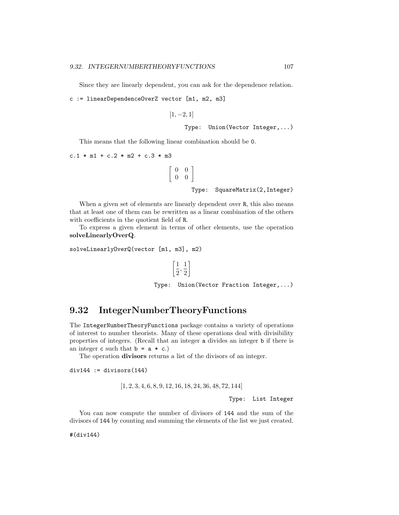Since they are linearly dependent, you can ask for the dependence relation.

```
c := linearDependenceOverZ vector [m1, m2, m3]
```

```
[1, -2, 1]
```

```
Type: Union(Vector Integer,...)
```
This means that the following linear combination should be 0.

 $\lceil$ 

```
c.1 * m1 + c.2 * m2 + c.3 * m3
```

| $\begin{bmatrix} 0 & 0 \\ 0 & 0 \end{bmatrix}$ |                                |
|------------------------------------------------|--------------------------------|
|                                                | Type: SquareMatrix(2, Integer) |

When a given set of elements are linearly dependent over R, this also means that at least one of them can be rewritten as a linear combination of the others with coefficients in the quotient field of R.

To express a given element in terms of other elements, use the operation solveLinearlyOverQ.

```
solveLinearlyOverQ(vector [m1, m3], m2)
```

$$
\left[\frac{1}{2},\frac{1}{2}\right]
$$

Type: Union(Vector Fraction Integer,...)

# 9.32 IntegerNumberTheoryFunctions

The IntegerNumberTheoryFunctions package contains a variety of operations of interest to number theorists. Many of these operations deal with divisibility properties of integers. (Recall that an integer a divides an integer b if there is an integer c such that  $b = a * c$ .

The operation divisors returns a list of the divisors of an integer.

 $div144 := divisors(144)$ 

[1, 2, 3, 4, 6, 8, 9, 12, 16, 18, 24, 36, 48, 72, 144]

Type: List Integer

You can now compute the number of divisors of 144 and the sum of the divisors of 144 by counting and summing the elements of the list we just created.

#(div144)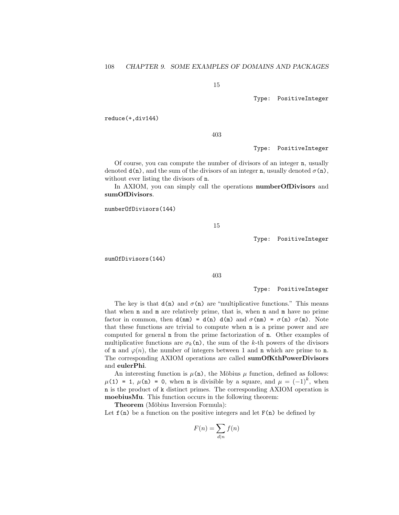15

Type: PositiveInteger

reduce(+,div144)

403

Type: PositiveInteger

Of course, you can compute the number of divisors of an integer n, usually denoted  $d(n)$ , and the sum of the divisors of an integer n, usually denoted  $\sigma(n)$ , without ever listing the divisors of n.

In AXIOM, you can simply call the operations numberOfDivisors and sumOfDivisors.

numberOfDivisors(144)

15

Type: PositiveInteger

sumOfDivisors(144)

403

Type: PositiveInteger

The key is that  $d(n)$  and  $\sigma(n)$  are "multiplicative functions." This means that when n and m are relatively prime, that is, when n and m have no prime factor in common, then  $d(m) = d(n) d(m)$  and  $\sigma(m) = \sigma(n) \sigma(m)$ . Note that these functions are trivial to compute when n is a prime power and are computed for general n from the prime factorization of n. Other examples of multiplicative functions are  $\sigma_k(n)$ , the sum of the k-th powers of the divisors of **n** and  $\varphi(n)$ , the number of integers between 1 and **n** which are prime to **n**. The corresponding AXIOM operations are called sumOfKthPowerDivisors and eulerPhi.

An interesting function is  $\mu$ (n), the Möbius  $\mu$  function, defined as follows:  $\mu(1) = 1$ ,  $\mu(n) = 0$ , when n is divisible by a square, and  $\mu = (-1)^k$ , when n is the product of k distinct primes. The corresponding AXIOM operation is moebiusMu. This function occurs in the following theorem:

Theorem (Möbius Inversion Formula):

Let  $f(n)$  be a function on the positive integers and let  $F(n)$  be defined by

$$
F(n) = \sum_{d|n} f(n)
$$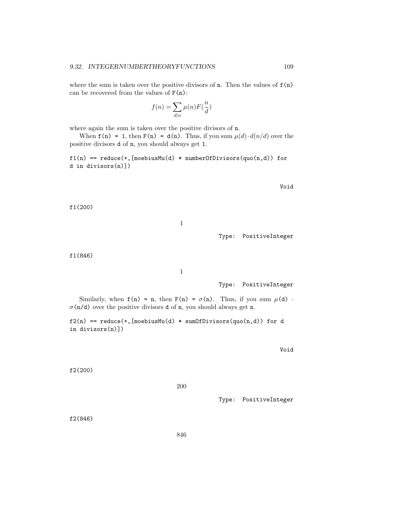where the sum is taken over the positive divisors of  $n$ . Then the values of  $f(n)$ can be recovered from the values of  $F(n)$ :

$$
f(n) = \sum_{d|n} \mu(n) F(\frac{n}{d})
$$

where again the sum is taken over the positive divisors of  $n$ .

When  $f(n) = 1$ , then  $F(n) = d(n)$ . Thus, if you sum  $\mu(d) \cdot d(n/d)$  over the positive divisors d of n, you should always get 1.

 $f1(n) == reduce(+, [moebiusMu(d) * numberOfDivisors(quo(n,d)) for$ d in divisors(n)])

Void

f1(200)

1

Type: PositiveInteger

f1(846)

1

Type: PositiveInteger

Similarly, when  $f(n) = n$ , then  $F(n) = \sigma(n)$ . Thus, if you sum  $\mu(d)$ .  $\sigma$ (n/d) over the positive divisors d of n, you should always get n.

 $f2(n) == reduce(+, [moebiusMu(d) * sumOfDivisors(quo(n,d)) for d$ in divisors(n)])

Void

f2(200)

200

Type: PositiveInteger

f2(846)

846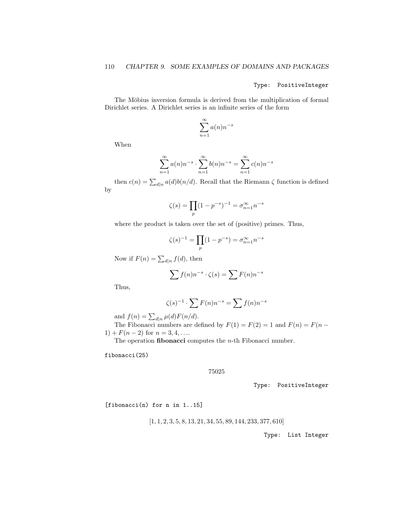Type: PositiveInteger

The Möbius inversion formula is derived from the multiplication of formal Dirichlet series. A Dirichlet series is an infinite series of the form

$$
\sum_{n=1}^{\infty} a(n) n^{-s}
$$

When

$$
\sum_{n=1}^{\infty} a(n) n^{-s} \cdot \sum_{n=1}^{\infty} b(n) n^{-s} = \sum_{n=1}^{\infty} c(n) n^{-s}
$$

then  $c(n) = \sum_{d|n} a(d)b(n/d)$ . Recall that the Riemann  $\zeta$  function is defined by

$$
\zeta(s) = \prod_{p} (1 - p^{-s})^{-1} = \sigma_{n=1}^{\infty} n^{-s}
$$

where the product is taken over the set of (positive) primes. Thus,

$$
\zeta(s)^{-1} = \prod_p (1 - p^{-s}) = \sigma_{n=1}^{\infty} n^{-s}
$$

Now if  $F(n) = \sum_{d|n} f(d)$ , then

$$
\sum f(n)n^{-s} \cdot \zeta(s) = \sum F(n)n^{-s}
$$

Thus,

$$
\zeta(s)^{-1} \cdot \sum F(n)n^{-s} = \sum f(n)n^{-s}
$$

and  $f(n) = \sum_{d|n} \mu(d) F(n/d)$ .

The Fibonacci numbers are defined by  $F(1) = F(2) = 1$  and  $F(n) = F(n 1) + F(n-2)$  for  $n = 3, 4, \ldots$ 

The operation **fibonacci** computes the *n*-th Fibonacci number.

fibonacci(25)

#### 75025

Type: PositiveInteger

[fibonacci(n) for n in 1..15]

$$
[1, 1, 2, 3, 5, 8, 13, 21, 34, 55, 89, 144, 233, 377, 610]
$$

Type: List Integer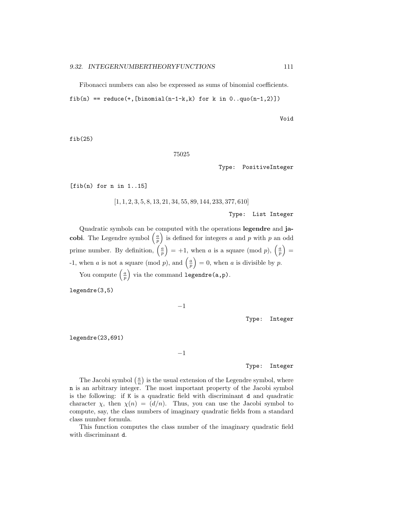Fibonacci numbers can also be expressed as sums of binomial coefficients.

fib(n) == reduce(+, [binomial(n-1-k,k) for k in  $0..$ quo(n-1,2)])

Void

fib(25)

75025

Type: PositiveInteger

[fib(n) for n in 1..15]

 $\left[1, 1, 2, 3, 5, 8, 13, 21, 34, 55, 89, 144, 233, 377, 610\right]$ 

Type: List Integer

Quadratic symbols can be computed with the operations legendre and jacobi. The Legendre symbol  $\left(\frac{a}{p}\right)$  is defined for integers a and p with p an odd prime number. By definition,  $\left(\frac{a}{p}\right) = +1$ , when a is a square (mod p),  $\left(\frac{a}{p}\right) =$ -1, when a is not a square (mod p), and  $\left(\frac{a}{p}\right) = 0$ , when a is divisible by p.

You compute  $\left(\frac{a}{p}\right)$  via the command legendre(a,p).

legendre(3,5)

−1

Type: Integer

legendre(23,691)

−1

Type: Integer

The Jacobi symbol  $\left(\frac{a}{n}\right)$  is the usual extension of the Legendre symbol, where n is an arbitrary integer. The most important property of the Jacobi symbol is the following: if K is a quadratic field with discriminant d and quadratic character  $\chi$ , then  $\chi(n) = (d/n)$ . Thus, you can use the Jacobi symbol to compute, say, the class numbers of imaginary quadratic fields from a standard class number formula.

This function computes the class number of the imaginary quadratic field with discriminant d.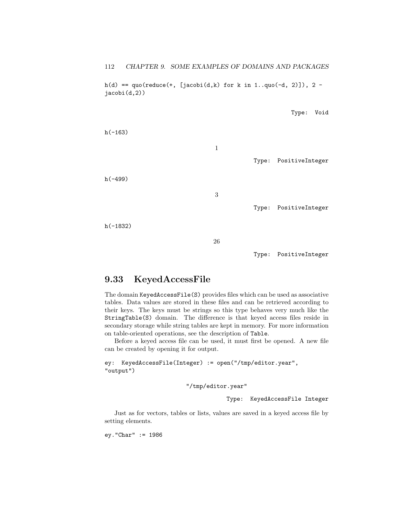112 CHAPTER 9. SOME EXAMPLES OF DOMAINS AND PACKAGES

 $h(d) = qu0(\text{reduce}(+, \text{[jacobi}(d,k) \text{ for } k \text{ in } 1..quo(-d, 2)]), 2$ jacobi(d,2))

Type: Void

h(-163) 1 Type: PositiveInteger h(-499) 3 Type: PositiveInteger h(-1832) 26

Type: PositiveInteger

# 9.33 KeyedAccessFile

The domain KeyedAccessFile(S) provides files which can be used as associative tables. Data values are stored in these files and can be retrieved according to their keys. The keys must be strings so this type behaves very much like the StringTable(S) domain. The difference is that keyed access files reside in secondary storage while string tables are kept in memory. For more information on table-oriented operations, see the description of Table.

Before a keyed access file can be used, it must first be opened. A new file can be created by opening it for output.

ey: KeyedAccessFile(Integer) := open("/tmp/editor.year", "output")

"/tmp/editor.year"

Type: KeyedAccessFile Integer

Just as for vectors, tables or lists, values are saved in a keyed access file by setting elements.

ey."Char" := 1986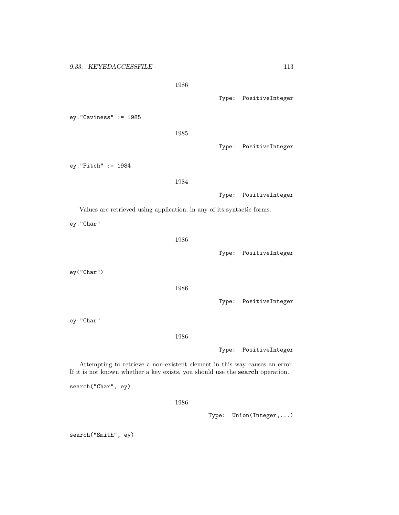1986

ey."Caviness" := 1985

1985

Type: PositiveInteger

Type: PositiveInteger

ey."Fitch" := 1984

1984

Type: PositiveInteger

Values are retrieved using application, in any of its syntactic forms.

ey."Char"

1986

ey("Char")

1986

Type: PositiveInteger

Type: PositiveInteger

ey "Char"

1986

Type: PositiveInteger

Attempting to retrieve a non-existent element in this way causes an error. If it is not known whether a key exists, you should use the search operation.

search("Char", ey)

1986

Type: Union(Integer,...)

search("Smith", ey)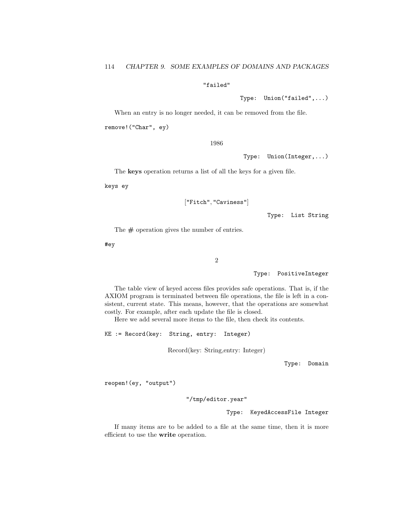### "failed"

Type: Union("failed",...)

When an entry is no longer needed, it can be removed from the file.

remove!("Char", ey)

1986

Type: Union(Integer,...)

The keys operation returns a list of all the keys for a given file.

keys ey

["Fitch", "Caviness"]

Type: List String

The  $\#$  operation gives the number of entries.

#ey

2

Type: PositiveInteger

The table view of keyed access files provides safe operations. That is, if the AXIOM program is terminated between file operations, the file is left in a consistent, current state. This means, however, that the operations are somewhat costly. For example, after each update the file is closed.

Here we add several more items to the file, then check its contents.

KE := Record(key: String, entry: Integer)

Record(key: String,entry: Integer)

Type: Domain

reopen!(ey, "output")

"/tmp/editor.year"

Type: KeyedAccessFile Integer

If many items are to be added to a file at the same time, then it is more efficient to use the write operation.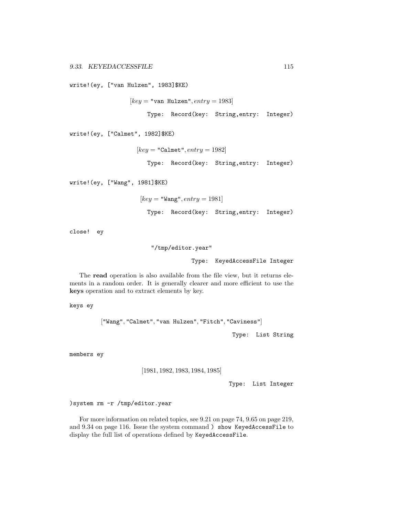write!(ey, ["van Hulzen", 1983]\$KE)

 $[key = "van Hulzen", entry = 1983]$ 

Type: Record(key: String,entry: Integer)

write!(ey, ["Calmet", 1982]\$KE)

 $[key = "Calmet", entry = 1982]$ Type: Record(key: String,entry: Integer)

write!(ey, ["Wang", 1981]\$KE)

 $[key = "Wang", entry = 1981]$ Type: Record(key: String,entry: Integer)

close! ey

"/tmp/editor.year"

Type: KeyedAccessFile Integer

The read operation is also available from the file view, but it returns elements in a random order. It is generally clearer and more efficient to use the keys operation and to extract elements by key.

keys ey

["Wang", "Calmet", "van Hulzen", "Fitch", "Caviness"]

Type: List String

members ey

[1981, 1982, 1983, 1984, 1985]

Type: List Integer

)system rm -r /tmp/editor.year

For more information on related topics, see 9.21 on page 74, 9.65 on page 219, and 9.34 on page 116. Issue the system command ) show KeyedAccessFile to display the full list of operations defined by KeyedAccessFile.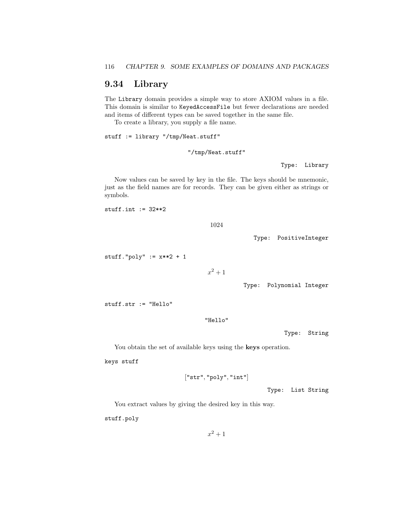# 9.34 Library

The Library domain provides a simple way to store AXIOM values in a file. This domain is similar to KeyedAccessFile but fewer declarations are needed and items of different types can be saved together in the same file.

To create a library, you supply a file name.

stuff := library "/tmp/Neat.stuff"

"/tmp/Neat.stuff"

Type: Library

Now values can be saved by key in the file. The keys should be mnemonic, just as the field names are for records. They can be given either as strings or symbols.

stuff.int  $:= 32**2$ 

1024

Type: PositiveInteger

stuff." $poly" := x**2 + 1$ 

 $x^2+1$ 

Type: Polynomial Integer

stuff.str := "Hello"

"Hello"

Type: String

You obtain the set of available keys using the **keys** operation.

keys stuff

["str", "poly", "int"]

Type: List String

You extract values by giving the desired key in this way.

stuff.poly

 $x^2 + 1$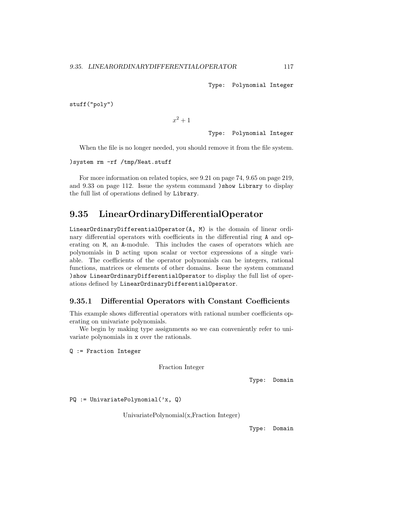Type: Polynomial Integer

stuff("poly")

 $x^2+1$ 

Type: Polynomial Integer

When the file is no longer needed, you should remove it from the file system.

)system rm -rf /tmp/Neat.stuff

For more information on related topics, see 9.21 on page 74, 9.65 on page 219, and 9.33 on page 112. Issue the system command )show Library to display the full list of operations defined by Library.

# 9.35 LinearOrdinaryDifferentialOperator

LinearOrdinaryDifferentialOperator(A, M) is the domain of linear ordinary differential operators with coefficients in the differential ring A and operating on M, an A-module. This includes the cases of operators which are polynomials in D acting upon scalar or vector expressions of a single variable. The coefficients of the operator polynomials can be integers, rational functions, matrices or elements of other domains. Issue the system command )show LinearOrdinaryDifferentialOperator to display the full list of operations defined by LinearOrdinaryDifferentialOperator.

### 9.35.1 Differential Operators with Constant Coefficients

This example shows differential operators with rational number coefficients operating on univariate polynomials.

We begin by making type assignments so we can conveniently refer to univariate polynomials in x over the rationals.

Q := Fraction Integer

Fraction Integer

Type: Domain

PQ := UnivariatePolynomial('x, Q)

UnivariatePolynomial(x,Fraction Integer)

Type: Domain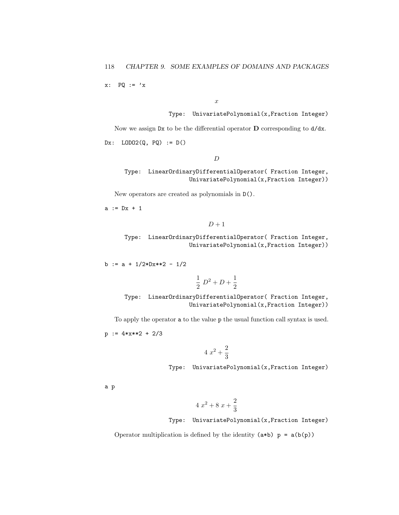$x: PQ := 'x$ 

x

Type: UnivariatePolynomial(x,Fraction Integer)

Now we assign  $Dx$  to be the differential operator **D** corresponding to  $d/dx$ .

Dx: LODO2(Q, PQ) := D()

 $\overline{D}$ 

Type: LinearOrdinaryDifferentialOperator( Fraction Integer, UnivariatePolynomial(x,Fraction Integer))

New operators are created as polynomials in D().

 $a := Dx + 1$ 

$$
D+1
$$

Type: LinearOrdinaryDifferentialOperator( Fraction Integer, UnivariatePolynomial(x,Fraction Integer))

b :=  $a + 1/2*Dx**2 - 1/2$ 

$$
\frac{1}{2} D^2 + D + \frac{1}{2}
$$

Type: LinearOrdinaryDifferentialOperator( Fraction Integer, UnivariatePolynomial(x,Fraction Integer))

To apply the operator a to the value p the usual function call syntax is used.

 $p := 4*x**2 + 2/3$ 

$$
4x^2 + \frac{2}{3}
$$

Type: UnivariatePolynomial(x,Fraction Integer)

a p

$$
4x^2 + 8x + \frac{2}{3}
$$

Type: UnivariatePolynomial(x,Fraction Integer)

Operator multiplication is defined by the identity  $(a*b)$   $p = a(b(p))$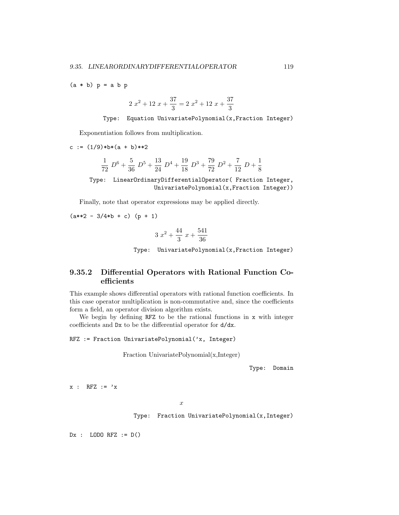$(a * b) p = a b p$ 

$$
2x^2 + 12x + \frac{37}{3} = 2x^2 + 12x + \frac{37}{3}
$$

Type: Equation UnivariatePolynomial(x,Fraction Integer)

Exponentiation follows from multiplication.

c :=  $(1/9)*b*(a + b)*2$ 

$$
\frac{1}{72} D^6 + \frac{5}{36} D^5 + \frac{13}{24} D^4 + \frac{19}{18} D^3 + \frac{79}{72} D^2 + \frac{7}{12} D + \frac{1}{8}
$$

Type: LinearOrdinaryDifferentialOperator( Fraction Integer, UnivariatePolynomial(x,Fraction Integer))

Finally, note that operator expressions may be applied directly.

 $(a**2 - 3/4*b + c)$  (p + 1)

$$
3x^2 + \frac{44}{3}x + \frac{541}{36}
$$

Type: UnivariatePolynomial(x,Fraction Integer)

## 9.35.2 Differential Operators with Rational Function Coefficients

This example shows differential operators with rational function coefficients. In this case operator multiplication is non-commutative and, since the coefficients form a field, an operator division algorithm exists.

We begin by defining RFZ to be the rational functions in x with integer coefficients and Dx to be the differential operator for d/dx.

RFZ := Fraction UnivariatePolynomial('x, Integer)

Fraction UnivariatePolynomial(x,Integer)

Type: Domain

 $x : RFZ := 'x$ 

x

Type: Fraction UnivariatePolynomial(x,Integer)

 $Dx$  : LODO RFZ :=  $D()$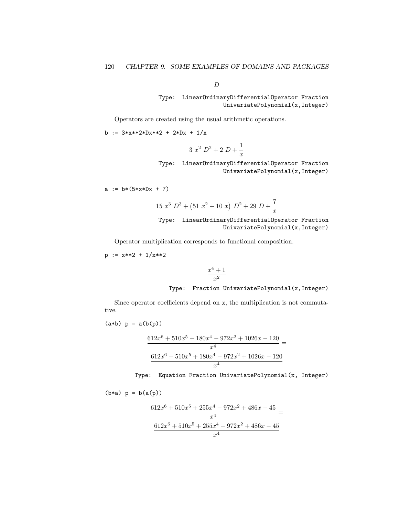D

## Type: LinearOrdinaryDifferentialOperator Fraction UnivariatePolynomial(x,Integer)

Operators are created using the usual arithmetic operations.

b := 
$$
3*x**2*Dx**2 + 2*Dx + 1/x
$$

$$
3x^2 D^2 + 2 D + \frac{1}{x}
$$

Type: LinearOrdinaryDifferentialOperator Fraction UnivariatePolynomial(x,Integer)

$$
a := b * (5 * x * Dx + 7)
$$

$$
15 x3 D3 + (51 x2 + 10 x) D2 + 29 D + \frac{7}{x}
$$

Type: LinearOrdinaryDifferentialOperator Fraction UnivariatePolynomial(x,Integer)

Operator multiplication corresponds to functional composition.

$$
p := x**2 + 1/x**2
$$

$$
\frac{x^4+1}{x^2}
$$

#### Type: Fraction UnivariatePolynomial(x,Integer)

Since operator coefficients depend on  $x$ , the multiplication is not commutative.

$$
(a*b) p = a(b(p))
$$

$$
\frac{612x^6 + 510x^5 + 180x^4 - 972x^2 + 1026x - 120}{x^4} =
$$
  

$$
\frac{612x^6 + 510x^5 + 180x^4 - 972x^2 + 1026x - 120}{x^4}
$$

Type: Equation Fraction UnivariatePolynomial(x, Integer)

$$
(b*a) p = b(a(p))
$$

$$
\frac{612x^6 + 510x^5 + 255x^4 - 972x^2 + 486x - 45}{x^4} =
$$
  

$$
\frac{612x^6 + 510x^5 + 255x^4 - 972x^2 + 486x - 45}{x^4}
$$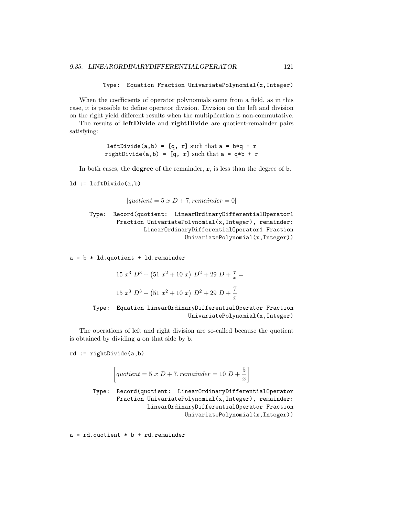```
Type: Equation Fraction UnivariatePolynomial(x,Integer)
```
When the coefficients of operator polynomials come from a field, as in this case, it is possible to define operator division. Division on the left and division on the right yield different results when the multiplication is non-commutative.

The results of leftDivide and rightDivide are quotient-remainder pairs satisfying:

> leftDivide(a,b) = [q, r] such that  $a = b * q + r$ rightDivide(a,b) = [q, r] such that  $a = q * b + r$

In both cases, the **degree** of the remainder,  $r$ , is less than the degree of  $b$ .

ld := leftDivide(a,b)

```
[quotient = 5 \times D + 7, remainder = 0]
```

```
Type: Record(quotient: LinearOrdinaryDifferentialOperator1
       Fraction UnivariatePolynomial(x,Integer), remainder:
                LinearOrdinaryDifferentialOperator1 Fraction
                            UnivariatePolynomial(x,Integer))
```
 $a = b * Id.quotient + Id.remainder$ 

$$
15 x3 D3 + (51 x2 + 10 x) D2 + 29 D + \frac{7}{x} =
$$
  

$$
15 x3 D3 + (51 x2 + 10 x) D2 + 29 D + \frac{7}{x}
$$



The operations of left and right division are so-called because the quotient is obtained by dividing a on that side by b.

rd := rightDivide(a,b)

$$
\left[ quotient = 5 \; x \; D + 7, remainder = 10 \; D + \frac{5}{x} \right]
$$

Type: Record(quotient: LinearOrdinaryDifferentialOperator Fraction UnivariatePolynomial(x,Integer), remainder: LinearOrdinaryDifferentialOperator Fraction UnivariatePolynomial(x,Integer))

 $a = rd.quotient * b + rd.remainder$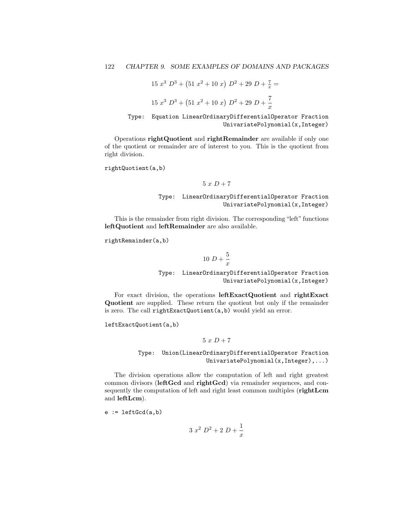$$
15 x3 D3 + (51 x2 + 10 x) D2 + 29 D + \frac{7}{x} =
$$
  

$$
15 x3 D3 + (51 x2 + 10 x) D2 + 29 D + \frac{7}{x}
$$

Type: Equation LinearOrdinaryDifferentialOperator Fraction UnivariatePolynomial(x,Integer)

Operations rightQuotient and rightRemainder are available if only one of the quotient or remainder are of interest to you. This is the quotient from right division.

rightQuotient(a,b)

$$
5\ x\ D+7
$$

Type: LinearOrdinaryDifferentialOperator Fraction UnivariatePolynomial(x,Integer)

This is the remainder from right division. The corresponding "left" functions leftQuotient and leftRemainder are also available.

rightRemainder(a,b)

$$
10\ D+\frac{5}{x}
$$

Type: LinearOrdinaryDifferentialOperator Fraction UnivariatePolynomial(x,Integer)

For exact division, the operations leftExactQuotient and rightExact Quotient are supplied. These return the quotient but only if the remainder is zero. The call rightExactQuotient(a,b) would yield an error.

leftExactQuotient(a,b)

$$
5\ x\ D+7
$$

Type: Union(LinearOrdinaryDifferentialOperator Fraction UnivariatePolynomial(x,Integer),...)

The division operations allow the computation of left and right greatest common divisors (leftGcd and rightGcd) via remainder sequences, and consequently the computation of left and right least common multiples (rightLcm and leftLcm).

 $e := \text{leftGcd}(a, b)$ 

$$
3x^2 D^2 + 2D + \frac{1}{x}
$$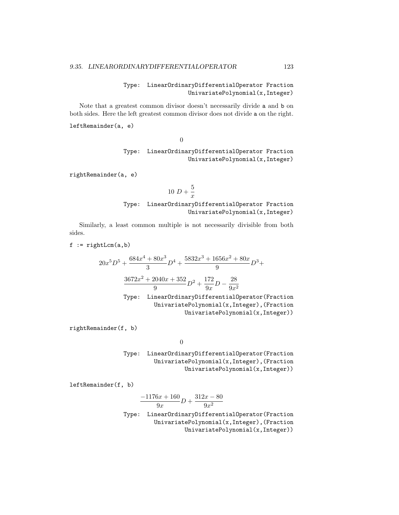### Type: LinearOrdinaryDifferentialOperator Fraction UnivariatePolynomial(x,Integer)

Note that a greatest common divisor doesn't necessarily divide a and b on both sides. Here the left greatest common divisor does not divide a on the right.

leftRemainder(a, e)

0

### Type: LinearOrdinaryDifferentialOperator Fraction UnivariatePolynomial(x,Integer)

rightRemainder(a, e)

$$
10\ D+\frac{5}{x}
$$

### Type: LinearOrdinaryDifferentialOperator Fraction UnivariatePolynomial(x,Integer)

Similarly, a least common multiple is not necessarily divisible from both sides.

 $f := rightLcm(a, b)$ 

$$
20x^{5}D^{5} + \frac{684x^{4} + 80x^{3}}{3}D^{4} + \frac{5832x^{3} + 1656x^{2} + 80x}{9}D^{3} + \frac{3672x^{2} + 2040x + 352}{9}D^{2} + \frac{172}{9x}D - \frac{28}{9x^{2}}
$$

Type: LinearOrdinaryDifferentialOperator(Fraction UnivariatePolynomial(x,Integer),(Fraction UnivariatePolynomial(x,Integer))

rightRemainder(f, b)

0

Type: LinearOrdinaryDifferentialOperator(Fraction UnivariatePolynomial(x,Integer),(Fraction UnivariatePolynomial(x,Integer))

leftRemainder(f, b)

$$
\frac{-1176x+160}{9x}D+\frac{312x-80}{9x^2}
$$

Type: LinearOrdinaryDifferentialOperator(Fraction UnivariatePolynomial(x,Integer),(Fraction UnivariatePolynomial(x,Integer))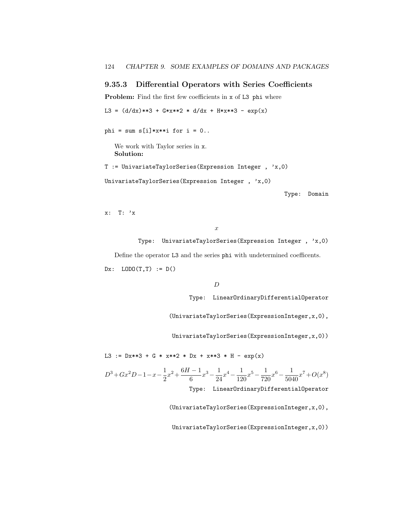## 9.35.3 Differential Operators with Series Coefficients

Problem: Find the first few coefficients in x of L3 phi where

L3 =  $(d/dx)**3 + G*x**2 * d/dx + H*x**3 - exp(x)$ 

phi = sum  $s[i]*x**i$  for  $i = 0..$ 

We work with Taylor series in x. Solution:

T := UnivariateTaylorSeries(Expression Integer , 'x,0)

UnivariateTaylorSeries(Expression Integer , 'x,0)

Type: Domain

x: T: 'x

x

Type: UnivariateTaylorSeries(Expression Integer , 'x,0) Define the operator L3 and the series phi with undetermined coefficents. Dx:  $LODO(T,T) := D()$ 

D

Type: LinearOrdinaryDifferentialOperator

(UnivariateTaylorSeries(ExpressionInteger,x,0),

UnivariateTaylorSeries(ExpressionInteger,x,0))

L3 :=  $Dx**3 + G * x**2 * Dx + x**3 * H - exp(x)$ 

 $D^3 + Gx^2D - 1 - x - \frac{1}{2}$  $rac{1}{2}x^2 + \frac{6H-1}{6}$  $\frac{1}{6}x^3 - \frac{1}{24}$  $\frac{1}{24}x^4 - \frac{1}{12}$  $\frac{1}{120}x^5 - \frac{1}{72}$  $\frac{1}{720}x^6 - \frac{1}{504}$  $rac{1}{5040}x^7+O(x^8)$ Type: LinearOrdinaryDifferentialOperator

(UnivariateTaylorSeries(ExpressionInteger,x,0),

UnivariateTaylorSeries(ExpressionInteger,x,0))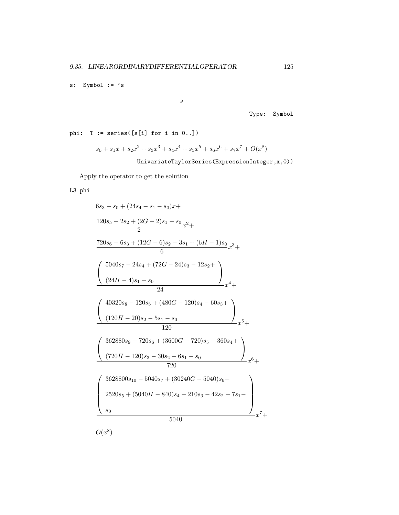s: Symbol := 's

s

Type: Symbol

phi:  $T := series([s[i] for i in 0..])$ 

$$
s_0 + s_1x + s_2x^2 + s_3x^3 + s_4x^4 + s_5x^5 + s_6x^6 + s_7x^7 + O(x^8)
$$

UnivariateTaylorSeries(ExpressionInteger,x,0))

Apply the operator to get the solution

L3 phi

$$
6s_3 - s_0 + (24s_4 - s_1 - s_0)x +
$$
\n
$$
\frac{120s_5 - 2s_2 + (2G - 2)s_1 - s_0}{2}x^2 +
$$
\n
$$
\frac{720s_6 - 6s_3 + (12G - 6)s_2 - 3s_1 + (6H - 1)s_0}{6}x^3 +
$$
\n
$$
\left(\frac{5040s_7 - 24s_4 + (72G - 24)s_3 - 12s_2 +}{24}\right)
$$
\n
$$
\left(\frac{24H - 4)s_1 - s_0}{24}x^4 +
$$
\n
$$
\left(\frac{40320s_8 - 120s_5 + (480G - 120)s_4 - 60s_3 +}{120}\right)s_4 +
$$
\n
$$
\left(\frac{120H - 20)s_2 - 5s_1 - s_0}{120}x^5 +
$$
\n
$$
\left(\frac{362880s_9 - 720s_6 + (3600G - 720)s_5 - 360s_4 +}{720}x^6 +
$$
\n
$$
\left(\frac{720H - 120)s_3 - 30s_2 - 6s_1 - s_0}{720}x^6 +
$$
\n
$$
2520s_5 + (5040H - 840)s_4 - 210s_3 - 42s_2 - 7s_1 - s_0
$$
\n
$$
s_0
$$
\n
$$
5040
$$
\n
$$
O(x^8)
$$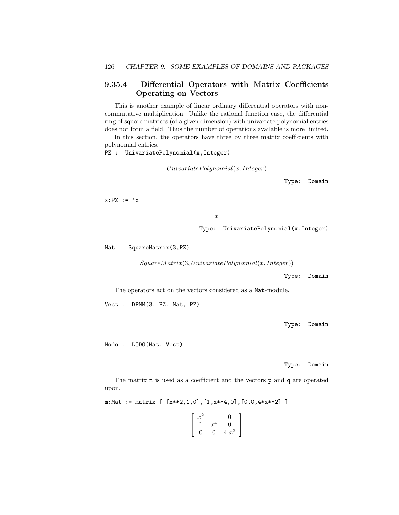## 9.35.4 Differential Operators with Matrix Coefficients Operating on Vectors

This is another example of linear ordinary differential operators with noncommutative multiplication. Unlike the rational function case, the differential ring of square matrices (of a given dimension) with univariate polynomial entries does not form a field. Thus the number of operations available is more limited.

In this section, the operators have three by three matrix coefficients with polynomial entries.

PZ := UnivariatePolynomial(x,Integer)

 $Univariate Polynomial(x, Integer)$ 

Type: Domain

 $x: PZ := 'x$ 

x

Type: UnivariatePolynomial(x,Integer)

Mat := SquareMatrix(3, PZ)

 $SquareMatrix(3, Univariate Polynomial(x, Integer))$ 

Type: Domain

The operators act on the vectors considered as a Mat-module.

Vect := DPMM(3, PZ, Mat, PZ)

Type: Domain

Modo := LODO(Mat, Vect)

Type: Domain

The matrix m is used as a coefficient and the vectors p and q are operated upon.

m:Mat := matrix  $[\ [x**2,1,0], [1,x**4,0], [0,0,4*x**2] ]$ 

 $\lceil$  $\overline{1}$  $x^2$  1 0 1  $x^4$  0 0 0 4  $x^2$ 1  $\overline{1}$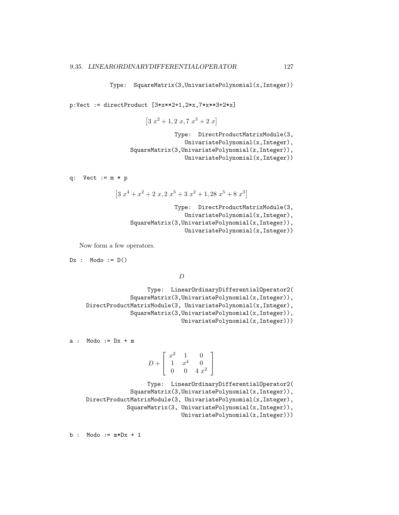Type: SquareMatrix(3,UnivariatePolynomial(x,Integer))

p:Vect := directProduct [3\*x\*\*2+1,2\*x,7\*x\*\*3+2\*x]

$$
[3\ x^2+1, 2\ x, 7\ x^3+2\ x]
$$

```
Type: DirectProductMatrixModule(3,
               UnivariatePolynomial(x,Integer),
SquareMatrix(3,UnivariatePolynomial(x,Integer)),
                UnivariatePolynomial(x,Integer))
```
q:  $Vect := m * p$ 

$$
[3 x4 + x2 + 2 x, 2 x5 + 3 x2 + 1, 28 x5 + 8 x3]
$$

- Type: DirectProductMatrixModule(3,
- UnivariatePolynomial(x,Integer),
- SquareMatrix(3,UnivariatePolynomial(x,Integer)),

UnivariatePolynomial(x,Integer))

Now form a few operators.

 $Dx : Modo := D()$ 

D

Type: LinearOrdinaryDifferentialOperator2( SquareMatrix(3,UnivariatePolynomial(x,Integer)), DirectProductMatrixModule(3, UnivariatePolynomial(x,Integer), SquareMatrix(3,UnivariatePolynomial(x,Integer)), UnivariatePolynomial(x,Integer)))

a : Modo := Dx + m

$$
D + \left[ \begin{array}{ccc} x^2 & 1 & 0 \\ 1 & x^4 & 0 \\ 0 & 0 & 4 \ x^2 \end{array} \right]
$$

```
Type: LinearOrdinaryDifferentialOperator2(
             SquareMatrix(3,UnivariatePolynomial(x,Integer)),
DirectProductMatrixModule(3, UnivariatePolynomial(x,Integer),
            SquareMatrix(3, UnivariatePolynomial(x,Integer)),
                            UnivariatePolynomial(x,Integer)))
```
 $b : Modo := m*Dx + 1$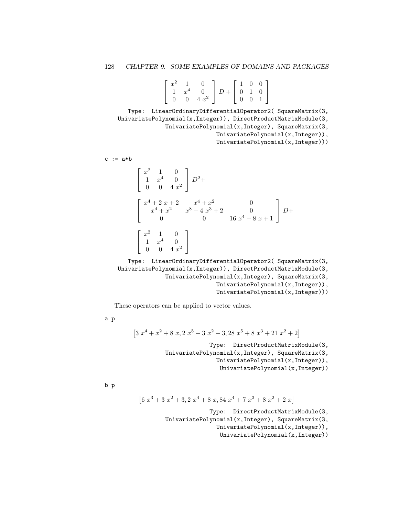|  | $\lceil x^2 \rceil$ |             |                                                                                                                           |  | $\begin{bmatrix} 1 & 0 & 0 \end{bmatrix}$ |
|--|---------------------|-------------|---------------------------------------------------------------------------------------------------------------------------|--|-------------------------------------------|
|  |                     |             |                                                                                                                           |  |                                           |
|  |                     | 0 0 4 $x^2$ | $\begin{bmatrix} 1 & x^4 & 0 \\ 0 & 0 & 4 \ x^2 \end{bmatrix}$ $D + \begin{bmatrix} 0 & 1 & 0 \\ 0 & 0 & 1 \end{bmatrix}$ |  |                                           |

Type: LinearOrdinaryDifferentialOperator2( SquareMatrix(3, UnivariatePolynomial(x,Integer)), DirectProductMatrixModule(3, UnivariatePolynomial(x,Integer), SquareMatrix(3, UnivariatePolynomial(x,Integer)), UnivariatePolynomial(x,Integer)))

 $c := a * b$ 

$$
\begin{bmatrix} x^2 & 1 & 0 \ 1 & x^4 & 0 \ 0 & 0 & 4x^2 \end{bmatrix} D^2 +
$$
  
\n
$$
\begin{bmatrix} x^4 + 2x + 2 & x^4 + x^2 & 0 \\ x^4 + x^2 & x^8 + 4x^3 + 2 & 0 \\ 0 & 0 & 16x^4 + 8x + 1 \end{bmatrix} D +
$$
  
\n
$$
\begin{bmatrix} x^2 & 1 & 0 \\ 1 & x^4 & 0 \\ 0 & 0 & 4x^2 \end{bmatrix}
$$

Type: LinearOrdinaryDifferentialOperator2( SquareMatrix(3, UnivariatePolynomial(x,Integer)), DirectProductMatrixModule(3, UnivariatePolynomial(x,Integer), SquareMatrix(3, UnivariatePolynomial(x,Integer)), UnivariatePolynomial(x,Integer)))

These operators can be applied to vector values.

a p

$$
\left[3\;x^{4}+x^{2}+8\;x,2\;x^{5}+3\;x^{2}+3,28\;x^{5}+8\;x^{3}+21\;x^{2}+2\right]
$$

Type: DirectProductMatrixModule(3, UnivariatePolynomial(x,Integer), SquareMatrix(3, UnivariatePolynomial(x,Integer)), UnivariatePolynomial(x,Integer))

b p

$$
\begin{bmatrix} 6x^3 + 3x^2 + 3, 2x^4 + 8x, 84x^4 + 7x^3 + 8x^2 + 2x \end{bmatrix}
$$

Type: DirectProductMatrixModule(3, UnivariatePolynomial(x,Integer), SquareMatrix(3, UnivariatePolynomial(x,Integer)), UnivariatePolynomial(x,Integer))

1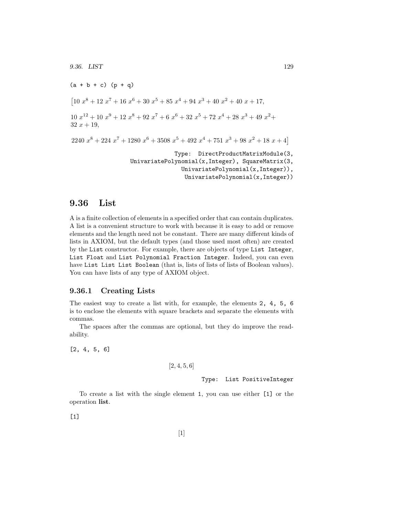$(a + b + c) (p + q)$  $\begin{array}{c} \left[10\ x^8 + 12\ x^7 + 16\ x^6 + 30\ x^5 + 85\ x^4 + 94\ x^3 + 40\ x^2 + 40\ x + 17, \end{array}$  $10x^{12} + 10x^9 + 12x^8 + 92x^7 + 6x^6 + 32x^5 + 72x^4 + 28x^3 + 49x^2 +$  $32 x + 19$ ,  $2240\ x^8 + 224\ x^7 + 1280\ x^6 + 3508\ x^5 + 492\ x^4 + 751\ x^3 + 98\ x^2 + 18\ x + 4$ Type: DirectProductMatrixModule(3, UnivariatePolynomial(x,Integer), SquareMatrix(3, UnivariatePolynomial(x,Integer)), UnivariatePolynomial(x,Integer))

## 9.36 List

A is a finite collection of elements in a specified order that can contain duplicates. A list is a convenient structure to work with because it is easy to add or remove elements and the length need not be constant. There are many different kinds of lists in AXIOM, but the default types (and those used most often) are created by the List constructor. For example, there are objects of type List Integer, List Float and List Polynomial Fraction Integer. Indeed, you can even have List List List Boolean (that is, lists of lists of lists of Boolean values). You can have lists of any type of AXIOM object.

### 9.36.1 Creating Lists

The easiest way to create a list with, for example, the elements 2, 4, 5, 6 is to enclose the elements with square brackets and separate the elements with commas.

The spaces after the commas are optional, but they do improve the readability.

[2, 4, 5, 6]

 $[2, 4, 5, 6]$ 

Type: List PositiveInteger

To create a list with the single element 1, you can use either [1] or the operation list.

[1]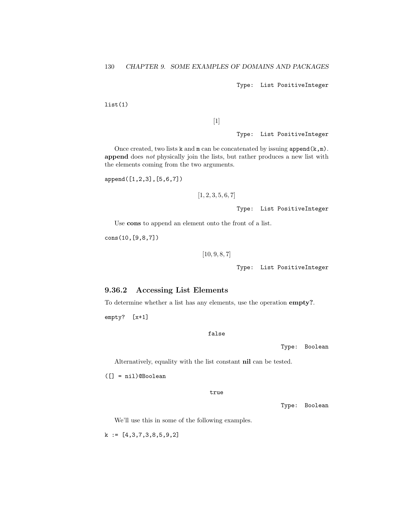Type: List PositiveInteger

list(1)

## $[1]$

Type: List PositiveInteger

Once created, two lists  $k$  and  $m$  can be concatenated by issuing append $(k,m)$ . append does not physically join the lists, but rather produces a new list with the elements coming from the two arguments.

append([1,2,3],[5,6,7])

 $[1, 2, 3, 5, 6, 7]$ 

Type: List PositiveInteger

Use cons to append an element onto the front of a list.

cons(10,[9,8,7])

[10, 9, 8, 7]

Type: List PositiveInteger

### 9.36.2 Accessing List Elements

To determine whether a list has any elements, use the operation empty?.

empty? [x+1]

### false

Type: Boolean

Alternatively, equality with the list constant nil can be tested.

([] = nil)@Boolean

true

Type: Boolean

We'll use this in some of the following examples.

 $k := [4,3,7,3,8,5,9,2]$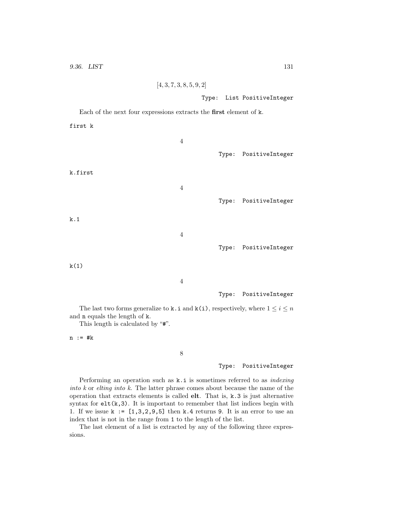```
[4, 3, 7, 3, 8, 5, 9, 2]
```
Type: List PositiveInteger

Each of the next four expressions extracts the first element of k. first k 4 Type: PositiveInteger k.first 4 Type: PositiveInteger k.1 4 Type: PositiveInteger  $k(1)$ 4 Type: PositiveInteger

The last two forms generalize to **k**. i and **k**(i), respectively, where  $1 \leq i \leq n$ and n equals the length of k.

This length is calculated by "#".

n := #k

8

#### Type: PositiveInteger

Performing an operation such as  $k.i$  is sometimes referred to as *indexing* into k or elting into k. The latter phrase comes about because the name of the operation that extracts elements is called elt. That is, k.3 is just alternative syntax for  $elt(k,3)$ . It is important to remember that list indices begin with 1. If we issue  $k := [1,3,2,9,5]$  then k.4 returns 9. It is an error to use an index that is not in the range from 1 to the length of the list.

The last element of a list is extracted by any of the following three expressions.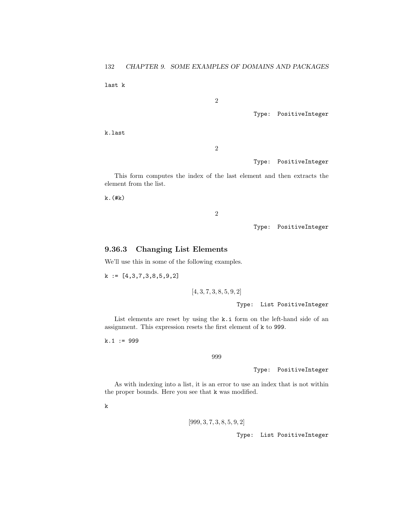last k

2

Type: PositiveInteger

k.last

2

Type: PositiveInteger

This form computes the index of the last element and then extracts the element from the list.

 $k.$  $($ # $k)$ 

2

Type: PositiveInteger

### 9.36.3 Changing List Elements

We'll use this in some of the following examples.

k := [4,3,7,3,8,5,9,2]

 $[4, 3, 7, 3, 8, 5, 9, 2]$ 

Type: List PositiveInteger

List elements are reset by using the k.i form on the left-hand side of an assignment. This expression resets the first element of k to 999.

 $k.1 := 999$ 

999

Type: PositiveInteger

As with indexing into a list, it is an error to use an index that is not within the proper bounds. Here you see that k was modified.

k

[999, 3, 7, 3, 8, 5, 9, 2]

Type: List PositiveInteger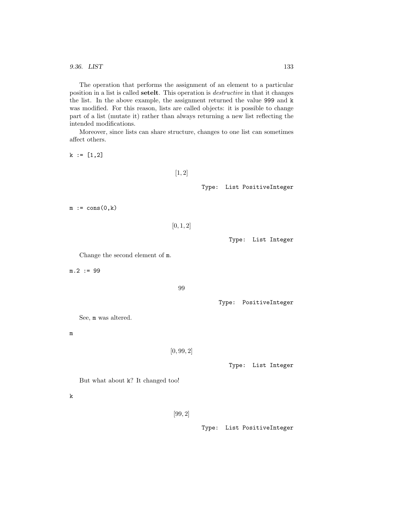9.36. LIST 133

The operation that performs the assignment of an element to a particular position in a list is called setelt. This operation is destructive in that it changes the list. In the above example, the assignment returned the value 999 and k was modified. For this reason, lists are called objects: it is possible to change part of a list (mutate it) rather than always returning a new list reflecting the intended modifications.

Moreover, since lists can share structure, changes to one list can sometimes affect others.

 $k := [1, 2]$ 

 $[1, 2]$ 

Type: List PositiveInteger

 $m := \text{cons}(0,k)$ 

 $[0, 1, 2]$ 

Type: List Integer

Change the second element of m.

 $m.2 := 99$ 

99

Type: PositiveInteger

See, m was altered.

m

 $[0, 99, 2]$ 

Type: List Integer

But what about k? It changed too!

k

[99, 2]

Type: List PositiveInteger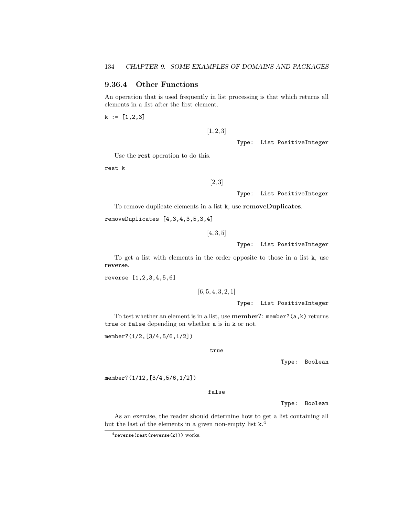## 9.36.4 Other Functions

An operation that is used frequently in list processing is that which returns all elements in a list after the first element.

 $k := [1, 2, 3]$ 

 $[1, 2, 3]$ 

Type: List PositiveInteger

Use the rest operation to do this.

rest k

[2, 3]

Type: List PositiveInteger

To remove duplicate elements in a list k, use removeDuplicates.

removeDuplicates [4,3,4,3,5,3,4]

[4, 3, 5]

Type: List PositiveInteger

To get a list with elements in the order opposite to those in a list k, use reverse.

reverse [1,2,3,4,5,6]

 $[6, 5, 4, 3, 2, 1]$ 

Type: List PositiveInteger

To test whether an element is in a list, use **member?**:  $m$ ember? $(a, k)$  returns true or false depending on whether a is in k or not.

member?(1/2,[3/4,5/6,1/2])

true

Type: Boolean

member?(1/12,[3/4,5/6,1/2])

false

Type: Boolean

As an exercise, the reader should determine how to get a list containing all but the last of the elements in a given non-empty list  $k^4$ .

 $4$ reverse(rest(reverse(k))) works.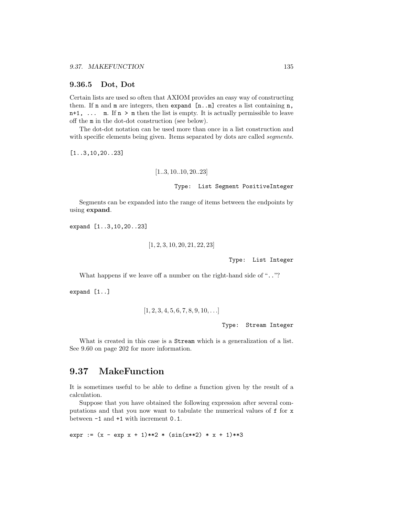#### 9.36.5 Dot, Dot

Certain lists are used so often that AXIOM provides an easy way of constructing them. If  $n$  and  $m$  are integers, then expand  $[n..m]$  creates a list containing  $n$ ,  $n+1$ ,  $\dots$  m. If  $n > m$  then the list is empty. It is actually permissible to leave off the m in the dot-dot construction (see below).

The dot-dot notation can be used more than once in a list construction and with specific elements being given. Items separated by dots are called *segments*.

[1..3,10,20..23]

$$
\begin{aligned}[1..3,10..10,20..23] \\ \text{Type: List Segment PositiveInteger} \end{aligned}
$$

Segments can be expanded into the range of items between the endpoints by using expand.

expand [1..3,10,20..23]

```
[1, 2, 3, 10, 20, 21, 22, 23]
```
Type: List Integer

What happens if we leave off a number on the right-hand side of ".."?

expand [1..]

$$
[1,2,3,4,5,6,7,8,9,10,\ldots]
$$

Type: Stream Integer

What is created in this case is a Stream which is a generalization of a list. See 9.60 on page 202 for more information.

## 9.37 MakeFunction

It is sometimes useful to be able to define a function given by the result of a calculation.

Suppose that you have obtained the following expression after several computations and that you now want to tabulate the numerical values of f for x between -1 and +1 with increment 0.1.

expr :=  $(x - exp x + 1)**2 * (sin(x**2) * x + 1)**3$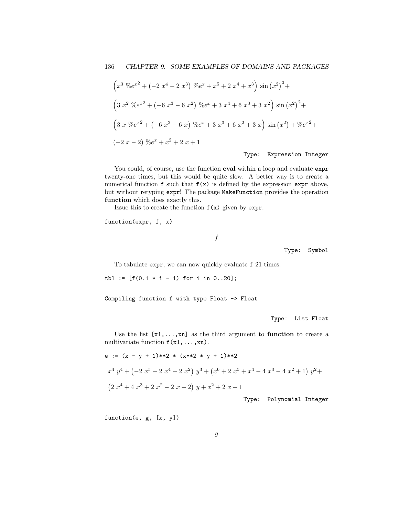$$
\left(x^{3} \, \mathcal{K}e^{x^{2}} + \left(-2 \, x^{4} - 2 \, x^{3}\right) \, \mathcal{K}e^{x} + x^{5} + 2 \, x^{4} + x^{3}\right) \sin\left(x^{2}\right)^{3} +
$$
\n
$$
\left(3 \, x^{2} \, \mathcal{K}e^{x^{2}} + \left(-6 \, x^{3} - 6 \, x^{2}\right) \, \mathcal{K}e^{x} + 3 \, x^{4} + 6 \, x^{3} + 3 \, x^{2}\right) \sin\left(x^{2}\right)^{2} +
$$
\n
$$
\left(3 \, x \, \mathcal{K}e^{x^{2}} + \left(-6 \, x^{2} - 6 \, x\right) \, \mathcal{K}e^{x} + 3 \, x^{3} + 6 \, x^{2} + 3 \, x\right) \sin\left(x^{2}\right) + \mathcal{K}e^{x^{2}} +
$$
\n
$$
\left(-2 \, x - 2\right) \, \mathcal{K}e^{x} + x^{2} + 2 \, x + 1
$$

Type: Expression Integer

You could, of course, use the function **eval** within a loop and evaluate expr twenty-one times, but this would be quite slow. A better way is to create a numerical function  $f$  such that  $f(x)$  is defined by the expression expr above, but without retyping expr! The package MakeFunction provides the operation function which does exactly this.

Issue this to create the function  $f(x)$  given by expr.

function(expr, f, x)

f

Type: Symbol

To tabulate expr, we can now quickly evaluate f 21 times.

tbl :=  $[f(0.1 * i - 1) for i in 0..20];$ 

Compiling function f with type Float -> Float

Type: List Float

Use the list  $[x_1,...,x_n]$  as the third argument to function to create a multivariate function  $f(x1,...,xn)$ .

e := 
$$
(x - y + 1)**2
$$
 \*  $(x**2 * y + 1)*2$   
\n $x^4 y^4 + (-2x^5 - 2x^4 + 2x^2) y^3 + (x^6 + 2x^5 + x^4 - 4x^3 - 4x^2 + 1) y^2 +$   
\n $(2x^4 + 4x^3 + 2x^2 - 2x - 2) y + x^2 + 2x + 1$ 

Type: Polynomial Integer

function(e, g, [x, y])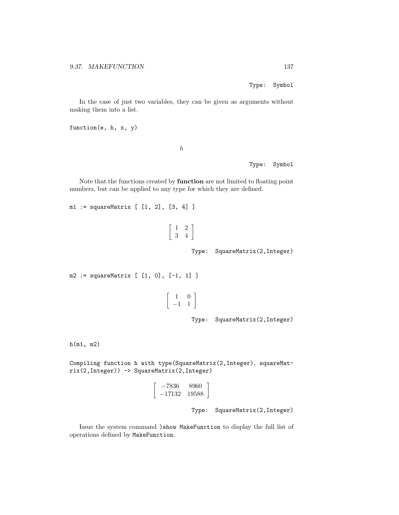Type: Symbol

In the case of just two variables, they can be given as arguments without making them into a list.

function(e, h, x, y)

h

Type: Symbol

Note that the functions created by function are not limited to floating point numbers, but can be applied to any type for which they are defined.

m1 := squareMatrix [ [1, 2], [3, 4] ]

| 7 |  |
|---|--|

Type: SquareMatrix(2,Integer)

```
m2 := squareMatrix [ [1, 0], [-1, 1] ]
                                               \left[\begin{array}{rr} 1 & 0 \\ -1 & 1 \end{array}\right]Type: SquareMatrix(2,Integer)
```
h(m1, m2)

Compiling function h with type(SquareMatrix(2,Integer), squareMatrix(2,Integer)) -> SquareMatrix(2,Integer)

$$
\left[\begin{array}{cc} -7836 & 8960 \\ -17132 & 19588 \end{array}\right]
$$

Type: SquareMatrix(2,Integer)

Issue the system command )show MakeFunction to display the full list of operations defined by MakeFunction.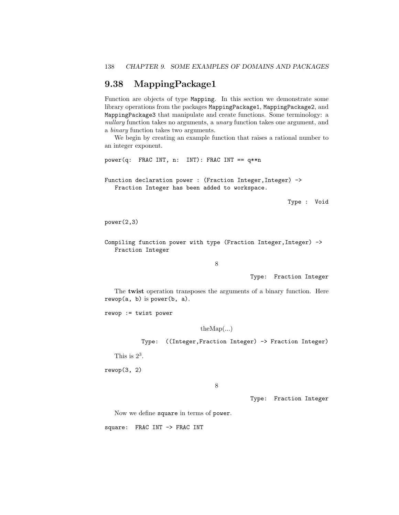# 9.38 MappingPackage1

Function are objects of type Mapping. In this section we demonstrate some library operations from the packages MappingPackage1, MappingPackage2, and MappingPackage3 that manipulate and create functions. Some terminology: a nullary function takes no arguments, a *unary* function takes one argument, and a binary function takes two arguments.

We begin by creating an example function that raises a rational number to an integer exponent.

power(q: FRAC INT, n: INT): FRAC INT == q\*\*n

Function declaration power : (Fraction Integer, Integer) -> Fraction Integer has been added to workspace.

Type : Void

power(2,3)

Compiling function power with type (Fraction Integer, Integer) -> Fraction Integer

8

Type: Fraction Integer

The twist operation transposes the arguments of a binary function. Here  $rewop(a, b)$  is power(b, a).

rewop := twist power

 $the Map(...)$ 

Type: ((Integer,Fraction Integer) -> Fraction Integer)

This is  $2^3$ .

rewop(3, 2)

8

Type: Fraction Integer

Now we define square in terms of power.

square: FRAC INT -> FRAC INT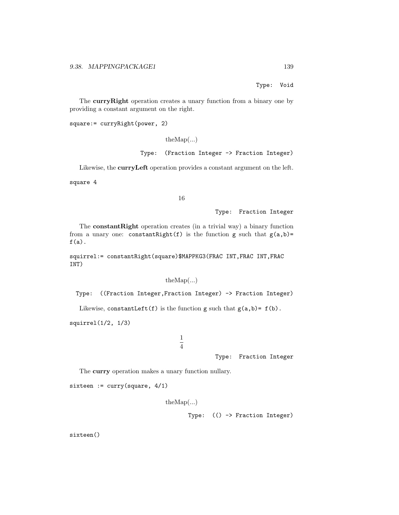Type: Void

The curry Right operation creates a unary function from a binary one by providing a constant argument on the right.

```
square:= curryRight(power, 2)
```

```
theMap(...)
Type: (Fraction Integer -> Fraction Integer)
```
Likewise, the curryLeft operation provides a constant argument on the left.

square 4

16

Type: Fraction Integer

The constantRight operation creates (in a trivial way) a binary function from a unary one: constantRight(f) is the function g such that  $g(a,b)$ =  $f(a)$ .

squirrel:= constantRight(square)\$MAPPKG3(FRAC INT,FRAC INT,FRAC INT)

 $theMap(...)$ 

Type: ((Fraction Integer,Fraction Integer) -> Fraction Integer)

Likewise, constantLeft(f) is the function g such that  $g(a,b) = f(b)$ .

squirrel(1/2, 1/3)

1 4

Type: Fraction Integer

The curry operation makes a unary function nullary.

sixteen := curry(square, 4/1)

theMap(...)

Type: (() -> Fraction Integer)

sixteen()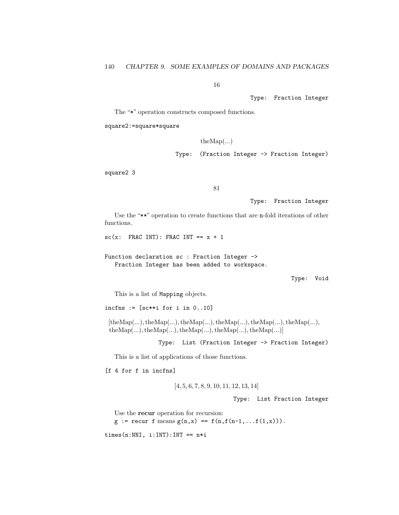16

Type: Fraction Integer

The "\*" operation constructs composed functions.

square2:=square\*square

 $the Map(...)$ 

Type: (Fraction Integer -> Fraction Integer)

square2 3

81

Type: Fraction Integer

Use the "\*\*" operation to create functions that are n-fold iterations of other functions.

```
sc(x: FRAC INT): FRAC INT == x + 1
```
Function declaration sc : Fraction Integer -> Fraction Integer has been added to workspace.

Type: Void

This is a list of Mapping objects.

incfns :=  $[sc**i for i in 0..10]$ 

 $[the Map(...), the Map(...), the Map(...), the Map(...), the Map(...), the Map(...),$  $the Map(...), the Map(...), the Map(...), the Map(...), the Map(...)$ 

Type: List (Fraction Integer -> Fraction Integer)

This is a list of applications of those functions.

[f 4 for f in incfns]

[4, 5, 6, 7, 8, 9, 10, 11, 12, 13, 14]

Type: List Fraction Integer

Use the **recur** operation for recursion:  $g :=$  recur f means  $g(n,x) == f(n,f(n-1,...f(1,x)))$ .

 $times(n:NNI, i:INT):INT == n*i$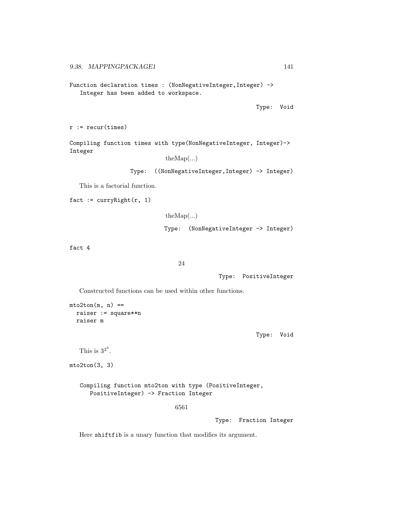Function declaration times : (NonNegativeInteger, Integer) -> Integer has been added to workspace.

Type: Void

```
r := \text{recur}(\text{times})
```
Compiling function times with type(NonNegativeInteger, Integer)-> Integer

```
theMap(...)
```
Type: ((NonNegativeInteger,Integer) -> Integer)

This is a factorial function.

 $fact := curryRight(r, 1)$ 

theMap(...) Type: (NonNegativeInteger -> Integer)

fact 4

```
24
```
Type: PositiveInteger

Constructed functions can be used within other functions.

```
mto2ton(m, n) ==
 raiser := square**n
  raiser m
```
Type: Void

```
This is 3^{2^3}.
```
mto2ton(3, 3)

Compiling function mto2ton with type (PositiveInteger, PositiveInteger) -> Fraction Integer

6561

Type: Fraction Integer

Here shiftfib is a unary function that modifies its argument.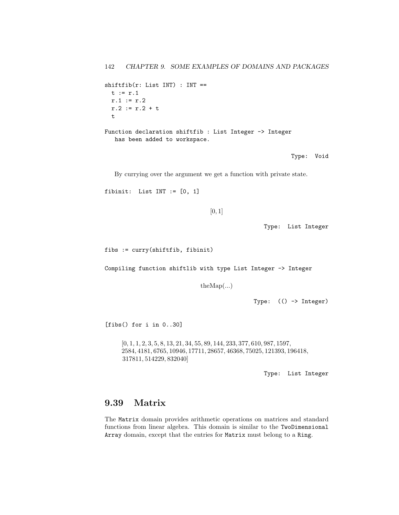```
shiftfib(r: List INT) : INT ==t := r.1r.1 := r.2r.2 := r.2 + tt
Function declaration shiftfib : List Integer -> Integer
```
has been added to workspace.

Type: Void

By currying over the argument we get a function with private state.

```
fibinit: List INT := [0, 1]
```

```
[0, 1]
```
Type: List Integer

fibs := curry(shiftfib, fibinit)

Compiling function shiftlib with type List Integer -> Integer

theMap(...)

Type: (() -> Integer)

[fibs() for i in 0..30]

[0, 1, 1, 2, 3, 5, 8, 13, 21, 34, 55, 89, 144, 233, 377, 610, 987, 1597, 2584, 4181, 6765, 10946, 17711, 28657, 46368, 75025, 121393, 196418, 317811, 514229, 832040]

Type: List Integer

# 9.39 Matrix

The Matrix domain provides arithmetic operations on matrices and standard functions from linear algebra. This domain is similar to the TwoDimensional Array domain, except that the entries for Matrix must belong to a Ring.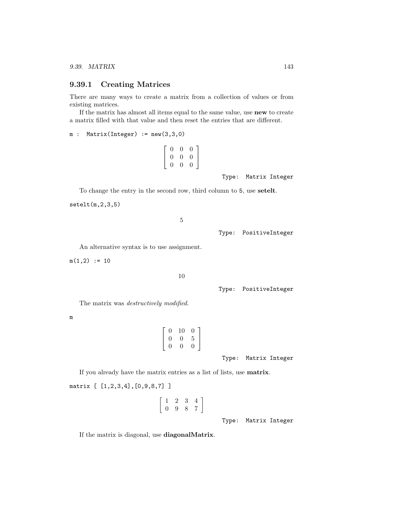### 9.39.1 Creating Matrices

There are many ways to create a matrix from a collection of values or from existing matrices.

If the matrix has almost all items equal to the same value, use new to create a matrix filled with that value and then reset the entries that are different.

```
m : Matrix(Integer) := new(3,3,0)
```

$$
\left[\begin{array}{ccc} 0 & 0 & 0 \\ 0 & 0 & 0 \\ 0 & 0 & 0 \end{array}\right]
$$

Type: Matrix Integer

To change the entry in the second row, third column to 5, use setelt.

setelt(m,2,3,5)

5

Type: PositiveInteger

An alternative syntax is to use assignment.

 $m(1,2) := 10$ 

10

Type: PositiveInteger

The matrix was destructively modified.

m

| 0 | 10 | 0                |
|---|----|------------------|
| 0 | 0  | 5                |
| 0 | 0  | $\left( \right)$ |

Type: Matrix Integer

If you already have the matrix entries as a list of lists, use matrix.

matrix [ [1,2,3,4],[0,9,8,7] ]

$$
\left[\begin{array}{cccc}1&2&3&4\\0&9&8&7\end{array}\right]
$$

Type: Matrix Integer

If the matrix is diagonal, use diagonalMatrix.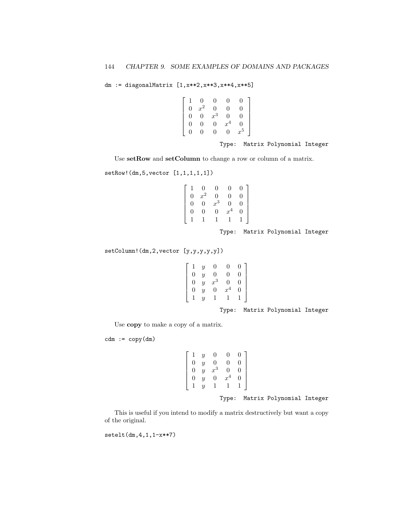```
dm := diagonalMatrix [1,x**2,x**3,x**4,x**5]
```

$$
\left[\begin{array}{cccccc} 1 & 0 & 0 & 0 & 0 \\ 0 & x^2 & 0 & 0 & 0 \\ 0 & 0 & x^3 & 0 & 0 \\ 0 & 0 & 0 & x^4 & 0 \\ 0 & 0 & 0 & 0 & x^5 \end{array}\right]
$$

Type: Matrix Polynomial Integer

Use setRow and setColumn to change a row or column of a matrix.

setRow!(dm,5,vector [1,1,1,1,1])

$$
\left[\begin{array}{cccc} 1 & 0 & 0 & 0 & 0 \\ 0 & x^2 & 0 & 0 & 0 \\ 0 & 0 & x^3 & 0 & 0 \\ 0 & 0 & 0 & x^4 & 0 \\ 1 & 1 & 1 & 1 & 1 \end{array}\right]
$$

Type: Matrix Polynomial Integer

setColumn!(dm,2,vector [y,y,y,y,y])

$$
\begin{bmatrix} 1 & y & 0 & 0 & 0 \\ 0 & y & 0 & 0 & 0 \\ 0 & y & x^3 & 0 & 0 \\ 0 & y & 0 & x^4 & 0 \\ 1 & y & 1 & 1 & 1 \end{bmatrix}
$$

Type: Matrix Polynomial Integer

Use copy to make a copy of a matrix.

 $cdm := copy(dm)$ 

$$
\left[\begin{array}{cccc} 1 & y & 0 & 0 & 0 \\ 0 & y & 0 & 0 & 0 \\ 0 & y & x^3 & 0 & 0 \\ 0 & y & 0 & x^4 & 0 \\ 1 & y & 1 & 1 & 1 \end{array}\right]
$$

Type: Matrix Polynomial Integer

This is useful if you intend to modify a matrix destructively but want a copy of the original.

setelt(dm,4,1,1-x\*\*7)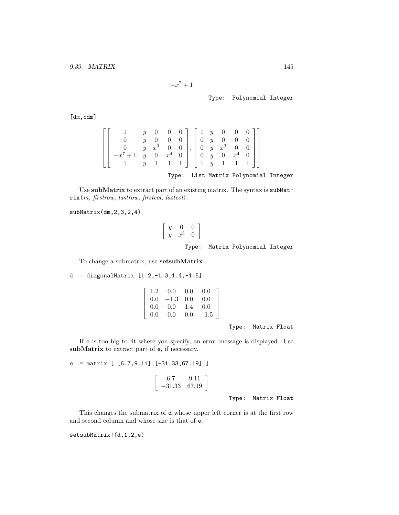$$
-x^7+1
$$

Type: Polynomial Integer

[dm,cdm]

$$
\begin{bmatrix}\n1 & y & 0 & 0 & 0 \\
0 & y & 0 & 0 & 0 \\
0 & y & x^3 & 0 & 0 \\
-x^7 + 1 & y & 0 & x^4 & 0 \\
1 & y & 1 & 1 & 1\n\end{bmatrix}, \begin{bmatrix}\n1 & y & 0 & 0 & 0 \\
0 & y & 0 & 0 & 0 \\
0 & y & x^3 & 0 & 0 \\
0 & y & 0 & x^4 & 0 \\
1 & y & 1 & 1 & 1\n\end{bmatrix}
$$
\nType: List Matrix Polynomial Integer

Use subMatrix to extract part of an existing matrix. The syntax is subMatrix(m, firstrow, lastrow, firstcol, lastcol).

subMatrix(dm,2,3,2,4)

$$
\begin{bmatrix} y & 0 & 0 \ y & x^3 & 0 \end{bmatrix}
$$
  
Type: Matrix Polynomial Integer

To change a submatrix, use setsubMatrix.

## d := diagonalMatrix [1.2,-1.3,1.4,-1.5]

| 1.2 | 0.0    | 0.0  | 0.0      |
|-----|--------|------|----------|
| 0.0 | $-1.3$ | -0.0 | 0.0      |
| 0.0 | 0.0    | 1.4  | 0.0      |
| 0.0 | 0.0    | 0.0  | $-1.5\,$ |

Type: Matrix Float

If e is too big to fit where you specify, an error message is displayed. Use subMatrix to extract part of e, if necessary.

## e := matrix [ [6.7,9.11],[-31.33,67.19] ]

$$
\left[\begin{array}{cc}6.7 & 9.11\\-31.33 & 67.19\end{array}\right]
$$

Type: Matrix Float

This changes the submatrix of d whose upper left corner is at the first row and second column and whose size is that of e.

setsubMatrix!(d,1,2,e)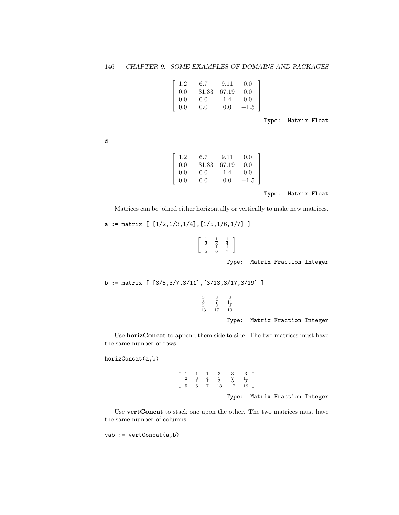| 1.2 | 6.7      | 9.11  | 0.0      |  |
|-----|----------|-------|----------|--|
| 0.0 | $-31.33$ | 67.19 | 0.0      |  |
| 0.0 | 0.0      | 1.4   | 0.0      |  |
| 0.0 | 0.0      | 0.0   | $-1.5\,$ |  |

Type: Matrix Float

d

| 1.2                                              | 6.7      | 9.11  | 0.0    |
|--------------------------------------------------|----------|-------|--------|
|                                                  | $-31.33$ | 67.19 | 0.0    |
|                                                  | 0.0      | 1.4   | 0.0    |
| $\begin{array}{c} 0.0 \\ 0.0 \\ 0.0 \end{array}$ | 0.0      | 0.0   | $-1.5$ |
|                                                  |          |       |        |

Type: Matrix Float

Matrices can be joined either horizontally or vertically to make new matrices.

a := matrix  $[ [1/2,1/3,1/4], [1/5,1/6,1/7] ]$ 



Type: Matrix Fraction Integer

b := matrix [ [3/5,3/7,3/11],[3/13,3/17,3/19] ]

| 9<br>$\frac{5}{5}$<br>ş<br>13 | 2<br>$\frac{5}{7}$<br>$\overline{17}$ | q |  |
|-------------------------------|---------------------------------------|---|--|
|                               |                                       |   |  |

Type: Matrix Fraction Integer

Use horizConcat to append them side to side. The two matrices must have the same number of rows.

horizConcat(a,b)



Type: Matrix Fraction Integer

Use vertConcat to stack one upon the other. The two matrices must have the same number of columns.

vab := vertConcat(a,b)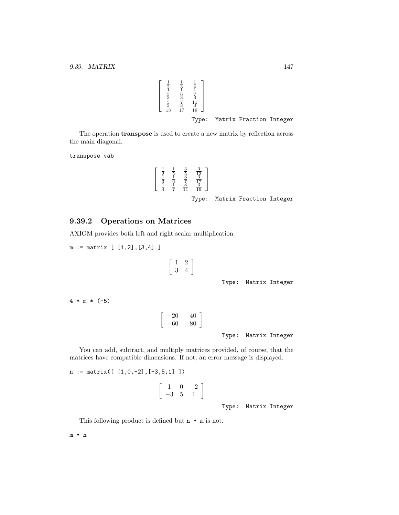$\sqrt{ }$  $\Big\}$  $\frac{1}{2}$   $\frac{1}{2}$   $\frac{1}{3}$   $\frac{1}{3}$   $\frac{1}{5}$   $\frac{1}{3}$   $\frac{1}{5}$   $\frac{1}{5}$   $\frac{1}{5}$   $\frac{1}{5}$   $\frac{1}{5}$   $\frac{1}{5}$   $\frac{1}{12}$   $\frac{1}{12}$   $\frac{1}{12}$   $\frac{1}{12}$ 1  $\Bigg\}$ Type: Matrix Fraction Integer

The operation transpose is used to create a new matrix by reflection across the main diagonal.

transpose vab

$$
\begin{bmatrix}\n\frac{1}{2} & \frac{1}{5} & \frac{3}{5} & \frac{3}{13} \\
\frac{1}{3} & \frac{1}{6} & \frac{3}{7} & \frac{3}{17} \\
\frac{1}{4} & \frac{1}{7} & \frac{3}{11} & \frac{3}{19}\n\end{bmatrix}
$$
\nType: Matrix Fraction Integer

## 9.39.2 Operations on Matrices

AXIOM provides both left and right scalar multiplication.

m := matrix [ [1,2],[3,4] ]

$$
\left[\begin{array}{cc}1&2\\3&4\end{array}\right]
$$

Type: Matrix Integer

4 \* m \* (-5)

$$
\left[\begin{array}{cc} -20 & -40 \\ -60 & -80 \end{array}\right]
$$

Type: Matrix Integer

You can add, subtract, and multiply matrices provided, of course, that the matrices have compatible dimensions. If not, an error message is displayed.

```
n := matrix([ [1,0,-2],[-3,5,1] ])
```

$$
\left[\begin{array}{ccc}1&0&-2\\-3&5&1\end{array}\right]
$$

Type: Matrix Integer

This following product is defined but  $n * m$  is not.

m \* n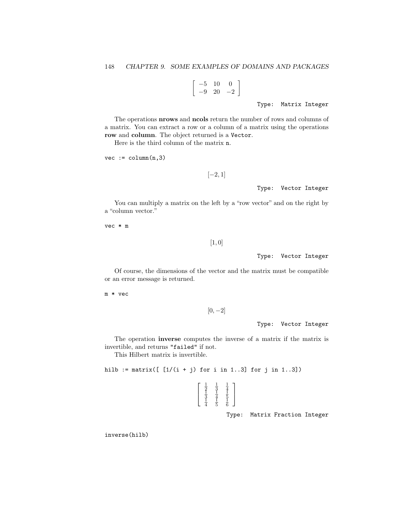$$
\left[\begin{array}{cc} -5 & 10 & 0 \\ -9 & 20 & -2 \end{array}\right]
$$

Type: Matrix Integer

The operations nrows and ncols return the number of rows and columns of a matrix. You can extract a row or a column of a matrix using the operations row and column. The object returned is a Vector.

Here is the third column of the matrix n.

 $vec := column(n, 3)$ 

```
[-2, 1]
```
Type: Vector Integer

You can multiply a matrix on the left by a "row vector" and on the right by a "column vector."

vec \* m

[1, 0]

Type: Vector Integer

Of course, the dimensions of the vector and the matrix must be compatible or an error message is returned.

m \* vec

 $[0, -2]$ 

Type: Vector Integer

The operation inverse computes the inverse of a matrix if the matrix is invertible, and returns "failed" if not.

This Hilbert matrix is invertible.

hilb := matrix( $[1/(i + j)$  for i in 1..3] for j in 1..3])

 $\lceil$  $\overline{1}$  $\frac{1}{2}$   $\frac{1}{3}$   $\frac{1}{4}$   $\frac{1}{5}$ <br> $\frac{1}{3}$   $\frac{1}{4}$   $\frac{1}{5}$   $\frac{1}{6}$ 1  $\perp$ 

Type: Matrix Fraction Integer

inverse(hilb)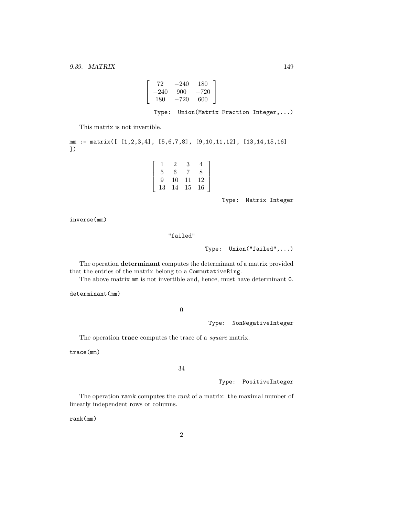$$
\left[\begin{array}{ccc} 72 & -240 & 180 \\ -240 & 900 & -720 \\ 180 & -720 & 600 \end{array}\right]
$$

Type: Union(Matrix Fraction Integer,...)

This matrix is not invertible.

mm := matrix([ [1,2,3,4], [5,6,7,8], [9,10,11,12], [13,14,15,16] ])

> $\lceil$  $\overline{1}$  $\overline{1}$  $\overline{1}$

|    | 2  | 3  |    |  |
|----|----|----|----|--|
| 5  | 6  | -7 | 8  |  |
| 9  | 10 | 11 | 12 |  |
| 13 | 14 | 15 | 16 |  |

Type: Matrix Integer

inverse(mm)

### "failed"

Type: Union("failed",...)

The operation determinant computes the determinant of a matrix provided that the entries of the matrix belong to a CommutativeRing.

The above matrix mm is not invertible and, hence, must have determinant 0.

determinant(mm)

0

Type: NonNegativeInteger

The operation **trace** computes the trace of a *square* matrix.

trace(mm)

## 34

Type: PositiveInteger

The operation rank computes the *rank* of a matrix: the maximal number of linearly independent rows or columns.

rank(mm)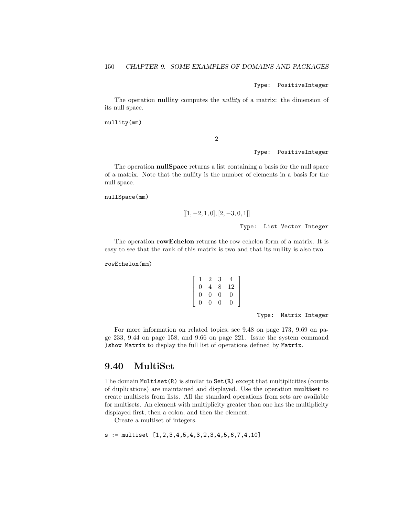Type: PositiveInteger

The operation **nullity** computes the *nullity* of a matrix: the dimension of its null space.

nullity(mm)

2

Type: PositiveInteger

The operation **nullSpace** returns a list containing a basis for the null space of a matrix. Note that the nullity is the number of elements in a basis for the null space.

nullSpace(mm)

$$
[[1, -2, 1, 0], [2, -3, 0, 1]]
$$

Type: List Vector Integer

The operation **rowEchelon** returns the row echelon form of a matrix. It is easy to see that the rank of this matrix is two and that its nullity is also two.

rowEchelon(mm)

$$
\left[ \begin{array}{cccc} 1 & 2 & 3 & 4 \\ 0 & 4 & 8 & 12 \\ 0 & 0 & 0 & 0 \\ 0 & 0 & 0 & 0 \end{array} \right]
$$

Type: Matrix Integer

For more information on related topics, see 9.48 on page 173, 9.69 on page 233, 9.44 on page 158, and 9.66 on page 221. Issue the system command )show Matrix to display the full list of operations defined by Matrix.

## 9.40 MultiSet

The domain Multiset(R) is similar to Set(R) except that multiplicities (counts of duplications) are maintained and displayed. Use the operation multiset to create multisets from lists. All the standard operations from sets are available for multisets. An element with multiplicity greater than one has the multiplicity displayed first, then a colon, and then the element.

Create a multiset of integers.

s := multiset [1,2,3,4,5,4,3,2,3,4,5,6,7,4,10]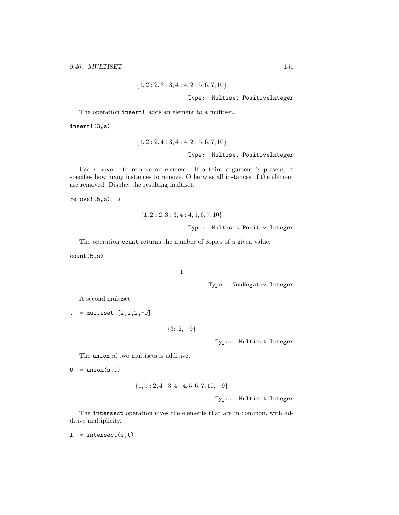$$
\{1,2:2,3:3,4:4,2:5,6,7,10\}
$$

### Type: Multiset PositiveInteger

The operation insert! adds an element to a multiset.

insert!(3,s)

$$
{1, 2 : 2, 4 : 3, 4 : 4, 2 : 5, 6, 7, 10}
$$
\n
$$
Type: Multiset PositiveInteger
$$

Use remove! to remove an element. If a third argument is present, it specifies how many instances to remove. Otherwise all instances of the element are removed. Display the resulting multiset.

remove!(5,s); s

$$
{1, 2: 2, 3: 3, 4: 4, 5, 6, 7, 10}
$$
  
Type: Multiset PositiveInteger

The operation count returns the number of copies of a given value.

count(5,s)

1

Type: NonNegativeInteger

A second multiset.

 $t := \text{multiset} [2, 2, 2, -9]$ 

$$
\{3: 2, -9\}
$$

Type: Multiset Integer

The union of two multisets is additive.

 $U := union(s,t)$ 

$$
\{1, 5: 2, 4: 3, 4: 4, 5, 6, 7, 10, -9\}
$$

Type: Multiset Integer

The intersect operation gives the elements that are in common, with additive multiplicity.

I := intersect $(s,t)$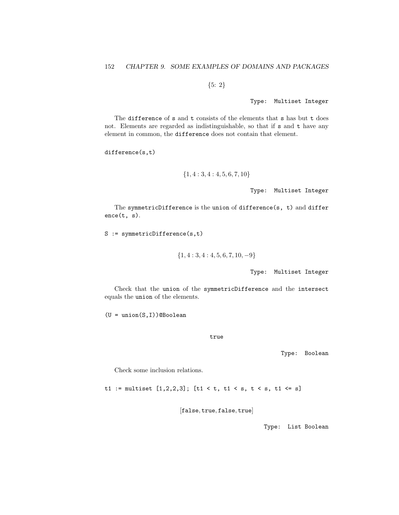{5: 2}

Type: Multiset Integer

The difference of s and t consists of the elements that s has but t does not. Elements are regarded as indistinguishable, so that if s and t have any element in common, the difference does not contain that element.

difference(s,t)

$$
\{1,4:3,4:4,5,6,7,10\}
$$

Type: Multiset Integer

The symmetricDifference is the union of difference(s, t) and differ ence(t, s).

S := symmetricDifference(s,t)

$$
\{1,4:3,4:4,5,6,7,10,-9\}
$$

Type: Multiset Integer

Check that the union of the symmetricDifference and the intersect equals the union of the elements.

 $(U = union(S, I))$ @Boolean

true

Type: Boolean

Check some inclusion relations.

t1 := multiset  $[1,2,2,3]$ ;  $[t1 < t, t1 < s, t < s, t1 < s]$ 

[false, true, false, true]

Type: List Boolean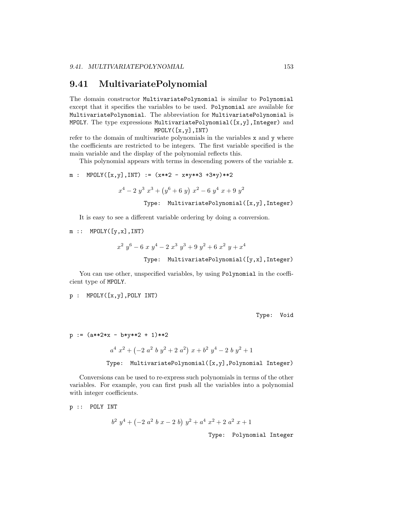## 9.41 MultivariatePolynomial

The domain constructor MultivariatePolynomial is similar to Polynomial except that it specifies the variables to be used. Polynomial are available for MultivariatePolynomial. The abbreviation for MultivariatePolynomial is MPOLY. The type expressions MultivariatePolynomial([x,y],Integer) and MPOLY([x,y],INT)

refer to the domain of multivariate polynomials in the variables x and y where the coefficients are restricted to be integers. The first variable specified is the main variable and the display of the polynomial reflects this.

This polynomial appears with terms in descending powers of the variable x.

m : MPOLY([x,y],INT) := 
$$
(x**2 - x* y**3 + 3* y)*2
$$

 $x^4 - 2 y^3 x^3 + (y^6 + 6 y) x^2 - 6 y^4 x + 9 y^2$ 

Type: MultivariatePolynomial([x,y],Integer)

It is easy to see a different variable ordering by doing a conversion.

 $m :: MPOLY([y,x],INT)$ 

$$
x^{2} y^{6} - 6 x y^{4} - 2 x^{3} y^{3} + 9 y^{2} + 6 x^{2} y + x^{4}
$$
  
Type: MultivariatePolynomial([y,x], Integer)

You can use other, unspecified variables, by using Polynomial in the coefficient type of MPOLY.

p : MPOLY([x,y],POLY INT)

Type: Void

```
p := (a**2*x - b*y**2 + 1)*2
```
 $a^4 x^2 + (-2 a^2 b y^2 + 2 a^2) x + b^2 y^4 - 2 b y^2 + 1$ 

Type: MultivariatePolynomial([x,y],Polynomial Integer)

Conversions can be used to re-express such polynomials in terms of the other variables. For example, you can first push all the variables into a polynomial with integer coefficients.

p :: POLY INT  $b^2 y^4 + (-2 a^2 b x - 2 b) y^2 + a^4 x^2 + 2 a^2 x + 1$ Type: Polynomial Integer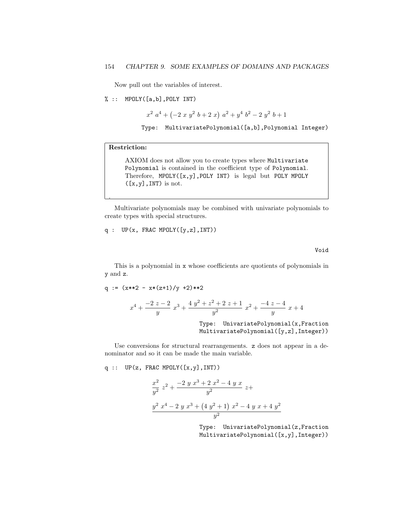Now pull out the variables of interest.

% :: MPOLY([a,b],POLY INT)

 $x^2$   $a^4$  +  $(-2 x y^2 b + 2 x) a^2 + y^4 b^2 - 2 y^2 b + 1$ 

Type: MultivariatePolynomial([a,b],Polynomial Integer)

## Restriction:

.

AXIOM does not allow you to create types where Multivariate Polynomial is contained in the coefficient type of Polynomial. Therefore, MPOLY([x,y],POLY INT) is legal but POLY MPOLY  $([x,y], INT)$  is not.

Multivariate polynomials may be combined with univariate polynomials to create types with special structures.

q :  $UP(x, FRAC MPOLY([y, z], INT))$ 

Void

This is a polynomial in x whose coefficients are quotients of polynomials in y and z.

q := 
$$
(x**2 - x*(z+1)/y + 2)*2
$$
  

$$
x^4 + \frac{-2 z - 2}{y} x^3 + \frac{4 y^2 + z^2 + 2 z + 1}{y^2} x^2 + \frac{-4 z - 4}{y} x + 4
$$

Type: UnivariatePolynomial(x,Fraction MultivariatePolynomial([y,z],Integer))

Use conversions for structural rearrangements. z does not appear in a denominator and so it can be made the main variable.

 $q$  ::  $UP(z, FRAC MPOLY([x,y], INT))$ 

$$
\frac{x^2}{y^2} z^2 + \frac{-2 y x^3 + 2 x^2 - 4 y x}{y^2} z +
$$
  

$$
\frac{y^2 x^4 - 2 y x^3 + (4 y^2 + 1) x^2 - 4 y x + 4 y^2}{y^2}
$$

Type: UnivariatePolynomial(z,Fraction MultivariatePolynomial([x,y],Integer))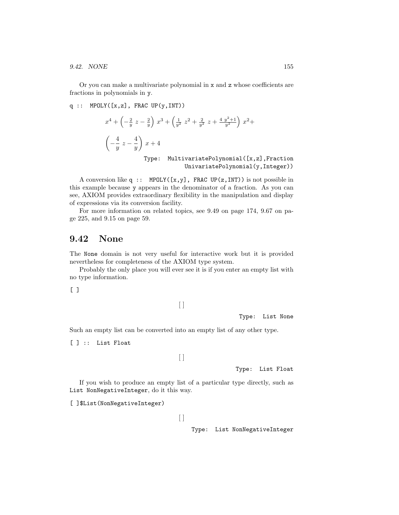9.42. NONE 155

Or you can make a multivariate polynomial in x and z whose coefficients are fractions in polynomials in y.

q :: MPOLY([x,z], FRAC UP(y,INT))  
\n
$$
x^{4} + \left(-\frac{2}{y}z - \frac{2}{y}\right)x^{3} + \left(\frac{1}{y^{2}}z^{2} + \frac{2}{y^{2}}z + \frac{4}{y^{2}+1}\right)x^{2} +
$$
\n
$$
\left(-\frac{4}{y}z - \frac{4}{y}\right)x + 4
$$
\nType: MultivariatePolynomial([x,z], Fraction  
\nUnivariatePolynomial(y, Integer))

A conversion like q :: MPOLY( $[x, y]$ , FRAC UP( $z$ , INT)) is not possible in this example because y appears in the denominator of a fraction. As you can see, AXIOM provides extraordinary flexibility in the manipulation and display of expressions via its conversion facility.

For more information on related topics, see 9.49 on page 174, 9.67 on page 225, and 9.15 on page 59.

# 9.42 None

The None domain is not very useful for interactive work but it is provided nevertheless for completeness of the AXIOM type system.

Probably the only place you will ever see it is if you enter an empty list with no type information.

[ ]

```
[ ]
```
Type: List None

Such an empty list can be converted into an empty list of any other type.

[ ] :: List Float

 $\lceil \rceil$ 

Type: List Float

If you wish to produce an empty list of a particular type directly, such as List NonNegativeInteger, do it this way.

[ ]\$List(NonNegativeInteger)

 $\lbrack \rbrack$ 

Type: List NonNegativeInteger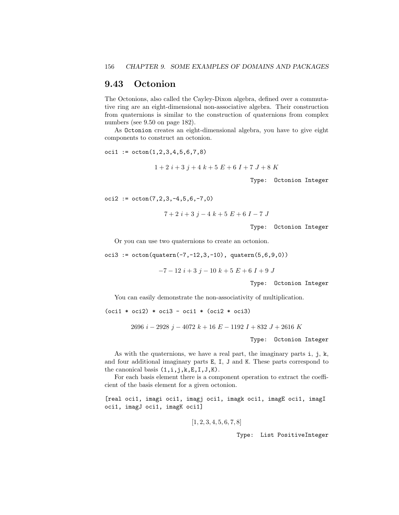## 9.43 Octonion

The Octonions, also called the Cayley-Dixon algebra, defined over a commutative ring are an eight-dimensional non-associative algebra. Their construction from quaternions is similar to the construction of quaternions from complex numbers (see 9.50 on page 182).

As Octonion creates an eight-dimensional algebra, you have to give eight components to construct an octonion.

 $oci1 := octon(1, 2, 3, 4, 5, 6, 7, 8)$ 

$$
1+2 i+3 j+4 k+5 E+6 I+7 J+8 K
$$

Type: Octonion Integer

 $oci2 := octon(7, 2, 3, -4, 5, 6, -7, 0)$ 

$$
7+2 i+3 j-4 k+5 E+6 I-7 J
$$

Type: Octonion Integer

Or you can use two quaternions to create an octonion.

oci3 :=  $octon(quatern(-7, -12, 3, -10)$ ,  $quatern(5, 6, 9, 0))$ 

 $-7 - 12 i + 3 j - 10 k + 5 E + 6 I + 9 J$ 

Type: Octonion Integer

You can easily demonstrate the non-associativity of multiplication.

 $(oci1 * oci2) * oci3 - oci1 * (oci2 * oci3)$ 

2696  $i - 2928$  j – 4072 k + 16 E – 1192 I + 832 J + 2616 K

Type: Octonion Integer

As with the quaternions, we have a real part, the imaginary parts i, j, k, and four additional imaginary parts E, I, J and K. These parts correspond to the canonical basis  $(1,i,j,k,E,I,J,K)$ .

For each basis element there is a component operation to extract the coefficient of the basis element for a given octonion.

[real oci1, imagi oci1, imagj oci1, imagk oci1, imagE oci1, imagI oci1, imagJ oci1, imagK oci1]

 $[1, 2, 3, 4, 5, 6, 7, 8]$ 

Type: List PositiveInteger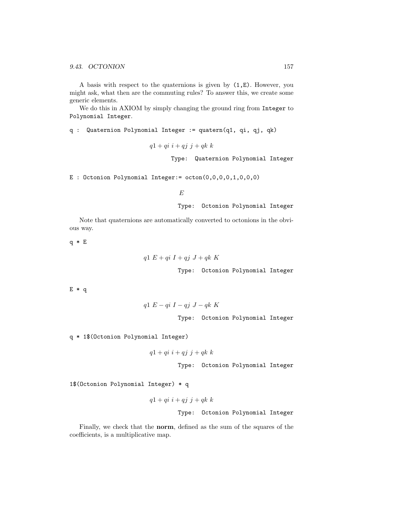A basis with respect to the quaternions is given by (1,E). However, you might ask, what then are the commuting rules? To answer this, we create some generic elements.

We do this in AXIOM by simply changing the ground ring from Integer to Polynomial Integer.

q : Quaternion Polynomial Integer := quatern(q1, qi, qj, qk)

 $q1 + qi \ i + qj \ j + qk \ k$ 

Type: Quaternion Polynomial Integer

E : Octonion Polynomial Integer:= octon(0,0,0,0,1,0,0,0)

E

Type: Octonion Polynomial Integer

Note that quaternions are automatically converted to octonions in the obvious way.

q \* E

$$
q1\,\,E+qi\,\,I+qj\,\,J+qk\,\,K
$$

Type: Octonion Polynomial Integer

E \* q

$$
q1 E - qi I - qj J - qk K
$$

Type: Octonion Polynomial Integer

q \* 1\$(Octonion Polynomial Integer)

$$
q1 + qi \ i + qj \ j + qk \ k
$$

Type: Octonion Polynomial Integer

1\$(Octonion Polynomial Integer) \* q

$$
q1+qi\ i+qj\ j+qk\ k
$$

Type: Octonion Polynomial Integer

Finally, we check that the norm, defined as the sum of the squares of the coefficients, is a multiplicative map.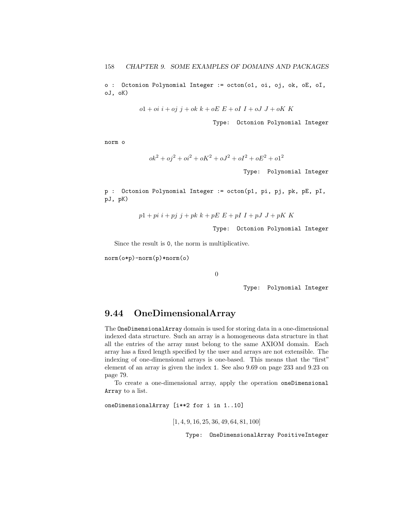o : Octonion Polynomial Integer := octon(o1, oi, oj, ok, oE, oI, oJ, oK)

$$
o1 +oi\ i +oj\ j + ok\ k + oE\ E + oI\ I + oJ\ J + oK\ K
$$

Type: Octonion Polynomial Integer

norm o

$$
ok^2 + oj^2 + oi^2 + oK^2 + oJ^2 + oI^2 + oE^2 + o1^2
$$

Type: Polynomial Integer

p : Octonion Polynomial Integer := octon(p1, pi, pj, pk, pE, pI, pJ, pK)

$$
p1 + pi i + pj j + pk k + pE E + pI I + pJ J + pK K
$$

Type: Octonion Polynomial Integer

Since the result is 0, the norm is multiplicative.

norm(o\*p)-norm(p)\*norm(o)

0

Type: Polynomial Integer

# 9.44 OneDimensionalArray

The OneDimensionalArray domain is used for storing data in a one-dimensional indexed data structure. Such an array is a homogeneous data structure in that all the entries of the array must belong to the same AXIOM domain. Each array has a fixed length specified by the user and arrays are not extensible. The indexing of one-dimensional arrays is one-based. This means that the "first" element of an array is given the index 1. See also 9.69 on page 233 and 9.23 on page 79.

To create a one-dimensional array, apply the operation oneDimensional Array to a list.

oneDimensionalArray [i\*\*2 for i in 1..10]

[1, 4, 9, 16, 25, 36, 49, 64, 81, 100]

Type: OneDimensionalArray PositiveInteger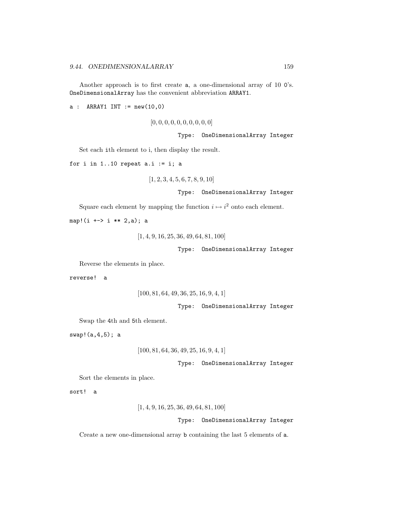Another approach is to first create a, a one-dimensional array of 10 0's. OneDimensionalArray has the convenient abbreviation ARRAY1.

 $a : ARRAY1 INT := new(10,0)$ 

 $[0, 0, 0, 0, 0, 0, 0, 0, 0, 0]$ 

Type: OneDimensionalArray Integer

Set each ith element to i, then display the result.

for i in  $1..10$  repeat  $a.i := i; a$ 

 $[1, 2, 3, 4, 5, 6, 7, 8, 9, 10]$ 

Type: OneDimensionalArray Integer

Square each element by mapping the function  $i \mapsto i^2$  onto each element.

map!(i +-> i \*\* 2,a); a

[1, 4, 9, 16, 25, 36, 49, 64, 81, 100]

Type: OneDimensionalArray Integer

Reverse the elements in place.

reverse! a

[100, 81, 64, 49, 36, 25, 16, 9, 4, 1]

Type: OneDimensionalArray Integer

Swap the 4th and 5th element.

swap!(a,4,5); a

```
[100, 81, 64, 36, 49, 25, 16, 9, 4, 1]
```
Type: OneDimensionalArray Integer

Sort the elements in place.

sort! a

[1, 4, 9, 16, 25, 36, 49, 64, 81, 100]

Type: OneDimensionalArray Integer

Create a new one-dimensional array b containing the last 5 elements of a.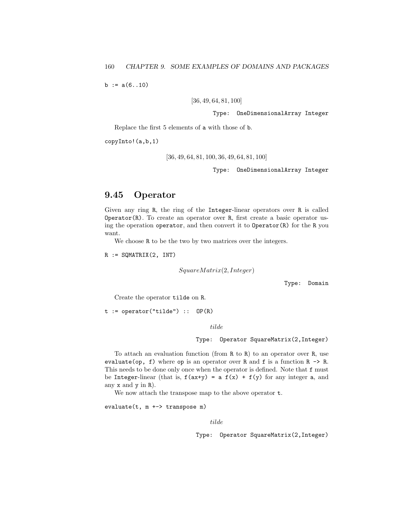$b := a(6..10)$ 

[36, 49, 64, 81, 100]

Type: OneDimensionalArray Integer

Replace the first 5 elements of a with those of b.

copyInto!(a,b,1)

```
[36, 49, 64, 81, 100, 36, 49, 64, 81, 100]
```
Type: OneDimensionalArray Integer

# 9.45 Operator

Given any ring R, the ring of the Integer-linear operators over R is called Operator(R). To create an operator over R, first create a basic operator using the operation operator, and then convert it to Operator(R) for the R you want.

We choose R to be the two by two matrices over the integers.

 $R := \text{SQMATRIX}(2, \text{INT})$ 

 $SquareMatrix(2, Integer)$ 

Type: Domain

Create the operator tilde on R.

 $t := operator("tilde") :: OP(R)$ 

tilde

Type: Operator SquareMatrix(2,Integer)

To attach an evaluation function (from R to R) to an operator over R, use evaluate(op, f) where op is an operator over R and f is a function  $R \rightarrow R$ . This needs to be done only once when the operator is defined. Note that f must be Integer-linear (that is,  $f(ax+y) = a f(x) + f(y)$  for any integer a, and any x and y in R).

We now attach the transpose map to the above operator t.

evaluate(t, m +-> transpose m)

tilde

Type: Operator SquareMatrix(2,Integer)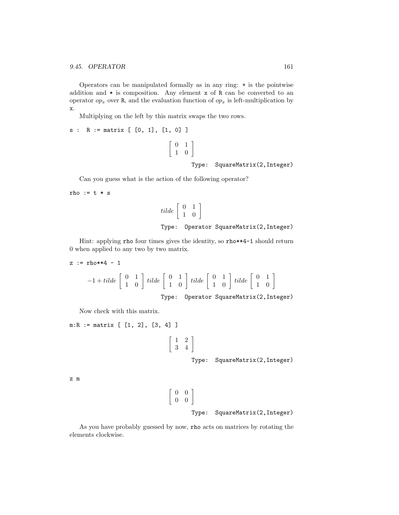Operators can be manipulated formally as in any ring: + is the pointwise addition and  $*$  is composition. Any element  $x$  of  $R$  can be converted to an operator  $op_x$  over R, and the evaluation function of  $op_x$  is left-multiplication by x.

Multiplying on the left by this matrix swaps the two rows.

```
s : R := matrix [ [0, 1], [1, 0] ]
                                                 \left[\begin{array}{cc} 0 & 1 \\ 1 & 0 \end{array}\right]Type: SquareMatrix(2,Integer)
```
Can you guess what is the action of the following operator?

rho :=  $t * s$ 

$$
tilde \left[ \begin{array}{cc} 0 & 1 \\ 1 & 0 \end{array} \right]
$$
  
Type: Operator SquareMatrix(2, Integer)

Hint: applying rho four times gives the identity, so rho\*\*4-1 should return 0 when applied to any two by two matrix.

```
z := rho**4 - 1
               -1 + \textit{tilde} \begin{bmatrix} 0 & 1 \\ 1 & 0 \end{bmatrix} \textit{tilde} \begin{bmatrix} 0 & 1 \\ 1 & 0 \end{bmatrix} \textit{tilde} \begin{bmatrix} 0 & 1 \\ 1 & 0 \end{bmatrix} \textit{tilde} \begin{bmatrix} 0 & 1 \\ 1 & 0 \end{bmatrix}Type: Operator SquareMatrix(2,Integer)
```
Now check with this matrix.

```
m:R := matrix [ [1, 2], [3, 4] ]
                                                 \left[\begin{array}{cc} 1 & 2 \\ 3 & 4 \end{array}\right]Type: SquareMatrix(2,Integer)
z m
```

$$
\begin{bmatrix} 0 & 0 \\ 0 & 0 \end{bmatrix}
$$
  
Type: SquareMatrix(2, Integer)

As you have probably guessed by now, rho acts on matrices by rotating the elements clockwise.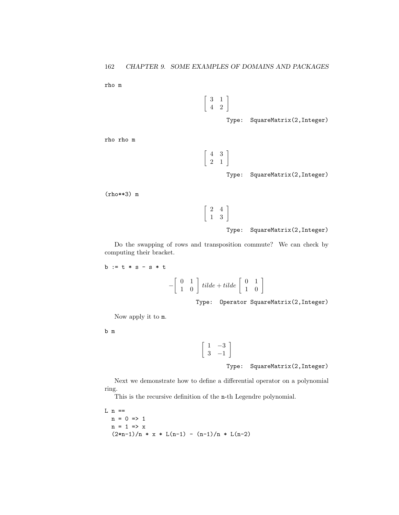rho m

$$
\left[\begin{array}{cc}3 & 1 \\4 & 2\end{array}\right]
$$

Type: SquareMatrix(2,Integer)

rho rho m

 $\left[\begin{array}{cc} 4 & 3 \\ 2 & 1 \end{array}\right]$ 

Type: SquareMatrix(2,Integer)

(rho\*\*3) m

$$
\left[\begin{array}{cc}2 & 4\\1 & 3\end{array}\right]
$$

Type: SquareMatrix(2,Integer)

Do the swapping of rows and transposition commute? We can check by computing their bracket.

 $b := t * s - s * t$ 

$$
-\left[\begin{array}{cc} 0 & 1 \\ 1 & 0 \end{array}\right] \text{ tilde} + \text{tilde} \left[\begin{array}{cc} 0 & 1 \\ 1 & 0 \end{array}\right]
$$

Type: Operator SquareMatrix(2,Integer)

Now apply it to m.

b m

 $\begin{bmatrix} 1 & -3 \end{bmatrix}$ 3 −1 1

Type: SquareMatrix(2,Integer)

Next we demonstrate how to define a differential operator on a polynomial ring.

This is the recursive definition of the n-th Legendre polynomial.

L  $n ==$  $n = 0 \Rightarrow 1$  $n = 1 \Rightarrow x$  $(2*n-1)/n * x * L(n-1) - (n-1)/n * L(n-2)$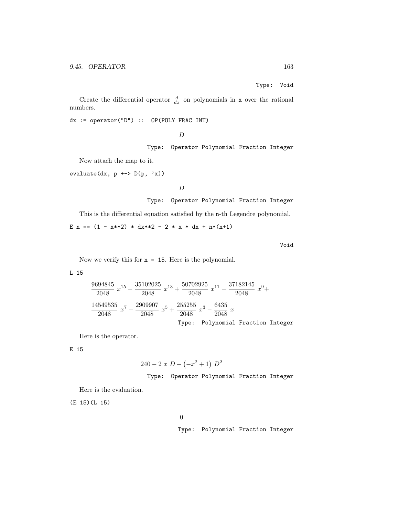Type: Void

Create the differential operator  $\frac{d}{dx}$  on polynomials in **x** over the rational numbers.

dx := operator("D") :: OP(POLY FRAC INT)

D

Type: Operator Polynomial Fraction Integer

Now attach the map to it.

evaluate(dx,  $p \leftrightarrow D(p, 'x)$ )

D

Type: Operator Polynomial Fraction Integer

This is the differential equation satisfied by the n-th Legendre polynomial.

E n ==  $(1 - x**2) * dx**2 - 2 * x * dx + n*(n+1)$ 

Void

Now we verify this for  $n = 15$ . Here is the polynomial.

L 15

$$
\frac{9694845}{2048} x^{15} - \frac{35102025}{2048} x^{13} + \frac{50702925}{2048} x^{11} - \frac{37182145}{2048} x^9 +
$$
  

$$
\frac{14549535}{2048} x^7 - \frac{2909907}{2048} x^5 + \frac{255255}{2048} x^3 - \frac{6435}{2048} x
$$
  
Type: Polynomial Fraction Integer

Here is the operator.

E 15

$$
240 - 2 x D + (-x^2 + 1) D^2
$$

Type: Operator Polynomial Fraction Integer

Here is the evaluation.

(E 15)(L 15)

0

Type: Polynomial Fraction Integer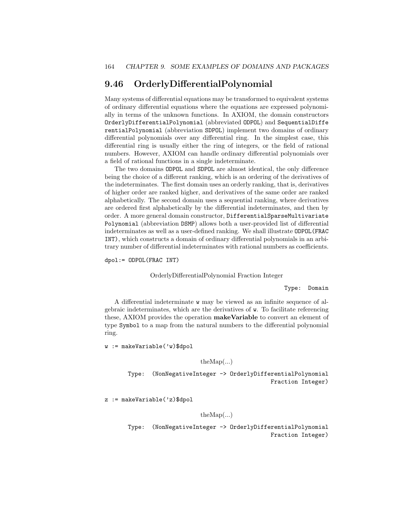# 9.46 OrderlyDifferentialPolynomial

Many systems of differential equations may be transformed to equivalent systems of ordinary differential equations where the equations are expressed polynomially in terms of the unknown functions. In AXIOM, the domain constructors OrderlyDifferentialPolynomial (abbreviated ODPOL) and SequentialDiffe rentialPolynomial (abbreviation SDPOL) implement two domains of ordinary differential polynomials over any differential ring. In the simplest case, this differential ring is usually either the ring of integers, or the field of rational numbers. However, AXIOM can handle ordinary differential polynomials over a field of rational functions in a single indeterminate.

The two domains ODPOL and SDPOL are almost identical, the only difference being the choice of a different ranking, which is an ordering of the derivatives of the indeterminates. The first domain uses an orderly ranking, that is, derivatives of higher order are ranked higher, and derivatives of the same order are ranked alphabetically. The second domain uses a sequential ranking, where derivatives are ordered first alphabetically by the differential indeterminates, and then by order. A more general domain constructor, DifferentialSparseMultivariate Polynomial (abbreviation DSMP) allows both a user-provided list of differential indeterminates as well as a user-defined ranking. We shall illustrate ODPOL(FRAC INT), which constructs a domain of ordinary differential polynomials in an arbitrary number of differential indeterminates with rational numbers as coefficients.

dpol:= ODPOL(FRAC INT)

OrderlyDifferentialPolynomial Fraction Integer

#### Type: Domain

A differential indeterminate w may be viewed as an infinite sequence of algebraic indeterminates, which are the derivatives of w. To facilitate referencing these, AXIOM provides the operation make Variable to convert an element of type Symbol to a map from the natural numbers to the differential polynomial ring.

w := makeVariable('w)\$dpol

### $the Map(...)$

Type: (NonNegativeInteger -> OrderlyDifferentialPolynomial Fraction Integer)

z := makeVariable('z)\$dpol

#### $the Map(...)$

Type: (NonNegativeInteger -> OrderlyDifferentialPolynomial Fraction Integer)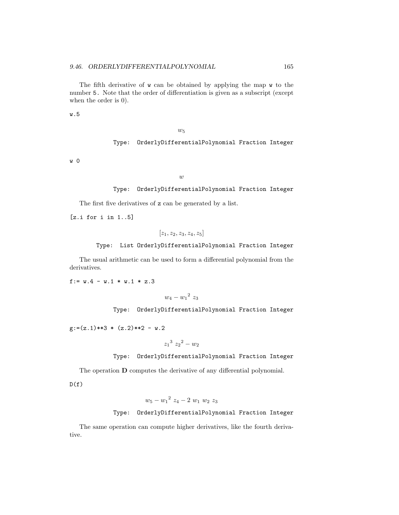The fifth derivative of w can be obtained by applying the map w to the number 5. Note that the order of differentiation is given as a subscript (except when the order is 0).

w.5

#### $w_5$

## Type: OrderlyDifferentialPolynomial Fraction Integer

w 0

#### $\overline{w}$

## Type: OrderlyDifferentialPolynomial Fraction Integer

The first five derivatives of z can be generated by a list.

[z.i for i in 1..5]

 $[z_1, z_2, z_3, z_4, z_5]$ 

#### Type: List OrderlyDifferentialPolynomial Fraction Integer

The usual arithmetic can be used to form a differential polynomial from the derivatives.

f:=  $w.4 - w.1 * w.1 * z.3$ 

 $w_4 - w_1^2 z_3$ 

Type: OrderlyDifferentialPolynomial Fraction Integer

 $g:=(z.1)**3*(z.2)**2 - w.2$ 

$$
{z_1}^3\ {z_2}^2-w_2
$$

#### Type: OrderlyDifferentialPolynomial Fraction Integer

The operation D computes the derivative of any differential polynomial.

 $D(f)$ 

 $w_5 - w_1^2 z_4 - 2 w_1 w_2 z_3$ 

## Type: OrderlyDifferentialPolynomial Fraction Integer

The same operation can compute higher derivatives, like the fourth derivative.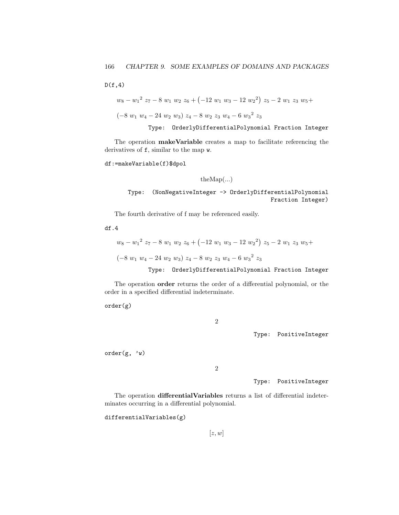$D(f,4)$ 

$$
w_8 - w_1^2 z_7 - 8 w_1 w_2 z_6 + (-12 w_1 w_3 - 12 w_2^2) z_5 - 2 w_1 z_3 w_5 + (-8 w_1 w_4 - 24 w_2 w_3) z_4 - 8 w_2 z_3 w_4 - 6 w_3^2 z_3
$$

Type: OrderlyDifferentialPolynomial Fraction Integer

The operation **makeVariable** creates a map to facilitate referencing the derivatives of f, similar to the map w.

df:=makeVariable(f)\$dpol

theMap(...)

```
Type: (NonNegativeInteger -> OrderlyDifferentialPolynomial
                                         Fraction Integer)
```
The fourth derivative of f may be referenced easily.

df.4

$$
w_8 - w_1^2 z_7 - 8 w_1 w_2 z_6 + (-12 w_1 w_3 - 12 w_2^2) z_5 - 2 w_1 z_3 w_5 + (-8 w_1 w_4 - 24 w_2 w_3) z_4 - 8 w_2 z_3 w_4 - 6 w_3^2 z_3
$$

Type: OrderlyDifferentialPolynomial Fraction Integer

The operation order returns the order of a differential polynomial, or the order in a specified differential indeterminate.

order(g)

2

Type: PositiveInteger

order(g, 'w)

2

Type: PositiveInteger

The operation differentialVariables returns a list of differential indeterminates occurring in a differential polynomial.

differentialVariables(g)

 $[z, w]$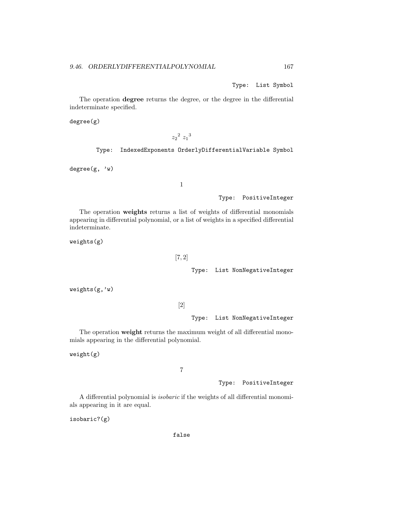Type: List Symbol

The operation degree returns the degree, or the degree in the differential indeterminate specified.

degree(g)

 $z_2^2 z_1^3$ 

Type: IndexedExponents OrderlyDifferentialVariable Symbol

 $degree(g, 'w)$ 

1

Type: PositiveInteger

The operation weights returns a list of weights of differential monomials appearing in differential polynomial, or a list of weights in a specified differential indeterminate.

weights(g)

## [7, 2]

Type: List NonNegativeInteger

weights(g,'w)

[2]

Type: List NonNegativeInteger

The operation weight returns the maximum weight of all differential monomials appearing in the differential polynomial.

weight(g)

## 7

## Type: PositiveInteger

A differential polynomial is isobaric if the weights of all differential monomials appearing in it are equal.

isobaric?(g)

false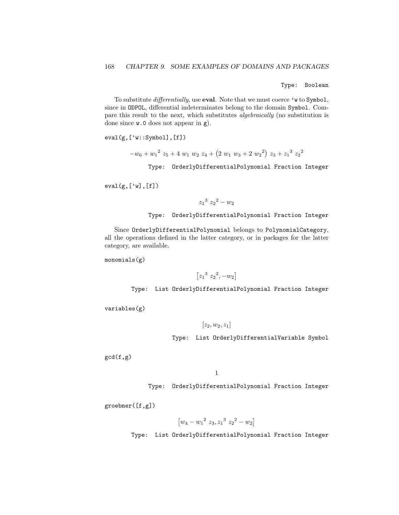Type: Boolean

To substitute *differentially*, use **eval**. Note that we must coerce 'w to Symbol, since in ODPOL, differential indeterminates belong to the domain Symbol. Compare this result to the next, which substitutes algebraically (no substitution is done since w.0 does not appear in g).

 $eval(g,['w::Symbol], [f])$ 

 $-w_6 + w_1^2 z_5 + 4 w_1 w_2 z_4 + (2 w_1 w_3 + 2 w_2^2) z_3 + z_1^3 z_2^2$ 

Type: OrderlyDifferentialPolynomial Fraction Integer

 $eval(g,['w],[f])$ 

 $z_1^3 z_2^2 - w_2$ 

Type: OrderlyDifferentialPolynomial Fraction Integer

Since OrderlyDifferentialPolynomial belongs to PolynomialCategory, all the operations defined in the latter category, or in packages for the latter category, are available.

monomials(g)

 $[z_1^3 \ z_2^2, -w_2]$ 

Type: List OrderlyDifferentialPolynomial Fraction Integer

variables(g)

 $[z_2, w_2, z_1]$ 

Type: List OrderlyDifferentialVariable Symbol

 $gcd(f,g)$ 

1

Type: OrderlyDifferentialPolynomial Fraction Integer

groebner([f,g])

$$
\left[w_4 - w_1^2 z_3, z_1^3 z_2^2 - w_2\right]
$$

Type: List OrderlyDifferentialPolynomial Fraction Integer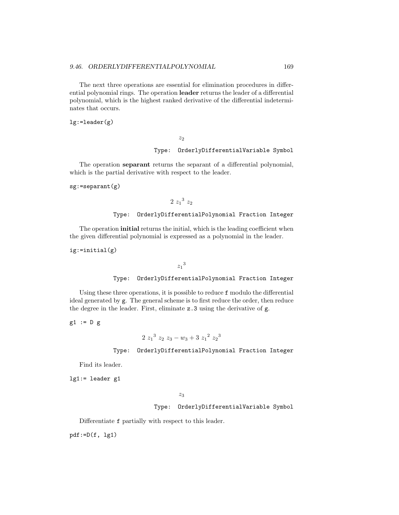The next three operations are essential for elimination procedures in differential polynomial rings. The operation leader returns the leader of a differential polynomial, which is the highest ranked derivative of the differential indeterminates that occurs.

lg:=leader(g)

 $z_2$ 

## Type: OrderlyDifferentialVariable Symbol

The operation separant returns the separant of a differential polynomial, which is the partial derivative with respect to the leader.

sg:=separant(g)

 $2z_1^3z_2$ 

## Type: OrderlyDifferentialPolynomial Fraction Integer

The operation **initial** returns the initial, which is the leading coefficient when the given differential polynomial is expressed as a polynomial in the leader.

ig:=initial(g)

 $z_1{}^3$ 

## Type: OrderlyDifferentialPolynomial Fraction Integer

Using these three operations, it is possible to reduce f modulo the differential ideal generated by g. The general scheme is to first reduce the order, then reduce the degree in the leader. First, eliminate z.3 using the derivative of g.

 $g1 := D g$ 

$$
2\ z_1{}^3\ z_2\ z_3-w_3+3\ z_1{}^2\ z_2{}^3
$$

## Type: OrderlyDifferentialPolynomial Fraction Integer

Find its leader.

lg1:= leader g1

## $z_3$

## Type: OrderlyDifferentialVariable Symbol

Differentiate f partially with respect to this leader.

 $pdf:=D(f, lg1)$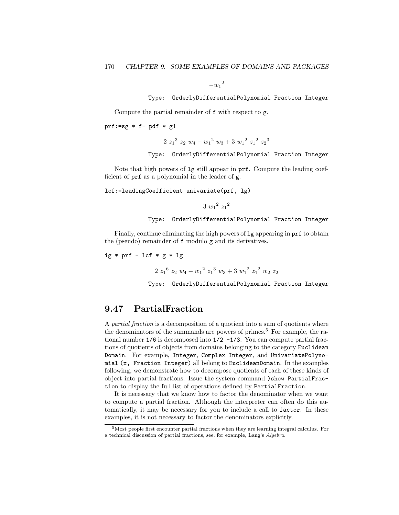$-w_1^2$ 

Type: OrderlyDifferentialPolynomial Fraction Integer

Compute the partial remainder of f with respect to g.

prf:=sg  $*$  f- pdf  $*$  g1

 $2z_1^3 z_2 w_4 - w_1^2 w_3 + 3 w_1^2 z_1^2 z_2^3$ 

Type: OrderlyDifferentialPolynomial Fraction Integer

Note that high powers of lg still appear in prf. Compute the leading coefficient of prf as a polynomial in the leader of g.

lcf:=leadingCoefficient univariate(prf, lg)

 $3 w_1^2 z_1^2$ 

Type: OrderlyDifferentialPolynomial Fraction Integer

Finally, continue eliminating the high powers of lg appearing in prf to obtain the (pseudo) remainder of f modulo g and its derivatives.

ig  $*$  prf - lcf  $*$  g  $*$  lg

 $2z_1^6 z_2 w_4 - w_1^2 z_1^3 w_3 + 3 w_1^2 z_1^2 w_2 z_2$ 

Type: OrderlyDifferentialPolynomial Fraction Integer

# 9.47 PartialFraction

A partial fraction is a decomposition of a quotient into a sum of quotients where the denominators of the summands are powers of primes.<sup>5</sup> For example, the rational number 1/6 is decomposed into 1/2 -1/3. You can compute partial fractions of quotients of objects from domains belonging to the category Euclidean Domain. For example, Integer, Complex Integer, and UnivariatePolynomial (x, Fraction Integer) all belong to EuclideanDomain. In the examples following, we demonstrate how to decompose quotients of each of these kinds of object into partial fractions. Issue the system command )show PartialFraction to display the full list of operations defined by PartialFraction.

It is necessary that we know how to factor the denominator when we want to compute a partial fraction. Although the interpreter can often do this automatically, it may be necessary for you to include a call to factor. In these examples, it is not necessary to factor the denominators explicitly.

<sup>5</sup>Most people first encounter partial fractions when they are learning integral calculus. For a technical discussion of partial fractions, see, for example, Lang's Algebra.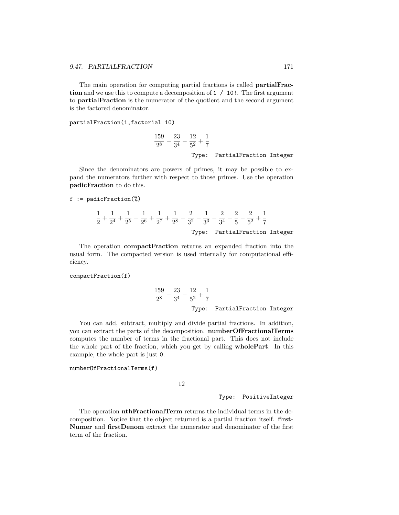The main operation for computing partial fractions is called partialFraction and we use this to compute a decomposition of 1 / 10!. The first argument to partialFraction is the numerator of the quotient and the second argument is the factored denominator.

partialFraction(1,factorial 10)

$$
\frac{159}{2^8} - \frac{23}{3^4} - \frac{12}{5^2} + \frac{1}{7}
$$
  
Type: PartialFraction Integer

Since the denominators are powers of primes, it may be possible to expand the numerators further with respect to those primes. Use the operation padicFraction to do this.

#### $f :=$  padicFraction(%)

$$
\frac{1}{2} + \frac{1}{2^4} + \frac{1}{2^5} + \frac{1}{2^6} + \frac{1}{2^7} + \frac{1}{2^8} - \frac{2}{3^2} - \frac{1}{3^3} - \frac{2}{3^4} - \frac{2}{5} - \frac{2}{5^2} + \frac{1}{7}
$$
  
Type: PartialFraction Integer

The operation compactFraction returns an expanded fraction into the usual form. The compacted version is used internally for computational efficiency.

#### compactFraction(f)

$$
\frac{159}{2^8} - \frac{23}{3^4} - \frac{12}{5^2} + \frac{1}{7}
$$
  
Type: PartialFraction Integer

You can add, subtract, multiply and divide partial fractions. In addition, you can extract the parts of the decomposition. numberOfFractionalTerms computes the number of terms in the fractional part. This does not include the whole part of the fraction, which you get by calling wholePart. In this example, the whole part is just 0.

### numberOfFractionalTerms(f)

12

## Type: PositiveInteger

The operation nthFractionalTerm returns the individual terms in the decomposition. Notice that the object returned is a partial fraction itself. first-Numer and firstDenom extract the numerator and denominator of the first term of the fraction.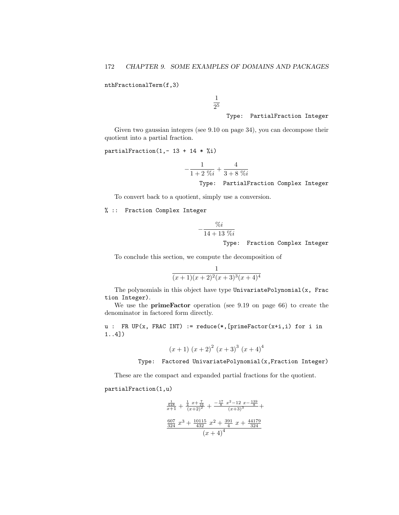nthFractionalTerm(f,3)

1 2 5

## Type: PartialFraction Integer

Given two gaussian integers (see 9.10 on page 34), you can decompose their quotient into a partial fraction.

partialFraction(1,-  $13 + 14 *$ %i)

$$
-\frac{1}{1+2\;\%\!i}+\frac{4}{3+8\;\%\!i}
$$
  
Type: PartialFraction Complex Integer

To convert back to a quotient, simply use a conversion.

% :: Fraction Complex Integer

$$
-\frac{\%i}{14+13\%i}
$$

Type: Fraction Complex Integer

To conclude this section, we compute the decomposition of

$$
\frac{1}{(x+1)(x+2)^2(x+3)^3(x+4)^4}
$$

The polynomials in this object have type UnivariatePolynomial $(x, Frac)$ tion Integer).

We use the primeFactor operation (see 9.19 on page 66) to create the denominator in factored form directly.

u : FR UP(x, FRAC INT) := reduce(\*, [primeFactor(x+i,i) for i in 1..4])

$$
(x+1) (x+2)^{2} (x+3)^{3} (x+4)^{4}
$$

Type: Factored UnivariatePolynomial(x,Fraction Integer)

These are the compact and expanded partial fractions for the quotient.

partialFraction(1,u)

$$
\frac{\frac{1}{648}}{324} + \frac{\frac{1}{4}x + \frac{7}{16}}{(x+2)^2} + \frac{-\frac{17}{8}x^2 - 12x - \frac{139}{8}}{(x+3)^3} + \frac{607}{324}x^3 + \frac{10115}{432}x^2 + \frac{391}{4}x + \frac{44179}{324}
$$
\n
$$
(x+4)^4
$$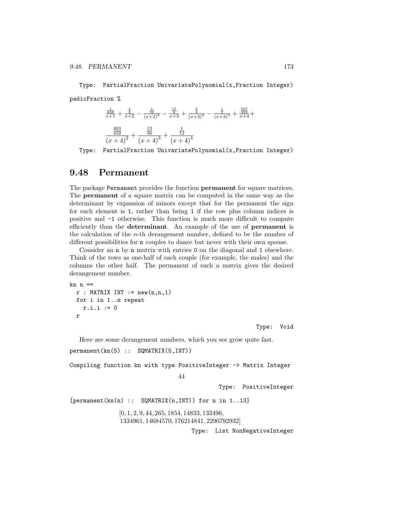Type: PartialFraction UnivariatePolynomial(x,Fraction Integer) padicFraction %

$$
\frac{\frac{1}{648}}{x+1} + \frac{\frac{1}{4}}{x+2} - \frac{\frac{1}{16}}{(x+2)^2} - \frac{\frac{17}{8}}{x+3} + \frac{\frac{3}{4}}{(x+3)^2} - \frac{\frac{1}{2}}{(x+3)^3} + \frac{\frac{324}{324}}{x+4} + \frac{\frac{403}{32}}{(x+4)^2} + \frac{\frac{13}{36}}{(x+4)^3} + \frac{\frac{1}{12}}{(x+4)^4}
$$

Type: PartialFraction UnivariatePolynomial(x,Fraction Integer)

## 9.48 Permanent

The package Permanent provides the function permanent for square matrices. The permanent of a square matrix can be computed in the same way as the determinant by expansion of minors except that for the permanent the sign for each element is 1, rather than being 1 if the row plus column indices is positive and -1 otherwise. This function is much more difficult to compute efficiently than the determinant. An example of the use of permanent is the calculation of the n-th derangement number, defined to be the number of different possibilities for n couples to dance but never with their own spouse.

Consider an n by n matrix with entries 0 on the diagonal and 1 elsewhere. Think of the rows as one-half of each couple (for example, the males) and the columns the other half. The permanent of such a matrix gives the desired derangement number.

```
kn n ==r : \text{MATRIX INT} := \text{new}(n,n,1)for i in 1..n repeat
    r.i.i := 0
  r
```
Type: Void

Here are some derangement numbers, which you see grow quite fast. permanent(kn(5) :: SQMATRIX(5,INT))

Compiling function kn with type PositiveInteger -> Matrix Integer

44

Type: PositiveInteger

 $[permannent(kn(n) :: SQMATRIX(n, INT))$  for n in 1..13]

[0, 1, 2, 9, 44, 265, 1854, 14833, 133496, 1334961, 14684570, 176214841, 2290792932]

Type: List NonNegativeInteger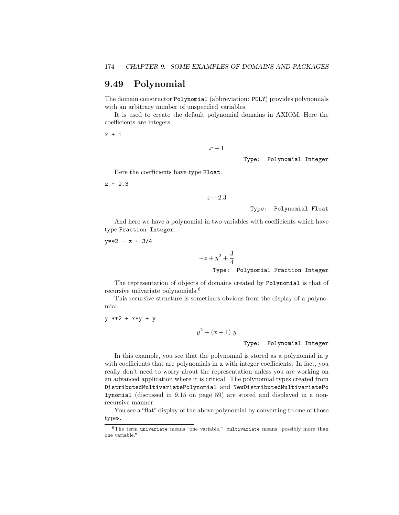## 9.49 Polynomial

The domain constructor Polynomial (abbreviation: POLY) provides polynomials with an arbitrary number of unspecified variables.

It is used to create the default polynomial domains in AXIOM. Here the coefficients are integers.

x + 1

 $x + 1$ 

Type: Polynomial Integer

Here the coefficients have type Float.

 $z - 2.3$ 

```
z - 2.3
```
Type: Polynomial Float

And here we have a polynomial in two variables with coefficients which have type Fraction Integer.

 $y**2 - z + 3/4$ 

 $-z + y^2 + \frac{3}{4}$ 4 Type: Polynomial Fraction Integer

The representation of objects of domains created by Polynomial is that of recursive univariate polynomials.<sup>6</sup>

This recursive structure is sometimes obvious from the display of a polynomial.

y \*\*2 + x\*y + y

 $y^2 + (x+1) y$ 

Type: Polynomial Integer

In this example, you see that the polynomial is stored as a polynomial in y with coefficients that are polynomials in x with integer coefficients. In fact, you really don't need to worry about the representation unless you are working on an advanced application where it is critical. The polynomial types created from DistributedMultivariatePolynomial and NewDistributedMultivariatePo lynomial (discussed in 9.15 on page 59) are stored and displayed in a nonrecursive manner.

You see a "flat" display of the above polynomial by converting to one of those types.

 $6$ The term univariate means "one variable." multivariate means "possibly more than one variable."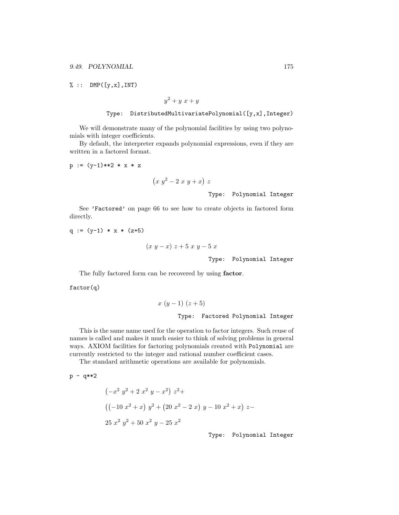$% :: DMP([y,x], INT)$ 

 $y^2 + y x + y$ 

$$
\texttt{Type: \texttt{DistributedMultivariatePolynomial([y,x],Integer)}}
$$

We will demonstrate many of the polynomial facilities by using two polynomials with integer coefficients.

By default, the interpreter expands polynomial expressions, even if they are written in a factored format.

$$
p := (y-1)**2**x*z
$$

$$
\left(x\ y^2-2\ x\ y+x\right)\ z
$$
   
 Type: Polynomial Integer

See 'Factored' on page 66 to see how to create objects in factored form directly.

 $q := (y-1) * x * (z+5)$ 

$$
(x y - x) z + 5 x y - 5 x
$$
  
Type: Polynomial Integer

The fully factored form can be recovered by using factor.

factor(q)

$$
x (y-1) (z+5)
$$
  
\nType: Factored Polynomial Integer

This is the same name used for the operation to factor integers. Such reuse of names is called and makes it much easier to think of solving problems in general ways. AXIOM facilities for factoring polynomials created with Polynomial are currently restricted to the integer and rational number coefficient cases.

The standard arithmetic operations are available for polynomials.

 $p - q**2$ 

$$
\left(-x^{2} y^{2} + 2 x^{2} y - x^{2}\right) z^{2} +
$$
\n
$$
\left((-10 x^{2} + x) y^{2} + (20 x^{2} - 2 x) y - 10 x^{2} + x\right) z -
$$
\n
$$
25 x^{2} y^{2} + 50 x^{2} y - 25 x^{2}
$$

Type: Polynomial Integer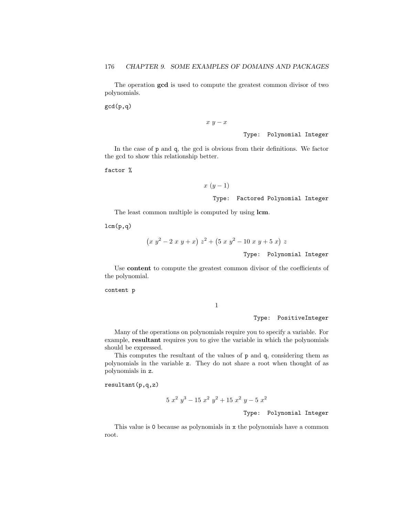The operation gcd is used to compute the greatest common divisor of two polynomials.

gcd(p,q)

 $x \, y - x$ 

Type: Polynomial Integer

In the case of p and q, the gcd is obvious from their definitions. We factor the gcd to show this relationship better.

factor %

 $x (y-1)$ 

Type: Factored Polynomial Integer

The least common multiple is computed by using lcm.

 $lcm(p,q)$ 

$$
(x y2 - 2 x y + x) z2 + (5 x y2 - 10 x y + 5 x) z
$$

Type: Polynomial Integer

Use content to compute the greatest common divisor of the coefficients of the polynomial.

content p

1

Type: PositiveInteger

Many of the operations on polynomials require you to specify a variable. For example, resultant requires you to give the variable in which the polynomials should be expressed.

This computes the resultant of the values of p and q, considering them as polynomials in the variable z. They do not share a root when thought of as polynomials in z.

resultant(p,q,z)

$$
5x^2y^3 - 15x^2y^2 + 15x^2y - 5x^2
$$

Type: Polynomial Integer

This value is 0 because as polynomials in x the polynomials have a common root.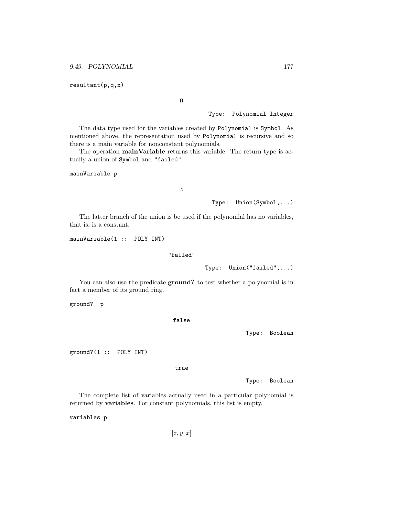resultant(p,q,x)

0

## Type: Polynomial Integer

The data type used for the variables created by Polynomial is Symbol. As mentioned above, the representation used by Polynomial is recursive and so there is a main variable for nonconstant polynomials.

The operation **mainVariable** returns this variable. The return type is actually a union of Symbol and "failed".

mainVariable p

z

#### Type: Union(Symbol,...)

The latter branch of the union is be used if the polynomial has no variables, that is, is a constant.

mainVariable(1 :: POLY INT)

#### "failed"

Type: Union("failed",...)

You can also use the predicate ground? to test whether a polynomial is in fact a member of its ground ring.

ground? p

false

Type: Boolean

ground?(1 :: POLY INT)

true

Type: Boolean

The complete list of variables actually used in a particular polynomial is returned by variables. For constant polynomials, this list is empty.

variables p

 $[z, y, x]$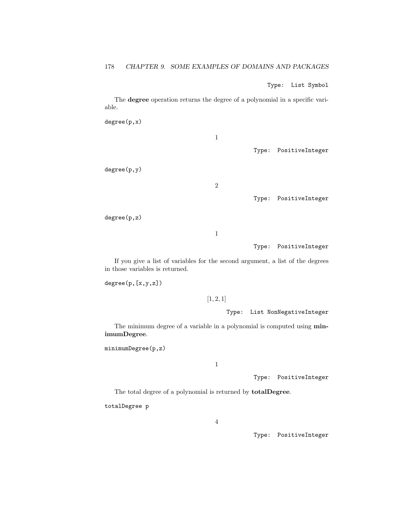Type: List Symbol

The degree operation returns the degree of a polynomial in a specific variable.

degree(p,x)

1

Type: PositiveInteger

degree(p,y)

2

Type: PositiveInteger

degree(p,z)

1

Type: PositiveInteger

If you give a list of variables for the second argument, a list of the degrees in those variables is returned.

 $degree(p,[x,y,z])$ 

 $[1, 2, 1]$ 

Type: List NonNegativeInteger

The minimum degree of a variable in a polynomial is computed using  $min$ imumDegree.

minimumDegree(p,z)

1

Type: PositiveInteger

The total degree of a polynomial is returned by totalDegree.

totalDegree p

Type: PositiveInteger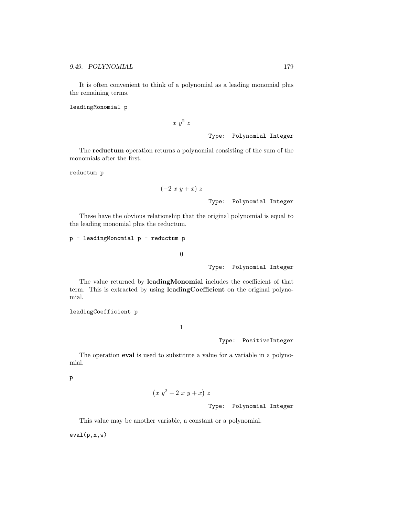It is often convenient to think of a polynomial as a leading monomial plus the remaining terms.

leadingMonomial p

 $x\,y^2\,z$ 

Type: Polynomial Integer

The reductum operation returns a polynomial consisting of the sum of the monomials after the first.

reductum p

$$
(-2 x y + x) z
$$

Type: Polynomial Integer

These have the obvious relationship that the original polynomial is equal to the leading monomial plus the reductum.

p - leadingMonomial p - reductum p

0

Type: Polynomial Integer

The value returned by leadingMonomial includes the coefficient of that term. This is extracted by using leadingCoefficient on the original polynomial.

leadingCoefficient p

1

Type: PositiveInteger

The operation eval is used to substitute a value for a variable in a polynomial.

p

$$
(x y^2 - 2 x y + x) z
$$

Type: Polynomial Integer

This value may be another variable, a constant or a polynomial.

 $eval(p, x, w)$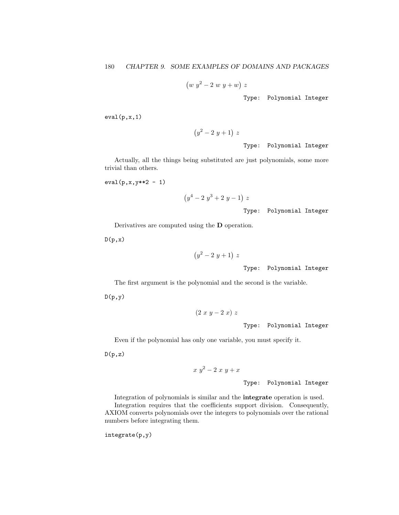$(w y^2 - 2 w y + w) z$ 

Type: Polynomial Integer

eval(p,x,1)

 $(y^2-2y+1)$  z

Type: Polynomial Integer

Actually, all the things being substituted are just polynomials, some more trivial than others.

$$
eval(p, x, y**2 - 1)
$$

$$
(y^4 - 2 y^3 + 2 y - 1) z
$$

Type: Polynomial Integer

Derivatives are computed using the D operation.

 $(p,x)$ 

$$
(y^2-2\ y+1)\ z
$$

Type: Polynomial Integer

The first argument is the polynomial and the second is the variable.

 $D(p,y)$ 

 $(2 x y - 2 x) z$ 

Type: Polynomial Integer

Even if the polynomial has only one variable, you must specify it.

 $D(p,z)$ 

 $x y^2-2 x y+x$ 

Type: Polynomial Integer

Integration of polynomials is similar and the integrate operation is used. Integration requires that the coefficients support division. Consequently, AXIOM converts polynomials over the integers to polynomials over the rational numbers before integrating them.

integrate(p,y)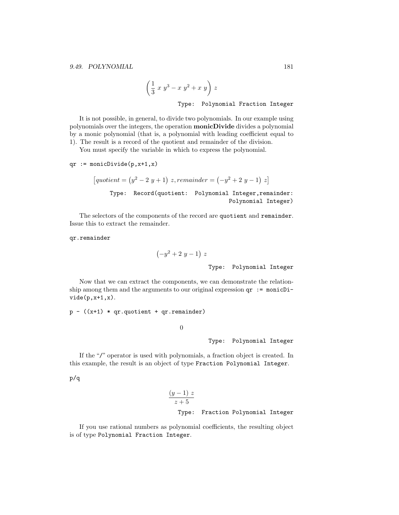$$
\left(\frac{1}{3} x y^3 - x y^2 + x y\right) z
$$
  
Type: Polynomial Fraction Integer

It is not possible, in general, to divide two polynomials. In our example using polynomials over the integers, the operation monicDivide divides a polynomial by a monic polynomial (that is, a polynomial with leading coefficient equal to

1). The result is a record of the quotient and remainder of the division.

You must specify the variable in which to express the polynomial.

$$
qr := monicDivide(p, x+1, x)
$$

$$
[quotient = (y^2 - 2y + 1) z, remainder = (-y^2 + 2y - 1) z]
$$
  
Type: Record(quotient: Polynomial Integer, remainder:  
Polynomial Integer)

The selectors of the components of the record are quotient and remainder. Issue this to extract the remainder.

qr.remainder

 $video(p, x+1, x)$ .

$$
\left(-y^2+2\ y-1\right)\ z
$$
   
 Type: Polynomial Integer

Now that we can extract the components, we can demonstrate the relationship among them and the arguments to our original expression  $qr := monicDi-$ 

 $p - ((x+1) * qr.quotient + qr.remainder)$ 

0

Type: Polynomial Integer

If the "/" operator is used with polynomials, a fraction object is created. In this example, the result is an object of type Fraction Polynomial Integer.

p/q

$$
\frac{(y-1) z}{z+5}
$$
  
Type: Fraction Polynomial Integer

If you use rational numbers as polynomial coefficients, the resulting object is of type Polynomial Fraction Integer.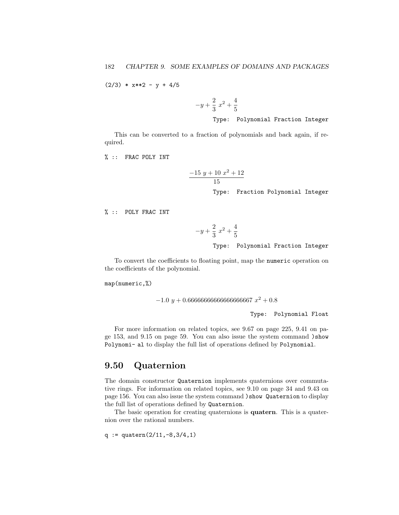$(2/3)$  \*  $x**2 - y + 4/5$ 

 $-y+\frac{2}{2}$  $\frac{2}{3}x^2 + \frac{4}{5}$ 5

Type: Polynomial Fraction Integer

This can be converted to a fraction of polynomials and back again, if required.

% :: FRAC POLY INT

$$
\frac{-15 y + 10 x^2 + 12}{15}
$$
  
Type: Fraction Polynomial Integer

% :: POLY FRAC INT

$$
-y + \frac{2}{3}x^2 + \frac{4}{5}
$$

Type: Polynomial Fraction Integer

To convert the coefficients to floating point, map the numeric operation on the coefficients of the polynomial.

map(numeric,%)

 $-1.0 y + 0.6666666666666666667 x^2 + 0.8$ 

Type: Polynomial Float

For more information on related topics, see 9.67 on page 225, 9.41 on page 153, and 9.15 on page 59. You can also issue the system command )show Polynomi- al to display the full list of operations defined by Polynomial.

### 9.50 Quaternion

The domain constructor Quaternion implements quaternions over commutative rings. For information on related topics, see 9.10 on page 34 and 9.43 on page 156. You can also issue the system command )show Quaternion to display the full list of operations defined by Quaternion.

The basic operation for creating quaternions is **quatern**. This is a quaternion over the rational numbers.

 $q :=$  quatern $(2/11, -8, 3/4, 1)$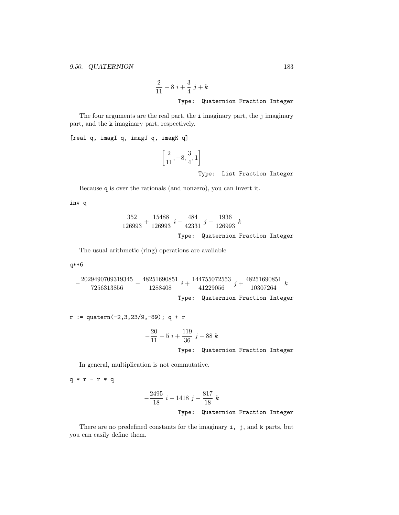$$
\frac{2}{11} - 8i + \frac{3}{4}j + k
$$
  
Type: Quaternion Fraction Integer

The four arguments are the real part, the i imaginary part, the j imaginary part, and the k imaginary part, respectively.

[real q, imagI q, imagJ q, imagK q]

$$
\left[\frac{2}{11}, -8, \frac{3}{4}, 1\right]
$$

Type: List Fraction Integer

Because q is over the rationals (and nonzero), you can invert it.

inv q

$$
\frac{352}{126993} + \frac{15488}{126993} i - \frac{484}{42331} j - \frac{1936}{126993} k
$$
  
Type: Quaternion Fraction Integer

The usual arithmetic (ring) operations are available

### q\*\*6

$$
-\frac{2029490709319345}{7256313856}-\frac{48251690851}{1288408}i+\frac{144755072553}{41229056}j+\frac{48251690851}{10307264}k
$$

Type: Quaternion Fraction Integer

 $r :=$  quatern(-2,3,23/9,-89); q + r

$$
-\frac{20}{11} - 5 i + \frac{119}{36} j - 88 k
$$

Type: Quaternion Fraction Integer

In general, multiplication is not commutative.

q \* r - r \* q

$$
-\frac{2495}{18} i - 1418 j - \frac{817}{18} k
$$
  
Type: Quaternion Fraction Integer

There are no predefined constants for the imaginary i, j, and k parts, but you can easily define them.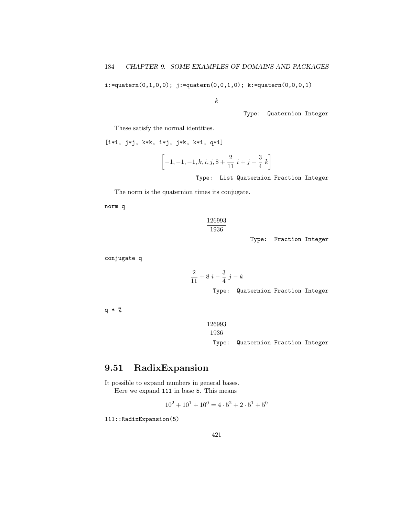i:=quatern(0,1,0,0); j:=quatern(0,0,1,0); k:=quatern(0,0,0,1)

k

Type: Quaternion Integer

These satisfy the normal identities.

[i\*i, j\*j, k\*k, i\*j, j\*k, k\*i, q\*i]

$$
\[-1, -1, -1, k, i, j, 8 + \frac{2}{11} i + j - \frac{3}{4} k\]
$$

Type: List Quaternion Fraction Integer

The norm is the quaternion times its conjugate.

2

norm q

$$
\frac{126993}{1936}
$$

Type: Fraction Integer

conjugate q

$$
\frac{2}{11} + 8i - \frac{3}{4}j - k
$$

Type: Quaternion Fraction Integer

q \* %

$$
\frac{126993}{1936}
$$
   
\nType: Quaternion Fraction Integer

# 9.51 RadixExpansion

It possible to expand numbers in general bases. Here we expand 111 in base 5. This means

$$
10^2 + 10^1 + 10^0 = 4 \cdot 5^2 + 2 \cdot 5^1 + 5^0
$$

111::RadixExpansion(5)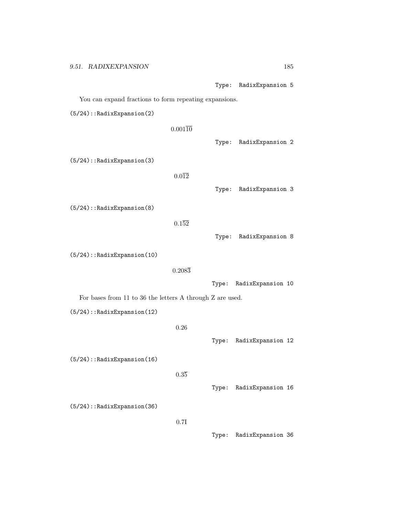Type: RadixExpansion 5

You can expand fractions to form repeating expansions.

(5/24)::RadixExpansion(2)

 $0.001\overline{10}$ 

(5/24)::RadixExpansion(3)

 $0.0\overline{12}$ 

Type: RadixExpansion 3

Type: RadixExpansion 2

(5/24)::RadixExpansion(8)

 $0.152$ 

Type: RadixExpansion 8

(5/24)::RadixExpansion(10)

 $0.208\overline{3}$ 

Type: RadixExpansion 10

For bases from 11 to 36 the letters A through Z are used.

(5/24)::RadixExpansion(12)

0.26

Type: RadixExpansion 12

(5/24)::RadixExpansion(16)

 $0.3\overline{5}$ 

Type: RadixExpansion 16

(5/24)::RadixExpansion(36)

0.7I

Type: RadixExpansion 36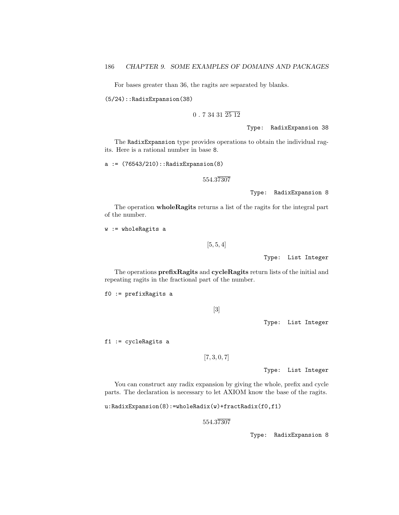For bases greater than 36, the ragits are separated by blanks.

(5/24)::RadixExpansion(38)

### $0.73431\,\overline{2512}$

Type: RadixExpansion 38

The RadixExpansion type provides operations to obtain the individual ragits. Here is a rational number in base 8.

a := (76543/210)::RadixExpansion(8)

554.37307

Type: RadixExpansion 8

The operation wholeRagits returns a list of the ragits for the integral part of the number.

w := wholeRagits a

 $[5, 5, 4]$ 

Type: List Integer

The operations prefixRagits and cycleRagits return lists of the initial and repeating ragits in the fractional part of the number.

f0 := prefixRagits a

[3]

Type: List Integer

f1 := cycleRagits a

 $[7, 3, 0, 7]$ 

Type: List Integer

You can construct any radix expansion by giving the whole, prefix and cycle parts. The declaration is necessary to let AXIOM know the base of the ragits.

u:RadixExpansion(8):=wholeRadix(w)+fractRadix(f0,f1)

554.37307

Type: RadixExpansion 8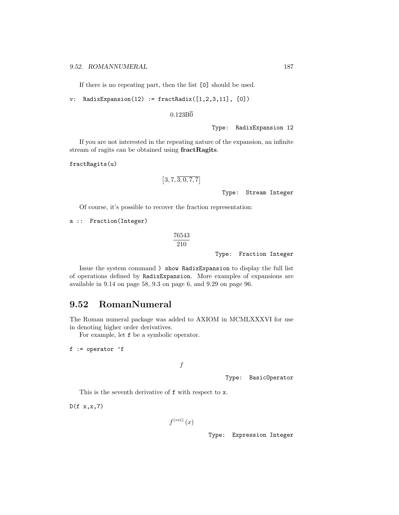If there is no repeating part, then the list [0] should be used.

 $v:$  RadixExpansion(12) := fractRadix( $[1,2,3,11]$ ,  $[0]$ )

### $0.123B\overline{0}$

Type: RadixExpansion 12

If you are not interested in the repeating nature of the expansion, an infinite stream of ragits can be obtained using fractRagits.

fractRagits(u)

$$
[3,7,\overline{3,0,7,7}]
$$

Type: Stream Integer

Of course, it's possible to recover the fraction representation:

a :: Fraction(Integer)

$$
\frac{76543}{210}
$$

Type: Fraction Integer

Issue the system command ) show RadixExpansion to display the full list of operations defined by RadixExpansion. More examples of expansions are available in 9.14 on page 58, 9.3 on page 6, and 9.29 on page 96.

## 9.52 RomanNumeral

The Roman numeral package was added to AXIOM in MCMLXXXVI for use in denoting higher order derivatives.

For example, let f be a symbolic operator.

 $f := operator 'f$ 

```
f
```
Type: BasicOperator

This is the seventh derivative of f with respect to x.

 $D(f x, x, 7)$ 

$$
f^{\left(vii\right)}\left(x\right)
$$

Type: Expression Integer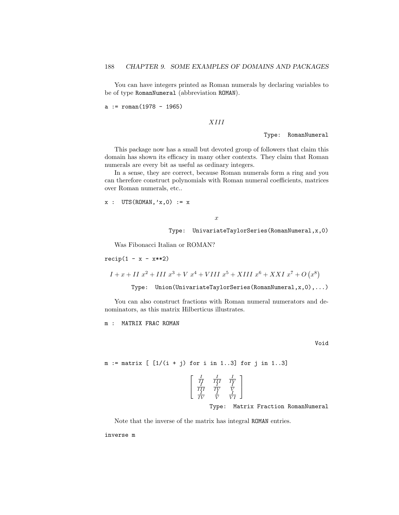You can have integers printed as Roman numerals by declaring variables to be of type RomanNumeral (abbreviation ROMAN).

 $a := \text{roman}(1978 - 1965)$ 

#### XIII

Type: RomanNumeral

This package now has a small but devoted group of followers that claim this domain has shown its efficacy in many other contexts. They claim that Roman numerals are every bit as useful as ordinary integers.

In a sense, they are correct, because Roman numerals form a ring and you can therefore construct polynomials with Roman numeral coefficients, matrices over Roman numerals, etc..

 $x : UTS(ROMAN, 'x, 0) := x$ 

x

Type: UnivariateTaylorSeries(RomanNumeral,x,0)

Was Fibonacci Italian or ROMAN?

 $recip(1 - x - x**2)$ 

 $I + x + II x^2 + III x^3 + V x^4 + VIII x^5 + XIII x^6 + XXI x^7 + O(x^8)$ 

Type: Union(UnivariateTaylorSeries(RomanNumeral,x,0),...)

You can also construct fractions with Roman numeral numerators and denominators, as this matrix Hilberticus illustrates.

m : MATRIX FRAC ROMAN

Void

 $m := matrix$  [  $[1/(i + j)$  for i in 1..3] for j in 1..3]

$$
\left[\begin{array}{cc} \frac{I}{II} & \frac{I}{II'} & \frac{I}{I'}\\ \frac{II}{IV} & \frac{IV}{V} & \frac{V}{V}\\ \frac{IV}{IV} & \frac{V}{V} & \frac{I}{VI} \end{array}\right]
$$

Type: Matrix Fraction RomanNumeral

Note that the inverse of the matrix has integral ROMAN entries.

inverse m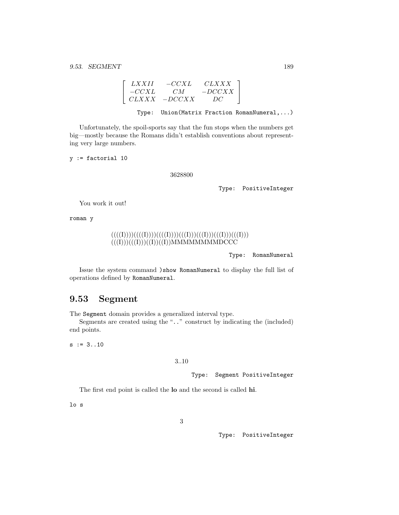$$
\left[\begin{array}{ccc} LXXII & -CCXL & CLXXX \\ -CCXL & CM & -DCCXX \\ CLXXX & -DCCXX & DC \end{array}\right].
$$

Type: Union(Matrix Fraction RomanNumeral,...)

Unfortunately, the spoil-sports say that the fun stops when the numbers get big—mostly because the Romans didn't establish conventions about representing very large numbers.

y := factorial 10

#### 3628800

Type: PositiveInteger

You work it out!

roman y

$$
((((I))))((((I))))((((I))))((((I)))(((I)))(((I)))(((I)))(((I)))(((I)))((I))((I))\\ \text{MMMMMMMIDCCC}
$$

Type: RomanNumeral

Issue the system command )show RomanNumeral to display the full list of operations defined by RomanNumeral.

## 9.53 Segment

The Segment domain provides a generalized interval type.

Segments are created using the ".." construct by indicating the (included) end points.

 $s := 3..10$ 

### 3..10

Type: Segment PositiveInteger

The first end point is called the lo and the second is called hi.

lo s

Type: PositiveInteger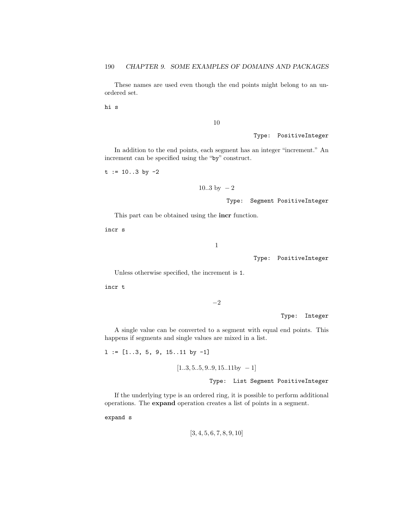These names are used even though the end points might belong to an unordered set.

hi s

10

Type: PositiveInteger

In addition to the end points, each segment has an integer "increment." An increment can be specified using the "by" construct.

 $t := 10..3$  by  $-2$ 

 $10..3$  by  $-2$ 

Type: Segment PositiveInteger

This part can be obtained using the incr function.

incr s

1

Type: PositiveInteger

Unless otherwise specified, the increment is 1.

incr t

−2

Type: Integer

A single value can be converted to a segment with equal end points. This happens if segments and single values are mixed in a list.

 $l := [1..3, 5, 9, 15..11$  by  $-1]$ 

 $[1..3, 5..5, 9..9, 15..11$ by − 1]

Type: List Segment PositiveInteger

If the underlying type is an ordered ring, it is possible to perform additional operations. The expand operation creates a list of points in a segment.

expand s

$$
[3, 4, 5, 6, 7, 8, 9, 10]
$$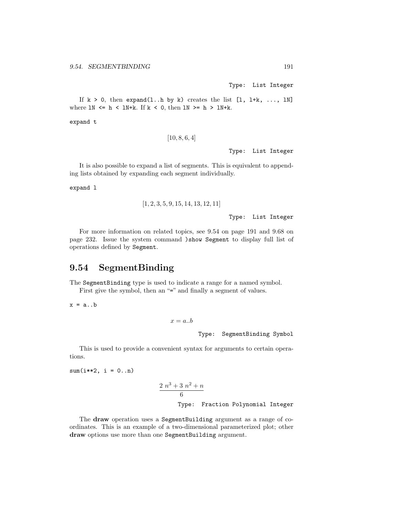Type: List Integer

If  $k > 0$ , then expand(1..h by k) creates the list [1, 1+k, ..., 1N] where  $\text{LN} \leq h \leq \text{LN}+k$ . If  $k \leq 0$ , then  $\text{LN} \geq h \geq \text{LN}+k$ .

expand t

```
[10, 8, 6, 4]
```
Type: List Integer

It is also possible to expand a list of segments. This is equivalent to appending lists obtained by expanding each segment individually.

expand l

$$
\left[1, 2, 3, 5, 9, 15, 14, 13, 12, 11\right]
$$

Type: List Integer

For more information on related topics, see 9.54 on page 191 and 9.68 on page 232. Issue the system command )show Segment to display full list of operations defined by Segment.

## 9.54 SegmentBinding

The SegmentBinding type is used to indicate a range for a named symbol. First give the symbol, then an "=" and finally a segment of values.

 $x = a \cdot b$ 

```
x = a.b
```
Type: SegmentBinding Symbol

This is used to provide a convenient syntax for arguments to certain operations.

 $sum(i**2, i = 0..n)$ 

$$
\frac{2 n^3 + 3 n^2 + n}{6}
$$
  
Type: Fraction Polynomial Integer

The draw operation uses a SegmentBuilding argument as a range of coordinates. This is an example of a two-dimensional parameterized plot; other draw options use more than one SegmentBuilding argument.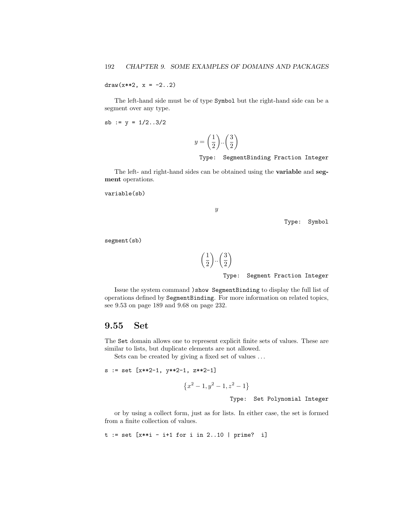draw(x\*\*2,  $x = -2.12$ )

The left-hand side must be of type Symbol but the right-hand side can be a segment over any type.

$$
sb := y = 1/2..3/2
$$

$$
y = \left(\frac{1}{2}\right) \cdot \left(\frac{3}{2}\right)
$$

Type: SegmentBinding Fraction Integer

The left- and right-hand sides can be obtained using the variable and segment operations.

```
variable(sb)
```

```
\boldsymbol{y}
```
Type: Symbol

segment(sb)



Type: Segment Fraction Integer

Issue the system command )show SegmentBinding to display the full list of operations defined by SegmentBinding. For more information on related topics, see 9.53 on page 189 and 9.68 on page 232.

### 9.55 Set

The Set domain allows one to represent explicit finite sets of values. These are similar to lists, but duplicate elements are not allowed.

Sets can be created by giving a fixed set of values . . .

```
s := set [x**2-1, y**2-1, z**2-1]
```

```
{x<sup>2</sup> - 1, y<sup>2</sup> - 1, z<sup>2</sup> - 1}
```
Type: Set Polynomial Integer

or by using a collect form, just as for lists. In either case, the set is formed from a finite collection of values.

 $t := set [x**i - i+1 for i in 2..10 | prime? i]$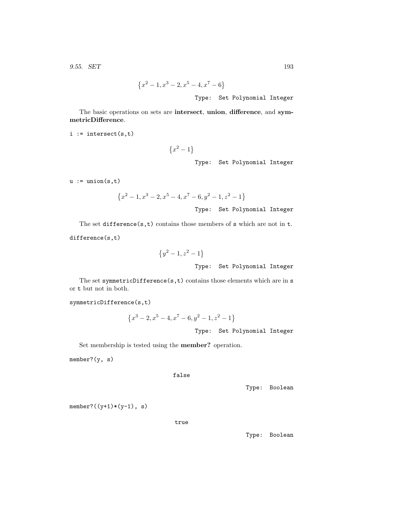9.55. SET 193

$$
\{x^2 - 1, x^3 - 2, x^5 - 4, x^7 - 6\}
$$
  
Type: Set Polynomial Integer

The basic operations on sets are intersect, union, difference, and symmetricDifference.

 $i :=$  intersect(s,t)

 ${x^2 - 1}$ Type: Set Polynomial Integer

 $u :=$ union $(s,t)$ 

$$
\{x^2 - 1, x^3 - 2, x^5 - 4, x^7 - 6, y^2 - 1, z^2 - 1\}
$$

Type: Set Polynomial Integer

The set difference( $s, t$ ) contains those members of  $s$  which are not in  $t$ .

difference(s,t)

$$
{y2 - 1, z2 - 1}
$$
  
Type: Set Polynomial Integer

The set symmetricDifference(s,t) contains those elements which are in s or t but not in both.

symmetricDifference(s,t)

$$
\{x^3 - 2, x^5 - 4, x^7 - 6, y^2 - 1, z^2 - 1\}
$$

Type: Set Polynomial Integer

Set membership is tested using the member? operation.

member?(y, s)

false

Type: Boolean

 $member?((y+1)*(y-1), s)$ 

true

Type: Boolean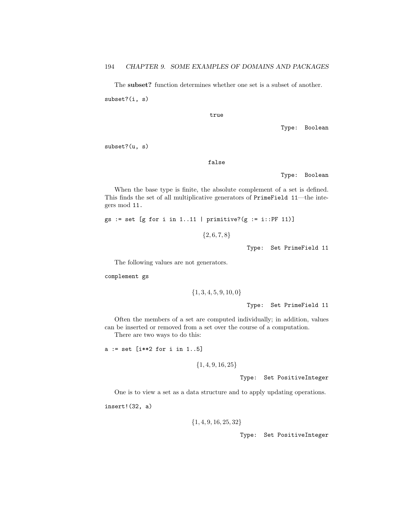The subset? function determines whether one set is a subset of another. subset?(i, s)

true

Type: Boolean

subset?(u, s)

false

Type: Boolean

When the base type is finite, the absolute complement of a set is defined. This finds the set of all multiplicative generators of PrimeField 11—the integers mod 11.

gs := set [g for i in 1..11 | primitive?(g := i::PF 11)]

 ${2, 6, 7, 8}$ 

Type: Set PrimeField 11

The following values are not generators.

complement gs

$$
\{1,3,4,5,9,10,0\}
$$

Type: Set PrimeField 11

Often the members of a set are computed individually; in addition, values can be inserted or removed from a set over the course of a computation.

There are two ways to do this:

a := set [i\*\*2 for i in 1..5]

 ${1, 4, 9, 16, 25}$ 

Type: Set PositiveInteger

One is to view a set as a data structure and to apply updating operations.

insert!(32, a)

```
{1, 4, 9, 16, 25, 32}
```
Type: Set PositiveInteger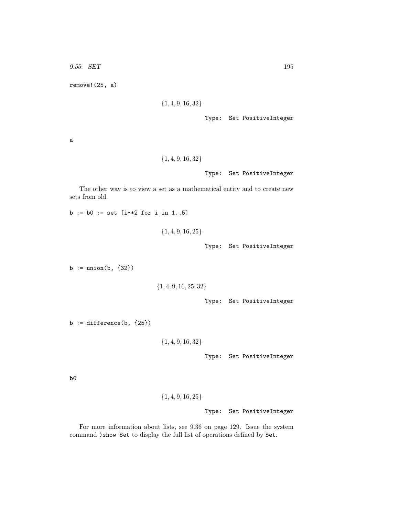9.55. SET 195

remove!(25, a)

```
{1, 4, 9, 16, 32}
```
Type: Set PositiveInteger

a

$$
\{1,4,9,16,32\}
$$

Type: Set PositiveInteger

The other way is to view a set as a mathematical entity and to create new sets from old.

 $b := b0 := set$  [i\*\*2 for i in 1..5]

```
{1, 4, 9, 16, 25}
```
Type: Set PositiveInteger

b := union(b, {32})

```
{1, 4, 9, 16, 25, 32}
```
Type: Set PositiveInteger

 $b := difference(b, {25})$ 

```
{1, 4, 9, 16, 32}
```
Type: Set PositiveInteger

b0

```
{1, 4, 9, 16, 25}
```
Type: Set PositiveInteger

For more information about lists, see 9.36 on page 129. Issue the system command )show Set to display the full list of operations defined by Set.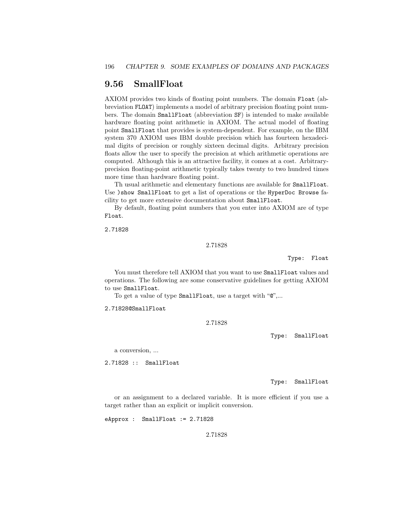# 9.56 SmallFloat

AXIOM provides two kinds of floating point numbers. The domain Float (abbreviation FLOAT) implements a model of arbitrary precision floating point numbers. The domain SmallFloat (abbreviation SF) is intended to make available hardware floating point arithmetic in AXIOM. The actual model of floating point SmallFloat that provides is system-dependent. For example, on the IBM system 370 AXIOM uses IBM double precision which has fourteen hexadecimal digits of precision or roughly sixteen decimal digits. Arbitrary precision floats allow the user to specify the precision at which arithmetic operations are computed. Although this is an attractive facility, it comes at a cost. Arbitraryprecision floating-point arithmetic typically takes twenty to two hundred times more time than hardware floating point.

Th usual arithmetic and elementary functions are available for SmallFloat. Use )show SmallFloat to get a list of operations or the HyperDoc Browse facility to get more extensive documentation about SmallFloat.

By default, floating point numbers that you enter into AXIOM are of type Float.

2.71828

#### 2.71828

Type: Float

You must therefore tell AXIOM that you want to use **SmallFloat** values and operations. The following are some conservative guidelines for getting AXIOM to use SmallFloat.

To get a value of type SmallFloat, use a target with "@",...

2.71828@SmallFloat

2.71828

Type: SmallFloat

a conversion, ...

2.71828 :: SmallFloat

Type: SmallFloat

or an assignment to a declared variable. It is more efficient if you use a target rather than an explicit or implicit conversion.

eApprox : SmallFloat := 2.71828

2.71828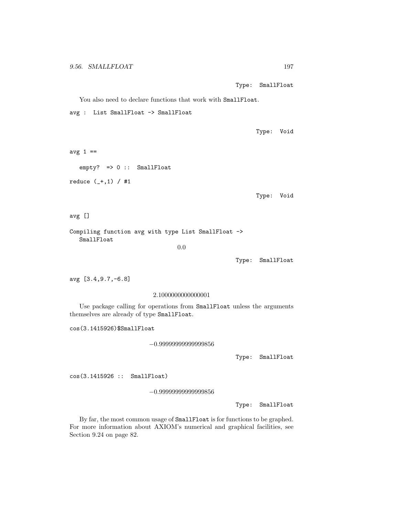Type: SmallFloat

You also need to declare functions that work with SmallFloat.

avg : List SmallFloat -> SmallFloat

Type: Void

avg  $1 ==$ 

empty? => 0 :: SmallFloat

reduce (\_+,1) / #1

Type: Void

avg []

Compiling function avg with type List SmallFloat -> SmallFloat

0.0

Type: SmallFloat

avg [3.4,9.7,-6.8]

2.1000000000000001

Use package calling for operations from SmallFloat unless the arguments themselves are already of type SmallFloat.

cos(3.1415926)\$SmallFloat

−0.99999999999999856

Type: SmallFloat

cos(3.1415926 :: SmallFloat)

−0.99999999999999856

Type: SmallFloat

By far, the most common usage of SmallFloat is for functions to be graphed. For more information about AXIOM's numerical and graphical facilities, see Section 9.24 on page 82.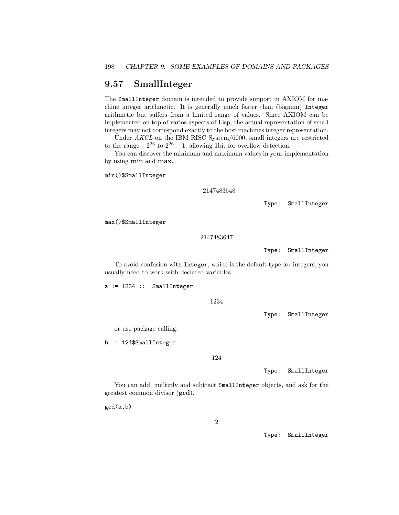## 9.57 SmallInteger

The SmallInteger domain is intended to provide support in AXIOM for machine integer arithmetic. It is generally much faster than (bignum) Integer arithmetic but suffers from a limited range of values. Since AXIOM can be implemented on top of varios aspects of Lisp, the actual representation of small integers may not correspond exactly to the host machines integer representation.

Under AKCL on the IBM RISC System/6000, small integers are restricted to the range  $-2^{26}$  to  $2^{26} - 1$ , allowing 1 bit for overflow detection.

You can discover the minimum and maximum values in your implementation by using min and max.

min()\$SmallInteger

−2147483648

Type: SmallInteger

max()\$SmallInteger

2147483647

Type: SmallInteger

To avoid confusion with Integer, which is the default type for integers, you usually need to work with declared variables ...

a := 1234 :: SmallInteger

1234

Type: SmallInteger

or use package calling.

b := 124\$SmallInteger

124

Type: SmallInteger

You can add, multiply and subtract SmallInteger objects, and ask for the greatest common divisor (gcd).

gcd(a,b)

Type: SmallInteger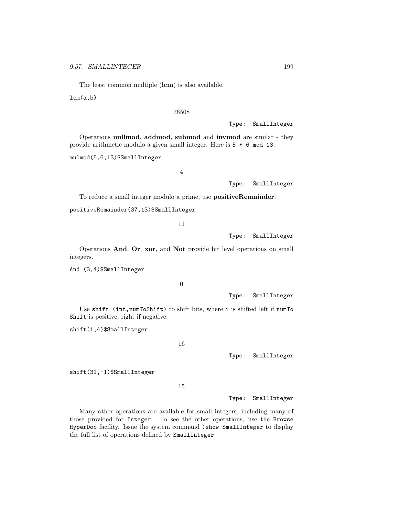The least common multiple (lcm) is also available.

 $lcm(a,b)$ 

76508

Type: SmallInteger

Operations nullmod, addmod, submod and invmod are similar - they provide arithmetic modulo a given small integer. Here is 5 \* 6 mod 13.

mulmod(5,6,13)\$SmallInteger

4

Type: SmallInteger

To reduce a small integer modulo a prime, use positiveRemainder.

positiveRemainder(37,13)\$SmallInteger

11

Type: SmallInteger

Operations And, Or, xor, and Not provide bit level operations on small integers.

And (3,4)\$SmallInteger

0

Type: SmallInteger

Use shift (int,numToShift) to shift bits, where i is shifted left if numTo Shift is positive, right if negative.

shift(1,4)\$SmallInteger

16

Type: SmallInteger

shift(31,-1)\$SmallInteger

15

Type: SmallInteger

Many other operations are available for small integers, including many of those provided for Integer. To see the other operations, use the Browse HyperDoc facility. Issue the system command )show SmallInteger to display the full list of operations defined by SmallInteger.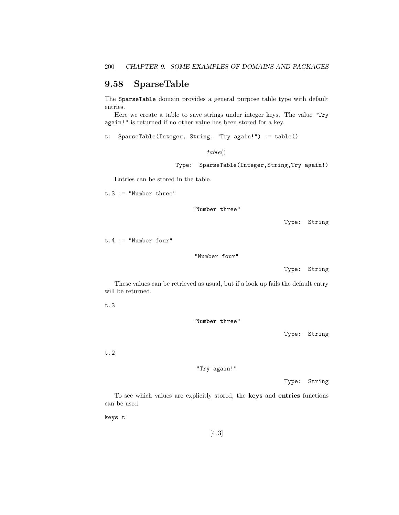# 9.58 SparseTable

The SparseTable domain provides a general purpose table type with default entries.

Here we create a table to save strings under integer keys. The value "Try again!" is returned if no other value has been stored for a key.

t: SparseTable(Integer, String, "Try again!") := table()

table()

Type: SparseTable(Integer,String,Try again!)

Entries can be stored in the table.

t.3 := "Number three"

"Number three"

Type: String

t.4 := "Number four"

"Number four"

Type: String

These values can be retrieved as usual, but if a look up fails the default entry will be returned.

t.3

"Number three"

Type: String

t.2

"Try again!"

Type: String

To see which values are explicitly stored, the keys and entries functions can be used.

keys t

[4, 3]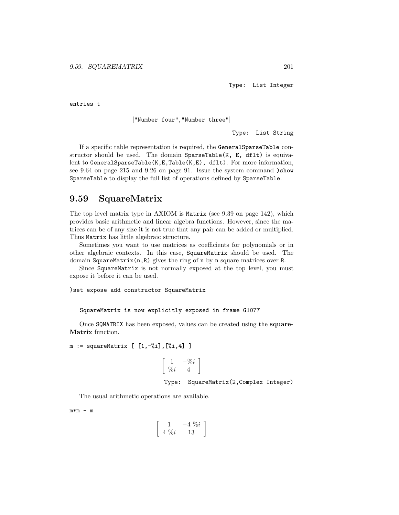Type: List Integer

entries t

["Number four", "Number three"]

Type: List String

If a specific table representation is required, the GeneralSparseTable constructor should be used. The domain SparseTable(K, E, dflt) is equivalent to GeneralSparseTable(K,E,Table(K,E), dflt). For more information, see 9.64 on page 215 and 9.26 on page 91. Issue the system command )show SparseTable to display the full list of operations defined by SparseTable.

## 9.59 SquareMatrix

The top level matrix type in AXIOM is Matrix (see 9.39 on page 142), which provides basic arithmetic and linear algebra functions. However, since the matrices can be of any size it is not true that any pair can be added or multiplied. Thus Matrix has little algebraic structure.

Sometimes you want to use matrices as coefficients for polynomials or in other algebraic contexts. In this case, SquareMatrix should be used. The domain SquareMatrix(n,R) gives the ring of n by n square matrices over R.

Since SquareMatrix is not normally exposed at the top level, you must expose it before it can be used.

)set expose add constructor SquareMatrix

SquareMatrix is now explicitly exposed in frame G1077

Once SQMATRIX has been exposed, values can be created using the square-Matrix function.

 $m := squareMatrix [ [1, -\%i], [\%i, 4] ]$ 

$$
\left[\begin{array}{cc} 1 & -\%i \\ \%i & 4 \end{array}\right]
$$

Type: SquareMatrix(2,Complex Integer)

The usual arithmetic operations are available.

 $m*m - m$ 

$$
\left[\begin{array}{cc} 1 & -4 \ \% i \\ 4 \ \% i & 13 \end{array}\right]
$$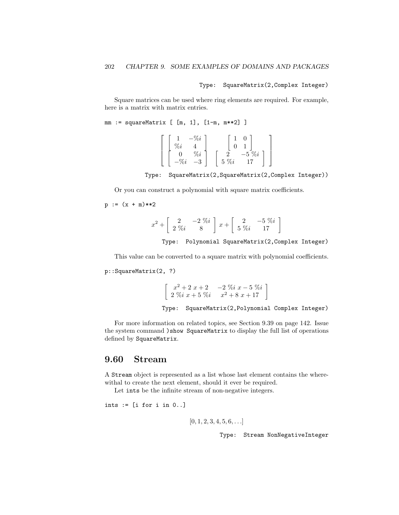### Type: SquareMatrix(2,Complex Integer)

Square matrices can be used where ring elements are required. For example, here is a matrix with matrix entries.

```
mm := squareMatrix [ [m, 1], [1-m, m**2] ]
```

| $\bullet$<br>'0l        |            |       |  |
|-------------------------|------------|-------|--|
|                         |            |       |  |
| $\bullet$<br>$\sqrt{0}$ |            | $\%i$ |  |
| –ა                      | $\%i$<br>b |       |  |

Type: SquareMatrix(2,SquareMatrix(2,Complex Integer))

Or you can construct a polynomial with square matrix coefficients.

$$
p := (x + m) \cdot *2
$$

$$
x^2+\left[\begin{array}{cc}2 & -2\,\,\%i\\ 2\,\,\%i & 8\end{array}\right]\,x+\left[\begin{array}{cc}2 & -5\,\,\%i\\ 5\,\,\%i & 17\end{array}\right]
$$

Type: Polynomial SquareMatrix(2,Complex Integer)

This value can be converted to a square matrix with polynomial coefficients.

p::SquareMatrix(2, ?)

$$
\begin{bmatrix} x^2 + 2x + 2 & -2 \n\% x - 5 \n\% y \\
2 \n\% x + 5 \n\% y & x^2 + 8 \n\% x + 17 \n\end{bmatrix}
$$
\nType: SquareMatrix(2, Polynomial Complex Integer)

For more information on related topics, see Section 9.39 on page 142. Issue the system command )show SquareMatrix to display the full list of operations defined by SquareMatrix.

## 9.60 Stream

A Stream object is represented as a list whose last element contains the wherewithal to create the next element, should it ever be required.

Let ints be the infinite stream of non-negative integers.

ints := [i for i in 0..]

$$
[0, 1, 2, 3, 4, 5, 6, \ldots]
$$

Type: Stream NonNegativeInteger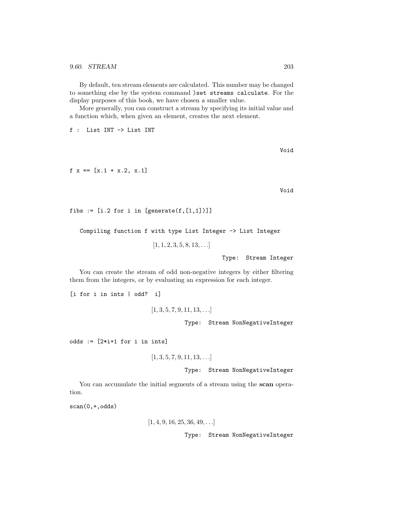By default, ten stream elements are calculated. This number may be changed to something else by the system command )set streams calculate. For the display purposes of this book, we have chosen a smaller value.

More generally, you can construct a stream by specifying its initial value and a function which, when given an element, creates the next element.

f : List INT -> List INT

Void

 $f \ x == [x.1 + x.2, x.1]$ 

Void

```
fibs := [i.2 for i in [generate(f, [1,1])]]
```
Compiling function f with type List Integer -> List Integer

 $[1, 1, 2, 3, 5, 8, 13, \ldots]$ 

Type: Stream Integer

You can create the stream of odd non-negative integers by either filtering them from the integers, or by evaluating an expression for each integer.

[i for i in ints | odd? i]

```
[1, 3, 5, 7, 9, 11, 13, \ldots]Type: Stream NonNegativeInteger
```
odds  $:=$   $[2* i+1$  for i in ints]

```
[1, 3, 5, 7, 9, 11, 13, \ldots]
```
Type: Stream NonNegativeInteger

You can accumulate the initial segments of a stream using the scan operation.

scan(0,+,odds)

 $[1, 4, 9, 16, 25, 36, 49, \ldots]$ 

Type: Stream NonNegativeInteger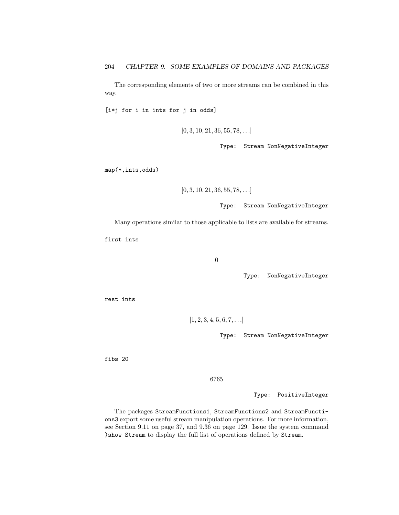The corresponding elements of two or more streams can be combined in this way.

[i\*j for i in ints for j in odds]

 $[0, 3, 10, 21, 36, 55, 78, \ldots]$ 

Type: Stream NonNegativeInteger

map(\*,ints,odds)

```
[0, 3, 10, 21, 36, 55, 78, \ldots]
```
Type: Stream NonNegativeInteger

Many operations similar to those applicable to lists are available for streams.

first ints

0

Type: NonNegativeInteger

rest ints

 $[1, 2, 3, 4, 5, 6, 7, \ldots]$ 

Type: Stream NonNegativeInteger

fibs 20

6765

Type: PositiveInteger

The packages StreamFunctions1, StreamFunctions2 and StreamFunctions3 export some useful stream manipulation operations. For more information, see Section 9.11 on page 37, and 9.36 on page 129. Issue the system command )show Stream to display the full list of operations defined by Stream.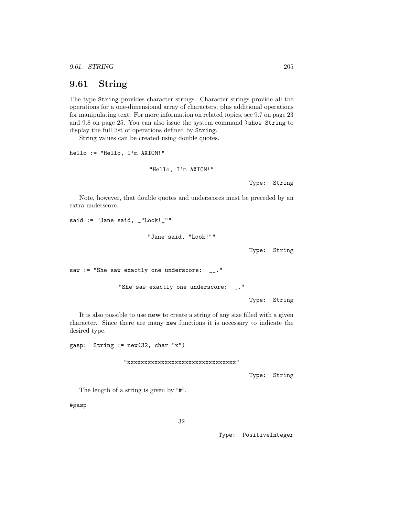9.61. STRING 205

## 9.61 String

The type String provides character strings. Character strings provide all the operations for a one-dimensional array of characters, plus additional operations for manipulating text. For more information on related topics, see 9.7 on page 23 and 9.8 on page 25. You can also issue the system command )show String to display the full list of operations defined by String.

String values can be created using double quotes.

hello := "Hello, I'm AXIOM!"

```
"Hello, I'm AXIOM!"
```
Type: String

Note, however, that double quotes and underscores must be preceded by an extra underscore.

said := "Jane said, \_"Look!\_""

"Jane said, "Look!""

Type: String

saw := "She saw exactly one underscore: \_\_."

```
"She saw exactly one underscore: _."
```
Type: String

It is also possible to use new to create a string of any size filled with a given character. Since there are many new functions it is necessary to indicate the desired type.

gasp: String  $:= new(32, char "x")$ 

"xxxxxxxxxxxxxxxxxxxxxxxxxxxxxxxx"

Type: String

The length of a string is given by "#".

#gasp

32

Type: PositiveInteger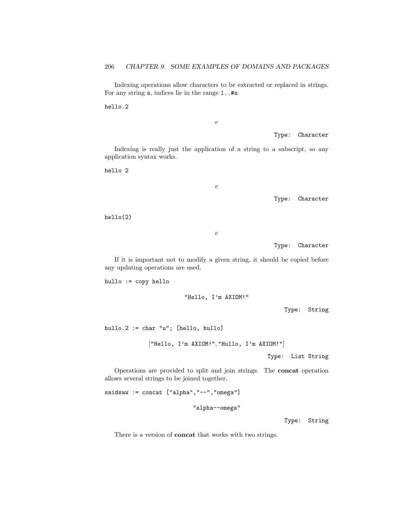Indexing operations allow characters to be extracted or replaced in strings. For any string s, indices lie in the range 1..#s.

hello.2

e

Type: Character

Indexing is really just the application of a string to a subscript, so any application syntax works.

 $\boldsymbol{e}$ 

hello 2

Type: Character

hello(2)

e

Type: Character

If it is important not to modify a given string, it should be copied before any updating operations are used.

hullo := copy hello

"Hello, I'm AXIOM!"

Type: String

hullo.2 := char "u"; [hello, hullo]

["Hello, I'm AXIOM!", "Hullo, I'm AXIOM!"]

Type: List String

Operations are provided to split and join strings. The concat operation allows several strings to be joined together.

saidsaw := concat ["alpha","--","omega"]

"alpha--omega"

Type: String

There is a version of concat that works with two strings.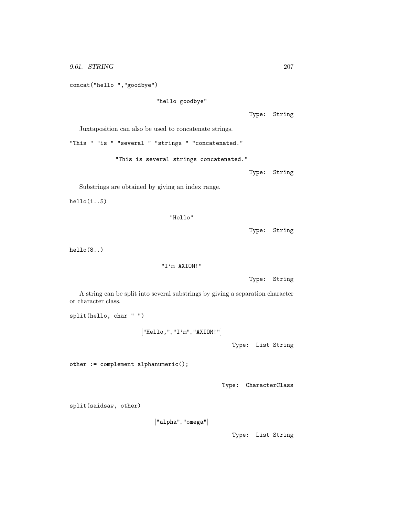```
concat("hello ","goodbye")
```
"hello goodbye"

Type: String

Juxtaposition can also be used to concatenate strings.

"This " "is " "several " "strings " "concatenated."

"This is several strings concatenated."

Type: String

Substrings are obtained by giving an index range.

 $h$ ello $(1..5)$ 

```
"Hello"
```
Type: String

hello(8..)

"I'm AXIOM!"

```
Type: String
```
A string can be split into several substrings by giving a separation character or character class.

split(hello, char " ")

```
["Hello,", "I'm", "AXIOM!"]
```
Type: List String

other := complement alphanumeric();

Type: CharacterClass

split(saidsaw, other)

["alpha", "omega"]

Type: List String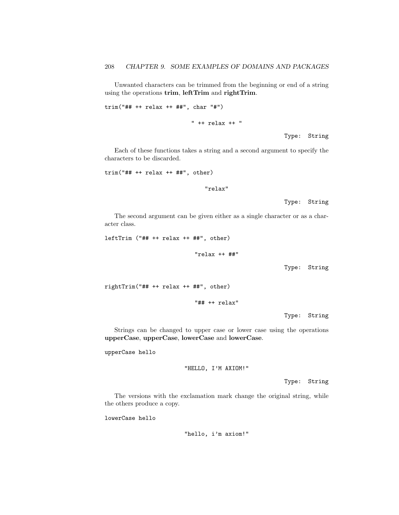Unwanted characters can be trimmed from the beginning or end of a string using the operations trim, leftTrim and rightTrim.

trim("## ++ relax ++ ##", char "#")

" ++ relax ++ "

Type: String

Each of these functions takes a string and a second argument to specify the characters to be discarded.

 $trim("## + + relax ++ ##", other)$ 

"relax"

Type: String

The second argument can be given either as a single character or as a character class.

leftTrim ("## ++ relax ++ ##", other)

"relax ++ ##"

Type: String

rightTrim("## ++ relax ++ ##", other)

"## ++ relax"

Type: String

Strings can be changed to upper case or lower case using the operations upperCase, upperCase, lowerCase and lowerCase.

upperCase hello

"HELLO, I'M AXIOM!"

Type: String

The versions with the exclamation mark change the original string, while the others produce a copy.

lowerCase hello

"hello, i'm axiom!"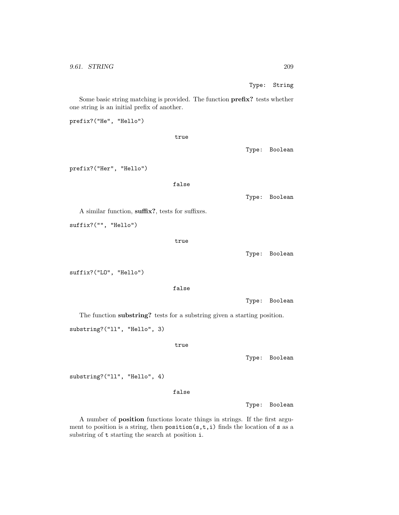Type: String

Some basic string matching is provided. The function prefix? tests whether one string is an initial prefix of another.

prefix?("He", "Hello") true Type: Boolean prefix?("Her", "Hello") false Type: Boolean A similar function, suffix?, tests for suffixes. suffix?("", "Hello") true Type: Boolean suffix?("LO", "Hello") false Type: Boolean The function substring? tests for a substring given a starting position. substring?("ll", "Hello", 3) true Type: Boolean substring?("ll", "Hello", 4) false

Type: Boolean

A number of position functions locate things in strings. If the first argument to position is a string, then  $position(s, t, i)$  finds the location of s as a substring of t starting the search at position i.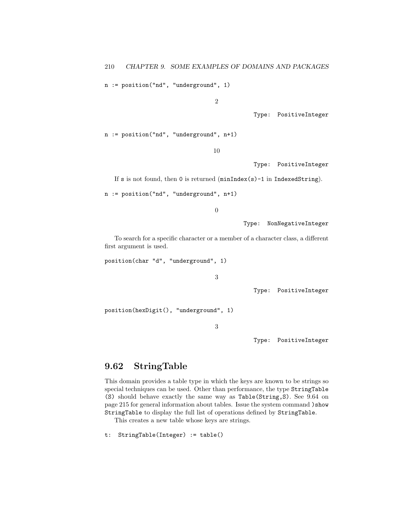n := position("nd", "underground", 1)

2

Type: PositiveInteger

n := position("nd", "underground", n+1)

10

Type: PositiveInteger

If s is not found, then 0 is returned (minIndex(s)-1 in IndexedString).

n := position("nd", "underground", n+1)

0

Type: NonNegativeInteger

To search for a specific character or a member of a character class, a different first argument is used.

position(char "d", "underground", 1)

```
3
```
Type: PositiveInteger

position(hexDigit(), "underground", 1)

3

Type: PositiveInteger

### 9.62 StringTable

This domain provides a table type in which the keys are known to be strings so special techniques can be used. Other than performance, the type StringTable (S) should behave exactly the same way as Table(String,S). See 9.64 on page 215 for general information about tables. Issue the system command )show StringTable to display the full list of operations defined by StringTable.

This creates a new table whose keys are strings.

```
t: StringTable(Integer) := table()
```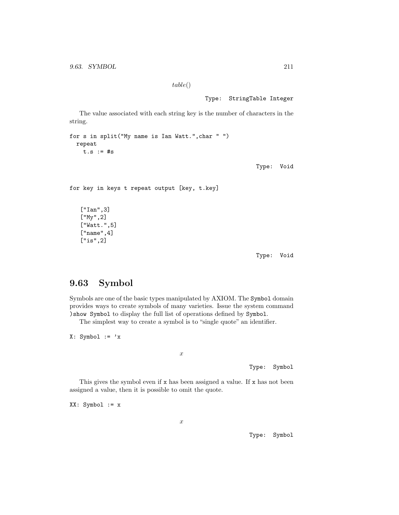table()

Type: StringTable Integer

The value associated with each string key is the number of characters in the string.

for s in split("My name is Ian Watt.",char " ") repeat  $t.s := #s$ 

Type: Void

for key in keys t repeat output [key, t.key]

["Ian",3] ["My",2] ["Watt.",5] ["name",4] ["is",2]

Type: Void

# 9.63 Symbol

Symbols are one of the basic types manipulated by AXIOM. The Symbol domain provides ways to create symbols of many varieties. Issue the system command )show Symbol to display the full list of operations defined by Symbol.

The simplest way to create a symbol is to "single quote" an identifier.

 $X: Symbol := 'x$ 

x

Type: Symbol

This gives the symbol even if x has been assigned a value. If x has not been assigned a value, then it is possible to omit the quote.

XX: Symbol := x

x

Type: Symbol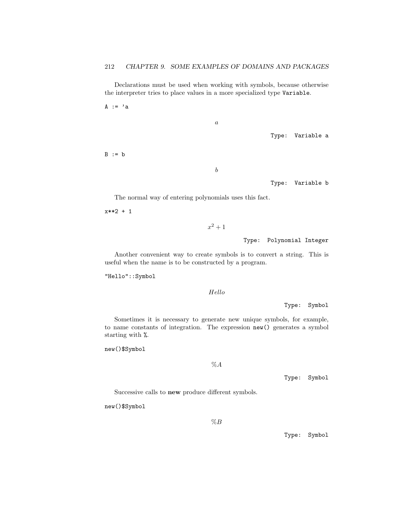Declarations must be used when working with symbols, because otherwise the interpreter tries to place values in a more specialized type Variable.

 $A := 'a$ 

 $\boldsymbol{a}$ 

Type: Variable a

 $B := b$ 

b

Type: Variable b

The normal way of entering polynomials uses this fact.

x\*\*2 + 1

```
x^2 + 1
```
Type: Polynomial Integer

Another convenient way to create symbols is to convert a string. This is useful when the name is to be constructed by a program.

"Hello"::Symbol

Hello

Type: Symbol

Sometimes it is necessary to generate new unique symbols, for example, to name constants of integration. The expression new() generates a symbol starting with %.

new()\$Symbol

 $\%A$ 

Type: Symbol

Successive calls to new produce different symbols.

new()\$Symbol

 $%B$ 

Type: Symbol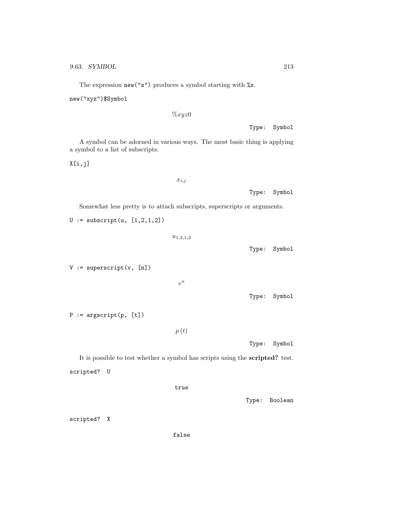new("xyz")\$Symbol

 $\%xyz0$ 

Type: Symbol

A symbol can be adorned in various ways. The most basic thing is applying a symbol to a list of subscripts.

X[i,j]

 $x_{i,j}$ 

Type: Symbol

Somewhat less pretty is to attach subscripts, superscripts or arguments.

 $U :=$  subscript(u,  $[1, 2, 1, 2]$ )

 $u_{1,2,1,2}$ 

 $V := superscript(v, [n])$ 

 $v^n$ 

Type: Symbol

Type: Symbol

 $P := \text{argscript}(p, [t])$ 

 $p(t)$ 

Type: Symbol

It is possible to test whether a symbol has scripts using the scripted? test. scripted? U

true

Type: Boolean

scripted? X

false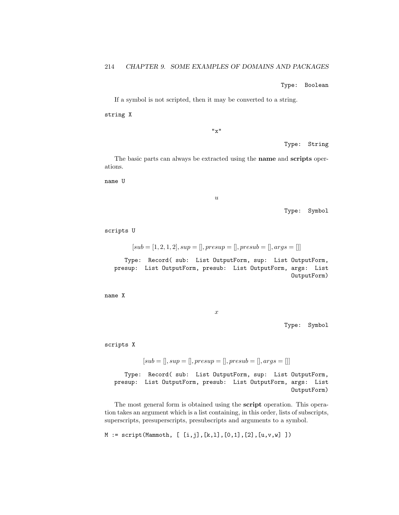Type: Boolean

If a symbol is not scripted, then it may be converted to a string.

string X

 $"x"$ 

Type: String

The basic parts can always be extracted using the name and scripts operations.

name U

u

Type: Symbol

scripts U

 $[sub = [1, 2, 1, 2], sup =[], presup =[], presub =[], args = []]$ 

Type: Record( sub: List OutputForm, sup: List OutputForm, presup: List OutputForm, presub: List OutputForm, args: List OutputForm)

name X

x

Type: Symbol

scripts X

$$
sub =[], sup =[], pressup =[], pressub =[], args = []]
$$

Type: Record( sub: List OutputForm, sup: List OutputForm, presup: List OutputForm, presub: List OutputForm, args: List OutputForm)

The most general form is obtained using the script operation. This operation takes an argument which is a list containing, in this order, lists of subscripts, superscripts, presuperscripts, presubscripts and arguments to a symbol.

 $M := script(Mammoth, [ [i,j], [k,l], [0,1], [2], [u,v,w]] )$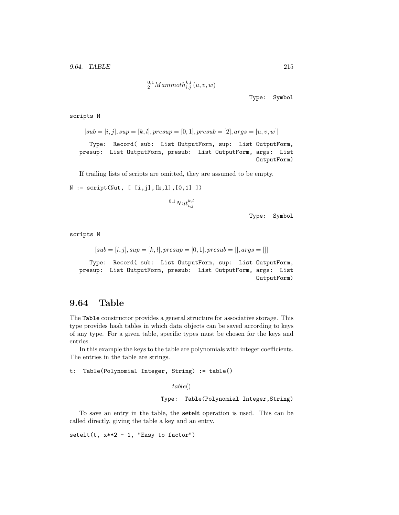$_{2}^{0,1}Mammoth_{i,j}^{k,l}\left( u,v,w\right)$ 

Type: Symbol

scripts M

 $[sub = [i, j], sup = [k, l], presup = [0, 1], presub = [2], args = [u, v, w]$ 

Type: Record( sub: List OutputForm, sup: List OutputForm, presup: List OutputForm, presub: List OutputForm, args: List OutputForm)

If trailing lists of scripts are omitted, they are assumed to be empty.

 $N := \text{script(Nut}, [ [i,j], [k,l], [0,1]] )$ 

$$
^{0,1}Nut_{i,j}^{k,l}
$$

Type: Symbol

scripts N

$$
[sub = [i, j], sup = [k, l], presup = [0, 1], presub = [] , args = []]
$$

Type: Record( sub: List OutputForm, sup: List OutputForm, presup: List OutputForm, presub: List OutputForm, args: List OutputForm)

### 9.64 Table

The Table constructor provides a general structure for associative storage. This type provides hash tables in which data objects can be saved according to keys of any type. For a given table, specific types must be chosen for the keys and entries.

In this example the keys to the table are polynomials with integer coefficients. The entries in the table are strings.

```
t: Table(Polynomial Integer, String) := table()
```
table()

Type: Table(Polynomial Integer,String)

To save an entry in the table, the setelt operation is used. This can be called directly, giving the table a key and an entry.

 $setelt(t, x**2 - 1, "Easy to factor")$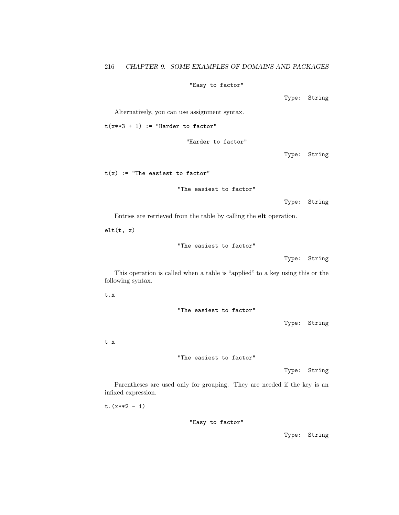#### "Easy to factor"

Type: String

Alternatively, you can use assignment syntax.

 $t(x**3 + 1)$  := "Harder to factor"

"Harder to factor"

Type: String

 $t(x)$  := "The easiest to factor"

"The easiest to factor"

Type: String

Entries are retrieved from the table by calling the elt operation.

 $elt(t, x)$ 

"The easiest to factor"

Type: String

This operation is called when a table is "applied" to a key using this or the following syntax.

t.x

"The easiest to factor"

Type: String

t x

"The easiest to factor"

Type: String

Parentheses are used only for grouping. They are needed if the key is an infixed expression.

 $t.(x**2 - 1)$ 

"Easy to factor"

Type: String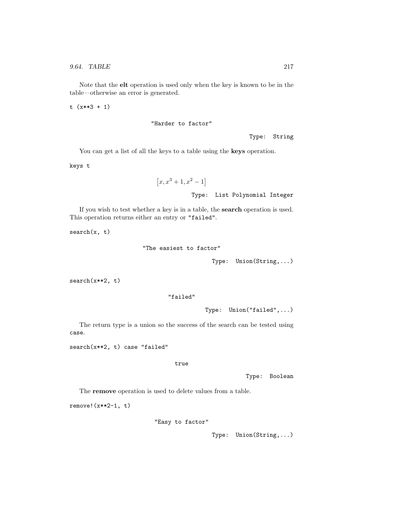Note that the elt operation is used only when the key is known to be in the table—otherwise an error is generated.

t (x\*\*3 + 1)

"Harder to factor"

Type: String

You can get a list of all the keys to a table using the **keys** operation.

keys t

$$
[x, x^3 + 1, x^2 - 1]
$$
  
Type: List Polynomial Integer

If you wish to test whether a key is in a table, the search operation is used. This operation returns either an entry or "failed".

search(x, t)

```
"The easiest to factor"
```
Type: Union(String,...)

search(x\*\*2, t)

#### "failed"

Type: Union("failed",...)

The return type is a union so the success of the search can be tested using case.

search(x\*\*2, t) case "failed"

true

Type: Boolean

The remove operation is used to delete values from a table.

remove!(x\*\*2-1, t)

"Easy to factor"

Type: Union(String,...)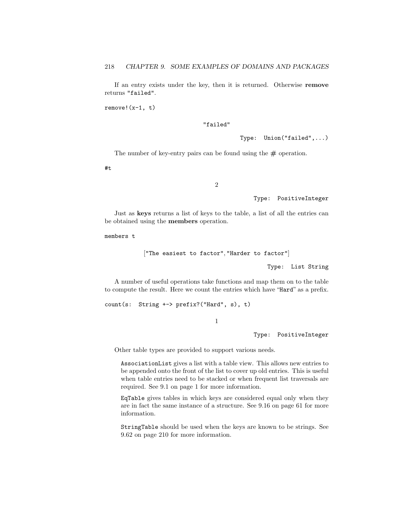If an entry exists under the key, then it is returned. Otherwise remove returns "failed".

 $remove!(x-1, t)$ 

#### "failed"

Type: Union("failed",...)

The number of key-entry pairs can be found using the  $\#$  operation.

#t

2

Type: PositiveInteger

Just as keys returns a list of keys to the table, a list of all the entries can be obtained using the members operation.

members t

```
["The easiest to factor", "Harder to factor"]
```
Type: List String

A number of useful operations take functions and map them on to the table to compute the result. Here we count the entries which have "Hard" as a prefix.

count(s: String +-> prefix?("Hard", s), t)

1

Type: PositiveInteger

Other table types are provided to support various needs.

AssociationList gives a list with a table view. This allows new entries to be appended onto the front of the list to cover up old entries. This is useful when table entries need to be stacked or when frequent list traversals are required. See 9.1 on page 1 for more information.

EqTable gives tables in which keys are considered equal only when they are in fact the same instance of a structure. See 9.16 on page 61 for more information.

StringTable should be used when the keys are known to be strings. See 9.62 on page 210 for more information.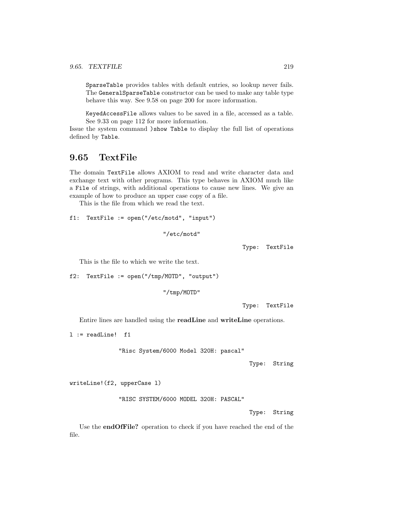SparseTable provides tables with default entries, so lookup never fails. The GeneralSparseTable constructor can be used to make any table type behave this way. See 9.58 on page 200 for more information.

KeyedAccessFile allows values to be saved in a file, accessed as a table. See 9.33 on page 112 for more information.

Issue the system command )show Table to display the full list of operations defined by Table.

## 9.65 TextFile

The domain TextFile allows AXIOM to read and write character data and exchange text with other programs. This type behaves in AXIOM much like a File of strings, with additional operations to cause new lines. We give an example of how to produce an upper case copy of a file.

This is the file from which we read the text.

```
f1: TextFile := open("/etc/motd", "input")
```

```
"/etc/motd"
```
Type: TextFile

This is the file to which we write the text.

```
f2: TextFile := open("/tmp/MOTD", "output")
```

```
"/tmp/MOTD"
```
Type: TextFile

Entire lines are handled using the readLine and writeLine operations.

l := readLine! f1

"Risc System/6000 Model 320H: pascal"

Type: String

writeLine!(f2, upperCase l)

"RISC SYSTEM/6000 MODEL 320H: PASCAL"

Type: String

Use the endOfFile? operation to check if you have reached the end of the file.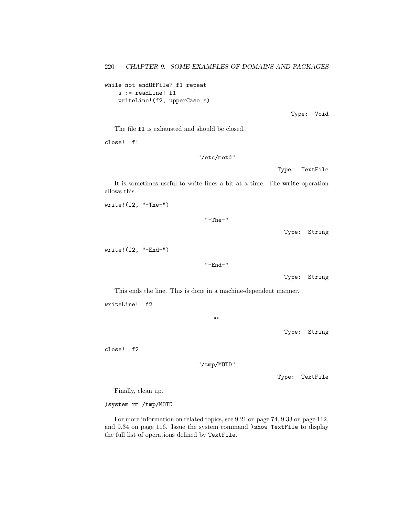while not endOfFile? f1 repeat s := readLine! f1 writeLine!(f2, upperCase s)

Type: Void

The file f1 is exhausted and should be closed.

close! f1

"/etc/motd"

Type: TextFile

It is sometimes useful to write lines a bit at a time. The write operation allows this.

write!(f2, "-The-")

"-The-"

Type: String

write!(f2, "-End-")

"-End-"

Type: String

This ends the line. This is done in a machine-dependent manner.

writeLine! f2

 $"$ "

Type: String

close! f2

"/tmp/MOTD"

Type: TextFile

Finally, clean up.

)system rm /tmp/MOTD

For more information on related topics, see 9.21 on page 74, 9.33 on page 112, and 9.34 on page 116. Issue the system command )show TextFile to display the full list of operations defined by TextFile.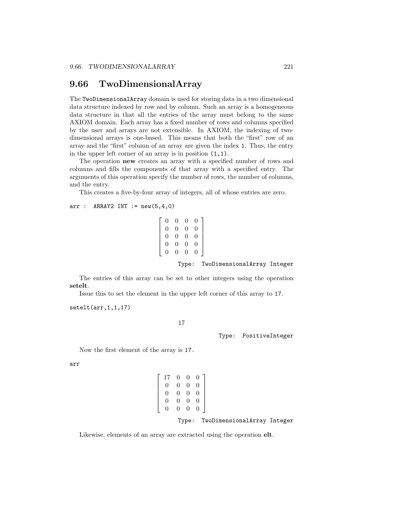## 9.66 TwoDimensionalArray

The TwoDimensionalArray domain is used for storing data in a two dimensional data structure indexed by row and by column. Such an array is a homogeneous data structure in that all the entries of the array must belong to the same AXIOM domain. Each array has a fixed number of rows and columns specified by the user and arrays are not extensible. In AXIOM, the indexing of twodimensional arrays is one-based. This means that both the "first" row of an array and the "first" column of an array are given the index 1. Thus, the entry in the upper left corner of an array is in position (1,1).

The operation new creates an array with a specified number of rows and columns and fills the components of that array with a specified entry. The arguments of this operation specify the number of rows, the number of columns, and the entry.

This creates a five-by-four array of integers, all of whose entries are zero.

#### $arr : ARRAY2 INT := new(5, 4, 0)$

$$
\left[\begin{array}{cccc} 0 & 0 & 0 & 0 \\ 0 & 0 & 0 & 0 \\ 0 & 0 & 0 & 0 \\ 0 & 0 & 0 & 0 \\ 0 & 0 & 0 & 0 \\ 0 & 0 & 0 & 0 \end{array}\right]
$$

Type: TwoDimensionalArray Integer

The entries of this array can be set to other integers using the operation setelt.

Issue this to set the element in the upper left corner of this array to 17.

setelt(arr,1,1,17)

17

Type: PositiveInteger

Now the first element of the array is 17.

arr

$$
\begin{bmatrix} 17 & 0 & 0 & 0 \\ 0 & 0 & 0 & 0 \\ 0 & 0 & 0 & 0 \\ 0 & 0 & 0 & 0 \\ 0 & 0 & 0 & 0 \end{bmatrix}
$$

Type: TwoDimensionalArray Integer

Likewise, elements of an array are extracted using the operation elt.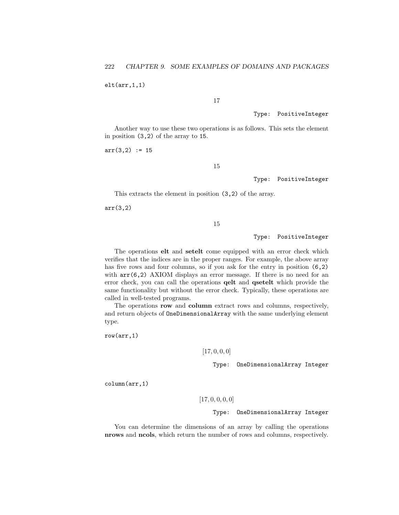$elt(arr, 1, 1)$ 

### 17

#### Type: PositiveInteger

Another way to use these two operations is as follows. This sets the element in position (3,2) of the array to 15.

 $arr(3,2) := 15$ 

15

Type: PositiveInteger

This extracts the element in position (3,2) of the array.

arr(3,2)

15

Type: PositiveInteger

The operations elt and setelt come equipped with an error check which verifies that the indices are in the proper ranges. For example, the above array has five rows and four columns, so if you ask for the entry in position  $(6,2)$ with  $arr(6,2)$  AXIOM displays an error message. If there is no need for an error check, you can call the operations qelt and qsetelt which provide the same functionality but without the error check. Typically, these operations are called in well-tested programs.

The operations row and column extract rows and columns, respectively, and return objects of OneDimensionalArray with the same underlying element type.

row(arr,1)

#### $[17, 0, 0, 0]$

Type: OneDimensionalArray Integer

column(arr,1)

 $[17, 0, 0, 0, 0]$ 

#### Type: OneDimensionalArray Integer

You can determine the dimensions of an array by calling the operations nrows and ncols, which return the number of rows and columns, respectively.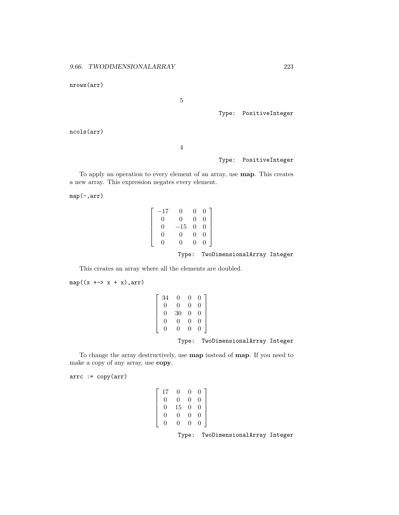nrows(arr)

5

Type: PositiveInteger

ncols(arr)

4

Type: PositiveInteger

To apply an operation to every element of an array, use map. This creates a new array. This expression negates every element.

map(-,arr)

| $\left[ \begin{array}{cccc} -17 & 0 & 0 & 0 \ 0 & 0 & 0 & 0 \ 0 & -15 & 0 & 0 \ 0 & 0 & 0 & 0 \ 0 & 0 & 0 & 0 \end{array} \right]$ |  |                                   |  |
|------------------------------------------------------------------------------------------------------------------------------------|--|-----------------------------------|--|
|                                                                                                                                    |  | Type: TwoDimensionalArray Integer |  |

This creates an array where all the elements are doubled.

 $\lceil$  $\overline{1}$  $\overline{1}$  $\overline{1}$  $\overline{1}$  $\overline{1}$ 

 $map((x \leftrightarrow x + x), arr)$ 

| 34             |                                                                                                     |  |  |
|----------------|-----------------------------------------------------------------------------------------------------|--|--|
| $\overline{0}$ |                                                                                                     |  |  |
| $\overline{0}$ |                                                                                                     |  |  |
| $\overline{0}$ |                                                                                                     |  |  |
| $\Omega$       | $\begin{array}{cccc} 0 & 0 & 0 \\ 0 & 0 & 0 \\ 30 & 0 & 0 \\ 0 & 0 & 0 \\ 0 & 0 & 0 \\ \end{array}$ |  |  |
|                |                                                                                                     |  |  |

Type: TwoDimensionalArray Integer

To change the array destructively, use map instead of map. If you need to make a copy of any array, use copy.

 $arrc := copy(arr)$ 

| $\left[ \begin{array}{cccc} 17 & 0 & 0 & 0 \ 0 & 0 & 0 & 0 \ 0 & 15 & 0 & 0 \ 0 & 0 & 0 & 0 \ 0 & 0 & 0 & 0 \end{array} \right]$ |  |                                   |  |
|----------------------------------------------------------------------------------------------------------------------------------|--|-----------------------------------|--|
|                                                                                                                                  |  | Type: TwoDimensionalArray Integer |  |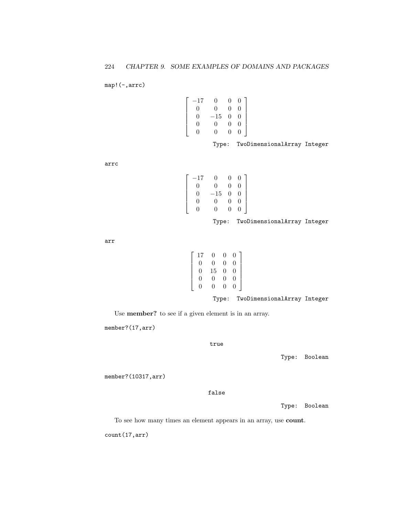map!(-,arrc)

$$
\left[\begin{array}{cccc} -17 & 0 & 0 & 0 \\ 0 & 0 & 0 & 0 \\ 0 & -15 & 0 & 0 \\ 0 & 0 & 0 & 0 \\ 0 & 0 & 0 & 0 \end{array}\right]
$$

Type: TwoDimensionalArray Integer

arrc

$$
\left[\begin{array}{cccc} -17 & 0 & 0 & 0\\ 0 & 0 & 0 & 0\\ 0 & -15 & 0 & 0\\ 0 & 0 & 0 & 0\\ 0 & 0 & 0 & 0 \end{array}\right]
$$

Type: TwoDimensionalArray Integer

arr

| 17 | 0                 | 0        | 0 |
|----|-------------------|----------|---|
| 0  | 0                 | $\Omega$ | 0 |
| 0  | 15                | $\Omega$ | 0 |
| 0  | 0                 | $\Omega$ | 0 |
| 0  | $\mathbf{\Omega}$ | O        | 0 |

Type: TwoDimensionalArray Integer

Use member? to see if a given element is in an array.

member?(17,arr)

true

Type: Boolean

member?(10317,arr)

false

Type: Boolean

To see how many times an element appears in an array, use count.

count(17,arr)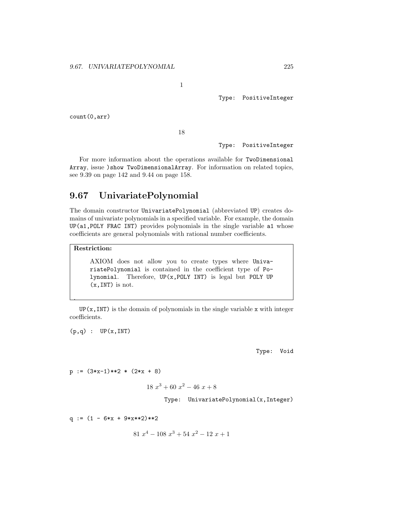1

Type: PositiveInteger

count(0,arr)

18

Type: PositiveInteger

For more information about the operations available for TwoDimensional Array, issue )show TwoDimensionalArray. For information on related topics, see 9.39 on page 142 and 9.44 on page 158.

## 9.67 UnivariatePolynomial

The domain constructor UnivariatePolynomial (abbreviated UP) creates domains of univariate polynomials in a specified variable. For example, the domain UP(a1,POLY FRAC INT) provides polynomials in the single variable a1 whose coefficients are general polynomials with rational number coefficients.

## Restriction:

.

AXIOM does not allow you to create types where UnivariatePolynomial is contained in the coefficient type of Polynomial. Therefore, UP(x,POLY INT) is legal but POLY UP (x,INT) is not.

 $UP(x, INT)$  is the domain of polynomials in the single variable x with integer coefficients.

 $(p,q)$  : UP $(x, INT)$ 

Type: Void

 $p := (3*x-1)*2 * (2*x + 8)$ 

$$
18 x^3 + 60 x^2 - 46 x + 8
$$

Type: UnivariatePolynomial(x,Integer)

 $q := (1 - 6*x + 9*x*x2)*2$ 

```
81 x^4 - 108x^3 + 54x^2 - 12x + 1
```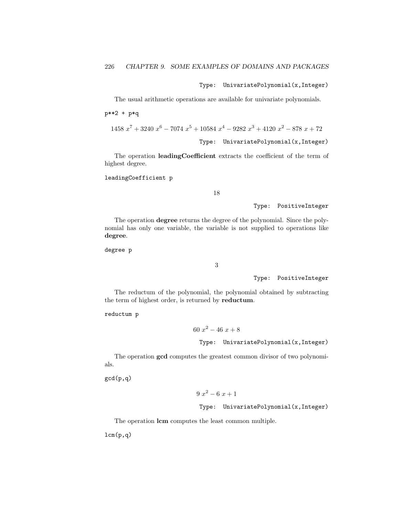Type: UnivariatePolynomial(x,Integer)

The usual arithmetic operations are available for univariate polynomials.

p\*\*2 + p\*q

1458 
$$
x^7 + 3240x^6 - 7074x^5 + 10584x^4 - 9282x^3 + 4120x^2 - 878x + 72
$$
  
Type: UnivariatePolynomial(x, Integer)

The operation leadingCoefficient extracts the coefficient of the term of highest degree.

leadingCoefficient p

18

Type: PositiveInteger

The operation degree returns the degree of the polynomial. Since the polynomial has only one variable, the variable is not supplied to operations like degree.

degree p

3

Type: PositiveInteger

The reductum of the polynomial, the polynomial obtained by subtracting the term of highest order, is returned by reductum.

reductum p

60  $x^2 - 46x + 8$ 

Type: UnivariatePolynomial(x,Integer)

The operation gcd computes the greatest common divisor of two polynomials.

gcd(p,q)

 $9x^2-6x+1$ 

Type: UnivariatePolynomial(x,Integer)

The operation lcm computes the least common multiple.

 $lcm(p,q)$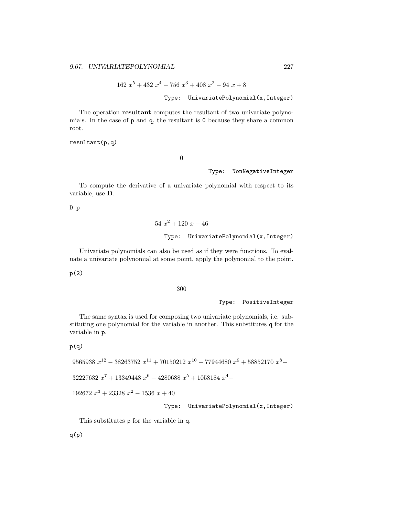$162 x<sup>5</sup> + 432 x<sup>4</sup> - 756 x<sup>3</sup> + 408 x<sup>2</sup> - 94 x + 8$ 

Type: UnivariatePolynomial(x,Integer)

The operation resultant computes the resultant of two univariate polynomials. In the case of p and q, the resultant is 0 because they share a common root.

resultant(p,q)

0

#### Type: NonNegativeInteger

To compute the derivative of a univariate polynomial with respect to its variable, use D.

D p

 $54\ x^2 + 120\ x - 46$ Type: UnivariatePolynomial(x,Integer)

Univariate polynomials can also be used as if they were functions. To evaluate a univariate polynomial at some point, apply the polynomial to the point.

p(2)

300

Type: PositiveInteger

The same syntax is used for composing two univariate polynomials, i.e. substituting one polynomial for the variable in another. This substitutes q for the variable in p.

 $p(q)$ 

$$
9565938\ x^{12} - 38263752\ x^{11} + 70150212\ x^{10} - 77944680\ x^9 + 58852170\ x^8 -
$$

32227632  $x^7 + 13349448 x^6 - 4280688 x^5 + 1058184 x^4$ 

192672  $x^3 + 23328 \ x^2 - 1536 \ x + 40$ 

### Type: UnivariatePolynomial(x,Integer)

This substitutes p for the variable in q.

 $q(p)$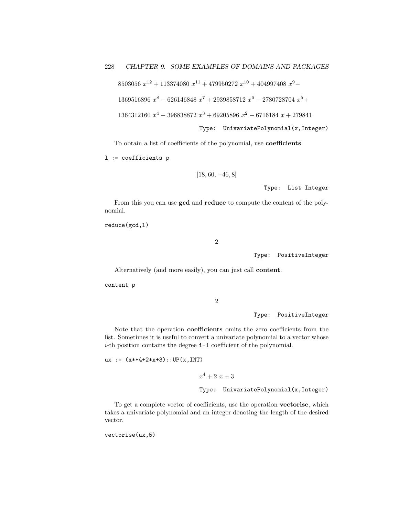```
8503056 x^{12} + 113374080 x^{11} + 479950272 x^{10} + 404997408 x^9 -
```

```
1369516896 x^8 - 626146848 x^7 + 2939858712 x^6 - 2780728704 x^5 +
```

```
1364312160 x^4 - 396838872 x^3 + 69205896 x^2 - 6716184 x + 279841
```

```
Type: UnivariatePolynomial(x,Integer)
```
To obtain a list of coefficients of the polynomial, use coefficients.

l := coefficients p

$$
\left[18,60,-46,8\right]
$$

Type: List Integer

From this you can use gcd and reduce to compute the content of the polynomial.

reduce(gcd,l)

2

Type: PositiveInteger

Alternatively (and more easily), you can just call content.

content p

2

Type: PositiveInteger

Note that the operation coefficients omits the zero coefficients from the list. Sometimes it is useful to convert a univariate polynomial to a vector whose i-th position contains the degree i-1 coefficient of the polynomial.

ux :=  $(x**4+2*x+3)$ : UP $(x, INT)$ 

 $x^4 + 2x + 3$ Type: UnivariatePolynomial(x,Integer)

To get a complete vector of coefficients, use the operation vectorise, which takes a univariate polynomial and an integer denoting the length of the desired vector.

vectorise(ux,5)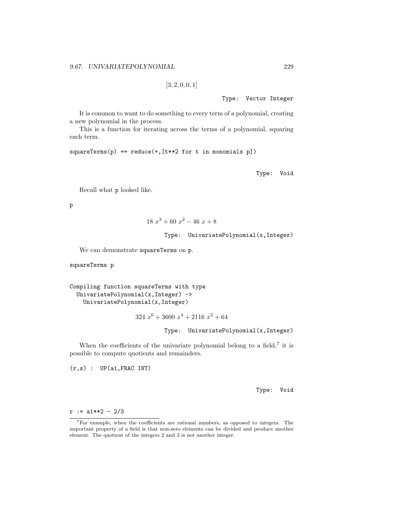```
[3, 2, 0, 0, 1]
```
Type: Vector Integer

It is common to want to do something to every term of a polynomial, creating a new polynomial in the process.

This is a function for iterating across the terms of a polynomial, squaring each term.

```
squareTerms(p) == reduce(+, [t**2 for t in monomials p])
```
Type: Void

Recall what p looked like.

p

$$
18x^3 + 60x^2 - 46x + 8
$$

Type: UnivariatePolynomial(x,Integer)

We can demonstrate squareTerms on p.

squareTerms p

```
Compiling function squareTerms with type
UnivariatePolynomial(x,Integer) ->
 UnivariatePolynomial(x,Integer)
```
 $324\ x^6 + 3600\ x^4 + 2116\ x^2 + 64$ 

## Type: UnivariatePolynomial(x,Integer)

When the coefficients of the univariate polynomial belong to a field,<sup>7</sup> it is possible to compute quotients and remainders.

 $(r,s)$  :  $UP(a1, FRAC INT)$ 

Type: Void

 $r := a1**2 - 2/3$ 

<sup>7</sup>For example, when the coefficients are rational numbers, as opposed to integers. The important property of a field is that non-zero elements can be divided and produce another element. The quotient of the integers 2 and 3 is not another integer.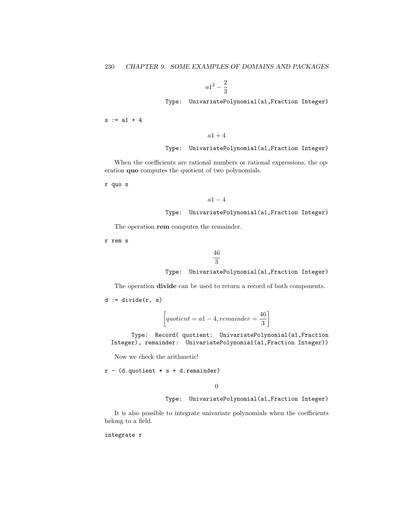$$
a1^2-\frac{2}{3}
$$

Type: UnivariatePolynomial(a1,Fraction Integer)

 $s := a1 + 4$ 

 $a1 + 4$ 

### Type: UnivariatePolynomial(a1,Fraction Integer)

When the coefficients are rational numbers or rational expressions, the operation quo computes the quotient of two polynomials.

r quo s

```
a1-4
```

```
Type: UnivariatePolynomial(a1,Fraction Integer)
```
The operation rem computes the remainder.

r rem s

$$
\frac{46}{3}
$$
\nType: UnivariatePolynomial(a1, Fraction Integer)

The operation divide can be used to return a record of both components.

 $d := \text{divide}(r, s)$ 

$$
\left[ quotient = a1 - 4, remainder = \frac{46}{3} \right]
$$

Type: Record( quotient: UnivariatePolynomial(a1,Fraction Integer), remainder: UnivariatePolynomial(a1,Fraction Integer))

Now we check the arithmetic!

 $r - (d.quotient * s + d.remainder)$ 

0

Type: UnivariatePolynomial(a1,Fraction Integer)

It is also possible to integrate univariate polynomials when the coefficients belong to a field.

integrate r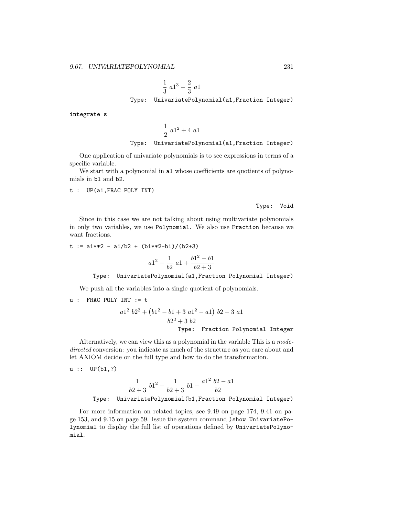$$
\frac{1}{3} a1^3 - \frac{2}{3} a1
$$
  
Type: UnivariatePolynomial(a1, Fraction Integer)

integrate s

$$
\frac{1}{2} a1^2 + 4 a1
$$

Type: UnivariatePolynomial(a1,Fraction Integer)

One application of univariate polynomials is to see expressions in terms of a specific variable.

We start with a polynomial in a1 whose coefficients are quotients of polynomials in b1 and b2.

t : UP(a1,FRAC POLY INT)

Type: Void

Since in this case we are not talking about using multivariate polynomials in only two variables, we use Polynomial. We also use Fraction because we want fractions.

 $t := a1**2 - a1/b2 + (b1**2-b1)/(b2+3)$ 

$$
a1^2 - \frac{1}{b2} a1 + \frac{b1^2 - b1}{b2 + 3}
$$

Type: UnivariatePolynomial(a1,Fraction Polynomial Integer)

We push all the variables into a single quotient of polynomials.

u : FRAC POLY INT := t

$$
\frac{a1^2 b2^2 + (b1^2 - b1 + 3 a1^2 - a1) b2 - 3 a1}{b2^2 + 3 b2}
$$
  
Type: Fraction Polynomial Integer

Alternatively, we can view this as a polynomial in the variable This is a modedirected conversion: you indicate as much of the structure as you care about and let AXIOM decide on the full type and how to do the transformation.

 $u : : UP(b1,?)$ 

$$
\frac{1}{b2+3} b1^2 - \frac{1}{b2+3} b1 + \frac{a1^2 b2 - a1}{b2}
$$
  
Type: UnivariatePolynomial (b1, Fraction Polynomial Integer)

For more information on related topics, see 9.49 on page 174, 9.41 on page 153, and 9.15 on page 59. Issue the system command )show UnivariatePolynomial to display the full list of operations defined by UnivariatePolynomial.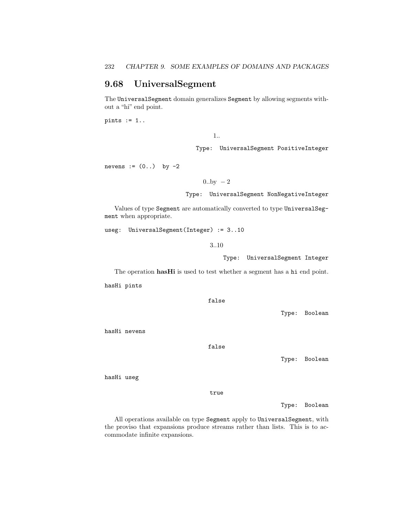## 9.68 UniversalSegment

The UniversalSegment domain generalizes Segment by allowing segments without a "hi" end point.

pints  $:= 1.$ .

1..

Type: UniversalSegment PositiveInteger

nevens  $:= (0, .)$  by  $-2$ 

 $0.$ by  $-2$ 

Type: UniversalSegment NonNegativeInteger

Values of type Segment are automatically converted to type UniversalSegment when appropriate.

useg: UniversalSegment(Integer) := 3..10

3..10

Type: UniversalSegment Integer

The operation hasHi is used to test whether a segment has a hi end point.

hasHi pints

false

Type: Boolean

hasHi nevens

false

Type: Boolean

hasHi useg

true

Type: Boolean

All operations available on type Segment apply to UniversalSegment, with the proviso that expansions produce streams rather than lists. This is to accommodate infinite expansions.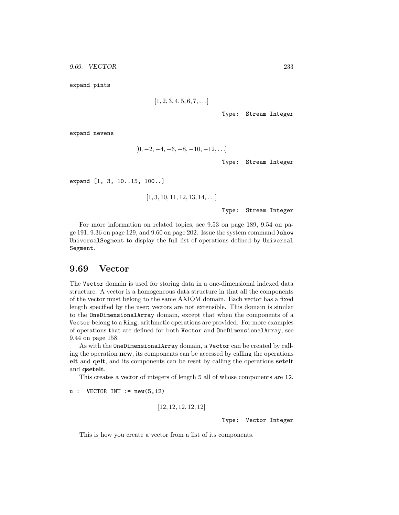expand pints

$$
[1, 2, 3, 4, 5, 6, 7, \ldots]
$$

Type: Stream Integer

expand nevens

$$
[0, -2, -4, -6, -8, -10, -12, \ldots]
$$

Type: Stream Integer

expand [1, 3, 10..15, 100..]

 $[1, 3, 10, 11, 12, 13, 14, \ldots]$ 

Type: Stream Integer

For more information on related topics, see 9.53 on page 189, 9.54 on page 191, 9.36 on page 129, and 9.60 on page 202. Issue the system command )show UniversalSegment to display the full list of operations defined by Universal Segment.

## 9.69 Vector

The Vector domain is used for storing data in a one-dimensional indexed data structure. A vector is a homogeneous data structure in that all the components of the vector must belong to the same AXIOM domain. Each vector has a fixed length specified by the user; vectors are not extensible. This domain is similar to the OneDimensionalArray domain, except that when the components of a Vector belong to a Ring, arithmetic operations are provided. For more examples of operations that are defined for both Vector and OneDimensionalArray, see 9.44 on page 158.

As with the OneDimensionalArray domain, a Vector can be created by calling the operation new, its components can be accessed by calling the operations elt and qelt, and its components can be reset by calling the operations setelt and qsetelt.

This creates a vector of integers of length 5 all of whose components are 12.

 $u:$  VECTOR INT  $:=$  new(5,12)

```
[12, 12, 12, 12, 12]
```
Type: Vector Integer

This is how you create a vector from a list of its components.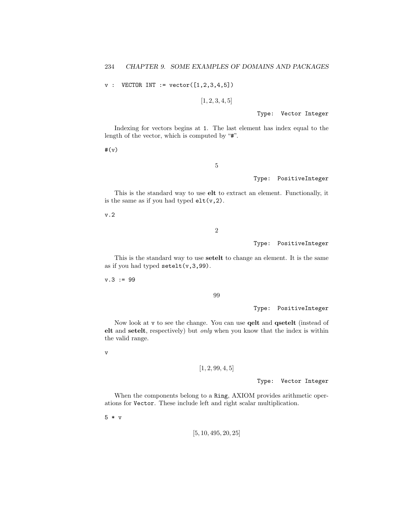$v :$  VECTOR INT := vector( $[1, 2, 3, 4, 5]$ )

 $[1, 2, 3, 4, 5]$ 

Type: Vector Integer

Indexing for vectors begins at 1. The last element has index equal to the length of the vector, which is computed by "#".

#(v)

5

### Type: PositiveInteger

This is the standard way to use elt to extract an element. Functionally, it is the same as if you had typed  $elt(v,2)$ .

v.2

2

### Type: PositiveInteger

This is the standard way to use setelt to change an element. It is the same as if you had typed  $\text{setelt}(v,3,99)$ .

 $v.3 := 99$ 

99

Type: PositiveInteger

Now look at v to see the change. You can use **qelt** and **qsetelt** (instead of elt and setelt, respectively) but only when you know that the index is within the valid range.

v

## $[1, 2, 99, 4, 5]$

Type: Vector Integer

When the components belong to a Ring, AXIOM provides arithmetic operations for Vector. These include left and right scalar multiplication.

5 \* v

[5, 10, 495, 20, 25]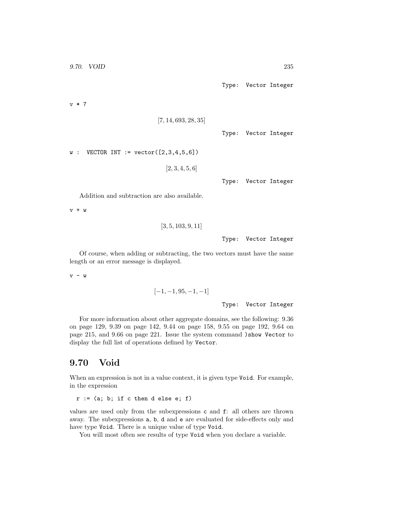v \* 7

```
[7, 14, 693, 28, 35]
```
Type: Vector Integer

 $w :$  VECTOR INT := vector( $[2,3,4,5,6]$ )

 $[2, 3, 4, 5, 6]$ 

Type: Vector Integer

Addition and subtraction are also available.

v + w

```
[3, 5, 103, 9, 11]
```
Type: Vector Integer

Of course, when adding or subtracting, the two vectors must have the same length or an error message is displayed.

 $v - w$ 

$$
\begin{aligned}[-1,-1,95,-1,-1] \\ \text{Type: Vector Integer} \end{aligned}
$$

For more information about other aggregate domains, see the following: 9.36 on page 129, 9.39 on page 142, 9.44 on page 158, 9.55 on page 192, 9.64 on page 215, and 9.66 on page 221. Issue the system command )show Vector to display the full list of operations defined by Vector.

# 9.70 Void

When an expression is not in a value context, it is given type Void. For example, in the expression

 $r := (a; b; if c then d else e; f)$ 

values are used only from the subexpressions c and f: all others are thrown away. The subexpressions a, b, d and e are evaluated for side-effects only and have type Void. There is a unique value of type Void.

You will most often see results of type Void when you declare a variable.